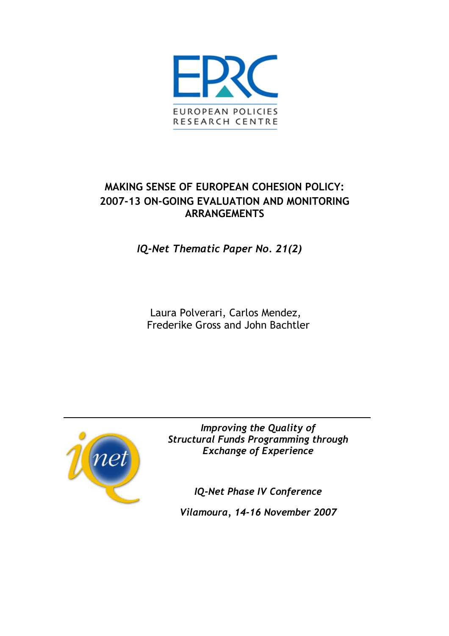

# **MAKING SENSE OF EUROPEAN COHESION POLICY: 2007-13 ON-GOING EVALUATION AND MONITORING ARRANGEMENTS**

*IQ-Net Thematic Paper No. 21(2)* 

Laura Polverari, Carlos Mendez, Frederike Gross and John Bachtler



*Improving the Quality of Structural Funds Programming through Exchange of Experience* 

*IQ-Net Phase IV Conference* 

*Vilamoura, 14-16 November 2007*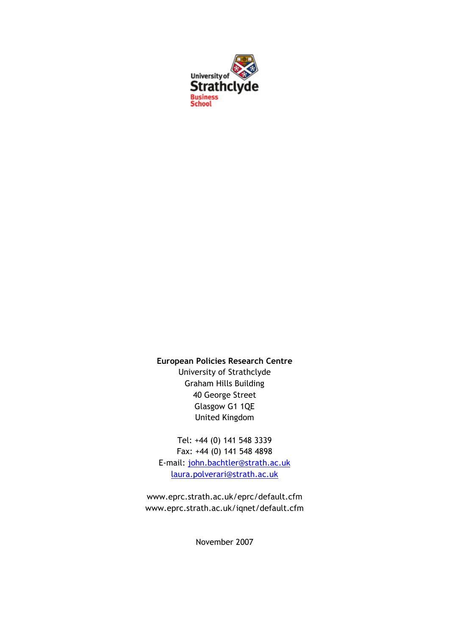

### **European Policies Research Centre**

University of Strathclyde Graham Hills Building 40 George Street Glasgow G1 1QE United Kingdom

Tel: +44 (0) 141 548 3339 Fax: +44 (0) 141 548 4898 E-mail: [john.bachtler@strath.ac.uk](mailto:john.bachtler@strath.ac.uk) [laura.polverari@strath.ac.uk](mailto:laura.polverari@strath.ac.uk)

www.eprc.strath.ac.uk/eprc/default.cfm www.eprc.strath.ac.uk/iqnet/default.cfm

November 2007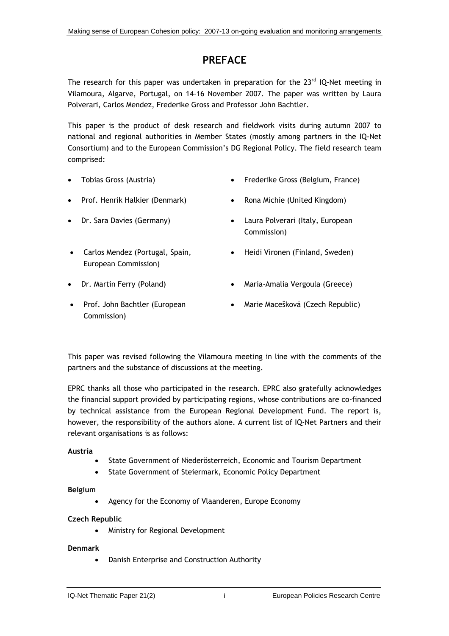## **PREFACE**

The research for this paper was undertaken in preparation for the 23<sup>rd</sup> IQ-Net meeting in Vilamoura, Algarve, Portugal, on 14-16 November 2007. The paper was written by Laura Polverari, Carlos Mendez, Frederike Gross and Professor John Bachtler.

This paper is the product of desk research and fieldwork visits during autumn 2007 to national and regional authorities in Member States (mostly among partners in the IQ-Net Consortium) and to the European Commission's DG Regional Policy. The field research team comprised:

- - Tobias Gross (Austria) Frederike Gross (Belgium, France)
- Prof. Henrik Halkier (Denmark) Rona Michie (United Kingdom)
- 
- Carlos Mendez (Portugal, Spain, European Commission)
- 
- 
- Dr. Sara Davies (Germany) Laura Polverari (Italy, European Commission)
	- Heidi Vironen (Finland, Sweden)
- Dr. Martin Ferry (Poland) Maria-Amalia Vergoula (Greece)
- Prof. John Bachtler (European Commission)
- Marie Macešková (Czech Republic)

This paper was revised following the Vilamoura meeting in line with the comments of the partners and the substance of discussions at the meeting.

EPRC thanks all those who participated in the research. EPRC also gratefully acknowledges the financial support provided by participating regions, whose contributions are co-financed by technical assistance from the European Regional Development Fund. The report is, however, the responsibility of the authors alone. A current list of IQ-Net Partners and their relevant organisations is as follows:

#### **Austria**

- State Government of Niederösterreich, Economic and Tourism Department
- State Government of Steiermark, Economic Policy Department

#### **Belgium**

• Agency for the Economy of Vlaanderen, Europe Economy

#### **Czech Republic**

• Ministry for Regional Development

#### **Denmark**

• Danish Enterprise and Construction Authority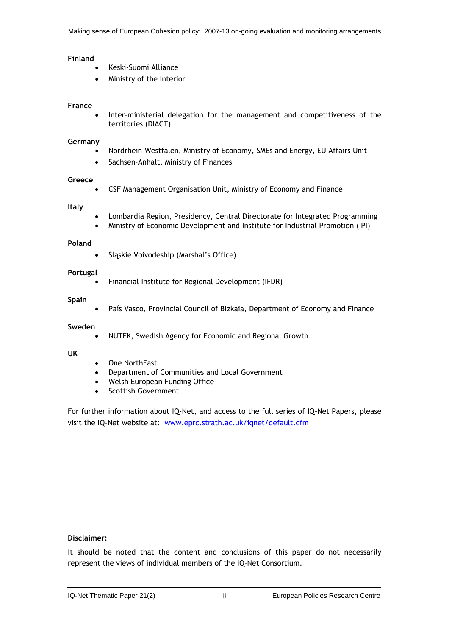#### **Finland**

- Keski-Suomi Alliance
- Ministry of the Interior

#### **France**

• Inter-ministerial delegation for the management and competitiveness of the territories (DIACT)

#### **Germany**

- Nordrhein-Westfalen, Ministry of Economy, SMEs and Energy, EU Affairs Unit
- Sachsen-Anhalt, Ministry of Finances

#### **Greece**

• CSF Management Organisation Unit, Ministry of Economy and Finance

#### **Italy**

- Lombardia Region, Presidency, Central Directorate for Integrated Programming
- Ministry of Economic Development and Institute for Industrial Promotion (IPI)

#### **Poland**

• Śląskie Voivodeship (Marshal's Office)

#### **Portugal**

• Financial Institute for Regional Development (IFDR)

#### **Spain**

País Vasco, Provincial Council of Bizkaia, Department of Economy and Finance

#### **Sweden**

• NUTEK, Swedish Agency for Economic and Regional Growth

#### **UK**

- One NorthEast
- Department of Communities and Local Government
- Welsh European Funding Office
- Scottish Government

For further information about IQ-Net, and access to the full series of IQ-Net Papers, please visit the IQ-Net website at: [www.eprc.strath.ac.uk/iqnet/default.cfm](http://www.eprc.strath.ac.uk/iqnet/default.cfm)

#### **Disclaimer:**

It should be noted that the content and conclusions of this paper do not necessarily represent the views of individual members of the IQ-Net Consortium.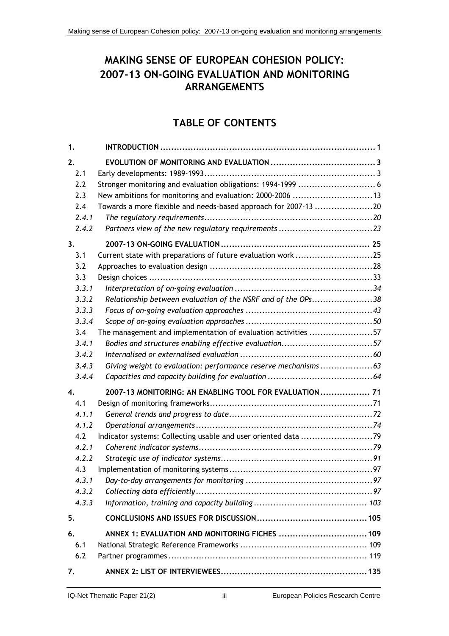# **MAKING SENSE OF EUROPEAN COHESION POLICY: 2007-13 ON-GOING EVALUATION AND MONITORING ARRANGEMENTS**

# **TABLE OF CONTENTS**

| 1.    |                                                                 |  |
|-------|-----------------------------------------------------------------|--|
| 2.    |                                                                 |  |
| 2.1   |                                                                 |  |
| 2.2   |                                                                 |  |
| 2.3   | New ambitions for monitoring and evaluation: 2000-2006 13       |  |
| 2.4   | Towards a more flexible and needs-based approach for 2007-13 20 |  |
| 2.4.1 |                                                                 |  |
| 2.4.2 |                                                                 |  |
| 3.    |                                                                 |  |
| 3.1   | Current state with preparations of future evaluation work25     |  |
| 3.2   |                                                                 |  |
| 3.3   |                                                                 |  |
| 3.3.1 |                                                                 |  |
| 3.3.2 | Relationship between evaluation of the NSRF and of the OPs38    |  |
| 3.3.3 |                                                                 |  |
| 3.3.4 |                                                                 |  |
| 3.4   | The management and implementation of evaluation activities 57   |  |
| 3.4.1 | Bodies and structures enabling effective evaluation57           |  |
| 3.4.2 |                                                                 |  |
| 3.4.3 | Giving weight to evaluation: performance reserve mechanisms63   |  |
| 3.4.4 |                                                                 |  |
| 4.    | 2007-13 MONITORING: AN ENABLING TOOL FOR EVALUATION  71         |  |
| 4.1   |                                                                 |  |
| 4.1.1 |                                                                 |  |
| 4.1.2 |                                                                 |  |
| 4.2   | Indicator systems: Collecting usable and user oriented data 79  |  |
| 4.2.1 |                                                                 |  |
| 4.2.2 |                                                                 |  |
| 4.3   |                                                                 |  |
| 4.3.1 |                                                                 |  |
| 4.3.2 |                                                                 |  |
| 4.3.3 |                                                                 |  |
| 5.    |                                                                 |  |
| 6.    | ANNEX 1: EVALUATION AND MONITORING FICHES  109                  |  |
| 6.1   |                                                                 |  |
| 6.2   |                                                                 |  |
| 7.    |                                                                 |  |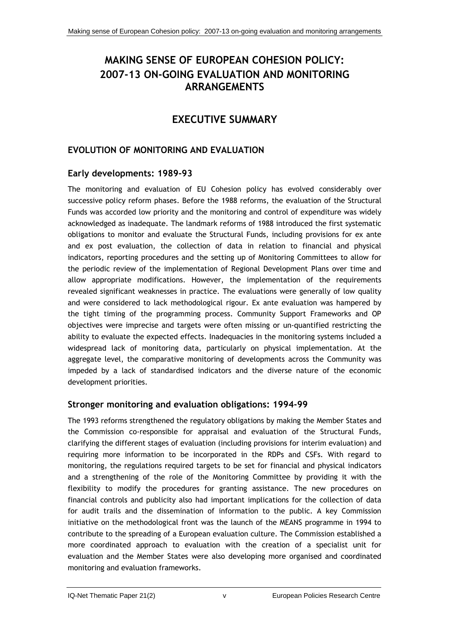# **MAKING SENSE OF EUROPEAN COHESION POLICY: 2007-13 ON-GOING EVALUATION AND MONITORING ARRANGEMENTS**

# **EXECUTIVE SUMMARY**

## **EVOLUTION OF MONITORING AND EVALUATION**

## **Early developments: 1989-93**

The monitoring and evaluation of EU Cohesion policy has evolved considerably over successive policy reform phases. Before the 1988 reforms, the evaluation of the Structural Funds was accorded low priority and the monitoring and control of expenditure was widely acknowledged as inadequate. The landmark reforms of 1988 introduced the first systematic obligations to monitor and evaluate the Structural Funds, including provisions for ex ante and ex post evaluation, the collection of data in relation to financial and physical indicators, reporting procedures and the setting up of Monitoring Committees to allow for the periodic review of the implementation of Regional Development Plans over time and allow appropriate modifications. However, the implementation of the requirements revealed significant weaknesses in practice. The evaluations were generally of low quality and were considered to lack methodological rigour. Ex ante evaluation was hampered by the tight timing of the programming process. Community Support Frameworks and OP objectives were imprecise and targets were often missing or un-quantified restricting the ability to evaluate the expected effects. Inadequacies in the monitoring systems included a widespread lack of monitoring data, particularly on physical implementation. At the aggregate level, the comparative monitoring of developments across the Community was impeded by a lack of standardised indicators and the diverse nature of the economic development priorities.

## **Stronger monitoring and evaluation obligations: 1994-99**

The 1993 reforms strengthened the regulatory obligations by making the Member States and the Commission co-responsible for appraisal and evaluation of the Structural Funds, clarifying the different stages of evaluation (including provisions for interim evaluation) and requiring more information to be incorporated in the RDPs and CSFs. With regard to monitoring, the regulations required targets to be set for financial and physical indicators and a strengthening of the role of the Monitoring Committee by providing it with the flexibility to modify the procedures for granting assistance. The new procedures on financial controls and publicity also had important implications for the collection of data for audit trails and the dissemination of information to the public. A key Commission initiative on the methodological front was the launch of the MEANS programme in 1994 to contribute to the spreading of a European evaluation culture. The Commission established a more coordinated approach to evaluation with the creation of a specialist unit for evaluation and the Member States were also developing more organised and coordinated monitoring and evaluation frameworks.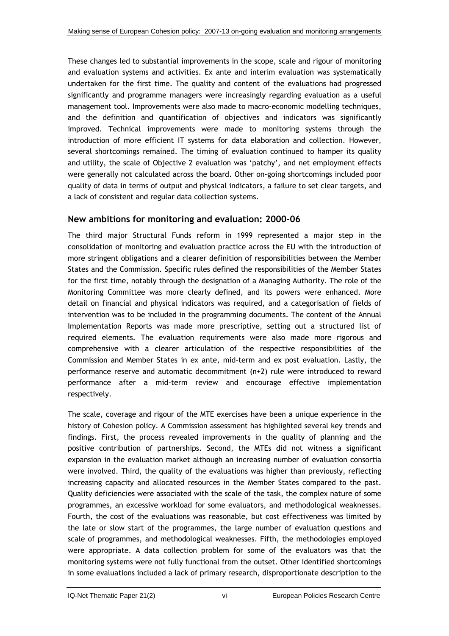These changes led to substantial improvements in the scope, scale and rigour of monitoring and evaluation systems and activities. Ex ante and interim evaluation was systematically undertaken for the first time. The quality and content of the evaluations had progressed significantly and programme managers were increasingly regarding evaluation as a useful management tool. Improvements were also made to macro-economic modelling techniques, and the definition and quantification of objectives and indicators was significantly improved. Technical improvements were made to monitoring systems through the introduction of more efficient IT systems for data elaboration and collection. However, several shortcomings remained. The timing of evaluation continued to hamper its quality and utility, the scale of Objective 2 evaluation was 'patchy', and net employment effects were generally not calculated across the board. Other on-going shortcomings included poor quality of data in terms of output and physical indicators, a failure to set clear targets, and a lack of consistent and regular data collection systems.

## **New ambitions for monitoring and evaluation: 2000-06**

The third major Structural Funds reform in 1999 represented a major step in the consolidation of monitoring and evaluation practice across the EU with the introduction of more stringent obligations and a clearer definition of responsibilities between the Member States and the Commission. Specific rules defined the responsibilities of the Member States for the first time, notably through the designation of a Managing Authority. The role of the Monitoring Committee was more clearly defined, and its powers were enhanced. More detail on financial and physical indicators was required, and a categorisation of fields of intervention was to be included in the programming documents. The content of the Annual Implementation Reports was made more prescriptive, setting out a structured list of required elements. The evaluation requirements were also made more rigorous and comprehensive with a clearer articulation of the respective responsibilities of the Commission and Member States in ex ante, mid-term and ex post evaluation. Lastly, the performance reserve and automatic decommitment (n+2) rule were introduced to reward performance after a mid-term review and encourage effective implementation respectively.

The scale, coverage and rigour of the MTE exercises have been a unique experience in the history of Cohesion policy. A Commission assessment has highlighted several key trends and findings. First, the process revealed improvements in the quality of planning and the positive contribution of partnerships. Second, the MTEs did not witness a significant expansion in the evaluation market although an increasing number of evaluation consortia were involved. Third, the quality of the evaluations was higher than previously, reflecting increasing capacity and allocated resources in the Member States compared to the past. Quality deficiencies were associated with the scale of the task, the complex nature of some programmes, an excessive workload for some evaluators, and methodological weaknesses. Fourth, the cost of the evaluations was reasonable, but cost effectiveness was limited by the late or slow start of the programmes, the large number of evaluation questions and scale of programmes, and methodological weaknesses. Fifth, the methodologies employed were appropriate. A data collection problem for some of the evaluators was that the monitoring systems were not fully functional from the outset. Other identified shortcomings in some evaluations included a lack of primary research, disproportionate description to the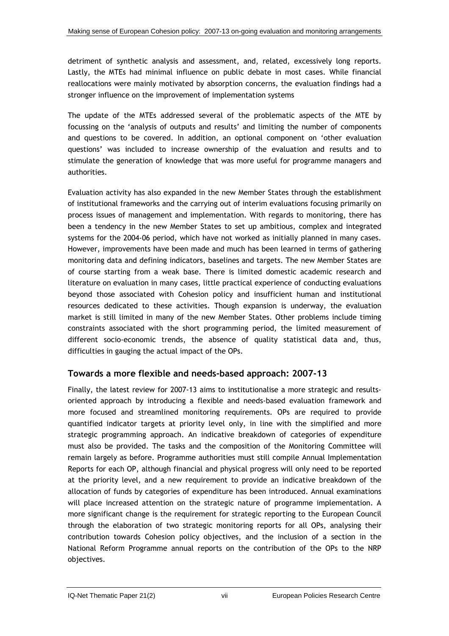detriment of synthetic analysis and assessment, and, related, excessively long reports. Lastly, the MTEs had minimal influence on public debate in most cases. While financial reallocations were mainly motivated by absorption concerns, the evaluation findings had a stronger influence on the improvement of implementation systems

The update of the MTEs addressed several of the problematic aspects of the MTE by focussing on the 'analysis of outputs and results' and limiting the number of components and questions to be covered. In addition, an optional component on 'other evaluation questions' was included to increase ownership of the evaluation and results and to stimulate the generation of knowledge that was more useful for programme managers and authorities.

Evaluation activity has also expanded in the new Member States through the establishment of institutional frameworks and the carrying out of interim evaluations focusing primarily on process issues of management and implementation. With regards to monitoring, there has been a tendency in the new Member States to set up ambitious, complex and integrated systems for the 2004-06 period, which have not worked as initially planned in many cases. However, improvements have been made and much has been learned in terms of gathering monitoring data and defining indicators, baselines and targets. The new Member States are of course starting from a weak base. There is limited domestic academic research and literature on evaluation in many cases, little practical experience of conducting evaluations beyond those associated with Cohesion policy and insufficient human and institutional resources dedicated to these activities. Though expansion is underway, the evaluation market is still limited in many of the new Member States. Other problems include timing constraints associated with the short programming period, the limited measurement of different socio-economic trends, the absence of quality statistical data and, thus, difficulties in gauging the actual impact of the OPs.

## **Towards a more flexible and needs-based approach: 2007-13**

Finally, the latest review for 2007-13 aims to institutionalise a more strategic and resultsoriented approach by introducing a flexible and needs-based evaluation framework and more focused and streamlined monitoring requirements. OPs are required to provide quantified indicator targets at priority level only, in line with the simplified and more strategic programming approach. An indicative breakdown of categories of expenditure must also be provided. The tasks and the composition of the Monitoring Committee will remain largely as before. Programme authorities must still compile Annual Implementation Reports for each OP, although financial and physical progress will only need to be reported at the priority level, and a new requirement to provide an indicative breakdown of the allocation of funds by categories of expenditure has been introduced. Annual examinations will place increased attention on the strategic nature of programme implementation. A more significant change is the requirement for strategic reporting to the European Council through the elaboration of two strategic monitoring reports for all OPs, analysing their contribution towards Cohesion policy objectives, and the inclusion of a section in the National Reform Programme annual reports on the contribution of the OPs to the NRP objectives.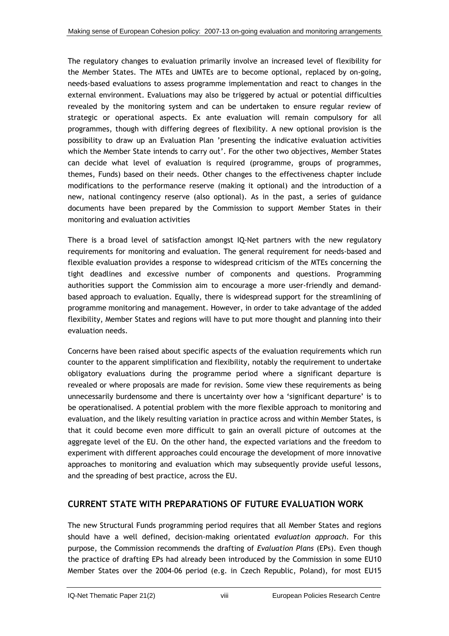The regulatory changes to evaluation primarily involve an increased level of flexibility for the Member States. The MTEs and UMTEs are to become optional, replaced by on-going, needs-based evaluations to assess programme implementation and react to changes in the external environment. Evaluations may also be triggered by actual or potential difficulties revealed by the monitoring system and can be undertaken to ensure regular review of strategic or operational aspects. Ex ante evaluation will remain compulsory for all programmes, though with differing degrees of flexibility. A new optional provision is the possibility to draw up an Evaluation Plan 'presenting the indicative evaluation activities which the Member State intends to carry out'. For the other two objectives, Member States can decide what level of evaluation is required (programme, groups of programmes, themes, Funds) based on their needs. Other changes to the effectiveness chapter include modifications to the performance reserve (making it optional) and the introduction of a new, national contingency reserve (also optional). As in the past, a series of guidance documents have been prepared by the Commission to support Member States in their monitoring and evaluation activities

There is a broad level of satisfaction amongst IQ-Net partners with the new regulatory requirements for monitoring and evaluation. The general requirement for needs-based and flexible evaluation provides a response to widespread criticism of the MTEs concerning the tight deadlines and excessive number of components and questions. Programming authorities support the Commission aim to encourage a more user-friendly and demandbased approach to evaluation. Equally, there is widespread support for the streamlining of programme monitoring and management. However, in order to take advantage of the added flexibility, Member States and regions will have to put more thought and planning into their evaluation needs.

Concerns have been raised about specific aspects of the evaluation requirements which run counter to the apparent simplification and flexibility, notably the requirement to undertake obligatory evaluations during the programme period where a significant departure is revealed or where proposals are made for revision. Some view these requirements as being unnecessarily burdensome and there is uncertainty over how a 'significant departure' is to be operationalised. A potential problem with the more flexible approach to monitoring and evaluation, and the likely resulting variation in practice across and within Member States, is that it could become even more difficult to gain an overall picture of outcomes at the aggregate level of the EU. On the other hand, the expected variations and the freedom to experiment with different approaches could encourage the development of more innovative approaches to monitoring and evaluation which may subsequently provide useful lessons, and the spreading of best practice, across the EU.

## **CURRENT STATE WITH PREPARATIONS OF FUTURE EVALUATION WORK**

The new Structural Funds programming period requires that all Member States and regions should have a well defined, decision-making orientated *evaluation approach*. For this purpose, the Commission recommends the drafting of *Evaluation Plans* (EPs). Even though the practice of drafting EPs had already been introduced by the Commission in some EU10 Member States over the 2004-06 period (e.g. in Czech Republic, Poland), for most EU15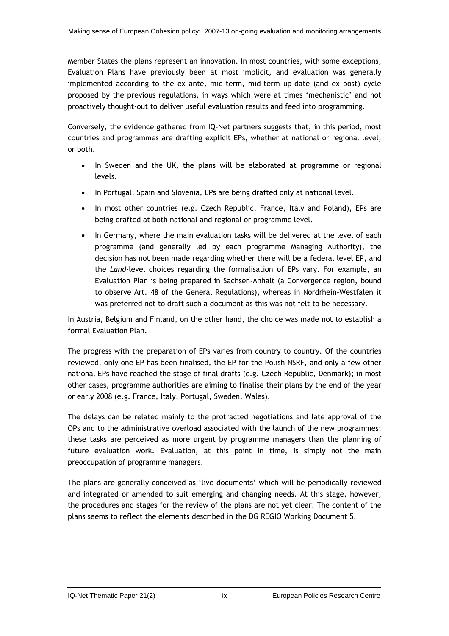Member States the plans represent an innovation. In most countries, with some exceptions, Evaluation Plans have previously been at most implicit, and evaluation was generally implemented according to the ex ante, mid-term, mid-term up-date (and ex post) cycle proposed by the previous regulations, in ways which were at times 'mechanistic' and not proactively thought-out to deliver useful evaluation results and feed into programming.

Conversely, the evidence gathered from IQ-Net partners suggests that, in this period, most countries and programmes are drafting explicit EPs, whether at national or regional level, or both.

- In Sweden and the UK, the plans will be elaborated at programme or regional levels.
- In Portugal, Spain and Slovenia, EPs are being drafted only at national level.
- In most other countries (e.g. Czech Republic, France, Italy and Poland), EPs are being drafted at both national and regional or programme level.
- In Germany, where the main evaluation tasks will be delivered at the level of each programme (and generally led by each programme Managing Authority), the decision has not been made regarding whether there will be a federal level EP, and the *Land*-level choices regarding the formalisation of EPs vary. For example, an Evaluation Plan is being prepared in Sachsen-Anhalt (a Convergence region, bound to observe Art. 48 of the General Regulations), whereas in Nordrhein-Westfalen it was preferred not to draft such a document as this was not felt to be necessary.

In Austria, Belgium and Finland, on the other hand, the choice was made not to establish a formal Evaluation Plan.

The progress with the preparation of EPs varies from country to country. Of the countries reviewed, only one EP has been finalised, the EP for the Polish NSRF, and only a few other national EPs have reached the stage of final drafts (e.g. Czech Republic, Denmark); in most other cases, programme authorities are aiming to finalise their plans by the end of the year or early 2008 (e.g. France, Italy, Portugal, Sweden, Wales).

The delays can be related mainly to the protracted negotiations and late approval of the OPs and to the administrative overload associated with the launch of the new programmes; these tasks are perceived as more urgent by programme managers than the planning of future evaluation work. Evaluation, at this point in time, is simply not the main preoccupation of programme managers.

The plans are generally conceived as 'live documents' which will be periodically reviewed and integrated or amended to suit emerging and changing needs. At this stage, however, the procedures and stages for the review of the plans are not yet clear. The content of the plans seems to reflect the elements described in the DG REGIO Working Document 5.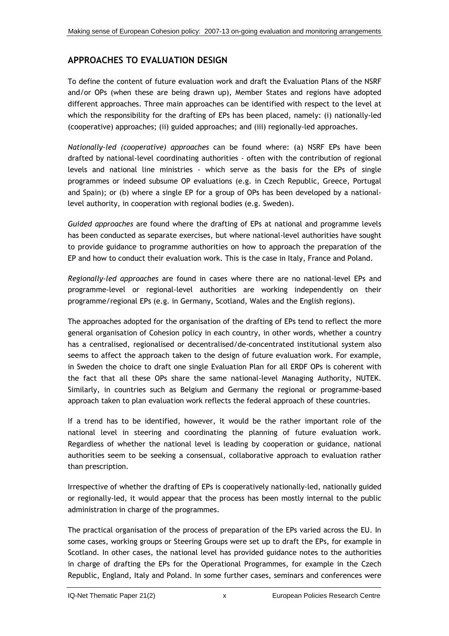## **APPROACHES TO EVALUATION DESIGN**

To define the content of future evaluation work and draft the Evaluation Plans of the NSRF and/or OPs (when these are being drawn up), Member States and regions have adopted different approaches. Three main approaches can be identified with respect to the level at which the responsibility for the drafting of EPs has been placed, namely: (i) nationally-led (cooperative) approaches; (ii) guided approaches; and (iii) regionally-led approaches.

*Nationally-led (cooperative) approaches* can be found where: (a) NSRF EPs have been drafted by national-level coordinating authorities - often with the contribution of regional levels and national line ministries - which serve as the basis for the EPs of single programmes or indeed subsume OP evaluations (e.g. in Czech Republic, Greece, Portugal and Spain); or (b) where a single EP for a group of OPs has been developed by a nationallevel authority, in cooperation with regional bodies (e.g. Sweden).

*Guided approaches* are found where the drafting of EPs at national and programme levels has been conducted as separate exercises, but where national-level authorities have sought to provide guidance to programme authorities on how to approach the preparation of the EP and how to conduct their evaluation work. This is the case in Italy, France and Poland.

*Regionally-led approaches* are found in cases where there are no national-level EPs and programme-level or regional-level authorities are working independently on their programme/regional EPs (e.g. in Germany, Scotland, Wales and the English regions).

The approaches adopted for the organisation of the drafting of EPs tend to reflect the more general organisation of Cohesion policy in each country, in other words, whether a country has a centralised, regionalised or decentralised/de-concentrated institutional system also seems to affect the approach taken to the design of future evaluation work. For example, in Sweden the choice to draft one single Evaluation Plan for all ERDF OPs is coherent with the fact that all these OPs share the same national-level Managing Authority, NUTEK. Similarly, in countries such as Belgium and Germany the regional or programme-based approach taken to plan evaluation work reflects the federal approach of these countries.

If a trend has to be identified, however, it would be the rather important role of the national level in steering and coordinating the planning of future evaluation work. Regardless of whether the national level is leading by cooperation or guidance, national authorities seem to be seeking a consensual, collaborative approach to evaluation rather than prescription.

Irrespective of whether the drafting of EPs is cooperatively nationally-led, nationally guided or regionally-led, it would appear that the process has been mostly internal to the public administration in charge of the programmes.

The practical organisation of the process of preparation of the EPs varied across the EU. In some cases, working groups or Steering Groups were set up to draft the EPs, for example in Scotland. In other cases, the national level has provided guidance notes to the authorities in charge of drafting the EPs for the Operational Programmes, for example in the Czech Republic, England, Italy and Poland. In some further cases, seminars and conferences were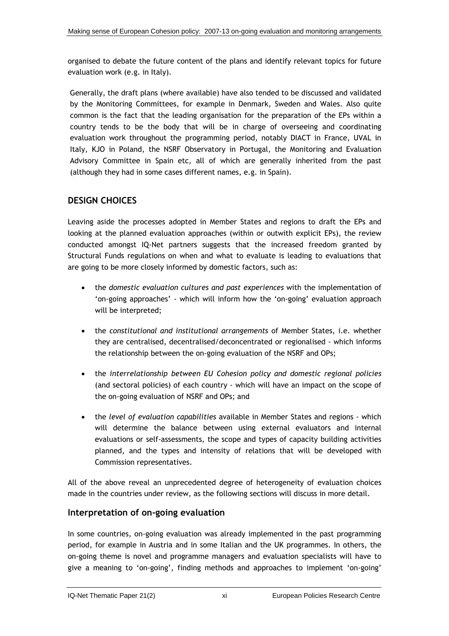organised to debate the future content of the plans and identify relevant topics for future evaluation work (e.g. in Italy).

Generally, the draft plans (where available) have also tended to be discussed and validated by the Monitoring Committees, for example in Denmark, Sweden and Wales. Also quite common is the fact that the leading organisation for the preparation of the EPs within a country tends to be the body that will be in charge of overseeing and coordinating evaluation work throughout the programming period, notably DIACT in France, UVAL in Italy, KJO in Poland, the NSRF Observatory in Portugal, the Monitoring and Evaluation Advisory Committee in Spain etc, all of which are generally inherited from the past (although they had in some cases different names, e.g. in Spain).

## **DESIGN CHOICES**

Leaving aside the processes adopted in Member States and regions to draft the EPs and looking at the planned evaluation approaches (within or outwith explicit EPs), the review conducted amongst IQ-Net partners suggests that the increased freedom granted by Structural Funds regulations on when and what to evaluate is leading to evaluations that are going to be more closely informed by domestic factors, such as:

- the *domestic evaluation cultures and past experiences* with the implementation of 'on-going approaches' - which will inform how the 'on-going' evaluation approach will be interpreted;
- the *constitutional and institutional arrangements* of Member States, i.e. whether they are centralised, decentralised/deconcentrated or regionalised - which informs the relationship between the on-going evaluation of the NSRF and OPs;
- the *interrelationship between EU Cohesion policy and domestic regional policies* (and sectoral policies) of each country - which will have an impact on the scope of the on-going evaluation of NSRF and OPs; and
- the *level of evaluation capabilities* available in Member States and regions which will determine the balance between using external evaluators and internal evaluations or self-assessments, the scope and types of capacity building activities planned, and the types and intensity of relations that will be developed with Commission representatives.

All of the above reveal an unprecedented degree of heterogeneity of evaluation choices made in the countries under review, as the following sections will discuss in more detail.

## **Interpretation of on-going evaluation**

In some countries, on-going evaluation was already implemented in the past programming period, for example in Austria and in some Italian and the UK programmes. In others, the on-going theme is novel and programme managers and evaluation specialists will have to give a meaning to 'on-going', finding methods and approaches to implement 'on-going'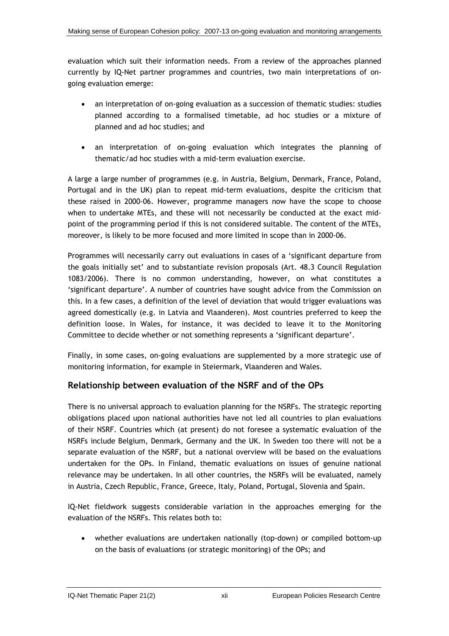evaluation which suit their information needs. From a review of the approaches planned currently by IQ-Net partner programmes and countries, two main interpretations of ongoing evaluation emerge:

- an interpretation of on-going evaluation as a succession of thematic studies: studies planned according to a formalised timetable, ad hoc studies or a mixture of planned and ad hoc studies; and
- an interpretation of on-going evaluation which integrates the planning of thematic/ad hoc studies with a mid-term evaluation exercise.

A large a large number of programmes (e.g. in Austria, Belgium, Denmark, France, Poland, Portugal and in the UK) plan to repeat mid-term evaluations, despite the criticism that these raised in 2000-06. However, programme managers now have the scope to choose when to undertake MTEs, and these will not necessarily be conducted at the exact midpoint of the programming period if this is not considered suitable. The content of the MTEs, moreover, is likely to be more focused and more limited in scope than in 2000-06.

Programmes will necessarily carry out evaluations in cases of a 'significant departure from the goals initially set' and to substantiate revision proposals (Art. 48.3 Council Regulation 1083/2006). There is no common understanding, however, on what constitutes a 'significant departure'. A number of countries have sought advice from the Commission on this. In a few cases, a definition of the level of deviation that would trigger evaluations was agreed domestically (e.g. in Latvia and Vlaanderen). Most countries preferred to keep the definition loose. In Wales, for instance, it was decided to leave it to the Monitoring Committee to decide whether or not something represents a 'significant departure'.

Finally, in some cases, on-going evaluations are supplemented by a more strategic use of monitoring information, for example in Steiermark, Vlaanderen and Wales.

## **Relationship between evaluation of the NSRF and of the OPs**

There is no universal approach to evaluation planning for the NSRFs. The strategic reporting obligations placed upon national authorities have not led all countries to plan evaluations of their NSRF. Countries which (at present) do not foresee a systematic evaluation of the NSRFs include Belgium, Denmark, Germany and the UK. In Sweden too there will not be a separate evaluation of the NSRF, but a national overview will be based on the evaluations undertaken for the OPs. In Finland, thematic evaluations on issues of genuine national relevance may be undertaken. In all other countries, the NSRFs will be evaluated, namely in Austria, Czech Republic, France, Greece, Italy, Poland, Portugal, Slovenia and Spain.

IQ-Net fieldwork suggests considerable variation in the approaches emerging for the evaluation of the NSRFs. This relates both to:

• whether evaluations are undertaken nationally (top-down) or compiled bottom-up on the basis of evaluations (or strategic monitoring) of the OPs; and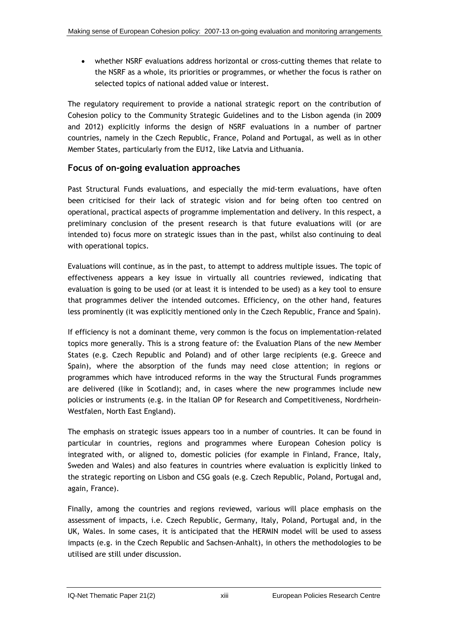• whether NSRF evaluations address horizontal or cross-cutting themes that relate to the NSRF as a whole, its priorities or programmes, or whether the focus is rather on selected topics of national added value or interest.

The regulatory requirement to provide a national strategic report on the contribution of Cohesion policy to the Community Strategic Guidelines and to the Lisbon agenda (in 2009 and 2012) explicitly informs the design of NSRF evaluations in a number of partner countries, namely in the Czech Republic, France, Poland and Portugal, as well as in other Member States, particularly from the EU12, like Latvia and Lithuania.

## **Focus of on-going evaluation approaches**

Past Structural Funds evaluations, and especially the mid-term evaluations, have often been criticised for their lack of strategic vision and for being often too centred on operational, practical aspects of programme implementation and delivery. In this respect, a preliminary conclusion of the present research is that future evaluations will (or are intended to) focus more on strategic issues than in the past, whilst also continuing to deal with operational topics.

Evaluations will continue, as in the past, to attempt to address multiple issues. The topic of effectiveness appears a key issue in virtually all countries reviewed, indicating that evaluation is going to be used (or at least it is intended to be used) as a key tool to ensure that programmes deliver the intended outcomes. Efficiency, on the other hand, features less prominently (it was explicitly mentioned only in the Czech Republic, France and Spain).

If efficiency is not a dominant theme, very common is the focus on implementation-related topics more generally. This is a strong feature of: the Evaluation Plans of the new Member States (e.g. Czech Republic and Poland) and of other large recipients (e.g. Greece and Spain), where the absorption of the funds may need close attention; in regions or programmes which have introduced reforms in the way the Structural Funds programmes are delivered (like in Scotland); and, in cases where the new programmes include new policies or instruments (e.g. in the Italian OP for Research and Competitiveness, Nordrhein-Westfalen, North East England).

The emphasis on strategic issues appears too in a number of countries. It can be found in particular in countries, regions and programmes where European Cohesion policy is integrated with, or aligned to, domestic policies (for example in Finland, France, Italy, Sweden and Wales) and also features in countries where evaluation is explicitly linked to the strategic reporting on Lisbon and CSG goals (e.g. Czech Republic, Poland, Portugal and, again, France).

Finally, among the countries and regions reviewed, various will place emphasis on the assessment of impacts, i.e. Czech Republic, Germany, Italy, Poland, Portugal and, in the UK, Wales. In some cases, it is anticipated that the HERMIN model will be used to assess impacts (e.g. in the Czech Republic and Sachsen-Anhalt), in others the methodologies to be utilised are still under discussion.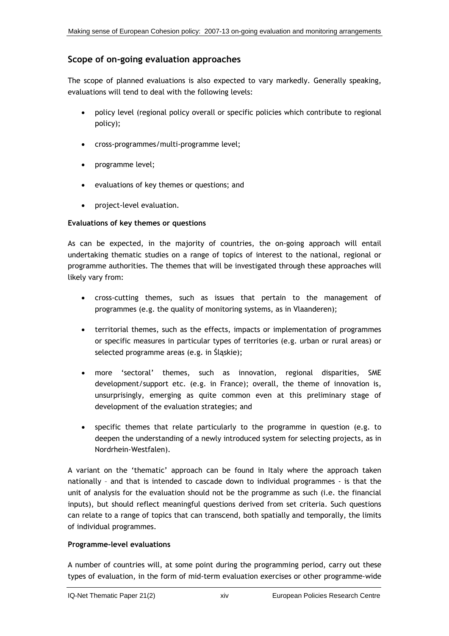## **Scope of on-going evaluation approaches**

The scope of planned evaluations is also expected to vary markedly. Generally speaking, evaluations will tend to deal with the following levels:

- policy level (regional policy overall or specific policies which contribute to regional policy);
- cross-programmes/multi-programme level;
- programme level;
- evaluations of key themes or questions; and
- project-level evaluation.

#### **Evaluations of key themes or questions**

As can be expected, in the majority of countries, the on-going approach will entail undertaking thematic studies on a range of topics of interest to the national, regional or programme authorities. The themes that will be investigated through these approaches will likely vary from:

- cross-cutting themes, such as issues that pertain to the management of programmes (e.g. the quality of monitoring systems, as in Vlaanderen);
- territorial themes, such as the effects, impacts or implementation of programmes or specific measures in particular types of territories (e.g. urban or rural areas) or selected programme areas (e.g. in Śląskie);
- more 'sectoral' themes, such as innovation, regional disparities, SME development/support etc. (e.g. in France); overall, the theme of innovation is, unsurprisingly, emerging as quite common even at this preliminary stage of development of the evaluation strategies; and
- specific themes that relate particularly to the programme in question (e.g. to deepen the understanding of a newly introduced system for selecting projects, as in Nordrhein-Westfalen).

A variant on the 'thematic' approach can be found in Italy where the approach taken nationally – and that is intended to cascade down to individual programmes - is that the unit of analysis for the evaluation should not be the programme as such (i.e. the financial inputs), but should reflect meaningful questions derived from set criteria. Such questions can relate to a range of topics that can transcend, both spatially and temporally, the limits of individual programmes.

#### **Programme-level evaluations**

A number of countries will, at some point during the programming period, carry out these types of evaluation, in the form of mid-term evaluation exercises or other programme-wide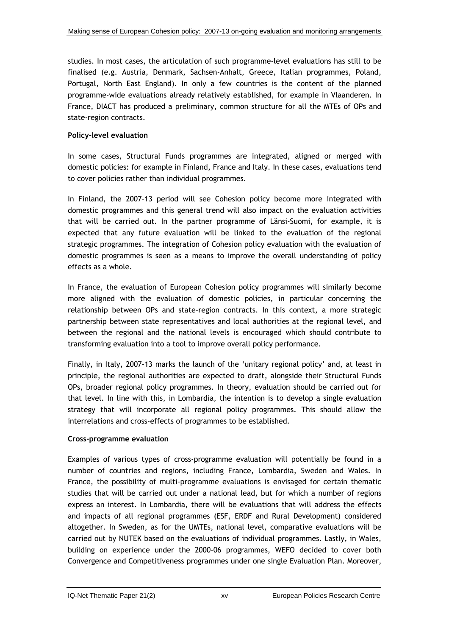studies. In most cases, the articulation of such programme-level evaluations has still to be finalised (e.g. Austria, Denmark, Sachsen-Anhalt, Greece, Italian programmes, Poland, Portugal, North East England). In only a few countries is the content of the planned programme-wide evaluations already relatively established, for example in Vlaanderen. In France, DIACT has produced a preliminary, common structure for all the MTEs of OPs and state-region contracts.

#### **Policy-level evaluation**

In some cases, Structural Funds programmes are integrated, aligned or merged with domestic policies: for example in Finland, France and Italy. In these cases, evaluations tend to cover policies rather than individual programmes.

In Finland, the 2007-13 period will see Cohesion policy become more integrated with domestic programmes and this general trend will also impact on the evaluation activities that will be carried out. In the partner programme of Länsi-Suomi, for example, it is expected that any future evaluation will be linked to the evaluation of the regional strategic programmes. The integration of Cohesion policy evaluation with the evaluation of domestic programmes is seen as a means to improve the overall understanding of policy effects as a whole.

In France, the evaluation of European Cohesion policy programmes will similarly become more aligned with the evaluation of domestic policies, in particular concerning the relationship between OPs and state-region contracts. In this context, a more strategic partnership between state representatives and local authorities at the regional level, and between the regional and the national levels is encouraged which should contribute to transforming evaluation into a tool to improve overall policy performance.

Finally, in Italy, 2007-13 marks the launch of the 'unitary regional policy' and, at least in principle, the regional authorities are expected to draft, alongside their Structural Funds OPs, broader regional policy programmes. In theory, evaluation should be carried out for that level. In line with this, in Lombardia, the intention is to develop a single evaluation strategy that will incorporate all regional policy programmes. This should allow the interrelations and cross-effects of programmes to be established.

### **Cross-programme evaluation**

Examples of various types of cross-programme evaluation will potentially be found in a number of countries and regions, including France, Lombardia, Sweden and Wales. In France, the possibility of multi-programme evaluations is envisaged for certain thematic studies that will be carried out under a national lead, but for which a number of regions express an interest. In Lombardia, there will be evaluations that will address the effects and impacts of all regional programmes (ESF, ERDF and Rural Development) considered altogether. In Sweden, as for the UMTEs, national level, comparative evaluations will be carried out by NUTEK based on the evaluations of individual programmes. Lastly, in Wales, building on experience under the 2000-06 programmes, WEFO decided to cover both Convergence and Competitiveness programmes under one single Evaluation Plan. Moreover,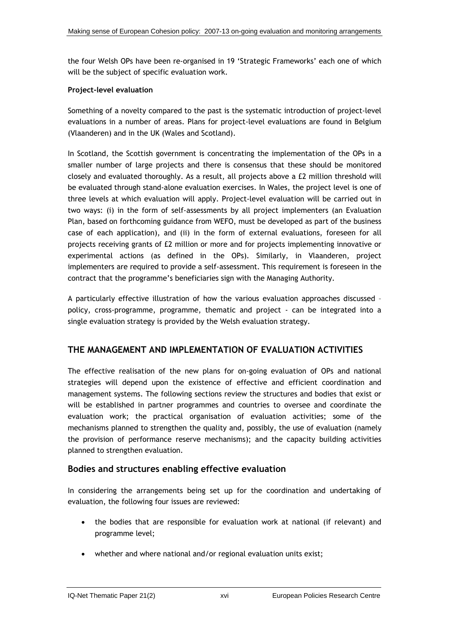the four Welsh OPs have been re-organised in 19 'Strategic Frameworks' each one of which will be the subject of specific evaluation work.

#### **Project-level evaluation**

Something of a novelty compared to the past is the systematic introduction of project-level evaluations in a number of areas. Plans for project-level evaluations are found in Belgium (Vlaanderen) and in the UK (Wales and Scotland).

In Scotland, the Scottish government is concentrating the implementation of the OPs in a smaller number of large projects and there is consensus that these should be monitored closely and evaluated thoroughly. As a result, all projects above a £2 million threshold will be evaluated through stand-alone evaluation exercises. In Wales, the project level is one of three levels at which evaluation will apply. Project-level evaluation will be carried out in two ways: (i) in the form of self-assessments by all project implementers (an Evaluation Plan, based on forthcoming guidance from WEFO, must be developed as part of the business case of each application), and (ii) in the form of external evaluations, foreseen for all projects receiving grants of £2 million or more and for projects implementing innovative or experimental actions (as defined in the OPs). Similarly, in Vlaanderen, project implementers are required to provide a self-assessment. This requirement is foreseen in the contract that the programme's beneficiaries sign with the Managing Authority.

A particularly effective illustration of how the various evaluation approaches discussed – policy, cross-programme, programme, thematic and project - can be integrated into a single evaluation strategy is provided by the Welsh evaluation strategy.

### **THE MANAGEMENT AND IMPLEMENTATION OF EVALUATION ACTIVITIES**

The effective realisation of the new plans for on-going evaluation of OPs and national strategies will depend upon the existence of effective and efficient coordination and management systems. The following sections review the structures and bodies that exist or will be established in partner programmes and countries to oversee and coordinate the evaluation work; the practical organisation of evaluation activities; some of the mechanisms planned to strengthen the quality and, possibly, the use of evaluation (namely the provision of performance reserve mechanisms); and the capacity building activities planned to strengthen evaluation.

### **Bodies and structures enabling effective evaluation**

In considering the arrangements being set up for the coordination and undertaking of evaluation, the following four issues are reviewed:

- the bodies that are responsible for evaluation work at national (if relevant) and programme level;
- whether and where national and/or regional evaluation units exist;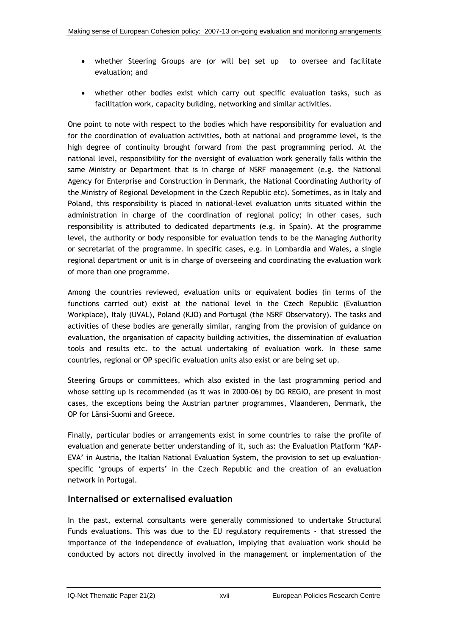- whether Steering Groups are (or will be) set up to oversee and facilitate evaluation; and
- whether other bodies exist which carry out specific evaluation tasks, such as facilitation work, capacity building, networking and similar activities.

One point to note with respect to the bodies which have responsibility for evaluation and for the coordination of evaluation activities, both at national and programme level, is the high degree of continuity brought forward from the past programming period. At the national level, responsibility for the oversight of evaluation work generally falls within the same Ministry or Department that is in charge of NSRF management (e.g. the National Agency for Enterprise and Construction in Denmark, the National Coordinating Authority of the Ministry of Regional Development in the Czech Republic etc). Sometimes, as in Italy and Poland, this responsibility is placed in national-level evaluation units situated within the administration in charge of the coordination of regional policy; in other cases, such responsibility is attributed to dedicated departments (e.g. in Spain). At the programme level, the authority or body responsible for evaluation tends to be the Managing Authority or secretariat of the programme. In specific cases, e.g. in Lombardia and Wales, a single regional department or unit is in charge of overseeing and coordinating the evaluation work of more than one programme.

Among the countries reviewed, evaluation units or equivalent bodies (in terms of the functions carried out) exist at the national level in the Czech Republic (Evaluation Workplace), Italy (UVAL), Poland (KJO) and Portugal (the NSRF Observatory). The tasks and activities of these bodies are generally similar, ranging from the provision of guidance on evaluation, the organisation of capacity building activities, the dissemination of evaluation tools and results etc. to the actual undertaking of evaluation work. In these same countries, regional or OP specific evaluation units also exist or are being set up.

Steering Groups or committees, which also existed in the last programming period and whose setting up is recommended (as it was in 2000-06) by DG REGIO, are present in most cases, the exceptions being the Austrian partner programmes, Vlaanderen, Denmark, the OP for Länsi-Suomi and Greece.

Finally, particular bodies or arrangements exist in some countries to raise the profile of evaluation and generate better understanding of it, such as: the Evaluation Platform 'KAP-EVA' in Austria, the Italian National Evaluation System, the provision to set up evaluationspecific 'groups of experts' in the Czech Republic and the creation of an evaluation network in Portugal.

## **Internalised or externalised evaluation**

In the past, external consultants were generally commissioned to undertake Structural Funds evaluations. This was due to the EU regulatory requirements - that stressed the importance of the independence of evaluation, implying that evaluation work should be conducted by actors not directly involved in the management or implementation of the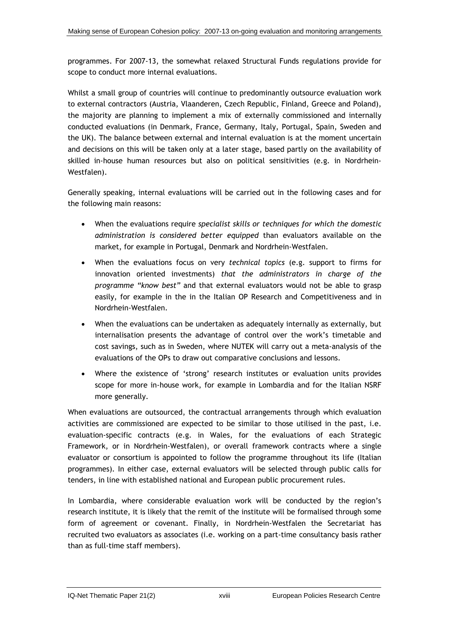programmes. For 2007-13, the somewhat relaxed Structural Funds regulations provide for scope to conduct more internal evaluations.

Whilst a small group of countries will continue to predominantly outsource evaluation work to external contractors (Austria, Vlaanderen, Czech Republic, Finland, Greece and Poland), the majority are planning to implement a mix of externally commissioned and internally conducted evaluations (in Denmark, France, Germany, Italy, Portugal, Spain, Sweden and the UK). The balance between external and internal evaluation is at the moment uncertain and decisions on this will be taken only at a later stage, based partly on the availability of skilled in-house human resources but also on political sensitivities (e.g. in Nordrhein-Westfalen).

Generally speaking, internal evaluations will be carried out in the following cases and for the following main reasons:

- When the evaluations require *specialist skills or techniques for which the domestic administration is considered better equipped* than evaluators available on the market, for example in Portugal, Denmark and Nordrhein-Westfalen.
- When the evaluations focus on very *technical topics* (e.g. support to firms for innovation oriented investments) *that the administrators in charge of the programme "know best"* and that external evaluators would not be able to grasp easily, for example in the in the Italian OP Research and Competitiveness and in Nordrhein-Westfalen.
- When the evaluations can be undertaken as adequately internally as externally, but internalisation presents the advantage of control over the work's timetable and cost savings, such as in Sweden, where NUTEK will carry out a meta-analysis of the evaluations of the OPs to draw out comparative conclusions and lessons.
- Where the existence of 'strong' research institutes or evaluation units provides scope for more in-house work, for example in Lombardia and for the Italian NSRF more generally.

When evaluations are outsourced, the contractual arrangements through which evaluation activities are commissioned are expected to be similar to those utilised in the past, i.e. evaluation-specific contracts (e.g. in Wales, for the evaluations of each Strategic Framework, or in Nordrhein-Westfalen), or overall framework contracts where a single evaluator or consortium is appointed to follow the programme throughout its life (Italian programmes). In either case, external evaluators will be selected through public calls for tenders, in line with established national and European public procurement rules.

In Lombardia, where considerable evaluation work will be conducted by the region's research institute, it is likely that the remit of the institute will be formalised through some form of agreement or covenant. Finally, in Nordrhein-Westfalen the Secretariat has recruited two evaluators as associates (i.e. working on a part-time consultancy basis rather than as full-time staff members).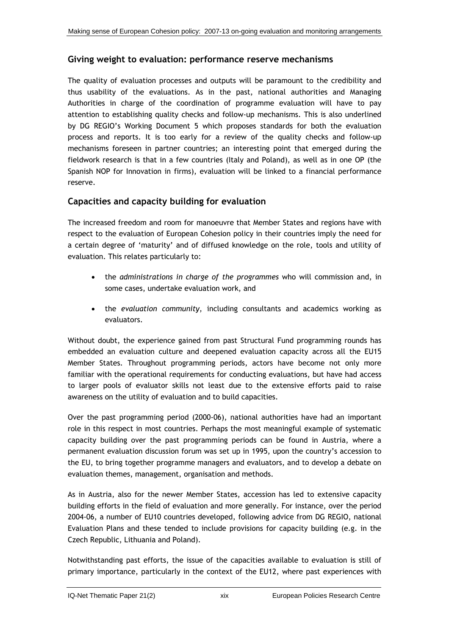### **Giving weight to evaluation: performance reserve mechanisms**

The quality of evaluation processes and outputs will be paramount to the credibility and thus usability of the evaluations. As in the past, national authorities and Managing Authorities in charge of the coordination of programme evaluation will have to pay attention to establishing quality checks and follow-up mechanisms. This is also underlined by DG REGIO's Working Document 5 which proposes standards for both the evaluation process and reports. It is too early for a review of the quality checks and follow-up mechanisms foreseen in partner countries; an interesting point that emerged during the fieldwork research is that in a few countries (Italy and Poland), as well as in one OP (the Spanish NOP for Innovation in firms), evaluation will be linked to a financial performance reserve.

## **Capacities and capacity building for evaluation**

The increased freedom and room for manoeuvre that Member States and regions have with respect to the evaluation of European Cohesion policy in their countries imply the need for a certain degree of 'maturity' and of diffused knowledge on the role, tools and utility of evaluation. This relates particularly to:

- the *administrations in charge of the programmes* who will commission and, in some cases, undertake evaluation work, and
- the *evaluation community*, including consultants and academics working as evaluators.

Without doubt, the experience gained from past Structural Fund programming rounds has embedded an evaluation culture and deepened evaluation capacity across all the EU15 Member States. Throughout programming periods, actors have become not only more familiar with the operational requirements for conducting evaluations, but have had access to larger pools of evaluator skills not least due to the extensive efforts paid to raise awareness on the utility of evaluation and to build capacities.

Over the past programming period (2000-06), national authorities have had an important role in this respect in most countries. Perhaps the most meaningful example of systematic capacity building over the past programming periods can be found in Austria, where a permanent evaluation discussion forum was set up in 1995, upon the country's accession to the EU, to bring together programme managers and evaluators, and to develop a debate on evaluation themes, management, organisation and methods.

As in Austria, also for the newer Member States, accession has led to extensive capacity building efforts in the field of evaluation and more generally. For instance, over the period 2004-06, a number of EU10 countries developed, following advice from DG REGIO, national Evaluation Plans and these tended to include provisions for capacity building (e.g. in the Czech Republic, Lithuania and Poland).

Notwithstanding past efforts, the issue of the capacities available to evaluation is still of primary importance, particularly in the context of the EU12, where past experiences with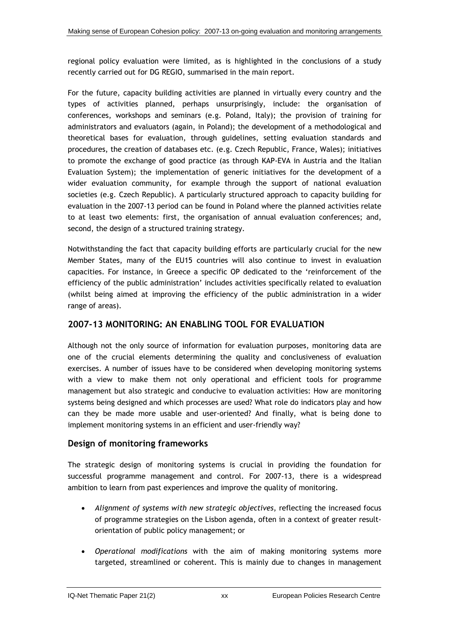regional policy evaluation were limited, as is highlighted in the conclusions of a study recently carried out for DG REGIO, summarised in the main report.

For the future, capacity building activities are planned in virtually every country and the types of activities planned, perhaps unsurprisingly, include: the organisation of conferences, workshops and seminars (e.g. Poland, Italy); the provision of training for administrators and evaluators (again, in Poland); the development of a methodological and theoretical bases for evaluation, through guidelines, setting evaluation standards and procedures, the creation of databases etc. (e.g. Czech Republic, France, Wales); initiatives to promote the exchange of good practice (as through KAP-EVA in Austria and the Italian Evaluation System); the implementation of generic initiatives for the development of a wider evaluation community, for example through the support of national evaluation societies (e.g. Czech Republic). A particularly structured approach to capacity building for evaluation in the 2007-13 period can be found in Poland where the planned activities relate to at least two elements: first, the organisation of annual evaluation conferences; and, second, the design of a structured training strategy.

Notwithstanding the fact that capacity building efforts are particularly crucial for the new Member States, many of the EU15 countries will also continue to invest in evaluation capacities. For instance, in Greece a specific OP dedicated to the 'reinforcement of the efficiency of the public administration' includes activities specifically related to evaluation (whilst being aimed at improving the efficiency of the public administration in a wider range of areas).

## **2007-13 MONITORING: AN ENABLING TOOL FOR EVALUATION**

Although not the only source of information for evaluation purposes, monitoring data are one of the crucial elements determining the quality and conclusiveness of evaluation exercises. A number of issues have to be considered when developing monitoring systems with a view to make them not only operational and efficient tools for programme management but also strategic and conducive to evaluation activities: How are monitoring systems being designed and which processes are used? What role do indicators play and how can they be made more usable and user-oriented? And finally, what is being done to implement monitoring systems in an efficient and user-friendly way?

## **Design of monitoring frameworks**

The strategic design of monitoring systems is crucial in providing the foundation for successful programme management and control. For 2007-13, there is a widespread ambition to learn from past experiences and improve the quality of monitoring.

- *Alignment of systems with new strategic objectives*, reflecting the increased focus of programme strategies on the Lisbon agenda, often in a context of greater resultorientation of public policy management; or
- *Operational modifications* with the aim of making monitoring systems more targeted, streamlined or coherent. This is mainly due to changes in management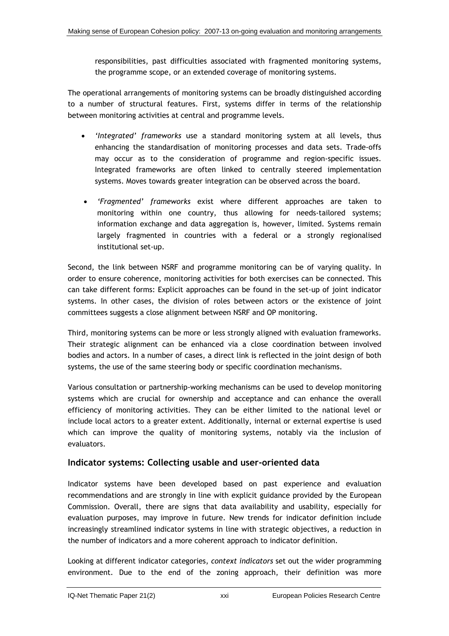responsibilities, past difficulties associated with fragmented monitoring systems, the programme scope, or an extended coverage of monitoring systems.

The operational arrangements of monitoring systems can be broadly distinguished according to a number of structural features. First, systems differ in terms of the relationship between monitoring activities at central and programme levels.

- *'Integrated' frameworks* use a standard monitoring system at all levels, thus enhancing the standardisation of monitoring processes and data sets. Trade-offs may occur as to the consideration of programme and region-specific issues. Integrated frameworks are often linked to centrally steered implementation systems. Moves towards greater integration can be observed across the board.
- *'Fragmented' frameworks* exist where different approaches are taken to monitoring within one country, thus allowing for needs-tailored systems; information exchange and data aggregation is, however, limited. Systems remain largely fragmented in countries with a federal or a strongly regionalised institutional set-up.

Second, the link between NSRF and programme monitoring can be of varying quality. In order to ensure coherence, monitoring activities for both exercises can be connected. This can take different forms: Explicit approaches can be found in the set-up of joint indicator systems. In other cases, the division of roles between actors or the existence of joint committees suggests a close alignment between NSRF and OP monitoring.

Third, monitoring systems can be more or less strongly aligned with evaluation frameworks. Their strategic alignment can be enhanced via a close coordination between involved bodies and actors. In a number of cases, a direct link is reflected in the joint design of both systems, the use of the same steering body or specific coordination mechanisms.

Various consultation or partnership-working mechanisms can be used to develop monitoring systems which are crucial for ownership and acceptance and can enhance the overall efficiency of monitoring activities. They can be either limited to the national level or include local actors to a greater extent. Additionally, internal or external expertise is used which can improve the quality of monitoring systems, notably via the inclusion of evaluators.

## **Indicator systems: Collecting usable and user-oriented data**

Indicator systems have been developed based on past experience and evaluation recommendations and are strongly in line with explicit guidance provided by the European Commission. Overall, there are signs that data availability and usability, especially for evaluation purposes, may improve in future. New trends for indicator definition include increasingly streamlined indicator systems in line with strategic objectives, a reduction in the number of indicators and a more coherent approach to indicator definition.

Looking at different indicator categories, *context indicators* set out the wider programming environment. Due to the end of the zoning approach, their definition was more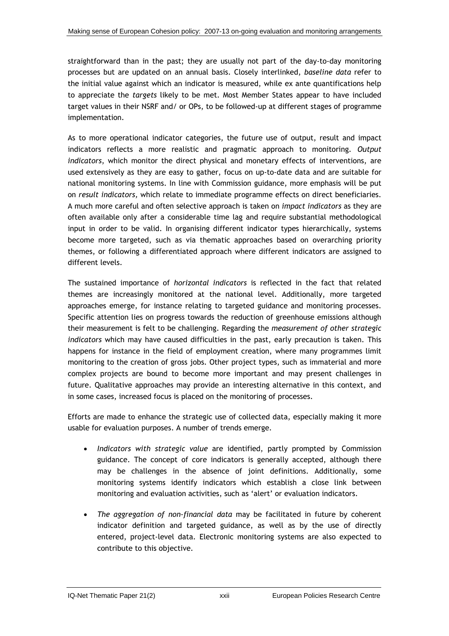straightforward than in the past; they are usually not part of the day-to-day monitoring processes but are updated on an annual basis. Closely interlinked, *baseline data* refer to the initial value against which an indicator is measured, while ex ante quantifications help to appreciate the *targets* likely to be met. Most Member States appear to have included target values in their NSRF and/ or OPs, to be followed-up at different stages of programme implementation.

As to more operational indicator categories, the future use of output, result and impact indicators reflects a more realistic and pragmatic approach to monitoring. *Output indicators*, which monitor the direct physical and monetary effects of interventions, are used extensively as they are easy to gather, focus on up-to-date data and are suitable for national monitoring systems. In line with Commission guidance, more emphasis will be put on *result indicators,* which relate to immediate programme effects on direct beneficiaries. A much more careful and often selective approach is taken on *impact indicators* as they are often available only after a considerable time lag and require substantial methodological input in order to be valid. In organising different indicator types hierarchically, systems become more targeted, such as via thematic approaches based on overarching priority themes, or following a differentiated approach where different indicators are assigned to different levels.

The sustained importance of *horizontal indicators* is reflected in the fact that related themes are increasingly monitored at the national level. Additionally, more targeted approaches emerge, for instance relating to targeted guidance and monitoring processes. Specific attention lies on progress towards the reduction of greenhouse emissions although their measurement is felt to be challenging. Regarding the *measurement of other strategic indicators* which may have caused difficulties in the past, early precaution is taken. This happens for instance in the field of employment creation, where many programmes limit monitoring to the creation of gross jobs. Other project types, such as immaterial and more complex projects are bound to become more important and may present challenges in future. Qualitative approaches may provide an interesting alternative in this context, and in some cases, increased focus is placed on the monitoring of processes.

Efforts are made to enhance the strategic use of collected data, especially making it more usable for evaluation purposes. A number of trends emerge.

- *Indicators with strategic value* are identified, partly prompted by Commission guidance. The concept of core indicators is generally accepted, although there may be challenges in the absence of joint definitions. Additionally, some monitoring systems identify indicators which establish a close link between monitoring and evaluation activities, such as 'alert' or evaluation indicators.
- *The aggregation of non-financial data* may be facilitated in future by coherent indicator definition and targeted guidance, as well as by the use of directly entered, project-level data. Electronic monitoring systems are also expected to contribute to this objective.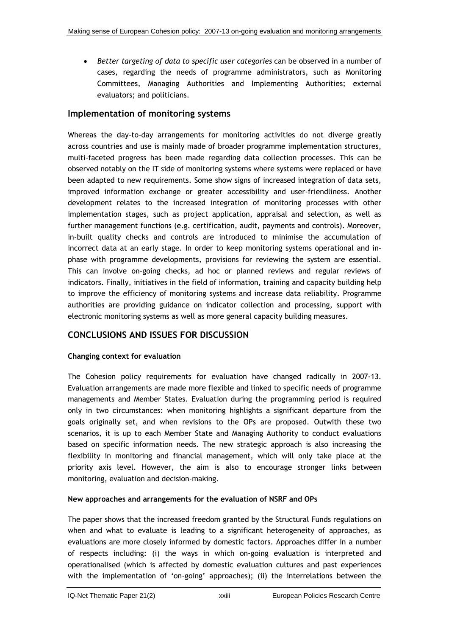• *Better targeting of data to specific user categories* can be observed in a number of cases, regarding the needs of programme administrators, such as Monitoring Committees, Managing Authorities and Implementing Authorities; external evaluators; and politicians.

## **Implementation of monitoring systems**

Whereas the day-to-day arrangements for monitoring activities do not diverge greatly across countries and use is mainly made of broader programme implementation structures, multi-faceted progress has been made regarding data collection processes. This can be observed notably on the IT side of monitoring systems where systems were replaced or have been adapted to new requirements. Some show signs of increased integration of data sets, improved information exchange or greater accessibility and user-friendliness. Another development relates to the increased integration of monitoring processes with other implementation stages, such as project application, appraisal and selection, as well as further management functions (e.g. certification, audit, payments and controls). Moreover, in-built quality checks and controls are introduced to minimise the accumulation of incorrect data at an early stage. In order to keep monitoring systems operational and inphase with programme developments, provisions for reviewing the system are essential. This can involve on-going checks, ad hoc or planned reviews and regular reviews of indicators. Finally, initiatives in the field of information, training and capacity building help to improve the efficiency of monitoring systems and increase data reliability. Programme authorities are providing guidance on indicator collection and processing, support with electronic monitoring systems as well as more general capacity building measures.

## **CONCLUSIONS AND ISSUES FOR DISCUSSION**

### **Changing context for evaluation**

The Cohesion policy requirements for evaluation have changed radically in 2007-13. Evaluation arrangements are made more flexible and linked to specific needs of programme managements and Member States. Evaluation during the programming period is required only in two circumstances: when monitoring highlights a significant departure from the goals originally set, and when revisions to the OPs are proposed. Outwith these two scenarios, it is up to each Member State and Managing Authority to conduct evaluations based on specific information needs. The new strategic approach is also increasing the flexibility in monitoring and financial management, which will only take place at the priority axis level. However, the aim is also to encourage stronger links between monitoring, evaluation and decision-making.

### **New approaches and arrangements for the evaluation of NSRF and OPs**

The paper shows that the increased freedom granted by the Structural Funds regulations on when and what to evaluate is leading to a significant heterogeneity of approaches, as evaluations are more closely informed by domestic factors. Approaches differ in a number of respects including: (i) the ways in which on-going evaluation is interpreted and operationalised (which is affected by domestic evaluation cultures and past experiences with the implementation of 'on-going' approaches); (ii) the interrelations between the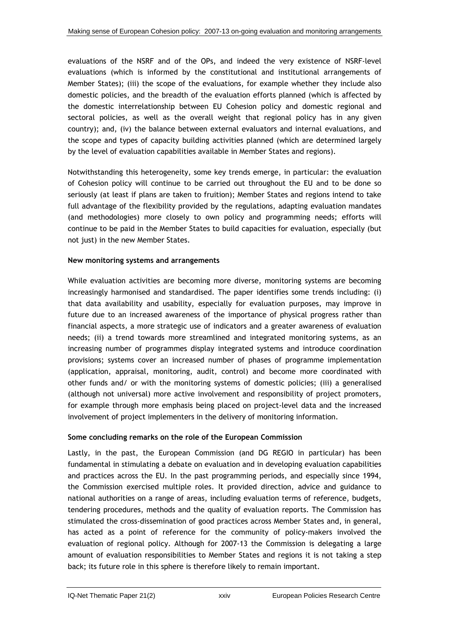evaluations of the NSRF and of the OPs, and indeed the very existence of NSRF-level evaluations (which is informed by the constitutional and institutional arrangements of Member States); (iii) the scope of the evaluations, for example whether they include also domestic policies, and the breadth of the evaluation efforts planned (which is affected by the domestic interrelationship between EU Cohesion policy and domestic regional and sectoral policies, as well as the overall weight that regional policy has in any given country); and, (iv) the balance between external evaluators and internal evaluations, and the scope and types of capacity building activities planned (which are determined largely by the level of evaluation capabilities available in Member States and regions).

Notwithstanding this heterogeneity, some key trends emerge, in particular: the evaluation of Cohesion policy will continue to be carried out throughout the EU and to be done so seriously (at least if plans are taken to fruition); Member States and regions intend to take full advantage of the flexibility provided by the regulations, adapting evaluation mandates (and methodologies) more closely to own policy and programming needs; efforts will continue to be paid in the Member States to build capacities for evaluation, especially (but not just) in the new Member States.

#### **New monitoring systems and arrangements**

While evaluation activities are becoming more diverse, monitoring systems are becoming increasingly harmonised and standardised. The paper identifies some trends including: (i) that data availability and usability, especially for evaluation purposes, may improve in future due to an increased awareness of the importance of physical progress rather than financial aspects, a more strategic use of indicators and a greater awareness of evaluation needs; (ii) a trend towards more streamlined and integrated monitoring systems, as an increasing number of programmes display integrated systems and introduce coordination provisions; systems cover an increased number of phases of programme implementation (application, appraisal, monitoring, audit, control) and become more coordinated with other funds and/ or with the monitoring systems of domestic policies; (iii) a generalised (although not universal) more active involvement and responsibility of project promoters, for example through more emphasis being placed on project-level data and the increased involvement of project implementers in the delivery of monitoring information.

#### **Some concluding remarks on the role of the European Commission**

Lastly, in the past, the European Commission (and DG REGIO in particular) has been fundamental in stimulating a debate on evaluation and in developing evaluation capabilities and practices across the EU. In the past programming periods, and especially since 1994, the Commission exercised multiple roles. It provided direction, advice and guidance to national authorities on a range of areas, including evaluation terms of reference, budgets, tendering procedures, methods and the quality of evaluation reports. The Commission has stimulated the cross-dissemination of good practices across Member States and, in general, has acted as a point of reference for the community of policy-makers involved the evaluation of regional policy. Although for 2007-13 the Commission is delegating a large amount of evaluation responsibilities to Member States and regions it is not taking a step back; its future role in this sphere is therefore likely to remain important.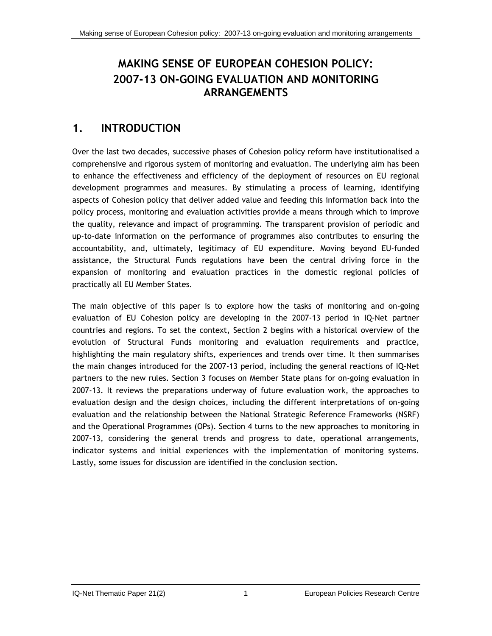# **MAKING SENSE OF EUROPEAN COHESION POLICY: 2007-13 ON-GOING EVALUATION AND MONITORING ARRANGEMENTS**

# <span id="page-27-0"></span>**1. INTRODUCTION**

Over the last two decades, successive phases of Cohesion policy reform have institutionalised a comprehensive and rigorous system of monitoring and evaluation. The underlying aim has been to enhance the effectiveness and efficiency of the deployment of resources on EU regional development programmes and measures. By stimulating a process of learning, identifying aspects of Cohesion policy that deliver added value and feeding this information back into the policy process, monitoring and evaluation activities provide a means through which to improve the quality, relevance and impact of programming. The transparent provision of periodic and up-to-date information on the performance of programmes also contributes to ensuring the accountability, and, ultimately, legitimacy of EU expenditure. Moving beyond EU-funded assistance, the Structural Funds regulations have been the central driving force in the expansion of monitoring and evaluation practices in the domestic regional policies of practically all EU Member States.

The main objective of this paper is to explore how the tasks of monitoring and on-going evaluation of EU Cohesion policy are developing in the 2007-13 period in IQ-Net partner countries and regions. To set the context, Section 2 begins with a historical overview of the evolution of Structural Funds monitoring and evaluation requirements and practice, highlighting the main regulatory shifts, experiences and trends over time. It then summarises the main changes introduced for the 2007-13 period, including the general reactions of IQ-Net partners to the new rules. Section 3 focuses on Member State plans for on-going evaluation in 2007-13. It reviews the preparations underway of future evaluation work, the approaches to evaluation design and the design choices, including the different interpretations of on-going evaluation and the relationship between the National Strategic Reference Frameworks (NSRF) and the Operational Programmes (OPs). Section 4 turns to the new approaches to monitoring in 2007-13, considering the general trends and progress to date, operational arrangements, indicator systems and initial experiences with the implementation of monitoring systems. Lastly, some issues for discussion are identified in the conclusion section.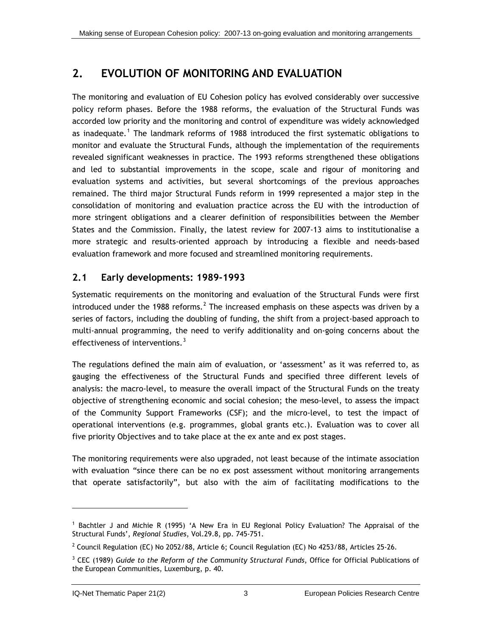# <span id="page-29-1"></span><span id="page-29-0"></span>**2. EVOLUTION OF MONITORING AND EVALUATION**

The monitoring and evaluation of EU Cohesion policy has evolved considerably over successive policy reform phases. Before the 1988 reforms, the evaluation of the Structural Funds was accorded low priority and the monitoring and control of expenditure was widely acknowledged as inadequate.<sup>[1](#page-29-1)</sup> The landmark reforms of 1988 introduced the first systematic obligations to monitor and evaluate the Structural Funds, although the implementation of the requirements revealed significant weaknesses in practice. The 1993 reforms strengthened these obligations and led to substantial improvements in the scope, scale and rigour of monitoring and evaluation systems and activities, but several shortcomings of the previous approaches remained. The third major Structural Funds reform in 1999 represented a major step in the consolidation of monitoring and evaluation practice across the EU with the introduction of more stringent obligations and a clearer definition of responsibilities between the Member States and the Commission. Finally, the latest review for 2007-13 aims to institutionalise a more strategic and results-oriented approach by introducing a flexible and needs-based evaluation framework and more focused and streamlined monitoring requirements.

## **2.1 Early developments: 1989-1993**

Systematic requirements on the monitoring and evaluation of the Structural Funds were first introduced under the 1988 reforms.<sup>[2](#page-29-1)</sup> The increased emphasis on these aspects was driven by a series of factors, including the doubling of funding, the shift from a project-based approach to multi-annual programming, the need to verify additionality and on-going concerns about the effectiveness of interventions. $3$ 

The regulations defined the main aim of evaluation, or 'assessment' as it was referred to, as gauging the effectiveness of the Structural Funds and specified three different levels of analysis: the macro-level, to measure the overall impact of the Structural Funds on the treaty objective of strengthening economic and social cohesion; the meso-level, to assess the impact of the Community Support Frameworks (CSF); and the micro-level, to test the impact of operational interventions (e.g. programmes, global grants etc.). Evaluation was to cover all five priority Objectives and to take place at the ex ante and ex post stages.

The monitoring requirements were also upgraded, not least because of the intimate association with evaluation "since there can be no ex post assessment without monitoring arrangements that operate satisfactorily", but also with the aim of facilitating modifications to the

l

<sup>1</sup> Bachtler J and Michie R (1995) 'A New Era in EU Regional Policy Evaluation? The Appraisal of the Structural Funds', *Regional Studies*, Vol.29.8, pp. 745-751.

 $^2$  Council Regulation (EC) No 2052/88, Article 6; Council Regulation (EC) No 4253/88, Articles 25-26.

<sup>3</sup> CEC (1989) *Guide to the Reform of the Community Structural Funds*, Office for Official Publications of the European Communities, Luxemburg, p. 40.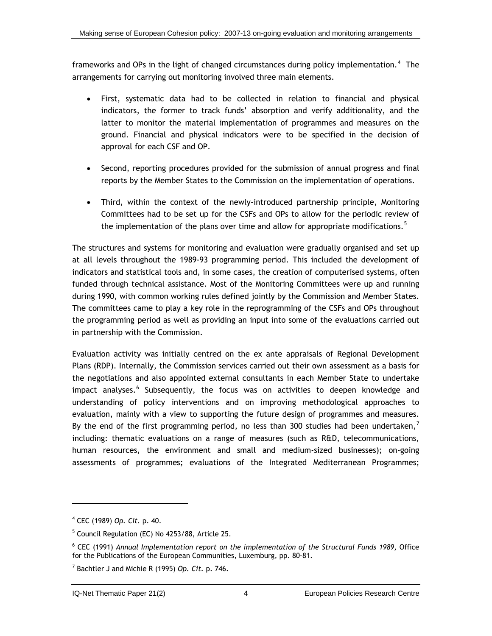<span id="page-30-0"></span>frameworks and OPs in the light of changed circumstances during policy implementation.<sup>[4](#page-30-0)</sup> The arrangements for carrying out monitoring involved three main elements.

- First, systematic data had to be collected in relation to financial and physical indicators, the former to track funds' absorption and verify additionality, and the latter to monitor the material implementation of programmes and measures on the ground. Financial and physical indicators were to be specified in the decision of approval for each CSF and OP.
- Second, reporting procedures provided for the submission of annual progress and final reports by the Member States to the Commission on the implementation of operations.
- Third, within the context of the newly-introduced partnership principle, Monitoring Committees had to be set up for the CSFs and OPs to allow for the periodic review of the implementation of the plans over time and allow for appropriate modifications.<sup>[5](#page-30-0)</sup>

The structures and systems for monitoring and evaluation were gradually organised and set up at all levels throughout the 1989-93 programming period. This included the development of indicators and statistical tools and, in some cases, the creation of computerised systems, often funded through technical assistance. Most of the Monitoring Committees were up and running during 1990, with common working rules defined jointly by the Commission and Member States. The committees came to play a key role in the reprogramming of the CSFs and OPs throughout the programming period as well as providing an input into some of the evaluations carried out in partnership with the Commission.

Evaluation activity was initially centred on the ex ante appraisals of Regional Development Plans (RDP). Internally, the Commission services carried out their own assessment as a basis for the negotiations and also appointed external consultants in each Member State to undertake impact analyses.<sup>[6](#page-30-0)</sup> Subsequently, the focus was on activities to deepen knowledge and understanding of policy interventions and on improving methodological approaches to evaluation, mainly with a view to supporting the future design of programmes and measures. By the end of the first programming period, no less than 300 studies had been undertaken,<sup>[7](#page-30-0)</sup> including: thematic evaluations on a range of measures (such as R&D, telecommunications, human resources, the environment and small and medium-sized businesses); on-going assessments of programmes; evaluations of the Integrated Mediterranean Programmes;

-

<sup>4</sup> CEC (1989) *Op. Cit.* p. 40.

<sup>&</sup>lt;sup>5</sup> Council Regulation (EC) No 4253/88, Article 25.

<sup>6</sup> CEC (1991) *Annual Implementation report on the implementation of the Structural Funds 1989*, Office for the Publications of the European Communities, Luxemburg, pp. 80-81.

<sup>7</sup> Bachtler J and Michie R (1995) *Op. Cit.* p. 746.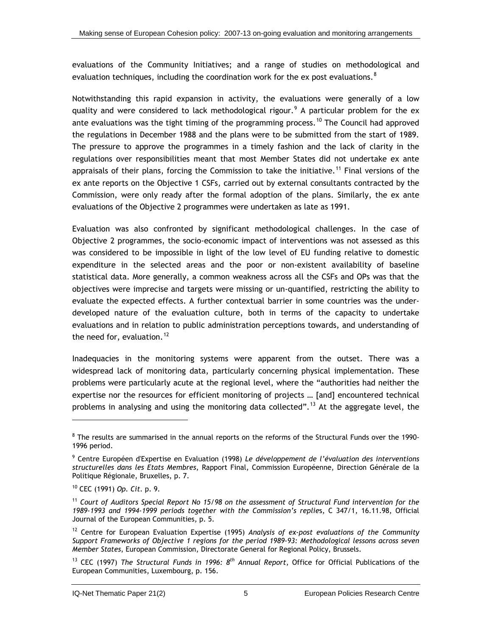<span id="page-31-0"></span>evaluations of the Community Initiatives; and a range of studies on methodological and evaluation techniques, including the coordination work for the ex post evaluations.  $^8$  $^8$ 

Notwithstanding this rapid expansion in activity, the evaluations were generally of a low quality and were considered to lack methodological rigour.<sup>[9](#page-31-0)</sup> A particular problem for the ex ante evaluations was the tight timing of the programming process.<sup>[1](#page-31-0)0</sup> The Council had approved the regulations in December 1988 and the plans were to be submitted from the start of 1989. The pressure to approve the programmes in a timely fashion and the lack of clarity in the regulations over responsibilities meant that most Member States did not undertake ex ante appraisals of their plans, forcing the Commission to take the initiative.<sup>[1](#page-31-0)1</sup> Final versions of the ex ante reports on the Objective 1 CSFs, carried out by external consultants contracted by the Commission, were only ready after the formal adoption of the plans. Similarly, the ex ante evaluations of the Objective 2 programmes were undertaken as late as 1991.

Evaluation was also confronted by significant methodological challenges. In the case of Objective 2 programmes, the socio-economic impact of interventions was not assessed as this was considered to be impossible in light of the low level of EU funding relative to domestic expenditure in the selected areas and the poor or non-existent availability of baseline statistical data. More generally, a common weakness across all the CSFs and OPs was that the objectives were imprecise and targets were missing or un-quantified, restricting the ability to evaluate the expected effects. A further contextual barrier in some countries was the underdeveloped nature of the evaluation culture, both in terms of the capacity to undertake evaluations and in relation to public administration perceptions towards, and understanding of the need for, evaluation.<sup>[12](#page-31-0)</sup>

Inadequacies in the monitoring systems were apparent from the outset. There was a widespread lack of monitoring data, particularly concerning physical implementation. These problems were particularly acute at the regional level, where the "authorities had neither the expertise nor the resources for efficient monitoring of projects … [and] encountered technical problems in analysing and using the monitoring data collected".<sup>[1](#page-31-0)3</sup> At the aggregate level, the

 $\overline{a}$ 

 $8$  The results are summarised in the annual reports on the reforms of the Structural Funds over the 1990-1996 period.

<sup>9</sup> Centre Européen d'Expertise en Evaluation (1998) *Le développement de l'évaluation des interventions structurelles dans les Etats Membres*, Rapport Final, Commission Européenne, Direction Générale de la Politique Régionale, Bruxelles, p. 7.

<sup>10</sup> CEC (1991) *Op. Cit.* p. 9.

<sup>11</sup> *Court of Auditors Special Report No 15/98 on the assessment of Structural Fund intervention for the 1989-1993 and 1994-1999 periods together with the Commission's replie*s, C 347/1, 16.11.98, Official Journal of the European Communities, p. 5.

<sup>12</sup> Centre for European Evaluation Expertise (1995) *Analysis of ex-post evaluations of the Community Support Frameworks of Objective 1 regions for the period 1989-93: Methodological lessons across seven Member States*, European Commission, Directorate General for Regional Policy, Brussels.

<sup>13</sup> CEC (1997) *The Structural Funds in 1996: 8th Annual Report*, Office for Official Publications of the European Communities, Luxembourg, p. 156.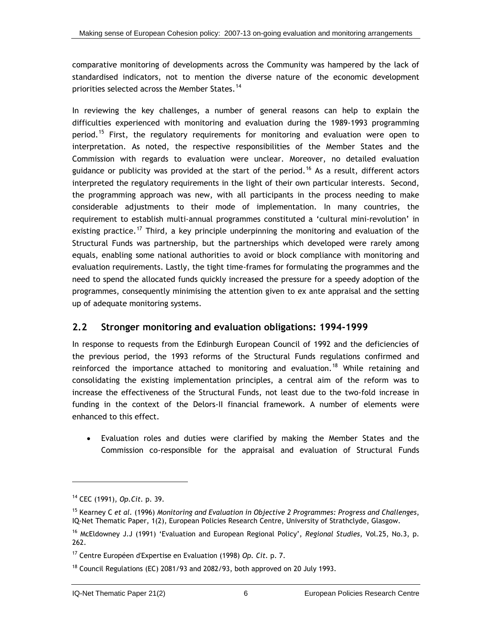<span id="page-32-1"></span><span id="page-32-0"></span>comparative monitoring of developments across the Community was hampered by the lack of standardised indicators, not to mention the diverse nature of the economic development priorities selected across the Member States.<sup>[14](#page-32-1)</sup>

In reviewing the key challenges, a number of general reasons can help to explain the difficulties experienced with monitoring and evaluation during the 1989-1993 programming period.<sup>[1](#page-32-1)5</sup> First, the regulatory requirements for monitoring and evaluation were open to interpretation. As noted, the respective responsibilities of the Member States and the Commission with regards to evaluation were unclear. Moreover, no detailed evaluation guidance or publicity was provided at the start of the period.<sup>[1](#page-32-1)6</sup> As a result, different actors interpreted the regulatory requirements in the light of their own particular interests. Second, the programming approach was new, with all participants in the process needing to make considerable adjustments to their mode of implementation. In many countries, the requirement to establish multi-annual programmes constituted a 'cultural mini-revolution' in existing practice.<sup>[17](#page-32-1)</sup> Third, a key principle underpinning the monitoring and evaluation of the Structural Funds was partnership, but the partnerships which developed were rarely among equals, enabling some national authorities to avoid or block compliance with monitoring and evaluation requirements. Lastly, the tight time-frames for formulating the programmes and the need to spend the allocated funds quickly increased the pressure for a speedy adoption of the programmes, consequently minimising the attention given to ex ante appraisal and the setting up of adequate monitoring systems.

## **2.2 Stronger monitoring and evaluation obligations: 1994-1999**

In response to requests from the Edinburgh European Council of 1992 and the deficiencies of the previous period, the 1993 reforms of the Structural Funds regulations confirmed and reinforced the importance attached to monitoring and evaluation.<sup>[1](#page-32-1)8</sup> While retaining and consolidating the existing implementation principles, a central aim of the reform was to increase the effectiveness of the Structural Funds, not least due to the two-fold increase in funding in the context of the Delors-II financial framework. A number of elements were enhanced to this effect.

• Evaluation roles and duties were clarified by making the Member States and the Commission co-responsible for the appraisal and evaluation of Structural Funds

-

<sup>14</sup> CEC (1991), *Op.Cit.* p. 39.

<sup>15</sup> Kearney C *et al.* (1996) *Monitoring and Evaluation in Objective 2 Programmes: Progress and Challenges*, IQ-Net Thematic Paper, 1(2), European Policies Research Centre, University of Strathclyde, Glasgow.

<sup>16</sup> McEldowney J.J (1991) 'Evaluation and European Regional Policy', *Regional Studies,* Vol.25, No.3, p. 262.

<sup>17</sup> Centre Européen d'Expertise en Evaluation (1998) *Op. Cit.* p. 7.

 $18$  Council Regulations (EC) 2081/93 and 2082/93, both approved on 20 July 1993.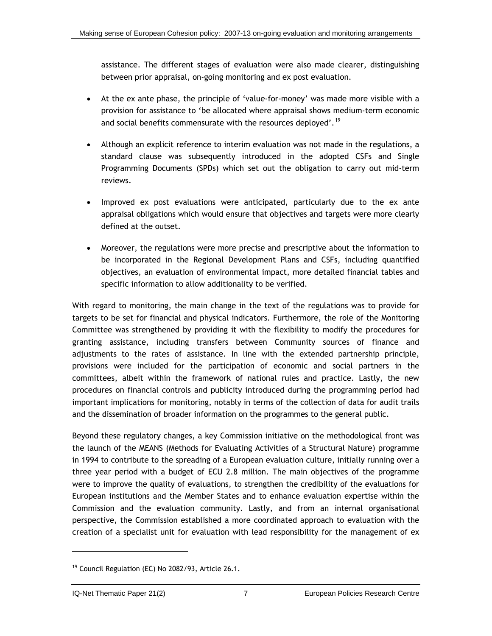<span id="page-33-0"></span>assistance. The different stages of evaluation were also made clearer, distinguishing between prior appraisal, on-going monitoring and ex post evaluation.

- At the ex ante phase, the principle of 'value-for-money' was made more visible with a provision for assistance to 'be allocated where appraisal shows medium-term economic and social benefits commensurate with the resources deployed'.<sup>[1](#page-33-0)9</sup>
- Although an explicit reference to interim evaluation was not made in the regulations, a standard clause was subsequently introduced in the adopted CSFs and Single Programming Documents (SPDs) which set out the obligation to carry out mid-term reviews.
- Improved ex post evaluations were anticipated, particularly due to the ex ante appraisal obligations which would ensure that objectives and targets were more clearly defined at the outset.
- Moreover, the regulations were more precise and prescriptive about the information to be incorporated in the Regional Development Plans and CSFs, including quantified objectives, an evaluation of environmental impact, more detailed financial tables and specific information to allow additionality to be verified.

With regard to monitoring, the main change in the text of the regulations was to provide for targets to be set for financial and physical indicators. Furthermore, the role of the Monitoring Committee was strengthened by providing it with the flexibility to modify the procedures for granting assistance, including transfers between Community sources of finance and adjustments to the rates of assistance. In line with the extended partnership principle, provisions were included for the participation of economic and social partners in the committees, albeit within the framework of national rules and practice. Lastly, the new procedures on financial controls and publicity introduced during the programming period had important implications for monitoring, notably in terms of the collection of data for audit trails and the dissemination of broader information on the programmes to the general public.

Beyond these regulatory changes, a key Commission initiative on the methodological front was the launch of the MEANS (Methods for Evaluating Activities of a Structural Nature) programme in 1994 to contribute to the spreading of a European evaluation culture, initially running over a three year period with a budget of ECU 2.8 million. The main objectives of the programme were to improve the quality of evaluations, to strengthen the credibility of the evaluations for European institutions and the Member States and to enhance evaluation expertise within the Commission and the evaluation community. Lastly, and from an internal organisational perspective, the Commission established a more coordinated approach to evaluation with the creation of a specialist unit for evaluation with lead responsibility for the management of ex

l

<sup>&</sup>lt;sup>19</sup> Council Regulation (EC) No 2082/93, Article 26.1.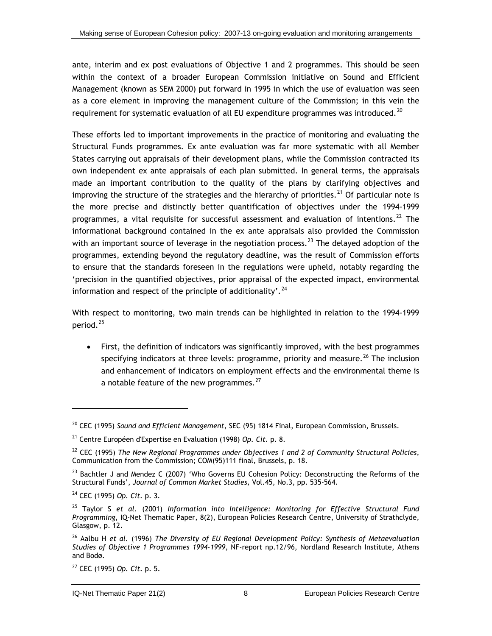<span id="page-34-0"></span>ante, interim and ex post evaluations of Objective 1 and 2 programmes. This should be seen within the context of a broader European Commission initiative on Sound and Efficient Management (known as SEM 2000) put forward in 1995 in which the use of evaluation was seen as a core element in improving the management culture of the Commission; in this vein the requirement for systematic evaluation of all EU expenditure programmes was introduced.<sup>[20](#page-34-0)</sup>

These efforts led to important improvements in the practice of monitoring and evaluating the Structural Funds programmes. Ex ante evaluation was far more systematic with all Member States carrying out appraisals of their development plans, while the Commission contracted its own independent ex ante appraisals of each plan submitted. In general terms, the appraisals made an important contribution to the quality of the plans by clarifying objectives and improving the structure of the strategies and the hierarchy of priorities.<sup>[2](#page-34-0)1</sup> Of particular note is the more precise and distinctly better quantification of objectives under the 1994-1999 programmes, a vital requisite for successful assessment and evaluation of intentions.<sup>[22](#page-34-0)</sup> The informational background contained in the ex ante appraisals also provided the Commission with an important source of leverage in the negotiation process.<sup>[23](#page-34-0)</sup> The delayed adoption of the programmes, extending beyond the regulatory deadline, was the result of Commission efforts to ensure that the standards foreseen in the regulations were upheld, notably regarding the 'precision in the quantified objectives, prior appraisal of the expected impact, environmental information and respect of the principle of additionality'.<sup>[24](#page-34-0)</sup>

With respect to monitoring, two main trends can be highlighted in relation to the 1994-1999 period.[2](#page-34-0)5

• First, the definition of indicators was significantly improved, with the best programmes specifying indicators at three levels: programme, priority and measure.<sup>[26](#page-34-0)</sup> The inclusion and enhancement of indicators on employment effects and the environmental theme is a notable feature of the new programmes. $^{27}$  $^{27}$  $^{27}$ 

 $\overline{a}$ 

<sup>20</sup> CEC (1995) *Sound and Efficient Management*, SEC (95) 1814 Final, European Commission, Brussels.

<sup>21</sup> Centre Européen d'Expertise en Evaluation (1998) *Op. Cit.* p. 8.

<sup>22</sup> CEC (1995) *The New Regional Programmes under Objectives 1 and 2 of Community Structural Policies*, Communication from the Commission; COM(95)111 final, Brussels, p. 18.

<sup>&</sup>lt;sup>23</sup> Bachtler J and Mendez C (2007) 'Who Governs EU Cohesion Policy: Deconstructing the Reforms of the Structural Funds', *Journal of Common Market Studies,* Vol.45, No.3, pp. 535-564.

<sup>24</sup> CEC (1995) *Op. Cit.* p. 3.

<sup>25</sup> Taylor S *et al.* (2001) *Information into Intelligence: Monitoring for Effective Structural Fund Programming*, IQ-Net Thematic Paper, 8(2), European Policies Research Centre, University of Strathclyde, Glasgow, p. 12.

<sup>26</sup> Aalbu H *et al.* (1996) *The Diversity of EU Regional Development Policy: Synthesis of Metaevaluation Studies of Objective 1 Programmes 1994-1999*, NF-report np.12/96, Nordland Research Institute, Athens and Bodø.

<sup>27</sup> CEC (1995) *Op. Cit.* p. 5.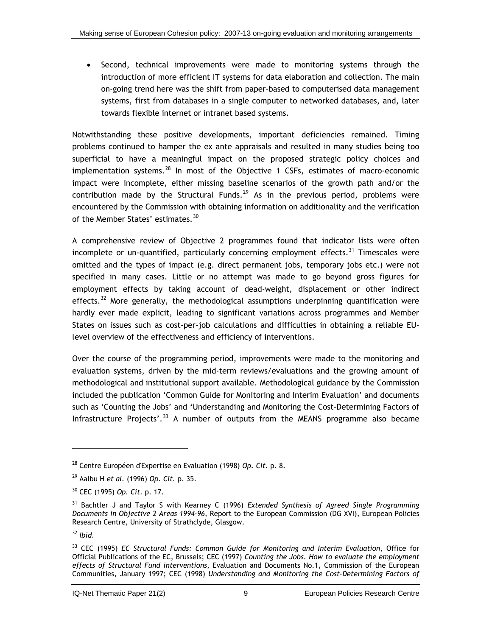<span id="page-35-0"></span>• Second, technical improvements were made to monitoring systems through the introduction of more efficient IT systems for data elaboration and collection. The main on-going trend here was the shift from paper-based to computerised data management systems, first from databases in a single computer to networked databases, and, later towards flexible internet or intranet based systems.

Notwithstanding these positive developments, important deficiencies remained. Timing problems continued to hamper the ex ante appraisals and resulted in many studies being too superficial to have a meaningful impact on the proposed strategic policy choices and implementation systems. $28$  $28$  In most of the Objective 1 CSFs, estimates of macro-economic impact were incomplete, either missing baseline scenarios of the growth path and/or the contribution made by the Structural Funds.<sup>[2](#page-35-0)9</sup> As in the previous period, problems were encountered by the Commission with obtaining information on additionality and the verification of the Member States' estimates.<sup>[30](#page-35-0)</sup>

A comprehensive review of Objective 2 programmes found that indicator lists were often incomplete or un-quantified, particularly concerning employment effects.<sup>[31](#page-35-0)</sup> Timescales were omitted and the types of impact (e.g. direct permanent jobs, temporary jobs etc.) were not specified in many cases. Little or no attempt was made to go beyond gross figures for employment effects by taking account of dead-weight, displacement or other indirect effects.<sup>[32](#page-35-0)</sup> More generally, the methodological assumptions underpinning quantification were hardly ever made explicit, leading to significant variations across programmes and Member States on issues such as cost-per-job calculations and difficulties in obtaining a reliable EUlevel overview of the effectiveness and efficiency of interventions.

Over the course of the programming period, improvements were made to the monitoring and evaluation systems, driven by the mid-term reviews/evaluations and the growing amount of methodological and institutional support available. Methodological guidance by the Commission included the publication 'Common Guide for Monitoring and Interim Evaluation' and documents such as 'Counting the Jobs' and 'Understanding and Monitoring the Cost-Determining Factors of Infrastructure Projects'.<sup>[3](#page-35-0)3</sup> A number of outputs from the MEANS programme also became

l

<sup>28</sup> Centre Européen d'Expertise en Evaluation (1998) *Op. Cit.* p. 8.

<sup>29</sup> Aalbu H *et al.* (1996) *Op. Cit.* p. 35.

<sup>30</sup> CEC (1995) *Op. Cit.* p. 17.

<sup>31</sup> Bachtler J and Taylor S with Kearney C (1996) *Extended Synthesis of Agreed Single Programming Documents in Objective 2 Areas 1994-96*, Report to the European Commission (DG XVI), European Policies Research Centre, University of Strathclyde, Glasgow.

<sup>32</sup> *Ibid.*

<sup>33</sup> CEC (1995) *EC Structural Funds: Common Guide for Monitoring and Interim Evaluation*, Office for Official Publications of the EC, Brussels; CEC (1997) *Counting the Jobs. How to evaluate the employment effects of Structural Fund interventions*, Evaluation and Documents No.1, Commission of the European Communities, January 1997; CEC (1998) *Understanding and Monitoring the Cost-Determining Factors of*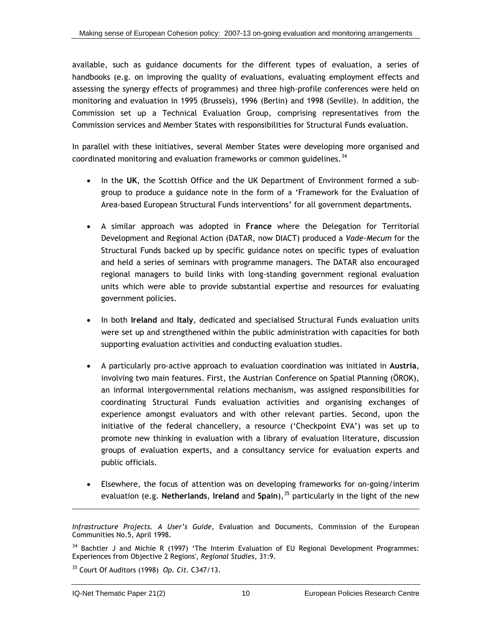<span id="page-36-0"></span>available, such as guidance documents for the different types of evaluation, a series of handbooks (e.g. on improving the quality of evaluations, evaluating employment effects and assessing the synergy effects of programmes) and three high-profile conferences were held on monitoring and evaluation in 1995 (Brussels), 1996 (Berlin) and 1998 (Seville). In addition, the Commission set up a Technical Evaluation Group, comprising representatives from the Commission services and Member States with responsibilities for Structural Funds evaluation.

In parallel with these initiatives, several Member States were developing more organised and coordinated monitoring and evaluation frameworks or common guidelines.  $34$ 

- In the **UK**, the Scottish Office and the UK Department of Environment formed a subgroup to produce a guidance note in the form of a 'Framework for the Evaluation of Area-based European Structural Funds interventions' for all government departments.
- A similar approach was adopted in **France** where the Delegation for Territorial Development and Regional Action (DATAR, now DIACT) produced a *Vade-Mecum* for the Structural Funds backed up by specific guidance notes on specific types of evaluation and held a series of seminars with programme managers. The DATAR also encouraged regional managers to build links with long-standing government regional evaluation units which were able to provide substantial expertise and resources for evaluating government policies.
- In both **Ireland** and **Italy**, dedicated and specialised Structural Funds evaluation units were set up and strengthened within the public administration with capacities for both supporting evaluation activities and conducting evaluation studies.
- A particularly pro-active approach to evaluation coordination was initiated in **Austria**, involving two main features. First, the Austrian Conference on Spatial Planning (ÖROK), an informal intergovernmental relations mechanism, was assigned responsibilities for coordinating Structural Funds evaluation activities and organising exchanges of experience amongst evaluators and with other relevant parties. Second, upon the initiative of the federal chancellery, a resource ('Checkpoint EVA') was set up to promote new thinking in evaluation with a library of evaluation literature, discussion groups of evaluation experts, and a consultancy service for evaluation experts and public officials.
- Elsewhere, the focus of attention was on developing frameworks for on-going/interim evaluation (e.g. **Netherlands**, **Ireland** and **Spain**),[3](#page-36-0)5 particularly in the light of the new

*Infrastructure Projects. A User's Guide,* Evaluation and Documents, Commission of the European Communities No.5, April 1998.

<sup>&</sup>lt;sup>34</sup> Bachtler J and Michie R (1997) 'The Interim Evaluation of EU Regional Development Programmes: Experiences from Objective 2 Regions', *Regional Studies*, 31:9.

<sup>35</sup> Court Of Auditors (1998) *Op. Cit.* C347/13.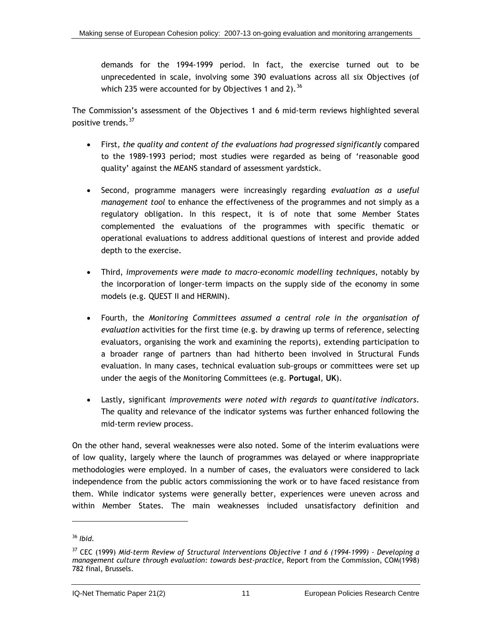<span id="page-37-0"></span>demands for the 1994-1999 period. In fact, the exercise turned out to be unprecedented in scale, involving some 390 evaluations across all six Objectives (of which 235 were accounted for by Objectives 1 and 2).  $36$ 

The Commission's assessment of the Objectives 1 and 6 mid-term reviews highlighted several positive trends.[37](#page-37-0)

- First, *the quality and content of the evaluations had progressed significantly* compared to the 1989-1993 period; most studies were regarded as being of 'reasonable good quality' against the MEANS standard of assessment yardstick.
- Second, programme managers were increasingly regarding *evaluation as a useful management tool* to enhance the effectiveness of the programmes and not simply as a regulatory obligation. In this respect, it is of note that some Member States complemented the evaluations of the programmes with specific thematic or operational evaluations to address additional questions of interest and provide added depth to the exercise.
- Third, *improvements were made to macro-economic modelling techniques*, notably by the incorporation of longer-term impacts on the supply side of the economy in some models (e.g. QUEST II and HERMIN).
- Fourth, the *Monitoring Committees assumed a central role in the organisation of evaluation* activities for the first time (e.g. by drawing up terms of reference, selecting evaluators, organising the work and examining the reports), extending participation to a broader range of partners than had hitherto been involved in Structural Funds evaluation. In many cases, technical evaluation sub-groups or committees were set up under the aegis of the Monitoring Committees (e.g. **Portugal**, **UK**).
- Lastly, significant *improvements were noted with regards to quantitative indicators*. The quality and relevance of the indicator systems was further enhanced following the mid-term review process.

On the other hand, several weaknesses were also noted. Some of the interim evaluations were of low quality, largely where the launch of programmes was delayed or where inappropriate methodologies were employed. In a number of cases, the evaluators were considered to lack independence from the public actors commissioning the work or to have faced resistance from them. While indicator systems were generally better, experiences were uneven across and within Member States. The main weaknesses included unsatisfactory definition and

1

<sup>36</sup> *Ibid.* 

<sup>37</sup> CEC (1999) *Mid-term Review of Structural Interventions Objective 1 and 6 (1994-1999) - Developing a management culture through evaluation: towards best-practice,* Report from the Commission, COM(1998) 782 final, Brussels.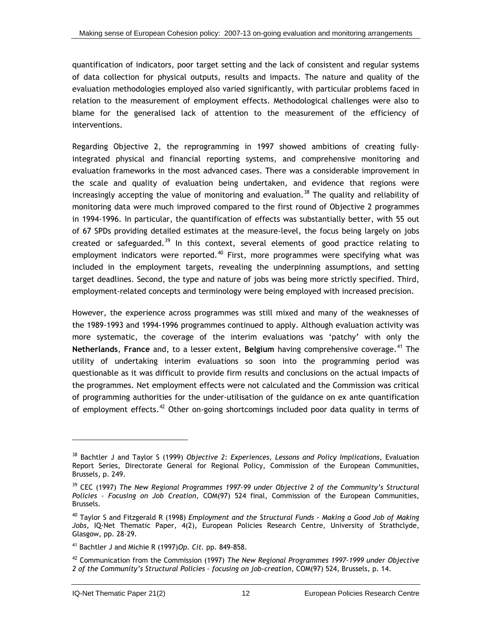<span id="page-38-0"></span>quantification of indicators, poor target setting and the lack of consistent and regular systems of data collection for physical outputs, results and impacts. The nature and quality of the evaluation methodologies employed also varied significantly, with particular problems faced in relation to the measurement of employment effects. Methodological challenges were also to blame for the generalised lack of attention to the measurement of the efficiency of interventions.

Regarding Objective 2, the reprogramming in 1997 showed ambitions of creating fullyintegrated physical and financial reporting systems, and comprehensive monitoring and evaluation frameworks in the most advanced cases. There was a considerable improvement in the scale and quality of evaluation being undertaken, and evidence that regions were increasingly accepting the value of monitoring and evaluation.<sup>[38](#page-38-0)</sup> The quality and reliability of monitoring data were much improved compared to the first round of Objective 2 programmes in 1994-1996. In particular, the quantification of effects was substantially better, with 55 out of 67 SPDs providing detailed estimates at the measure-level, the focus being largely on jobs created or safeguarded.<sup>[39](#page-38-0)</sup> In this context, several elements of good practice relating to employment indicators were reported.<sup>[40](#page-38-0)</sup> First, more programmes were specifying what was included in the employment targets, revealing the underpinning assumptions, and setting target deadlines. Second, the type and nature of jobs was being more strictly specified. Third, employment-related concepts and terminology were being employed with increased precision.

However, the experience across programmes was still mixed and many of the weaknesses of the 1989-1993 and 1994-1996 programmes continued to apply. Although evaluation activity was more systematic, the coverage of the interim evaluations was 'patchy' with only the **Netherlands, France** and, to a lesser extent, **Belgium** having comprehensive coverage.<sup>[41](#page-38-0)</sup> The utility of undertaking interim evaluations so soon into the programming period was questionable as it was difficult to provide firm results and conclusions on the actual impacts of the programmes. Net employment effects were not calculated and the Commission was critical of programming authorities for the under-utilisation of the guidance on ex ante quantification of employment effects.<sup>[42](#page-38-0)</sup> Other on-going shortcomings included poor data quality in terms of

<sup>38</sup> Bachtler J and Taylor S (1999) *Objective 2: Experiences, Lessons and Policy Implications*, Evaluation Report Series, Directorate General for Regional Policy, Commission of the European Communities, Brussels, p. 249.

<sup>39</sup> CEC (1997) *The New Regional Programmes 1997-99 under Objective 2 of the Community's Structural Policies - Focusing on Job Creation*, COM(97) 524 final, Commission of the European Communities, Brussels.

<sup>40</sup> Taylor S and Fitzgerald R (1998) *Employment and the Structural Funds - Making a Good Job of Making Jobs*, IQ-Net Thematic Paper, 4(2), European Policies Research Centre, University of Strathclyde, Glasgow, pp. 28-29.

<sup>41</sup> Bachtler J and Michie R (1997)*Op. Cit.* pp. 849-858.

<sup>42</sup> Communication from the Commission (1997) *The New Regional Programmes 1997-1999 under Objective 2 of the Community's Structural Policies – focusing on job-creation*, COM(97) 524, Brussels, p. 14.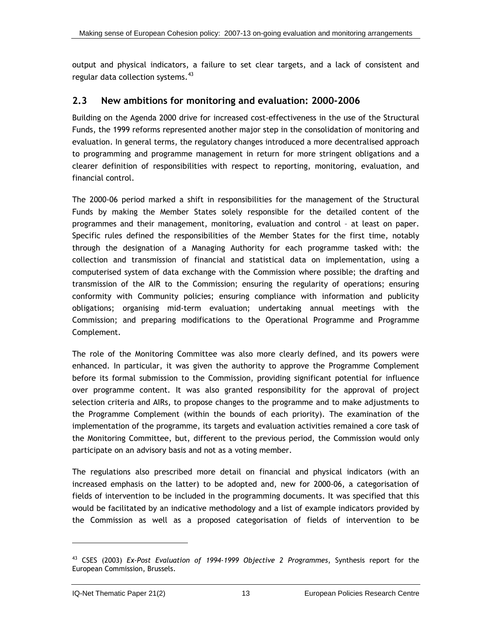<span id="page-39-0"></span>output and physical indicators, a failure to set clear targets, and a lack of consistent and regular data collection systems.<sup>[43](#page-39-0)</sup>

#### **2.3 New ambitions for monitoring and evaluation: 2000-2006**

Building on the Agenda 2000 drive for increased cost-effectiveness in the use of the Structural Funds, the 1999 reforms represented another major step in the consolidation of monitoring and evaluation. In general terms, the regulatory changes introduced a more decentralised approach to programming and programme management in return for more stringent obligations and a clearer definition of responsibilities with respect to reporting, monitoring, evaluation, and financial control.

The 2000-06 period marked a shift in responsibilities for the management of the Structural Funds by making the Member States solely responsible for the detailed content of the programmes and their management, monitoring, evaluation and control – at least on paper. Specific rules defined the responsibilities of the Member States for the first time, notably through the designation of a Managing Authority for each programme tasked with: the collection and transmission of financial and statistical data on implementation, using a computerised system of data exchange with the Commission where possible; the drafting and transmission of the AIR to the Commission; ensuring the regularity of operations; ensuring conformity with Community policies; ensuring compliance with information and publicity obligations; organising mid-term evaluation; undertaking annual meetings with the Commission; and preparing modifications to the Operational Programme and Programme Complement.

The role of the Monitoring Committee was also more clearly defined, and its powers were enhanced. In particular, it was given the authority to approve the Programme Complement before its formal submission to the Commission, providing significant potential for influence over programme content. It was also granted responsibility for the approval of project selection criteria and AIRs, to propose changes to the programme and to make adjustments to the Programme Complement (within the bounds of each priority). The examination of the implementation of the programme, its targets and evaluation activities remained a core task of the Monitoring Committee, but, different to the previous period, the Commission would only participate on an advisory basis and not as a voting member.

The regulations also prescribed more detail on financial and physical indicators (with an increased emphasis on the latter) to be adopted and, new for 2000-06, a categorisation of fields of intervention to be included in the programming documents. It was specified that this would be facilitated by an indicative methodology and a list of example indicators provided by the Commission as well as a proposed categorisation of fields of intervention to be

<sup>43</sup> CSES (2003) *Ex-Post Evaluation of 1994-1999 Objective 2 Programmes*, Synthesis report for the European Commission, Brussels.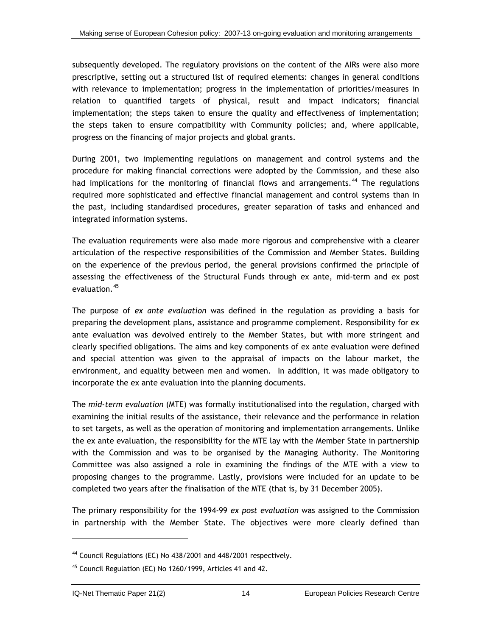<span id="page-40-0"></span>subsequently developed. The regulatory provisions on the content of the AIRs were also more prescriptive, setting out a structured list of required elements: changes in general conditions with relevance to implementation; progress in the implementation of priorities/measures in relation to quantified targets of physical, result and impact indicators; financial implementation; the steps taken to ensure the quality and effectiveness of implementation; the steps taken to ensure compatibility with Community policies; and, where applicable, progress on the financing of major projects and global grants.

During 2001, two implementing regulations on management and control systems and the procedure for making financial corrections were adopted by the Commission, and these also had implications for the monitoring of financial flows and arrangements.<sup>[44](#page-40-0)</sup> The regulations required more sophisticated and effective financial management and control systems than in the past, including standardised procedures, greater separation of tasks and enhanced and integrated information systems.

The evaluation requirements were also made more rigorous and comprehensive with a clearer articulation of the respective responsibilities of the Commission and Member States. Building on the experience of the previous period, the general provisions confirmed the principle of assessing the effectiveness of the Structural Funds through ex ante, mid-term and ex post evaluation.<sup>[45](#page-40-0)</sup>

The purpose of *ex ante evaluation* was defined in the regulation as providing a basis for preparing the development plans, assistance and programme complement. Responsibility for ex ante evaluation was devolved entirely to the Member States, but with more stringent and clearly specified obligations. The aims and key components of ex ante evaluation were defined and special attention was given to the appraisal of impacts on the labour market, the environment, and equality between men and women. In addition, it was made obligatory to incorporate the ex ante evaluation into the planning documents.

The *mid-term evaluation* (MTE) was formally institutionalised into the regulation, charged with examining the initial results of the assistance, their relevance and the performance in relation to set targets, as well as the operation of monitoring and implementation arrangements. Unlike the ex ante evaluation, the responsibility for the MTE lay with the Member State in partnership with the Commission and was to be organised by the Managing Authority. The Monitoring Committee was also assigned a role in examining the findings of the MTE with a view to proposing changes to the programme. Lastly, provisions were included for an update to be completed two years after the finalisation of the MTE (that is, by 31 December 2005).

The primary responsibility for the 1994-99 *ex post evaluation* was assigned to the Commission in partnership with the Member State. The objectives were more clearly defined than

<sup>44</sup> Council Regulations (EC) No 438/2001 and 448/2001 respectively.

 $45$  Council Regulation (EC) No 1260/1999, Articles 41 and 42.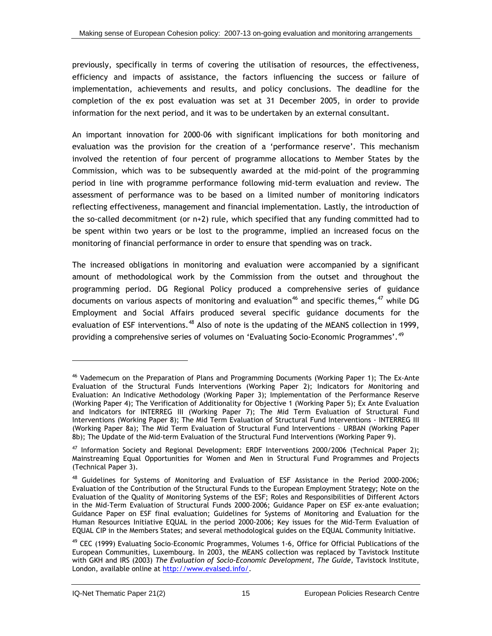<span id="page-41-0"></span>previously, specifically in terms of covering the utilisation of resources, the effectiveness, efficiency and impacts of assistance, the factors influencing the success or failure of implementation, achievements and results, and policy conclusions. The deadline for the completion of the ex post evaluation was set at 31 December 2005, in order to provide information for the next period, and it was to be undertaken by an external consultant.

An important innovation for 2000-06 with significant implications for both monitoring and evaluation was the provision for the creation of a 'performance reserve'. This mechanism involved the retention of four percent of programme allocations to Member States by the Commission, which was to be subsequently awarded at the mid-point of the programming period in line with programme performance following mid-term evaluation and review. The assessment of performance was to be based on a limited number of monitoring indicators reflecting effectiveness, management and financial implementation. Lastly, the introduction of the so-called decommitment (or n+2) rule, which specified that any funding committed had to be spent within two years or be lost to the programme, implied an increased focus on the monitoring of financial performance in order to ensure that spending was on track.

The increased obligations in monitoring and evaluation were accompanied by a significant amount of methodological work by the Commission from the outset and throughout the programming period. DG Regional Policy produced a comprehensive series of guidance documents on various aspects of monitoring and evaluation<sup>[4](#page-41-0)6</sup> and specific themes,  $47$  while DG Employment and Social Affairs produced several specific guidance documents for the evaluation of ESF interventions.<sup>[4](#page-41-0)8</sup> Also of note is the updating of the MEANS collection in 1999, providing a comprehensive series of volumes on 'Evaluating Socio-Economic Programmes'.<sup>[4](#page-41-0)9</sup>

<sup>&</sup>lt;sup>46</sup> Vademecum on the Preparation of Plans and Programming Documents (Working Paper 1); The Ex-Ante Evaluation of the Structural Funds Interventions (Working Paper 2); Indicators for Monitoring and Evaluation: An Indicative Methodology (Working Paper 3); Implementation of the Performance Reserve (Working Paper 4); The Verification of Additionality for Objective 1 (Working Paper 5); Ex Ante Evaluation and Indicators for INTERREG III (Working Paper 7); The Mid Term Evaluation of Structural Fund Interventions (Working Paper 8); The Mid Term Evaluation of Structural Fund Interventions - INTERREG III (Working Paper 8a); The Mid Term Evaluation of Structural Fund Interventions – URBAN (Working Paper 8b); The Update of the Mid-term Evaluation of the Structural Fund Interventions (Working Paper 9).

<sup>&</sup>lt;sup>47</sup> Information Society and Regional Development: ERDF Interventions 2000/2006 (Technical Paper 2); Mainstreaming Equal Opportunities for Women and Men in Structural Fund Programmes and Projects (Technical Paper 3).

<sup>48</sup> Guidelines for Systems of Monitoring and Evaluation of ESF Assistance in the Period 2000-2006; Evaluation of the Contribution of the Structural Funds to the European Employment Strategy; Note on the Evaluation of the Quality of Monitoring Systems of the ESF; Roles and Responsibilities of Different Actors in the Mid-Term Evaluation of Structural Funds 2000–2006; Guidance Paper on ESF ex-ante evaluation; Guidance Paper on ESF final evaluation; Guidelines for Systems of Monitoring and Evaluation for the Human Resources Initiative EQUAL in the period 2000-2006; Key issues for the Mid-Term Evaluation of EQUAL CIP in the Members States; and several methodological guides on the EQUAL Community Initiative.

<sup>&</sup>lt;sup>49</sup> CEC (1999) Evaluating Socio-Economic Programmes, Volumes 1-6, Office for Official Publications of the European Communities, Luxembourg. In 2003, the MEANS collection was replaced by Tavistock Institute with GKH and IRS (2003) *The Evaluation of Socio-Economic Development, The Guide*, Tavistock Institute, London, available online at http://www.evalsed.info/.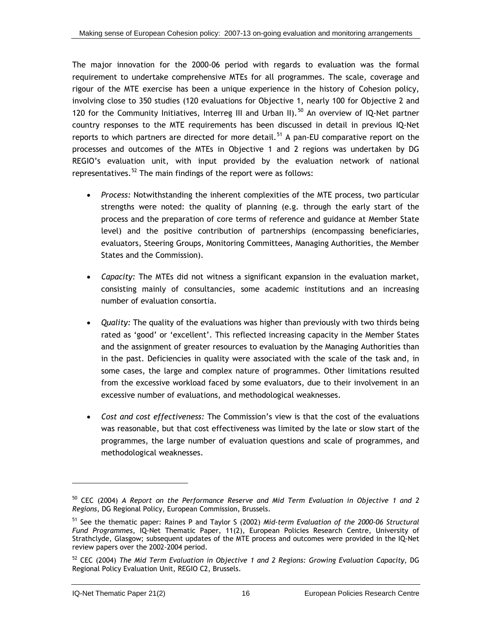<span id="page-42-0"></span>The major innovation for the 2000-06 period with regards to evaluation was the formal requirement to undertake comprehensive MTEs for all programmes. The scale, coverage and rigour of the MTE exercise has been a unique experience in the history of Cohesion policy, involving close to 350 studies (120 evaluations for Objective 1, nearly 100 for Objective 2 and 120 for the Community Initiatives, Interreg III and Urban II).<sup>[5](#page-42-0)0</sup> An overview of IO-Net partner country responses to the MTE requirements has been discussed in detail in previous IQ-Net reports to which partners are directed for more detail.<sup>[5](#page-42-0)1</sup> A pan-EU comparative report on the processes and outcomes of the MTEs in Objective 1 and 2 regions was undertaken by DG REGIO's evaluation unit, with input provided by the evaluation network of national representatives.<sup>[5](#page-42-0)2</sup> The main findings of the report were as follows:

- *Process:* Notwithstanding the inherent complexities of the MTE process, two particular strengths were noted: the quality of planning (e.g. through the early start of the process and the preparation of core terms of reference and guidance at Member State level) and the positive contribution of partnerships (encompassing beneficiaries, evaluators, Steering Groups, Monitoring Committees, Managing Authorities, the Member States and the Commission).
- *Capacity:* The MTEs did not witness a significant expansion in the evaluation market, consisting mainly of consultancies, some academic institutions and an increasing number of evaluation consortia.
- *Quality:* The quality of the evaluations was higher than previously with two thirds being rated as 'good' or 'excellent'. This reflected increasing capacity in the Member States and the assignment of greater resources to evaluation by the Managing Authorities than in the past. Deficiencies in quality were associated with the scale of the task and, in some cases, the large and complex nature of programmes. Other limitations resulted from the excessive workload faced by some evaluators, due to their involvement in an excessive number of evaluations, and methodological weaknesses.
- *Cost and cost effectiveness:* The Commission's view is that the cost of the evaluations was reasonable, but that cost effectiveness was limited by the late or slow start of the programmes, the large number of evaluation questions and scale of programmes, and methodological weaknesses.

l

<sup>50</sup> CEC (2004) *A Report on the Performance Reserve and Mid Term Evaluation in Objective 1 and 2 Regions*, DG Regional Policy, European Commission, Brussels.

<sup>51</sup> See the thematic paper: Raines P and Taylor S (2002) *Mid-term Evaluation of the 2000-06 Structural Fund Programmes*, IQ-Net Thematic Paper, 11(2), European Policies Research Centre, University of Strathclyde, Glasgow; subsequent updates of the MTE process and outcomes were provided in the IQ-Net review papers over the 2002-2004 period.

<sup>52</sup> CEC (2004) *The Mid Term Evaluation in Objective 1 and 2 Regions: Growing Evaluation Capacity*, DG Regional Policy Evaluation Unit, REGIO C2, Brussels.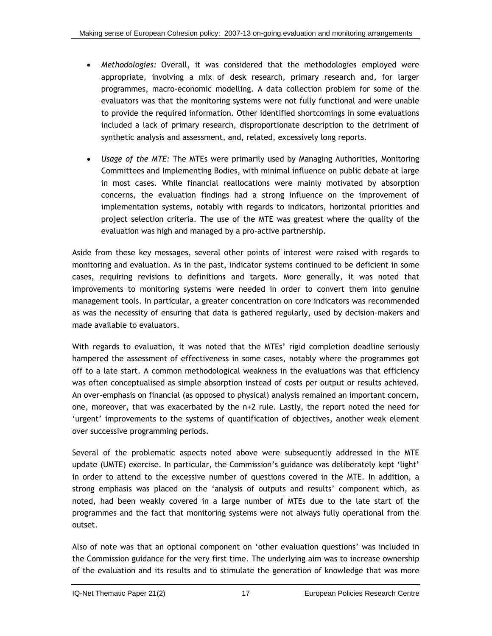- *Methodologies:* Overall, it was considered that the methodologies employed were appropriate, involving a mix of desk research, primary research and, for larger programmes, macro-economic modelling. A data collection problem for some of the evaluators was that the monitoring systems were not fully functional and were unable to provide the required information. Other identified shortcomings in some evaluations included a lack of primary research, disproportionate description to the detriment of synthetic analysis and assessment, and, related, excessively long reports.
- *Usage of the MTE:* The MTEs were primarily used by Managing Authorities, Monitoring Committees and Implementing Bodies, with minimal influence on public debate at large in most cases. While financial reallocations were mainly motivated by absorption concerns, the evaluation findings had a strong influence on the improvement of implementation systems, notably with regards to indicators, horizontal priorities and project selection criteria. The use of the MTE was greatest where the quality of the evaluation was high and managed by a pro-active partnership.

Aside from these key messages, several other points of interest were raised with regards to monitoring and evaluation. As in the past, indicator systems continued to be deficient in some cases, requiring revisions to definitions and targets. More generally, it was noted that improvements to monitoring systems were needed in order to convert them into genuine management tools. In particular, a greater concentration on core indicators was recommended as was the necessity of ensuring that data is gathered regularly, used by decision-makers and made available to evaluators.

With regards to evaluation, it was noted that the MTEs' rigid completion deadline seriously hampered the assessment of effectiveness in some cases, notably where the programmes got off to a late start. A common methodological weakness in the evaluations was that efficiency was often conceptualised as simple absorption instead of costs per output or results achieved. An over-emphasis on financial (as opposed to physical) analysis remained an important concern, one, moreover, that was exacerbated by the n+2 rule. Lastly, the report noted the need for 'urgent' improvements to the systems of quantification of objectives, another weak element over successive programming periods.

Several of the problematic aspects noted above were subsequently addressed in the MTE update (UMTE) exercise. In particular, the Commission's guidance was deliberately kept 'light' in order to attend to the excessive number of questions covered in the MTE. In addition, a strong emphasis was placed on the 'analysis of outputs and results' component which, as noted, had been weakly covered in a large number of MTEs due to the late start of the programmes and the fact that monitoring systems were not always fully operational from the outset.

Also of note was that an optional component on 'other evaluation questions' was included in the Commission guidance for the very first time. The underlying aim was to increase ownership of the evaluation and its results and to stimulate the generation of knowledge that was more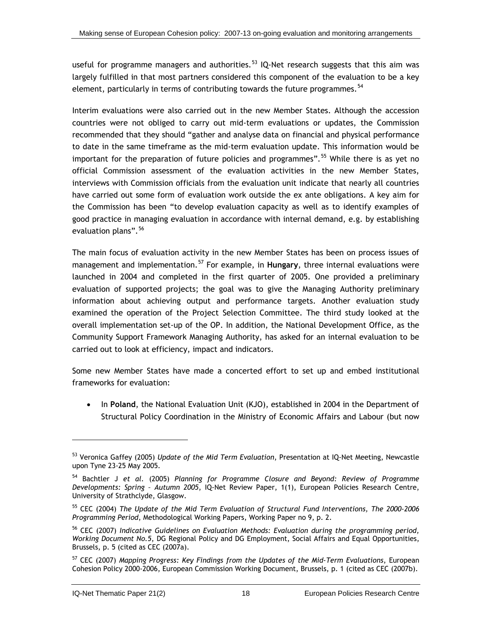<span id="page-44-0"></span>useful for programme managers and authorities.<sup>[53](#page-44-0)</sup> IQ-Net research suggests that this aim was largely fulfilled in that most partners considered this component of the evaluation to be a key element, particularly in terms of contributing towards the future programmes.<sup>[54](#page-44-0)</sup>

Interim evaluations were also carried out in the new Member States. Although the accession countries were not obliged to carry out mid-term evaluations or updates, the Commission recommended that they should "gather and analyse data on financial and physical performance to date in the same timeframe as the mid-term evaluation update. This information would be important for the preparation of future policies and programmes".<sup>[5](#page-44-0)5</sup> While there is as yet no official Commission assessment of the evaluation activities in the new Member States, interviews with Commission officials from the evaluation unit indicate that nearly all countries have carried out some form of evaluation work outside the ex ante obligations. A key aim for the Commission has been "to develop evaluation capacity as well as to identify examples of good practice in managing evaluation in accordance with internal demand, e.g. by establishing evaluation plans".<sup>[5](#page-44-0)6</sup>

The main focus of evaluation activity in the new Member States has been on process issues of management and implementation.[5](#page-44-0)7 For example, in **Hungary**, three internal evaluations were launched in 2004 and completed in the first quarter of 2005. One provided a preliminary evaluation of supported projects; the goal was to give the Managing Authority preliminary information about achieving output and performance targets. Another evaluation study examined the operation of the Project Selection Committee. The third study looked at the overall implementation set-up of the OP. In addition, the National Development Office, as the Community Support Framework Managing Authority, has asked for an internal evaluation to be carried out to look at efficiency, impact and indicators.

Some new Member States have made a concerted effort to set up and embed institutional frameworks for evaluation:

• In **Poland**, the National Evaluation Unit (KJO), established in 2004 in the Department of Structural Policy Coordination in the Ministry of Economic Affairs and Labour (but now

<sup>53</sup> Veronica Gaffey (2005) *Update of the Mid Term Evaluation*, Presentation at IQ-Net Meeting, Newcastle upon Tyne 23-25 May 2005.

<sup>54</sup> Bachtler J *et al.* (2005) *Planning for Programme Closure and Beyond: Review of Programme Developments: Spring – Autumn 2005*, IQ-Net Review Paper, 1(1), European Policies Research Centre, University of Strathclyde, Glasgow.

<sup>55</sup> CEC (2004) *The Update of the Mid Term Evaluation of Structural Fund Interventions, The 2000-2006 Programming Period*, Methodological Working Papers, Working Paper no 9, p. 2.

<sup>56</sup> CEC (2007) *Indicative Guidelines on Evaluation Methods: Evaluation during the programming period, Working Document No.5*, DG Regional Policy and DG Employment, Social Affairs and Equal Opportunities, Brussels, p. 5 (cited as CEC (2007a).

<sup>57</sup> CEC (2007) *Mapping Progress: Key Findings from the Updates of the Mid-Term Evaluations*, European Cohesion Policy 2000-2006, European Commission Working Document, Brussels, p. 1 (cited as CEC (2007b).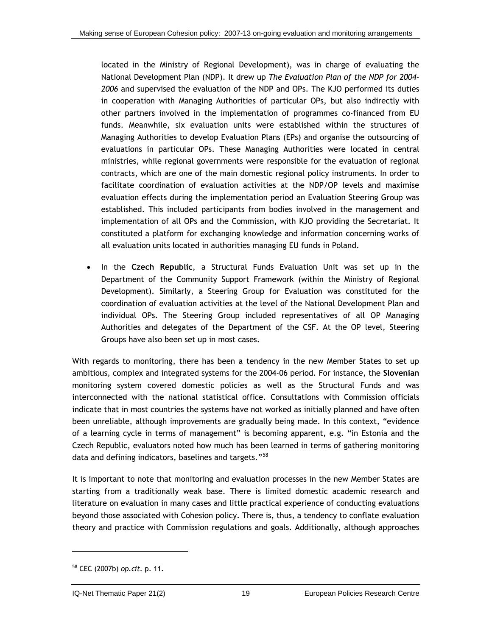<span id="page-45-0"></span>located in the Ministry of Regional Development), was in charge of evaluating the National Development Plan (NDP). It drew up *The Evaluation Plan of the NDP for 2004- 2006* and supervised the evaluation of the NDP and OPs. The KJO performed its duties in cooperation with Managing Authorities of particular OPs, but also indirectly with other partners involved in the implementation of programmes co-financed from EU funds. Meanwhile, six evaluation units were established within the structures of Managing Authorities to develop Evaluation Plans (EPs) and organise the outsourcing of evaluations in particular OPs. These Managing Authorities were located in central ministries, while regional governments were responsible for the evaluation of regional contracts, which are one of the main domestic regional policy instruments. In order to facilitate coordination of evaluation activities at the NDP/OP levels and maximise evaluation effects during the implementation period an Evaluation Steering Group was established. This included participants from bodies involved in the management and implementation of all OPs and the Commission, with KJO providing the Secretariat. It constituted a platform for exchanging knowledge and information concerning works of all evaluation units located in authorities managing EU funds in Poland.

• In the **Czech Republic**, a Structural Funds Evaluation Unit was set up in the Department of the Community Support Framework (within the Ministry of Regional Development). Similarly, a Steering Group for Evaluation was constituted for the coordination of evaluation activities at the level of the National Development Plan and individual OPs. The Steering Group included representatives of all OP Managing Authorities and delegates of the Department of the CSF. At the OP level, Steering Groups have also been set up in most cases.

With regards to monitoring, there has been a tendency in the new Member States to set up ambitious, complex and integrated systems for the 2004-06 period. For instance, the **Slovenian** monitoring system covered domestic policies as well as the Structural Funds and was interconnected with the national statistical office. Consultations with Commission officials indicate that in most countries the systems have not worked as initially planned and have often been unreliable, although improvements are gradually being made. In this context, "evidence of a learning cycle in terms of management" is becoming apparent, e.g. "in Estonia and the Czech Republic, evaluators noted how much has been learned in terms of gathering monitoring data and defining indicators, baselines and targets."<sup>[5](#page-45-0)8</sup>

It is important to note that monitoring and evaluation processes in the new Member States are starting from a traditionally weak base. There is limited domestic academic research and literature on evaluation in many cases and little practical experience of conducting evaluations beyond those associated with Cohesion policy. There is, thus, a tendency to conflate evaluation theory and practice with Commission regulations and goals. Additionally, although approaches

l

<sup>58</sup> CEC (2007b) *op.cit.* p. 11.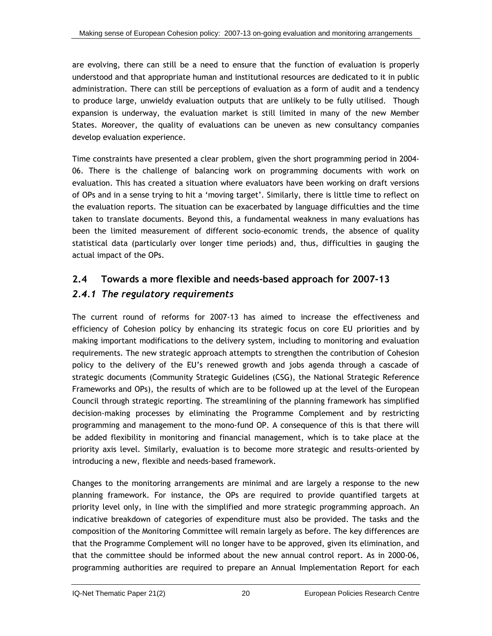<span id="page-46-0"></span>are evolving, there can still be a need to ensure that the function of evaluation is properly understood and that appropriate human and institutional resources are dedicated to it in public administration. There can still be perceptions of evaluation as a form of audit and a tendency to produce large, unwieldy evaluation outputs that are unlikely to be fully utilised. Though expansion is underway, the evaluation market is still limited in many of the new Member States. Moreover, the quality of evaluations can be uneven as new consultancy companies develop evaluation experience.

Time constraints have presented a clear problem, given the short programming period in 2004- 06. There is the challenge of balancing work on programming documents with work on evaluation. This has created a situation where evaluators have been working on draft versions of OPs and in a sense trying to hit a 'moving target'. Similarly, there is little time to reflect on the evaluation reports. The situation can be exacerbated by language difficulties and the time taken to translate documents. Beyond this, a fundamental weakness in many evaluations has been the limited measurement of different socio-economic trends, the absence of quality statistical data (particularly over longer time periods) and, thus, difficulties in gauging the actual impact of the OPs.

## **2.4 Towards a more flexible and needs-based approach for 2007-13**

### *2.4.1 The regulatory requirements*

The current round of reforms for 2007-13 has aimed to increase the effectiveness and efficiency of Cohesion policy by enhancing its strategic focus on core EU priorities and by making important modifications to the delivery system, including to monitoring and evaluation requirements. The new strategic approach attempts to strengthen the contribution of Cohesion policy to the delivery of the EU's renewed growth and jobs agenda through a cascade of strategic documents (Community Strategic Guidelines (CSG), the National Strategic Reference Frameworks and OPs), the results of which are to be followed up at the level of the European Council through strategic reporting. The streamlining of the planning framework has simplified decision-making processes by eliminating the Programme Complement and by restricting programming and management to the mono-fund OP. A consequence of this is that there will be added flexibility in monitoring and financial management, which is to take place at the priority axis level. Similarly, evaluation is to become more strategic and results-oriented by introducing a new, flexible and needs-based framework.

Changes to the monitoring arrangements are minimal and are largely a response to the new planning framework. For instance, the OPs are required to provide quantified targets at priority level only, in line with the simplified and more strategic programming approach. An indicative breakdown of categories of expenditure must also be provided. The tasks and the composition of the Monitoring Committee will remain largely as before. The key differences are that the Programme Complement will no longer have to be approved, given its elimination, and that the committee should be informed about the new annual control report. As in 2000-06, programming authorities are required to prepare an Annual Implementation Report for each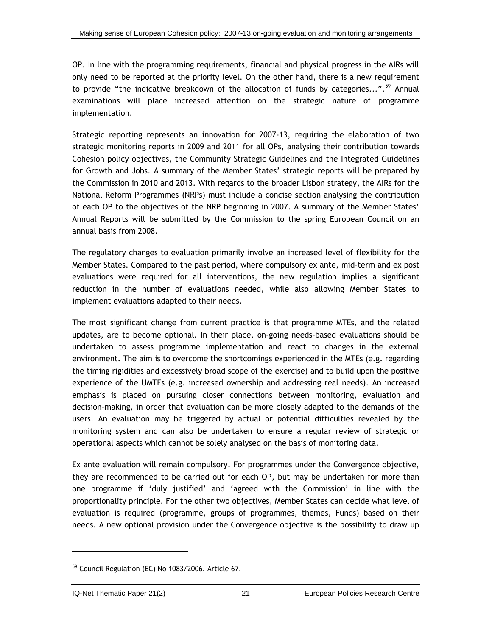<span id="page-47-0"></span>OP. In line with the programming requirements, financial and physical progress in the AIRs will only need to be reported at the priority level. On the other hand, there is a new requirement to provide "the indicative breakdown of the allocation of funds by categories...".<sup>[5](#page-47-0)9</sup> Annual examinations will place increased attention on the strategic nature of programme implementation.

Strategic reporting represents an innovation for 2007-13, requiring the elaboration of two strategic monitoring reports in 2009 and 2011 for all OPs, analysing their contribution towards Cohesion policy objectives, the Community Strategic Guidelines and the Integrated Guidelines for Growth and Jobs. A summary of the Member States' strategic reports will be prepared by the Commission in 2010 and 2013. With regards to the broader Lisbon strategy, the AIRs for the National Reform Programmes (NRPs) must include a concise section analysing the contribution of each OP to the objectives of the NRP beginning in 2007. A summary of the Member States' Annual Reports will be submitted by the Commission to the spring European Council on an annual basis from 2008.

The regulatory changes to evaluation primarily involve an increased level of flexibility for the Member States. Compared to the past period, where compulsory ex ante, mid-term and ex post evaluations were required for all interventions, the new regulation implies a significant reduction in the number of evaluations needed, while also allowing Member States to implement evaluations adapted to their needs.

The most significant change from current practice is that programme MTEs, and the related updates, are to become optional. In their place, on-going needs-based evaluations should be undertaken to assess programme implementation and react to changes in the external environment. The aim is to overcome the shortcomings experienced in the MTEs (e.g. regarding the timing rigidities and excessively broad scope of the exercise) and to build upon the positive experience of the UMTEs (e.g. increased ownership and addressing real needs). An increased emphasis is placed on pursuing closer connections between monitoring, evaluation and decision-making, in order that evaluation can be more closely adapted to the demands of the users. An evaluation may be triggered by actual or potential difficulties revealed by the monitoring system and can also be undertaken to ensure a regular review of strategic or operational aspects which cannot be solely analysed on the basis of monitoring data.

Ex ante evaluation will remain compulsory. For programmes under the Convergence objective, they are recommended to be carried out for each OP, but may be undertaken for more than one programme if 'duly justified' and 'agreed with the Commission' in line with the proportionality principle. For the other two objectives, Member States can decide what level of evaluation is required (programme, groups of programmes, themes, Funds) based on their needs. A new optional provision under the Convergence objective is the possibility to draw up

<sup>59</sup> Council Regulation (EC) No 1083/2006, Article 67.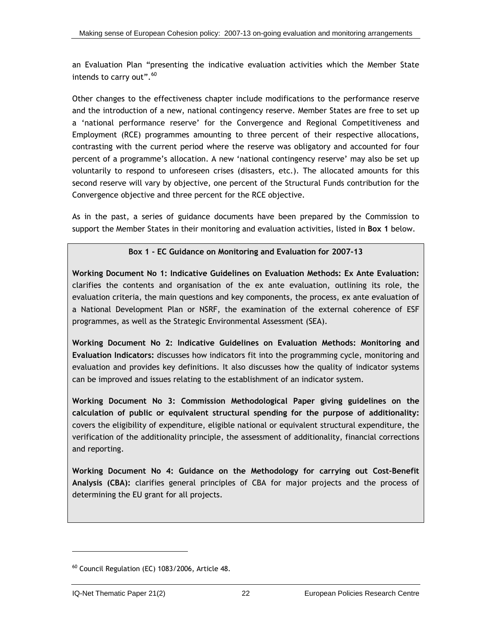<span id="page-48-0"></span>an Evaluation Plan "presenting the indicative evaluation activities which the Member State intends to carry out".<sup>[60](#page-48-0)</sup>

Other changes to the effectiveness chapter include modifications to the performance reserve and the introduction of a new, national contingency reserve. Member States are free to set up a 'national performance reserve' for the Convergence and Regional Competitiveness and Employment (RCE) programmes amounting to three percent of their respective allocations, contrasting with the current period where the reserve was obligatory and accounted for four percent of a programme's allocation. A new 'national contingency reserve' may also be set up voluntarily to respond to unforeseen crises (disasters, etc.). The allocated amounts for this second reserve will vary by objective, one percent of the Structural Funds contribution for the Convergence objective and three percent for the RCE objective.

As in the past, a series of guidance documents have been prepared by the Commission to support the Member States in their monitoring and evaluation activities, listed in **[Box 1](#page-48-0)** below.

#### **Box 1 - EC Guidance on Monitoring and Evaluation for 2007-13**

**Working Document No 1: Indicative Guidelines on Evaluation Methods: Ex Ante Evaluation:**  clarifies the contents and organisation of the ex ante evaluation, outlining its role, the evaluation criteria, the main questions and key components, the process, ex ante evaluation of a National Development Plan or NSRF, the examination of the external coherence of ESF programmes, as well as the Strategic Environmental Assessment (SEA).

**Working Document No 2: Indicative Guidelines on Evaluation Methods: Monitoring and Evaluation Indicators:** discusses how indicators fit into the programming cycle, monitoring and evaluation and provides key definitions. It also discusses how the quality of indicator systems can be improved and issues relating to the establishment of an indicator system.

**Working Document No 3: Commission Methodological Paper giving guidelines on the calculation of public or equivalent structural spending for the purpose of additionality:**  covers the eligibility of expenditure, eligible national or equivalent structural expenditure, the verification of the additionality principle, the assessment of additionality, financial corrections and reporting.

**Working Document No 4: Guidance on the Methodology for carrying out Cost-Benefit Analysis (CBA):** clarifies general principles of CBA for major projects and the process of determining the EU grant for all projects.

l

 $60$  Council Regulation (EC) 1083/2006, Article 48.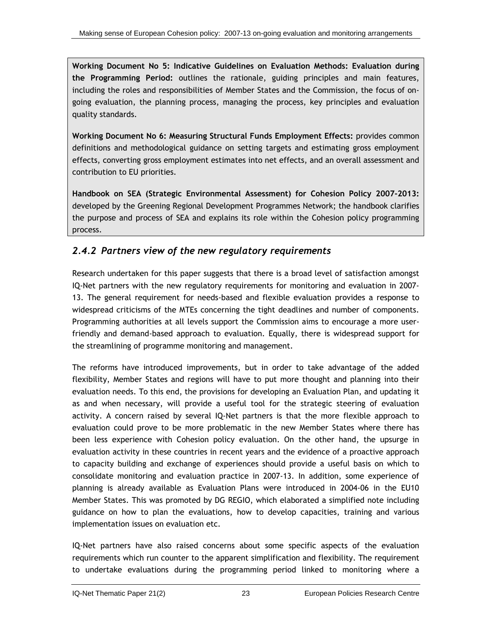**Working Document No 5: Indicative Guidelines on Evaluation Methods: Evaluation during the Programming Period:** outlines the rationale, guiding principles and main features, including the roles and responsibilities of Member States and the Commission, the focus of ongoing evaluation, the planning process, managing the process, key principles and evaluation quality standards.

**Working Document No 6: Measuring Structural Funds Employment Effects:** provides common definitions and methodological guidance on setting targets and estimating gross employment effects, converting gross employment estimates into net effects, and an overall assessment and contribution to EU priorities.

**Handbook on SEA (Strategic Environmental Assessment) for Cohesion Policy 2007-2013:**  developed by the Greening Regional Development Programmes Network; the handbook clarifies the purpose and process of SEA and explains its role within the Cohesion policy programming process.

### *2.4.2 Partners view of the new regulatory requirements*

Research undertaken for this paper suggests that there is a broad level of satisfaction amongst IQ-Net partners with the new regulatory requirements for monitoring and evaluation in 2007- 13. The general requirement for needs-based and flexible evaluation provides a response to widespread criticisms of the MTEs concerning the tight deadlines and number of components. Programming authorities at all levels support the Commission aims to encourage a more userfriendly and demand-based approach to evaluation. Equally, there is widespread support for the streamlining of programme monitoring and management.

The reforms have introduced improvements, but in order to take advantage of the added flexibility, Member States and regions will have to put more thought and planning into their evaluation needs. To this end, the provisions for developing an Evaluation Plan, and updating it as and when necessary, will provide a useful tool for the strategic steering of evaluation activity. A concern raised by several IQ-Net partners is that the more flexible approach to evaluation could prove to be more problematic in the new Member States where there has been less experience with Cohesion policy evaluation. On the other hand, the upsurge in evaluation activity in these countries in recent years and the evidence of a proactive approach to capacity building and exchange of experiences should provide a useful basis on which to consolidate monitoring and evaluation practice in 2007-13. In addition, some experience of planning is already available as Evaluation Plans were introduced in 2004-06 in the EU10 Member States. This was promoted by DG REGIO, which elaborated a simplified note including guidance on how to plan the evaluations, how to develop capacities, training and various implementation issues on evaluation etc.

IQ-Net partners have also raised concerns about some specific aspects of the evaluation requirements which run counter to the apparent simplification and flexibility. The requirement to undertake evaluations during the programming period linked to monitoring where a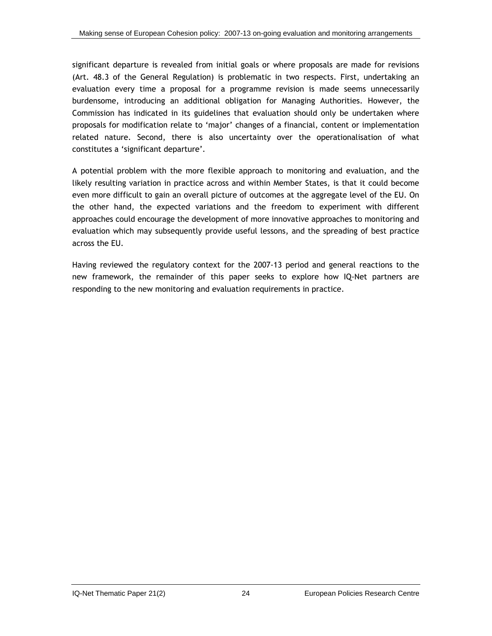significant departure is revealed from initial goals or where proposals are made for revisions (Art. 48.3 of the General Regulation) is problematic in two respects. First, undertaking an evaluation every time a proposal for a programme revision is made seems unnecessarily burdensome, introducing an additional obligation for Managing Authorities. However, the Commission has indicated in its guidelines that evaluation should only be undertaken where proposals for modification relate to 'major' changes of a financial, content or implementation related nature. Second, there is also uncertainty over the operationalisation of what constitutes a 'significant departure'.

A potential problem with the more flexible approach to monitoring and evaluation, and the likely resulting variation in practice across and within Member States, is that it could become even more difficult to gain an overall picture of outcomes at the aggregate level of the EU. On the other hand, the expected variations and the freedom to experiment with different approaches could encourage the development of more innovative approaches to monitoring and evaluation which may subsequently provide useful lessons, and the spreading of best practice across the EU.

Having reviewed the regulatory context for the 2007-13 period and general reactions to the new framework, the remainder of this paper seeks to explore how IQ-Net partners are responding to the new monitoring and evaluation requirements in practice.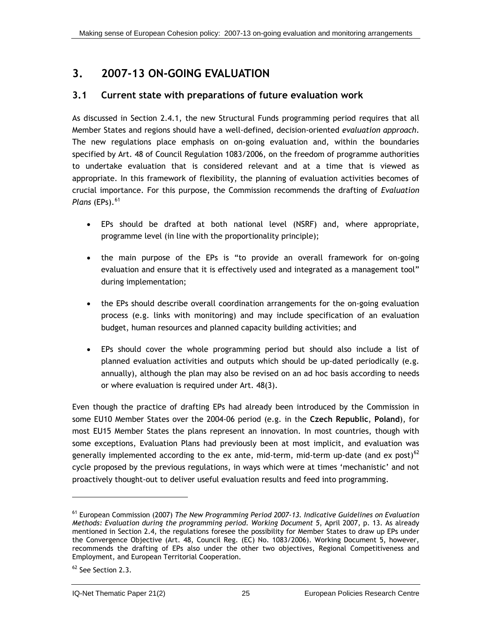# <span id="page-51-0"></span>**3. 2007-13 ON-GOING EVALUATION**

### **3.1 Current state with preparations of future evaluation work**

As discussed in Section [2.4.1,](#page-46-0) the new Structural Funds programming period requires that all Member States and regions should have a well-defined, decision-oriented *evaluation approach*. The new regulations place emphasis on on-going evaluation and, within the boundaries specified by Art. 48 of Council Regulation 1083/2006, on the freedom of programme authorities to undertake evaluation that is considered relevant and at a time that is viewed as appropriate. In this framework of flexibility, the planning of evaluation activities becomes of crucial importance. For this purpose, the Commission recommends the drafting of *Evaluation Plans* (EPs).<sup>[6](#page-51-0)1</sup>

- EPs should be drafted at both national level (NSRF) and, where appropriate, programme level (in line with the proportionality principle);
- the main purpose of the EPs is "to provide an overall framework for on-going evaluation and ensure that it is effectively used and integrated as a management tool" during implementation;
- the EPs should describe overall coordination arrangements for the on-going evaluation process (e.g. links with monitoring) and may include specification of an evaluation budget, human resources and planned capacity building activities; and
- EPs should cover the whole programming period but should also include a list of planned evaluation activities and outputs which should be up-dated periodically (e.g. annually), although the plan may also be revised on an ad hoc basis according to needs or where evaluation is required under Art. 48(3).

Even though the practice of drafting EPs had already been introduced by the Commission in some EU10 Member States over the 2004-06 period (e.g. in the **Czech Republic**, **Poland**), for most EU15 Member States the plans represent an innovation. In most countries, though with some exceptions, Evaluation Plans had previously been at most implicit, and evaluation was generally implemented according to the ex ante, mid-term, mid-term up-date (and ex post) $62$ cycle proposed by the previous regulations, in ways which were at times 'mechanistic' and not proactively thought-out to deliver useful evaluation results and feed into programming.

<sup>61</sup> European Commission (2007) *The New Programming Period 2007-13. Indicative Guidelines on Evaluation Methods: Evaluation during the programming period. Working Document 5*, April 2007, p. 13. As already mentioned in Section 2.4, the regulations foresee the possibility for Member States to draw up EPs under the Convergence Objective (Art. 48, Council Reg. (EC) No. 1083/2006). Working Document 5, however, recommends the drafting of EPs also under the other two objectives, Regional Competitiveness and Employment, and European Territorial Cooperation.

<sup>&</sup>lt;sup>62</sup> See Section 2.3.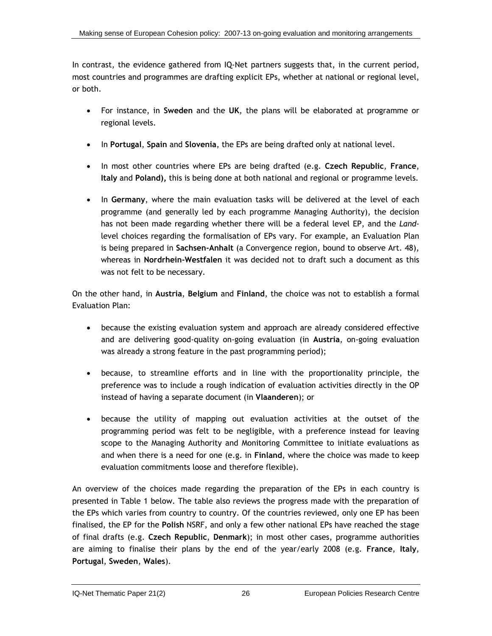In contrast, the evidence gathered from IQ-Net partners suggests that, in the current period, most countries and programmes are drafting explicit EPs, whether at national or regional level, or both.

- For instance, in **Sweden** and the **UK**, the plans will be elaborated at programme or regional levels.
- In **Portugal**, **Spain** and **Slovenia**, the EPs are being drafted only at national level.
- In most other countries where EPs are being drafted (e.g. **Czech Republic**, **France**, **Italy** and **Poland),** this is being done at both national and regional or programme levels.
- In **Germany**, where the main evaluation tasks will be delivered at the level of each programme (and generally led by each programme Managing Authority), the decision has not been made regarding whether there will be a federal level EP, and the *Land*level choices regarding the formalisation of EPs vary. For example, an Evaluation Plan is being prepared in **Sachsen-Anhalt** (a Convergence region, bound to observe Art. 48), whereas in **Nordrhein-Westfalen** it was decided not to draft such a document as this was not felt to be necessary.

On the other hand, in **Austria**, **Belgium** and **Finland**, the choice was not to establish a formal Evaluation Plan:

- because the existing evaluation system and approach are already considered effective and are delivering good-quality on-going evaluation (in **Austria**, on-going evaluation was already a strong feature in the past programming period);
- because, to streamline efforts and in line with the proportionality principle, the preference was to include a rough indication of evaluation activities directly in the OP instead of having a separate document (in **Vlaanderen**); or
- because the utility of mapping out evaluation activities at the outset of the programming period was felt to be negligible, with a preference instead for leaving scope to the Managing Authority and Monitoring Committee to initiate evaluations as and when there is a need for one (e.g. in **Finland**, where the choice was made to keep evaluation commitments loose and therefore flexible).

An overview of the choices made regarding the preparation of the EPs in each country is presented in [Table 1](#page-53-0) below. The table also reviews the progress made with the preparation of the EPs which varies from country to country. Of the countries reviewed, only one EP has been finalised, the EP for the **Polish** NSRF, and only a few other national EPs have reached the stage of final drafts (e.g. **Czech Republic**, **Denmark**); in most other cases, programme authorities are aiming to finalise their plans by the end of the year/early 2008 (e.g. **France**, **Italy**, **Portugal**, **Sweden**, **Wales**).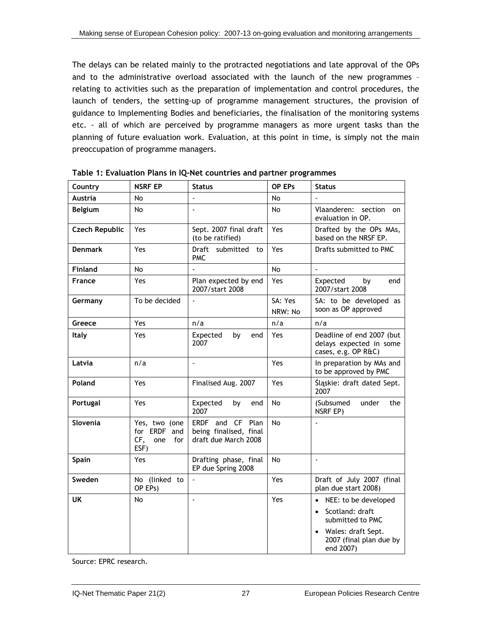<span id="page-53-0"></span>The delays can be related mainly to the protracted negotiations and late approval of the OPs and to the administrative overload associated with the launch of the new programmes – relating to activities such as the preparation of implementation and control procedures, the launch of tenders, the setting-up of programme management structures, the provision of guidance to Implementing Bodies and beneficiaries, the finalisation of the monitoring systems etc. - all of which are perceived by programme managers as more urgent tasks than the planning of future evaluation work. Evaluation, at this point in time, is simply not the main preoccupation of programme managers.

| Country               | <b>NSRF EP</b>                                                | <b>Status</b>                                                      | OP EP <sub>s</sub> | <b>Status</b>                                                               |
|-----------------------|---------------------------------------------------------------|--------------------------------------------------------------------|--------------------|-----------------------------------------------------------------------------|
| <b>Austria</b>        | No                                                            |                                                                    | No                 |                                                                             |
| Belgium               | No                                                            | ÷,                                                                 | No                 | Vlaanderen:<br>section<br>on<br>evaluation in OP.                           |
| <b>Czech Republic</b> | Yes                                                           | Sept. 2007 final draft<br>(to be ratified)                         | Yes                | Drafted by the OPs MAs,<br>based on the NRSF EP.                            |
| <b>Denmark</b>        | Yes                                                           | Draft submitted<br>to<br><b>PMC</b>                                | Yes                | Drafts submitted to PMC                                                     |
| <b>Finland</b>        | No                                                            |                                                                    | No                 |                                                                             |
| France                | Yes                                                           | Plan expected by end<br>2007/start 2008                            | Yes.               | Expected<br>by<br>end<br>2007/start 2008                                    |
| Germany               | To be decided                                                 | $\overline{a}$                                                     | SA: Yes<br>NRW: No | SA: to be developed as<br>soon as OP approved                               |
| Greece                | Yes                                                           | n/a                                                                | n/a                | n/a                                                                         |
| Italy                 | Yes                                                           | Expected<br>by<br>end<br>2007                                      | Yes                | Deadline of end 2007 (but<br>delays expected in some<br>cases, e.g. OP R&C) |
| Latvia                | n/a                                                           |                                                                    | Yes                | In preparation by MAs and<br>to be approved by PMC                          |
| Poland                | Yes                                                           | Finalised Aug. 2007                                                | Yes                | Śląskie: draft dated Sept.<br>2007                                          |
| Portugal              | Yes                                                           | Expected<br>bv<br>end<br>2007                                      | No                 | (Subsumed<br>under<br>the<br>NSRF EP)                                       |
| Slovenia              | Yes, two (one<br>for ERDF<br>and<br>CF,<br>one<br>for<br>ESF) | ERDF and CF Plan<br>being finalised, final<br>draft due March 2008 | No                 |                                                                             |
| Spain                 | Yes                                                           | Drafting phase, final<br>EP due Spring 2008                        | <b>No</b>          | ä,                                                                          |
| Sweden                | No (linked to<br>OP EPs)                                      | $\Box$                                                             | <b>Yes</b>         | Draft of July 2007 (final<br>plan due start 2008)                           |
| UK                    | No                                                            | L.                                                                 | Yes                | • NEE: to be developed                                                      |
|                       |                                                               |                                                                    |                    | Scotland: draft<br>$\bullet$<br>submitted to PMC                            |
|                       |                                                               |                                                                    |                    | Wales: draft Sept.<br>2007 (final plan due by<br>end 2007)                  |

**Table 1: Evaluation Plans in IQ-Net countries and partner programmes** 

Source: EPRC research.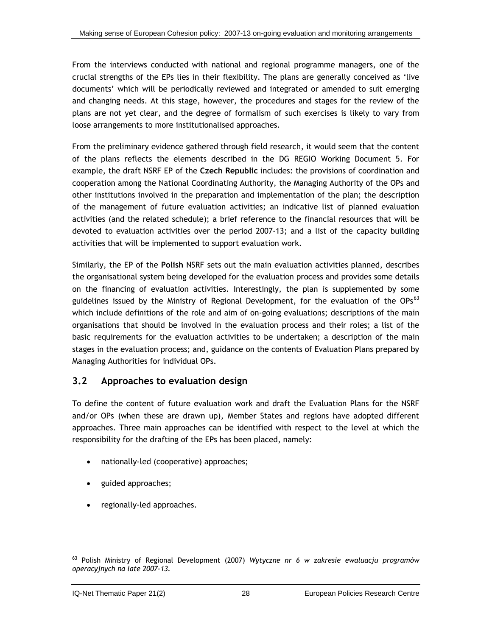<span id="page-54-0"></span>From the interviews conducted with national and regional programme managers, one of the crucial strengths of the EPs lies in their flexibility. The plans are generally conceived as 'live documents' which will be periodically reviewed and integrated or amended to suit emerging and changing needs. At this stage, however, the procedures and stages for the review of the plans are not yet clear, and the degree of formalism of such exercises is likely to vary from loose arrangements to more institutionalised approaches.

From the preliminary evidence gathered through field research, it would seem that the content of the plans reflects the elements described in the DG REGIO Working Document 5. For example, the draft NSRF EP of the **Czech Republic** includes: the provisions of coordination and cooperation among the National Coordinating Authority, the Managing Authority of the OPs and other institutions involved in the preparation and implementation of the plan; the description of the management of future evaluation activities; an indicative list of planned evaluation activities (and the related schedule); a brief reference to the financial resources that will be devoted to evaluation activities over the period 2007-13; and a list of the capacity building activities that will be implemented to support evaluation work.

Similarly, the EP of the **Polish** NSRF sets out the main evaluation activities planned, describes the organisational system being developed for the evaluation process and provides some details on the financing of evaluation activities. Interestingly, the plan is supplemented by some guidelines issued by the Ministry of Regional Development, for the evaluation of the OPs $^{63}$  $^{63}$  $^{63}$ which include definitions of the role and aim of on-going evaluations; descriptions of the main organisations that should be involved in the evaluation process and their roles; a list of the basic requirements for the evaluation activities to be undertaken; a description of the main stages in the evaluation process; and, guidance on the contents of Evaluation Plans prepared by Managing Authorities for individual OPs.

### **3.2 Approaches to evaluation design**

To define the content of future evaluation work and draft the Evaluation Plans for the NSRF and/or OPs (when these are drawn up), Member States and regions have adopted different approaches. Three main approaches can be identified with respect to the level at which the responsibility for the drafting of the EPs has been placed, namely:

- nationally-led (cooperative) approaches;
- guided approaches;
- regionally-led approaches.

<sup>63</sup> Polish Ministry of Regional Development (2007) *Wytyczne nr 6 w zakresie ewaluacju programów operacyjnych na late 2007-13.*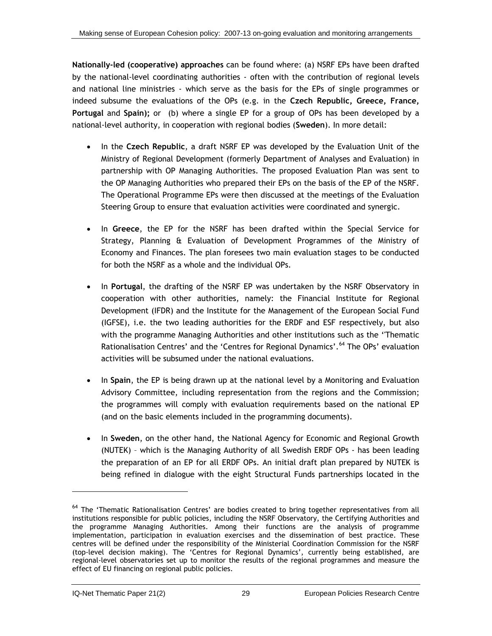<span id="page-55-0"></span>**Nationally-led (cooperative) approaches** can be found where: (a) NSRF EPs have been drafted by the national-level coordinating authorities - often with the contribution of regional levels and national line ministries - which serve as the basis for the EPs of single programmes or indeed subsume the evaluations of the OPs (e.g. in the **Czech Republic, Greece, France, Portugal** and **Spain);** or (b) where a single EP for a group of OPs has been developed by a national-level authority, in cooperation with regional bodies (**Sweden**). In more detail:

- In the **Czech Republic**, a draft NSRF EP was developed by the Evaluation Unit of the Ministry of Regional Development (formerly Department of Analyses and Evaluation) in partnership with OP Managing Authorities. The proposed Evaluation Plan was sent to the OP Managing Authorities who prepared their EPs on the basis of the EP of the NSRF. The Operational Programme EPs were then discussed at the meetings of the Evaluation Steering Group to ensure that evaluation activities were coordinated and synergic.
- In **Greece**, the EP for the NSRF has been drafted within the Special Service for Strategy, Planning & Evaluation of Development Programmes of the Ministry of Economy and Finances. The plan foresees two main evaluation stages to be conducted for both the NSRF as a whole and the individual OPs.
- In **Portugal**, the drafting of the NSRF EP was undertaken by the NSRF Observatory in cooperation with other authorities, namely: the Financial Institute for Regional Development (IFDR) and the Institute for the Management of the European Social Fund (IGFSE), i.e. the two leading authorities for the ERDF and ESF respectively, but also with the programme Managing Authorities and other institutions such as the ''Thematic Rationalisation Centres' and the 'Centres for Regional Dynamics'.<sup>[64](#page-55-0)</sup> The OPs' evaluation activities will be subsumed under the national evaluations.
- In **Spain**, the EP is being drawn up at the national level by a Monitoring and Evaluation Advisory Committee, including representation from the regions and the Commission; the programmes will comply with evaluation requirements based on the national EP (and on the basic elements included in the programming documents).
- In **Sweden**, on the other hand, the National Agency for Economic and Regional Growth (NUTEK) – which is the Managing Authority of all Swedish ERDF OPs - has been leading the preparation of an EP for all ERDF OPs. An initial draft plan prepared by NUTEK is being refined in dialogue with the eight Structural Funds partnerships located in the

 $\overline{a}$ 

<sup>&</sup>lt;sup>64</sup> The 'Thematic Rationalisation Centres' are bodies created to bring together representatives from all institutions responsible for public policies, including the NSRF Observatory, the Certifying Authorities and the programme Managing Authorities. Among their functions are the analysis of programme implementation, participation in evaluation exercises and the dissemination of best practice. These centres will be defined under the responsibility of the Ministerial Coordination Commission for the NSRF (top-level decision making). The 'Centres for Regional Dynamics', currently being established, are regional-level observatories set up to monitor the results of the regional programmes and measure the effect of EU financing on regional public policies.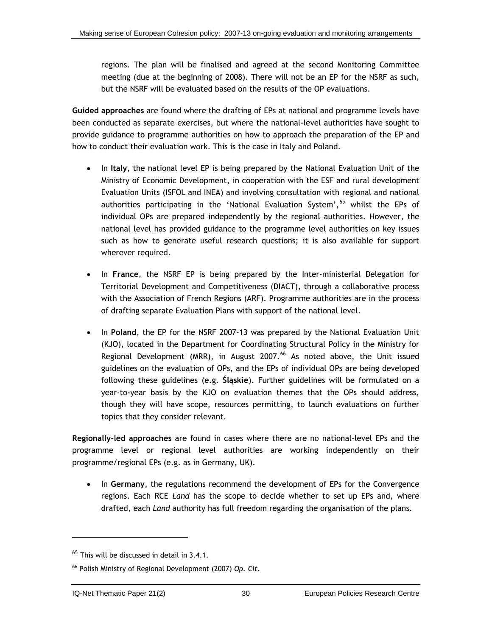<span id="page-56-0"></span>regions. The plan will be finalised and agreed at the second Monitoring Committee meeting (due at the beginning of 2008). There will not be an EP for the NSRF as such, but the NSRF will be evaluated based on the results of the OP evaluations.

**Guided approaches** are found where the drafting of EPs at national and programme levels have been conducted as separate exercises, but where the national-level authorities have sought to provide guidance to programme authorities on how to approach the preparation of the EP and how to conduct their evaluation work. This is the case in Italy and Poland.

- In **Italy**, the national level EP is being prepared by the National Evaluation Unit of the Ministry of Economic Development, in cooperation with the ESF and rural development Evaluation Units (ISFOL and INEA) and involving consultation with regional and national authorities participating in the 'National Evaluation System', <sup>[6](#page-56-0)5</sup> whilst the EPs of individual OPs are prepared independently by the regional authorities. However, the national level has provided guidance to the programme level authorities on key issues such as how to generate useful research questions; it is also available for support wherever required.
- In **France**, the NSRF EP is being prepared by the Inter-ministerial Delegation for Territorial Development and Competitiveness (DIACT), through a collaborative process with the Association of French Regions (ARF). Programme authorities are in the process of drafting separate Evaluation Plans with support of the national level.
- In **Poland**, the EP for the NSRF 2007-13 was prepared by the National Evaluation Unit (KJO), located in the Department for Coordinating Structural Policy in the Ministry for Regional Development (MRR), in August 2007. $^{66}$  $^{66}$  $^{66}$  As noted above, the Unit issued guidelines on the evaluation of OPs, and the EPs of individual OPs are being developed following these guidelines (e.g. **Śląskie**). Further guidelines will be formulated on a year-to-year basis by the KJO on evaluation themes that the OPs should address, though they will have scope, resources permitting, to launch evaluations on further topics that they consider relevant.

**Regionally-led approaches** are found in cases where there are no national-level EPs and the programme level or regional level authorities are working independently on their programme/regional EPs (e.g. as in Germany, UK).

• In **Germany**, the regulations recommend the development of EPs for the Convergence regions. Each RCE *Land* has the scope to decide whether to set up EPs and, where drafted, each *Land* authority has full freedom regarding the organisation of the plans.

l

 $65$  This will be discussed in detail in 3.4.1.

<sup>66</sup> Polish Ministry of Regional Development (2007) *Op. Cit*.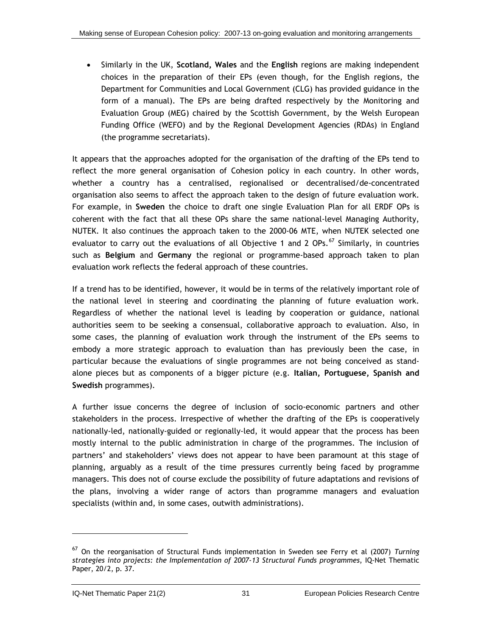<span id="page-57-0"></span>• Similarly in the UK, **Scotland, Wales** and the **English** regions are making independent choices in the preparation of their EPs (even though, for the English regions, the Department for Communities and Local Government (CLG) has provided guidance in the form of a manual). The EPs are being drafted respectively by the Monitoring and Evaluation Group (MEG) chaired by the Scottish Government, by the Welsh European Funding Office (WEFO) and by the Regional Development Agencies (RDAs) in England (the programme secretariats).

It appears that the approaches adopted for the organisation of the drafting of the EPs tend to reflect the more general organisation of Cohesion policy in each country. In other words, whether a country has a centralised, regionalised or decentralised/de-concentrated organisation also seems to affect the approach taken to the design of future evaluation work. For example, in **Sweden** the choice to draft one single Evaluation Plan for all ERDF OPs is coherent with the fact that all these OPs share the same national-level Managing Authority, NUTEK. It also continues the approach taken to the 2000-06 MTE, when NUTEK selected one evaluator to carry out the evaluations of all Objective 1 and 2 OPs.<sup>[67](#page-57-0)</sup> Similarly, in countries such as **Belgium** and **Germany** the regional or programme-based approach taken to plan evaluation work reflects the federal approach of these countries.

If a trend has to be identified, however, it would be in terms of the relatively important role of the national level in steering and coordinating the planning of future evaluation work. Regardless of whether the national level is leading by cooperation or guidance, national authorities seem to be seeking a consensual, collaborative approach to evaluation. Also, in some cases, the planning of evaluation work through the instrument of the EPs seems to embody a more strategic approach to evaluation than has previously been the case, in particular because the evaluations of single programmes are not being conceived as standalone pieces but as components of a bigger picture (e.g. **Italian, Portuguese, Spanish and Swedish** programmes).

A further issue concerns the degree of inclusion of socio-economic partners and other stakeholders in the process. Irrespective of whether the drafting of the EPs is cooperatively nationally-led, nationally-guided or regionally-led, it would appear that the process has been mostly internal to the public administration in charge of the programmes. The inclusion of partners' and stakeholders' views does not appear to have been paramount at this stage of planning, arguably as a result of the time pressures currently being faced by programme managers. This does not of course exclude the possibility of future adaptations and revisions of the plans, involving a wider range of actors than programme managers and evaluation specialists (within and, in some cases, outwith administrations).

<sup>67</sup> On the reorganisation of Structural Funds implementation in Sweden see Ferry et al (2007) *Turning strategies into projects: the Implementation of 2007-13 Structural Funds programmes*, IQ-Net Thematic Paper, 20/2, p. 37.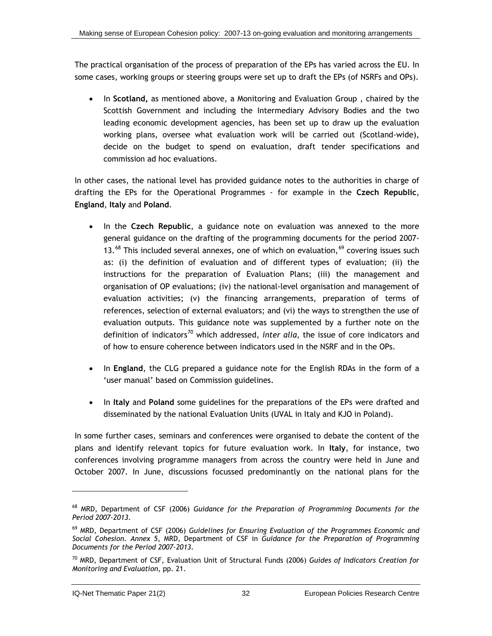<span id="page-58-0"></span>The practical organisation of the process of preparation of the EPs has varied across the EU. In some cases, working groups or steering groups were set up to draft the EPs (of NSRFs and OPs).

• In **Scotland,** as mentioned above, a Monitoring and Evaluation Group , chaired by the Scottish Government and including the Intermediary Advisory Bodies and the two leading economic development agencies, has been set up to draw up the evaluation working plans, oversee what evaluation work will be carried out (Scotland-wide), decide on the budget to spend on evaluation, draft tender specifications and commission ad hoc evaluations.

In other cases, the national level has provided guidance notes to the authorities in charge of drafting the EPs for the Operational Programmes - for example in the **Czech Republic**, **England**, **Italy** and **Poland**.

- In the **Czech Republic**, a guidance note on evaluation was annexed to the more general guidance on the drafting of the programming documents for the period 2007- 13. $^{68}$  $^{68}$  $^{68}$  This included several annexes, one of which on evaluation,  $^{69}$  $^{69}$  $^{69}$  covering issues such as: (i) the definition of evaluation and of different types of evaluation; (ii) the instructions for the preparation of Evaluation Plans; (iii) the management and organisation of OP evaluations; (iv) the national-level organisation and management of evaluation activities; (v) the financing arrangements, preparation of terms of references, selection of external evaluators; and (vi) the ways to strengthen the use of evaluation outputs. This guidance note was supplemented by a further note on the definition of indicators<sup>[7](#page-58-0)0</sup> which addressed, *inter alia*, the issue of core indicators and of how to ensure coherence between indicators used in the NSRF and in the OPs.
- In **England**, the CLG prepared a guidance note for the English RDAs in the form of a 'user manual' based on Commission guidelines.
- In **Italy** and **Poland** some guidelines for the preparations of the EPs were drafted and disseminated by the national Evaluation Units (UVAL in Italy and KJO in Poland).

In some further cases, seminars and conferences were organised to debate the content of the plans and identify relevant topics for future evaluation work. In **Italy**, for instance, two conferences involving programme managers from across the country were held in June and October 2007. In June, discussions focussed predominantly on the national plans for the

 $\overline{a}$ 

<sup>68</sup> MRD, Department of CSF (2006) *Guidance for the Preparation of Programming Documents for the Period 2007-2013*.

<sup>69</sup> MRD, Department of CSF (2006) *Guidelines for Ensuring Evaluation of the Programmes Economic and Social Cohesion. Annex 5*, MRD, Department of CSF in *Guidance for the Preparation of Programming Documents for the Period 2007-2013*.

<sup>70</sup> MRD, Department of CSF, Evaluation Unit of Structural Funds (2006) *Guides of Indicators Creation for Monitoring and Evaluation*, pp. 21.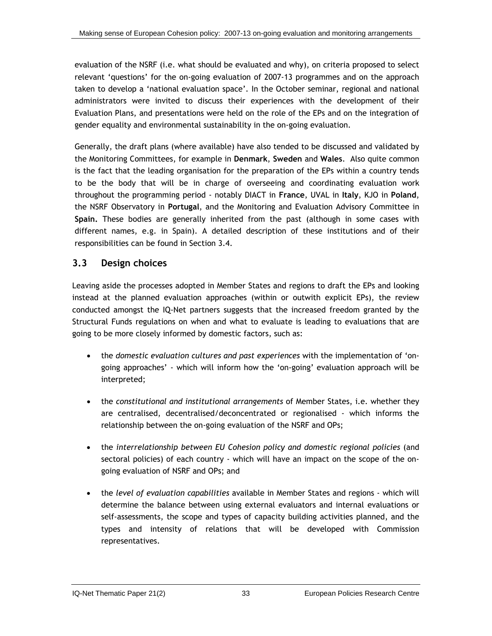evaluation of the NSRF (i.e. what should be evaluated and why), on criteria proposed to select relevant 'questions' for the on-going evaluation of 2007-13 programmes and on the approach taken to develop a 'national evaluation space'. In the October seminar, regional and national administrators were invited to discuss their experiences with the development of their Evaluation Plans, and presentations were held on the role of the EPs and on the integration of gender equality and environmental sustainability in the on-going evaluation.

Generally, the draft plans (where available) have also tended to be discussed and validated by the Monitoring Committees, for example in **Denmark**, **Sweden** and **Wales**. Also quite common is the fact that the leading organisation for the preparation of the EPs within a country tends to be the body that will be in charge of overseeing and coordinating evaluation work throughout the programming period - notably DIACT in **France**, UVAL in **Italy**, KJO in **Poland**, the NSRF Observatory in **Portugal**, and the Monitoring and Evaluation Advisory Committee in **Spain.** These bodies are generally inherited from the past (although in some cases with different names, e.g. in Spain). A detailed description of these institutions and of their responsibilities can be found in Section [3.4.](#page-83-0)

### **3.3 Design choices**

Leaving aside the processes adopted in Member States and regions to draft the EPs and looking instead at the planned evaluation approaches (within or outwith explicit EPs), the review conducted amongst the IQ-Net partners suggests that the increased freedom granted by the Structural Funds regulations on when and what to evaluate is leading to evaluations that are going to be more closely informed by domestic factors, such as:

- the *domestic evaluation cultures and past experiences* with the implementation of 'ongoing approaches' - which will inform how the 'on-going' evaluation approach will be interpreted;
- the *constitutional and institutional arrangements* of Member States, i.e. whether they are centralised, decentralised/deconcentrated or regionalised - which informs the relationship between the on-going evaluation of the NSRF and OPs;
- the *interrelationship between EU Cohesion policy and domestic regional policies* (and sectoral policies) of each country - which will have an impact on the scope of the ongoing evaluation of NSRF and OPs; and
- the *level of evaluation capabilities* available in Member States and regions which will determine the balance between using external evaluators and internal evaluations or self-assessments, the scope and types of capacity building activities planned, and the types and intensity of relations that will be developed with Commission representatives.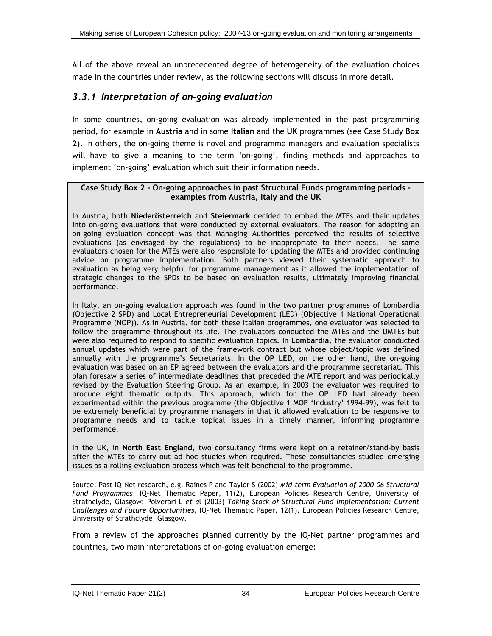<span id="page-60-0"></span>All of the above reveal an unprecedented degree of heterogeneity of the evaluation choices made in the countries under review, as the following sections will discuss in more detail.

### *3.3.1 Interpretation of on-going evaluation*

In some countries, on-going evaluation was already implemented in the past programming period, for example in **Austria** and in some **Italian** and the **UK** programmes (see [Case Study](#page-60-0) **Box [2](#page-60-0)**). In others, the on-going theme is novel and programme managers and evaluation specialists will have to give a meaning to the term 'on-going', finding methods and approaches to implement 'on-going' evaluation which suit their information needs.

#### **Case Study Box 2 - On-going approaches in past Structural Funds programming periods examples from Austria, Italy and the UK**

In Austria, both **Niederösterreich** and **Steiermark** decided to embed the MTEs and their updates into on-going evaluations that were conducted by external evaluators. The reason for adopting an on-going evaluation concept was that Managing Authorities perceived the results of selective evaluations (as envisaged by the regulations) to be inappropriate to their needs. The same evaluators chosen for the MTEs were also responsible for updating the MTEs and provided continuing advice on programme implementation. Both partners viewed their systematic approach to evaluation as being very helpful for programme management as it allowed the implementation of strategic changes to the SPDs to be based on evaluation results, ultimately improving financial performance.

In Italy, an on-going evaluation approach was found in the two partner programmes of Lombardia (Objective 2 SPD) and Local Entrepreneurial Development (LED) (Objective 1 National Operational Programme (NOP)). As in Austria, for both these Italian programmes, one evaluator was selected to follow the programme throughout its life. The evaluators conducted the MTEs and the UMTEs but were also required to respond to specific evaluation topics. In **Lombardia**, the evaluator conducted annual updates which were part of the framework contract but whose object/topic was defined annually with the programme's Secretariats. In the **OP LED**, on the other hand, the on-going evaluation was based on an EP agreed between the evaluators and the programme secretariat. This plan foresaw a series of intermediate deadlines that preceded the MTE report and was periodically revised by the Evaluation Steering Group. As an example, in 2003 the evaluator was required to produce eight thematic outputs. This approach, which for the OP LED had already been experimented within the previous programme (the Objective 1 MOP 'Industry' 1994-99), was felt to be extremely beneficial by programme managers in that it allowed evaluation to be responsive to programme needs and to tackle topical issues in a timely manner, informing programme performance.

In the UK, in **North East England**, two consultancy firms were kept on a retainer/stand-by basis after the MTEs to carry out ad hoc studies when required. These consultancies studied emerging issues as a rolling evaluation process which was felt beneficial to the programme.

Source: Past IQ-Net research, e.g. Raines P and Taylor S (2002) *Mid-term Evaluation of 2000-06 Structural Fund Programmes*, IQ-Net Thematic Paper, 11(2), European Policies Research Centre, University of Strathclyde, Glasgow; Polverari L *et a*l (2003) *Taking Stock of Structural Fund Implementation: Current Challenges and Future Opportunities*, IQ-Net Thematic Paper, 12(1), European Policies Research Centre, University of Strathclyde, Glasgow.

From a review of the approaches planned currently by the IQ-Net partner programmes and countries, two main interpretations of on-going evaluation emerge: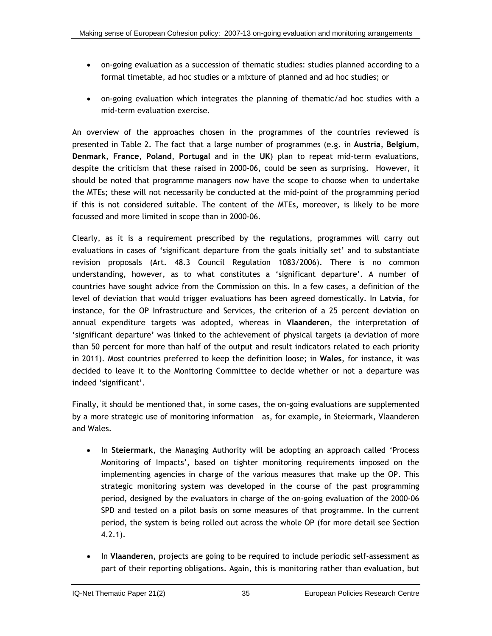- on-going evaluation as a succession of thematic studies: studies planned according to a formal timetable, ad hoc studies or a mixture of planned and ad hoc studies; or
- on-going evaluation which integrates the planning of thematic/ad hoc studies with a mid-term evaluation exercise.

An overview of the approaches chosen in the programmes of the countries reviewed is presented in [Table 2](#page-63-0). The fact that a large number of programmes (e.g. in **Austria**, **Belgium**, **Denmark**, **France**, **Poland**, **Portugal** and in the **UK**) plan to repeat mid-term evaluations, despite the criticism that these raised in 2000-06, could be seen as surprising. However, it should be noted that programme managers now have the scope to choose when to undertake the MTEs; these will not necessarily be conducted at the mid-point of the programming period if this is not considered suitable. The content of the MTEs, moreover, is likely to be more focussed and more limited in scope than in 2000-06.

Clearly, as it is a requirement prescribed by the regulations, programmes will carry out evaluations in cases of 'significant departure from the goals initially set' and to substantiate revision proposals (Art. 48.3 Council Regulation 1083/2006). There is no common understanding, however, as to what constitutes a 'significant departure'. A number of countries have sought advice from the Commission on this. In a few cases, a definition of the level of deviation that would trigger evaluations has been agreed domestically. In **Latvia**, for instance, for the OP Infrastructure and Services, the criterion of a 25 percent deviation on annual expenditure targets was adopted, whereas in **Vlaanderen**, the interpretation of 'significant departure' was linked to the achievement of physical targets (a deviation of more than 50 percent for more than half of the output and result indicators related to each priority in 2011). Most countries preferred to keep the definition loose; in **Wales**, for instance, it was decided to leave it to the Monitoring Committee to decide whether or not a departure was indeed 'significant'.

Finally, it should be mentioned that, in some cases, the on-going evaluations are supplemented by a more strategic use of monitoring information – as, for example, in Steiermark, Vlaanderen and Wales.

- In **Steiermark**, the Managing Authority will be adopting an approach called 'Process Monitoring of Impacts', based on tighter monitoring requirements imposed on the implementing agencies in charge of the various measures that make up the OP. This strategic monitoring system was developed in the course of the past programming period, designed by the evaluators in charge of the on-going evaluation of the 2000-06 SPD and tested on a pilot basis on some measures of that programme. In the current period, the system is being rolled out across the whole OP (for more detail see Section [4.2.1](#page-105-0)).
- In **Vlaanderen**, projects are going to be required to include periodic self-assessment as part of their reporting obligations. Again, this is monitoring rather than evaluation, but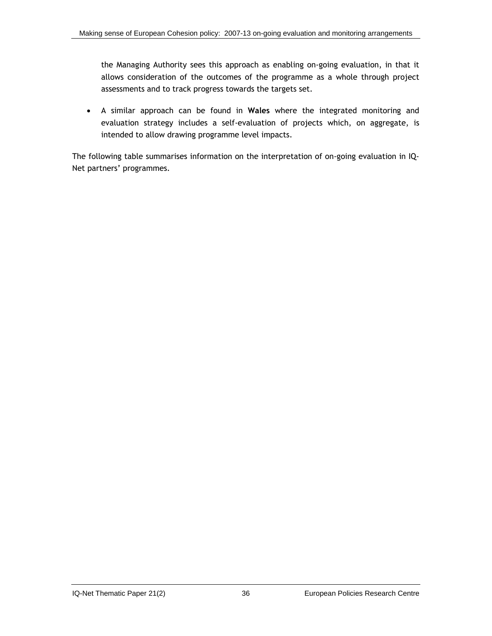the Managing Authority sees this approach as enabling on-going evaluation, in that it allows consideration of the outcomes of the programme as a whole through project assessments and to track progress towards the targets set.

• A similar approach can be found in **Wales** where the integrated monitoring and evaluation strategy includes a self-evaluation of projects which, on aggregate, is intended to allow drawing programme level impacts.

The following table summarises information on the interpretation of on-going evaluation in IQ-Net partners' programmes.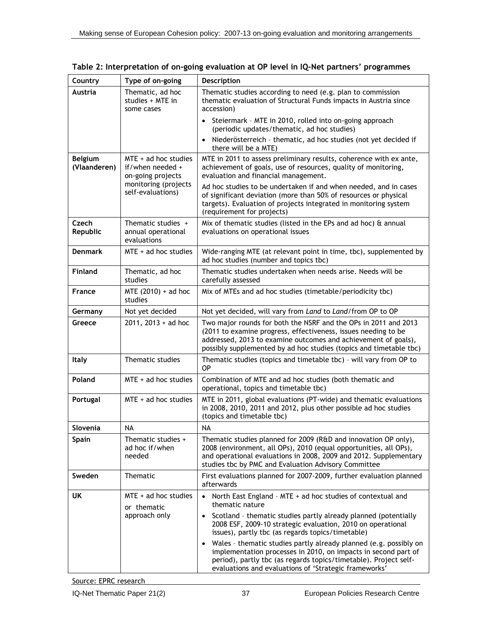| Country                        | Type of on-going                                                                                             | Description                                                                                                                                                                                                                                                                                                                                                                                                                                                                                                                                   |  |
|--------------------------------|--------------------------------------------------------------------------------------------------------------|-----------------------------------------------------------------------------------------------------------------------------------------------------------------------------------------------------------------------------------------------------------------------------------------------------------------------------------------------------------------------------------------------------------------------------------------------------------------------------------------------------------------------------------------------|--|
| Austria                        | Thematic, ad hoc<br>studies + MTE in<br>some cases                                                           | Thematic studies according to need (e.g. plan to commission<br>thematic evaluation of Structural Funds impacts in Austria since<br>accession)                                                                                                                                                                                                                                                                                                                                                                                                 |  |
|                                |                                                                                                              | • Steiermark - MTE in 2010, rolled into on-going approach<br>(periodic updates/thematic, ad hoc studies)                                                                                                                                                                                                                                                                                                                                                                                                                                      |  |
|                                |                                                                                                              | Niederösterreich - thematic, ad hoc studies (not yet decided if<br>there will be a MTE)                                                                                                                                                                                                                                                                                                                                                                                                                                                       |  |
| <b>Belgium</b><br>(Vlaanderen) | $MTE + ad hoc studies$<br>if/when needed +<br>on-going projects<br>monitoring (projects<br>self-evaluations) | MTE in 2011 to assess preliminary results, coherence with ex ante,<br>achievement of goals, use of resources, quality of monitoring,<br>evaluation and financial management.<br>Ad hoc studies to be undertaken if and when needed, and in cases<br>of significant deviation (more than 50% of resources or physical<br>targets). Evaluation of projects integrated in monitoring system                                                                                                                                                      |  |
| Czech<br>Republic              | Thematic studies +<br>annual operational<br>evaluations                                                      | (requirement for projects)<br>Mix of thematic studies (listed in the EPs and ad hoc) $\hat{a}$ annual<br>evaluations on operational issues                                                                                                                                                                                                                                                                                                                                                                                                    |  |
| <b>Denmark</b>                 | $MTE + ad hoc studies$                                                                                       | Wide-ranging MTE (at relevant point in time, tbc), supplemented by<br>ad hoc studies (number and topics tbc)                                                                                                                                                                                                                                                                                                                                                                                                                                  |  |
| <b>Finland</b>                 | Thematic, ad hoc<br>studies                                                                                  | Thematic studies undertaken when needs arise. Needs will be<br>carefully assessed                                                                                                                                                                                                                                                                                                                                                                                                                                                             |  |
| France                         | MTE (2010) + ad hoc<br>studies                                                                               | Mix of MTEs and ad hoc studies (timetable/periodicity tbc)                                                                                                                                                                                                                                                                                                                                                                                                                                                                                    |  |
| Germany                        | Not yet decided                                                                                              | Not yet decided, will vary from Land to Land/from OP to OP                                                                                                                                                                                                                                                                                                                                                                                                                                                                                    |  |
| Greece                         | $2011, 2013 + ad hoc$                                                                                        | Two major rounds for both the NSRF and the OPs in 2011 and 2013<br>(2011 to examine progress, effectiveness, issues needing to be<br>addressed, 2013 to examine outcomes and achievement of goals),<br>possibly supplemented by ad hoc studies (topics and timetable tbc)                                                                                                                                                                                                                                                                     |  |
| Italy                          | Thematic studies                                                                                             | Thematic studies (topics and timetable tbc) - will vary from OP to<br>OP                                                                                                                                                                                                                                                                                                                                                                                                                                                                      |  |
| Poland                         | $MTE + ad hoc studies$                                                                                       | Combination of MTE and ad hoc studies (both thematic and<br>operational, topics and timetable tbc)                                                                                                                                                                                                                                                                                                                                                                                                                                            |  |
| Portugal                       | $MTE + ad hoc studies$                                                                                       | MTE in 2011, global evaluations (PT-wide) and thematic evaluations<br>in 2008, 2010, 2011 and 2012, plus other possible ad hoc studies<br>(topics and timetable tbc)                                                                                                                                                                                                                                                                                                                                                                          |  |
| Slovenia                       | <b>NA</b>                                                                                                    | <b>NA</b>                                                                                                                                                                                                                                                                                                                                                                                                                                                                                                                                     |  |
| <b>Spain</b>                   | Thematic studies +<br>ad hoc if/when<br>needed                                                               | Thematic studies planned for 2009 (R&D and innovation OP only),<br>2008 (environment, all OPs), 2010 (equal opportunities, all OPs),<br>and operational evaluations in 2008, 2009 and 2012. Supplementary<br>studies tbc by PMC and Evaluation Advisory Committee                                                                                                                                                                                                                                                                             |  |
| Sweden                         | Thematic                                                                                                     | First evaluations planned for 2007-2009, further evaluation planned<br>afterwards                                                                                                                                                                                                                                                                                                                                                                                                                                                             |  |
| <b>UK</b>                      | $MTE + ad$ hoc studies<br>or thematic<br>approach only                                                       | • North East England - MTE + ad hoc studies of contextual and<br>thematic nature<br>• Scotland - thematic studies partly already planned (potentially<br>2008 ESF, 2009-10 strategic evaluation, 2010 on operational<br>issues), partly tbc (as regards topics/timetable)<br>Wales - thematic studies partly already planned (e.g. possibly on<br>implementation processes in 2010, on impacts in second part of<br>period), partly tbc (as regards topics/timetable). Project self-<br>evaluations and evaluations of 'Strategic frameworks' |  |

<span id="page-63-0"></span>

|  | Table 2: Interpretation of on-going evaluation at OP level in IQ-Net partners' programmes |  |  |
|--|-------------------------------------------------------------------------------------------|--|--|
|--|-------------------------------------------------------------------------------------------|--|--|

Source: EPRC research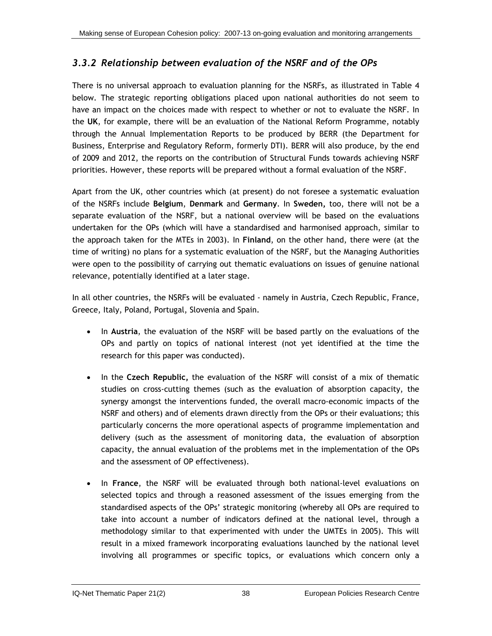### *3.3.2 Relationship between evaluation of the NSRF and of the OPs*

There is no universal approach to evaluation planning for the NSRFs, as illustrated in [Table 4](#page-68-0)  below. The strategic reporting obligations placed upon national authorities do not seem to have an impact on the choices made with respect to whether or not to evaluate the NSRF. In the **UK**, for example, there will be an evaluation of the National Reform Programme, notably through the Annual Implementation Reports to be produced by BERR (the Department for Business, Enterprise and Regulatory Reform, formerly DTI). BERR will also produce, by the end of 2009 and 2012, the reports on the contribution of Structural Funds towards achieving NSRF priorities. However, these reports will be prepared without a formal evaluation of the NSRF.

Apart from the UK, other countries which (at present) do not foresee a systematic evaluation of the NSRFs include **Belgium**, **Denmark** and **Germany**. In **Sweden,** too, there will not be a separate evaluation of the NSRF, but a national overview will be based on the evaluations undertaken for the OPs (which will have a standardised and harmonised approach, similar to the approach taken for the MTEs in 2003). In **Finland**, on the other hand, there were (at the time of writing) no plans for a systematic evaluation of the NSRF, but the Managing Authorities were open to the possibility of carrying out thematic evaluations on issues of genuine national relevance, potentially identified at a later stage.

In all other countries, the NSRFs will be evaluated - namely in Austria, Czech Republic, France, Greece, Italy, Poland, Portugal, Slovenia and Spain.

- In **Austria**, the evaluation of the NSRF will be based partly on the evaluations of the OPs and partly on topics of national interest (not yet identified at the time the research for this paper was conducted).
- In the **Czech Republic,** the evaluation of the NSRF will consist of a mix of thematic studies on cross-cutting themes (such as the evaluation of absorption capacity, the synergy amongst the interventions funded, the overall macro-economic impacts of the NSRF and others) and of elements drawn directly from the OPs or their evaluations; this particularly concerns the more operational aspects of programme implementation and delivery (such as the assessment of monitoring data, the evaluation of absorption capacity, the annual evaluation of the problems met in the implementation of the OPs and the assessment of OP effectiveness).
- In **France**, the NSRF will be evaluated through both national-level evaluations on selected topics and through a reasoned assessment of the issues emerging from the standardised aspects of the OPs' strategic monitoring (whereby all OPs are required to take into account a number of indicators defined at the national level, through a methodology similar to that experimented with under the UMTEs in 2005). This will result in a mixed framework incorporating evaluations launched by the national level involving all programmes or specific topics, or evaluations which concern only a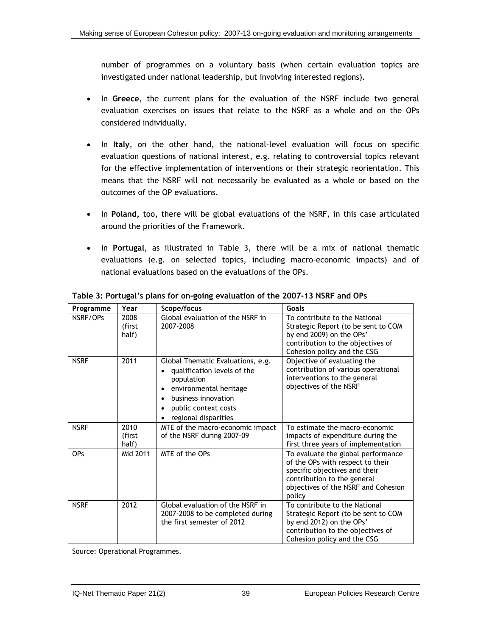<span id="page-65-0"></span>number of programmes on a voluntary basis (when certain evaluation topics are investigated under national leadership, but involving interested regions).

- In **Greece**, the current plans for the evaluation of the NSRF include two general evaluation exercises on issues that relate to the NSRF as a whole and on the OPs considered individually.
- In **Italy**, on the other hand, the national-level evaluation will focus on specific evaluation questions of national interest, e.g. relating to controversial topics relevant for the effective implementation of interventions or their strategic reorientation. This means that the NSRF will not necessarily be evaluated as a whole or based on the outcomes of the OP evaluations.
- In **Poland,** too**,** there will be global evaluations of the NSRF, in this case articulated around the priorities of the Framework.
- In **Portugal**, as illustrated in [Table 3](#page-65-0), there will be a mix of national thematic evaluations (e.g. on selected topics, including macro-economic impacts) and of national evaluations based on the evaluations of the OPs.

| Programme   | Year                    | Scope/focus                                                                                                                                                                     | Goals                                                                                                                                                                                   |
|-------------|-------------------------|---------------------------------------------------------------------------------------------------------------------------------------------------------------------------------|-----------------------------------------------------------------------------------------------------------------------------------------------------------------------------------------|
| NSRF/OPs    | 2008<br>(first<br>half) | Global evaluation of the NSRF in<br>2007-2008                                                                                                                                   | To contribute to the National<br>Strategic Report (to be sent to COM<br>by end 2009) on the OPs'<br>contribution to the objectives of<br>Cohesion policy and the CSG                    |
| <b>NSRF</b> | 2011                    | Global Thematic Evaluations, e.g.<br>qualification levels of the<br>population<br>environmental heritage<br>business innovation<br>public context costs<br>regional disparities | Objective of evaluating the<br>contribution of various operational<br>interventions to the general<br>objectives of the NSRF                                                            |
| <b>NSRF</b> | 2010<br>(first<br>half) | MTE of the macro-economic impact<br>of the NSRF during 2007-09                                                                                                                  | To estimate the macro-economic<br>impacts of expenditure during the<br>first three years of implementation                                                                              |
| <b>OPs</b>  | Mid 2011                | MTE of the OPs                                                                                                                                                                  | To evaluate the global performance<br>of the OPs with respect to their<br>specific objectives and their<br>contribution to the general<br>objectives of the NSRF and Cohesion<br>policy |
| <b>NSRF</b> | 2012                    | Global evaluation of the NSRF in<br>2007-2008 to be completed during<br>the first semester of 2012                                                                              | To contribute to the National<br>Strategic Report (to be sent to COM<br>by end 2012) on the OPs'<br>contribution to the objectives of<br>Cohesion policy and the CSG                    |

**Table 3: Portugal's plans for on-going evaluation of the 2007-13 NSRF and OPs** 

Source: Operational Programmes.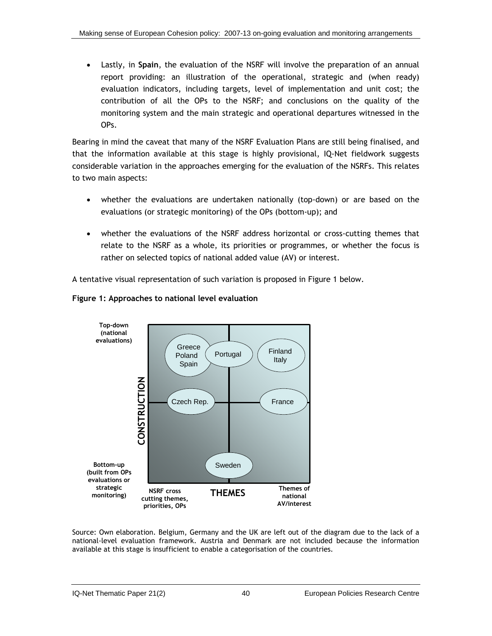<span id="page-66-0"></span>• Lastly, in **Spain**, the evaluation of the NSRF will involve the preparation of an annual report providing: an illustration of the operational, strategic and (when ready) evaluation indicators, including targets, level of implementation and unit cost; the contribution of all the OPs to the NSRF; and conclusions on the quality of the monitoring system and the main strategic and operational departures witnessed in the OPs.

Bearing in mind the caveat that many of the NSRF Evaluation Plans are still being finalised, and that the information available at this stage is highly provisional, IQ-Net fieldwork suggests considerable variation in the approaches emerging for the evaluation of the NSRFs. This relates to two main aspects:

- whether the evaluations are undertaken nationally (top-down) or are based on the evaluations (or strategic monitoring) of the OPs (bottom-up); and
- whether the evaluations of the NSRF address horizontal or cross-cutting themes that relate to the NSRF as a whole, its priorities or programmes, or whether the focus is rather on selected topics of national added value (AV) or interest.

A tentative visual representation of such variation is proposed in [Figure 1](#page-66-0) below.



#### **Figure 1: Approaches to national level evaluation**

Source: Own elaboration. Belgium, Germany and the UK are left out of the diagram due to the lack of a national-level evaluation framework. Austria and Denmark are not included because the information available at this stage is insufficient to enable a categorisation of the countries.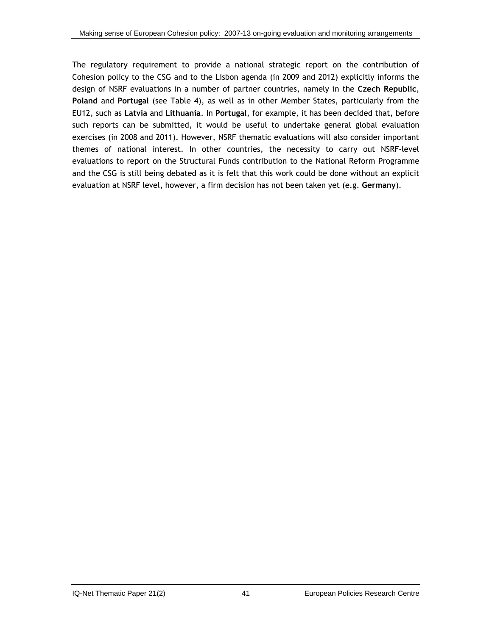The regulatory requirement to provide a national strategic report on the contribution of Cohesion policy to the CSG and to the Lisbon agenda (in 2009 and 2012) explicitly informs the design of NSRF evaluations in a number of partner countries, namely in the **Czech Republic**, **Poland** and **Portugal** (see [Table 4](#page-68-0)), as well as in other Member States, particularly from the EU12, such as **Latvia** and **Lithuania**. In **Portugal**, for example, it has been decided that, before such reports can be submitted, it would be useful to undertake general global evaluation exercises (in 2008 and 2011). However, NSRF thematic evaluations will also consider important themes of national interest. In other countries, the necessity to carry out NSRF-level evaluations to report on the Structural Funds contribution to the National Reform Programme and the CSG is still being debated as it is felt that this work could be done without an explicit evaluation at NSRF level, however, a firm decision has not been taken yet (e.g. **Germany**).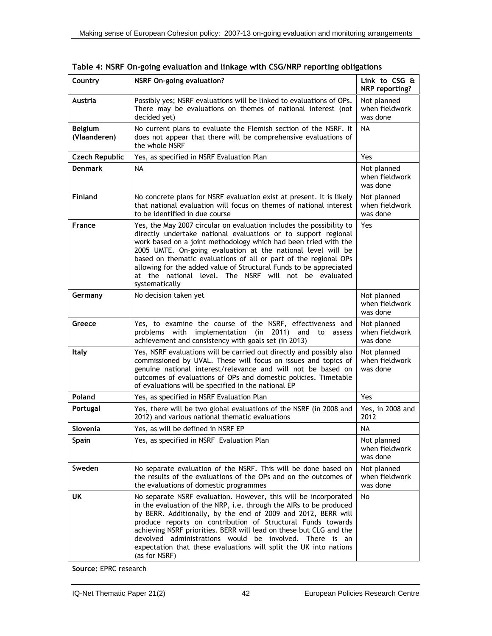| Country                        | <b>NSRF On-going evaluation?</b>                                                                                                                                                                                                                                                                                                                                                                                                                                                               | Link to CSG &<br>NRP reporting?           |
|--------------------------------|------------------------------------------------------------------------------------------------------------------------------------------------------------------------------------------------------------------------------------------------------------------------------------------------------------------------------------------------------------------------------------------------------------------------------------------------------------------------------------------------|-------------------------------------------|
| Austria                        | Possibly yes; NSRF evaluations will be linked to evaluations of OPs.<br>There may be evaluations on themes of national interest (not<br>decided yet)                                                                                                                                                                                                                                                                                                                                           | Not planned<br>when fieldwork<br>was done |
| <b>Belgium</b><br>(Vlaanderen) | No current plans to evaluate the Flemish section of the NSRF. It<br>does not appear that there will be comprehensive evaluations of<br>the whole NSRF                                                                                                                                                                                                                                                                                                                                          | <b>NA</b>                                 |
| <b>Czech Republic</b>          | Yes, as specified in NSRF Evaluation Plan                                                                                                                                                                                                                                                                                                                                                                                                                                                      | Yes                                       |
| <b>Denmark</b>                 | <b>NA</b>                                                                                                                                                                                                                                                                                                                                                                                                                                                                                      | Not planned<br>when fieldwork<br>was done |
| <b>Finland</b>                 | No concrete plans for NSRF evaluation exist at present. It is likely<br>that national evaluation will focus on themes of national interest<br>to be identified in due course                                                                                                                                                                                                                                                                                                                   | Not planned<br>when fieldwork<br>was done |
| <b>France</b>                  | Yes, the May 2007 circular on evaluation includes the possibility to<br>directly undertake national evaluations or to support regional<br>work based on a joint methodology which had been tried with the<br>2005 UMTE. On-going evaluation at the national level will be<br>based on thematic evaluations of all or part of the regional OPs<br>allowing for the added value of Structural Funds to be appreciated<br>at the national level. The NSRF will not be evaluated<br>systematically | Yes                                       |
| Germany                        | No decision taken yet                                                                                                                                                                                                                                                                                                                                                                                                                                                                          | Not planned<br>when fieldwork<br>was done |
| Greece                         | Yes, to examine the course of the NSRF, effectiveness and<br>with implementation (in 2011) and to<br>problems<br>assess<br>achievement and consistency with goals set (in 2013)                                                                                                                                                                                                                                                                                                                | Not planned<br>when fieldwork<br>was done |
| <b>Italy</b>                   | Yes, NSRF evaluations will be carried out directly and possibly also<br>commissioned by UVAL. These will focus on issues and topics of<br>genuine national interest/relevance and will not be based on<br>outcomes of evaluations of OPs and domestic policies. Timetable<br>of evaluations will be specified in the national EP                                                                                                                                                               | Not planned<br>when fieldwork<br>was done |
| Poland                         | Yes, as specified in NSRF Evaluation Plan                                                                                                                                                                                                                                                                                                                                                                                                                                                      | Yes                                       |
| Portugal                       | Yes, there will be two global evaluations of the NSRF (in 2008 and<br>2012) and various national thematic evaluations                                                                                                                                                                                                                                                                                                                                                                          | Yes, in 2008 and<br>2012                  |
| Slovenia                       | Yes, as will be defined in NSRF EP                                                                                                                                                                                                                                                                                                                                                                                                                                                             | <b>NA</b>                                 |
| <b>Spain</b>                   | Yes, as specified in NSRF Evaluation Plan                                                                                                                                                                                                                                                                                                                                                                                                                                                      | Not planned<br>when fieldwork<br>was done |
| Sweden                         | No separate evaluation of the NSRF. This will be done based on<br>the results of the evaluations of the OPs and on the outcomes of<br>the evaluations of domestic programmes                                                                                                                                                                                                                                                                                                                   | Not planned<br>when fieldwork<br>was done |
| UK                             | No separate NSRF evaluation. However, this will be incorporated<br>in the evaluation of the NRP, i.e. through the AIRs to be produced<br>by BERR. Additionally, by the end of 2009 and 2012, BERR will<br>produce reports on contribution of Structural Funds towards<br>achieving NSRF priorities. BERR will lead on these but CLG and the<br>devolved administrations would be involved. There is an<br>expectation that these evaluations will split the UK into nations<br>(as for NSRF)   | No                                        |

<span id="page-68-0"></span>**Table 4: NSRF On-going evaluation and linkage with CSG/NRP reporting obligations** 

**Source:** EPRC research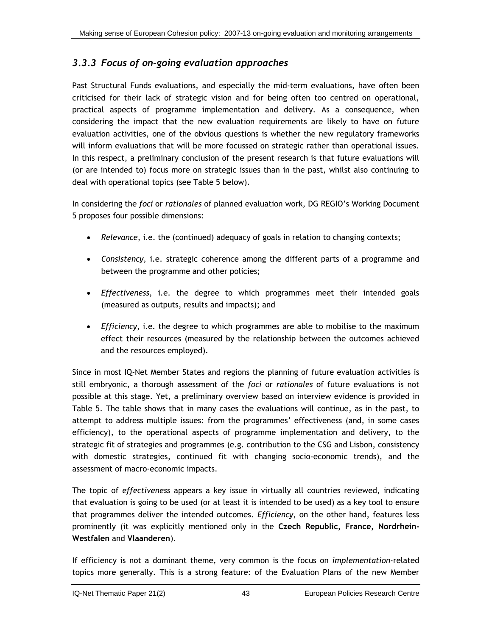### *3.3.3 Focus of on-going evaluation approaches*

Past Structural Funds evaluations, and especially the mid-term evaluations, have often been criticised for their lack of strategic vision and for being often too centred on operational, practical aspects of programme implementation and delivery. As a consequence, when considering the impact that the new evaluation requirements are likely to have on future evaluation activities, one of the obvious questions is whether the new regulatory frameworks will inform evaluations that will be more focussed on strategic rather than operational issues. In this respect, a preliminary conclusion of the present research is that future evaluations will (or are intended to) focus more on strategic issues than in the past, whilst also continuing to deal with operational topics (see [Table 5](#page-71-0) below).

In considering the *foci* or *rationales* of planned evaluation work, DG REGIO's Working Document 5 proposes four possible dimensions:

- *Relevance*, i.e. the (continued) adequacy of goals in relation to changing contexts;
- *Consistency*, i.e. strategic coherence among the different parts of a programme and between the programme and other policies;
- *Effectiveness*, i.e. the degree to which programmes meet their intended goals (measured as outputs, results and impacts); and
- *Efficiency*, i.e. the degree to which programmes are able to mobilise to the maximum effect their resources (measured by the relationship between the outcomes achieved and the resources employed).

Since in most IQ-Net Member States and regions the planning of future evaluation activities is still embryonic, a thorough assessment of the *foci* or *rationales* of future evaluations is not possible at this stage. Yet, a preliminary overview based on interview evidence is provided in [Table 5](#page-71-0). The table shows that in many cases the evaluations will continue, as in the past, to attempt to address multiple issues: from the programmes' effectiveness (and, in some cases efficiency), to the operational aspects of programme implementation and delivery, to the strategic fit of strategies and programmes (e.g. contribution to the CSG and Lisbon, consistency with domestic strategies, continued fit with changing socio-economic trends), and the assessment of macro-economic impacts.

The topic of *effectiveness* appears a key issue in virtually all countries reviewed, indicating that evaluation is going to be used (or at least it is intended to be used) as a key tool to ensure that programmes deliver the intended outcomes. *Efficiency*, on the other hand, features less prominently (it was explicitly mentioned only in the **Czech Republic, France, Nordrhein-Westfalen** and **Vlaanderen**).

If efficiency is not a dominant theme, very common is the focus on *implementation*-related topics more generally. This is a strong feature: of the Evaluation Plans of the new Member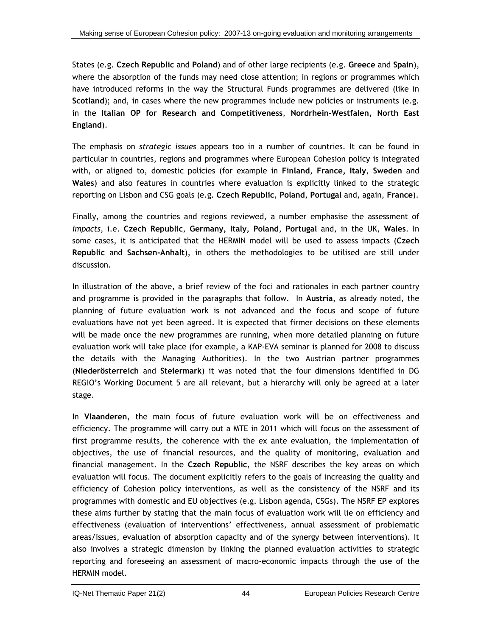States (e.g. **Czech Republic** and **Poland**) and of other large recipients (e.g. **Greece** and **Spain**), where the absorption of the funds may need close attention; in regions or programmes which have introduced reforms in the way the Structural Funds programmes are delivered (like in **Scotland**); and, in cases where the new programmes include new policies or instruments (e.g. in the **Italian OP for Research and Competitiveness**, **Nordrhein-Westfalen, North East England**).

The emphasis on *strategic issues* appears too in a number of countries. It can be found in particular in countries, regions and programmes where European Cohesion policy is integrated with, or aligned to, domestic policies (for example in **Finland**, **France, Italy**, **Sweden** and **Wales**) and also features in countries where evaluation is explicitly linked to the strategic reporting on Lisbon and CSG goals (e.g. **Czech Republic**, **Poland**, **Portugal** and, again, **France**).

Finally, among the countries and regions reviewed, a number emphasise the assessment of *impacts*, i.e. **Czech Republic**, **Germany, Italy, Poland**, **Portugal** and, in the UK, **Wales**. In some cases, it is anticipated that the HERMIN model will be used to assess impacts (**Czech Republic** and **Sachsen-Anhalt**), in others the methodologies to be utilised are still under discussion.

In illustration of the above, a brief review of the foci and rationales in each partner country and programme is provided in the paragraphs that follow. In **Austria**, as already noted, the planning of future evaluation work is not advanced and the focus and scope of future evaluations have not yet been agreed. It is expected that firmer decisions on these elements will be made once the new programmes are running, when more detailed planning on future evaluation work will take place (for example, a KAP-EVA seminar is planned for 2008 to discuss the details with the Managing Authorities). In the two Austrian partner programmes (**Niederösterreich** and **Steiermark**) it was noted that the four dimensions identified in DG REGIO's Working Document 5 are all relevant, but a hierarchy will only be agreed at a later stage.

In **Vlaanderen**, the main focus of future evaluation work will be on effectiveness and efficiency. The programme will carry out a MTE in 2011 which will focus on the assessment of first programme results, the coherence with the ex ante evaluation, the implementation of objectives, the use of financial resources, and the quality of monitoring, evaluation and financial management. In the **Czech Republic**, the NSRF describes the key areas on which evaluation will focus. The document explicitly refers to the goals of increasing the quality and efficiency of Cohesion policy interventions, as well as the consistency of the NSRF and its programmes with domestic and EU objectives (e.g. Lisbon agenda, CSGs). The NSRF EP explores these aims further by stating that the main focus of evaluation work will lie on efficiency and effectiveness (evaluation of interventions' effectiveness, annual assessment of problematic areas/issues, evaluation of absorption capacity and of the synergy between interventions). It also involves a strategic dimension by linking the planned evaluation activities to strategic reporting and foreseeing an assessment of macro-economic impacts through the use of the HERMIN model.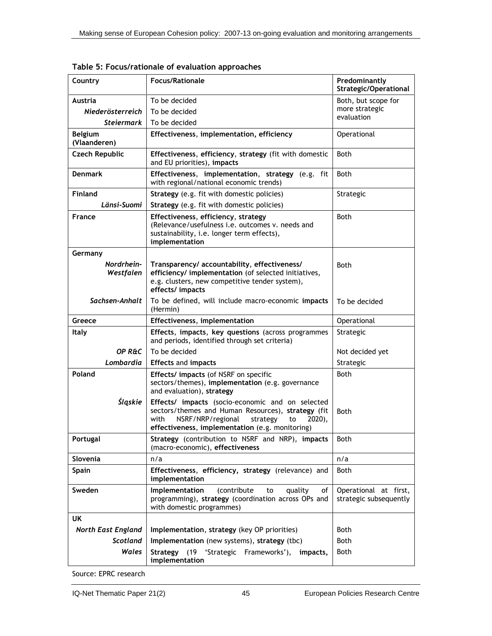| Country                        | <b>Focus/Rationale</b>                                                                                                                                                                                             | Predominantly<br><b>Strategic/Operational</b>   |
|--------------------------------|--------------------------------------------------------------------------------------------------------------------------------------------------------------------------------------------------------------------|-------------------------------------------------|
| Austria                        | To be decided                                                                                                                                                                                                      | Both, but scope for                             |
| Niederösterreich               | To be decided                                                                                                                                                                                                      | more strategic                                  |
| <b>Steiermark</b>              | To be decided                                                                                                                                                                                                      | evaluation                                      |
| <b>Belgium</b><br>(Vlaanderen) | Effectiveness, implementation, efficiency                                                                                                                                                                          | Operational                                     |
| <b>Czech Republic</b>          | Effectiveness, efficiency, strategy (fit with domestic<br>and EU priorities), impacts                                                                                                                              | <b>Both</b>                                     |
| <b>Denmark</b>                 | Effectiveness, implementation, strategy (e.g. fit<br>with regional/national economic trends)                                                                                                                       | <b>Both</b>                                     |
| <b>Finland</b>                 | Strategy (e.g. fit with domestic policies)                                                                                                                                                                         | Strategic                                       |
| Länsi-Suomi                    | Strategy (e.g. fit with domestic policies)                                                                                                                                                                         |                                                 |
| <b>France</b>                  | Effectiveness, efficiency, strategy<br>(Relevance/usefulness i.e. outcomes v. needs and<br>sustainability, i.e. longer term effects),<br>implementation                                                            | <b>Both</b>                                     |
| Germany                        |                                                                                                                                                                                                                    |                                                 |
| Nordrhein-<br>Westfalen        | Transparency/ accountability, effectiveness/<br>efficiency/ implementation (of selected initiatives,<br>e.g. clusters, new competitive tender system),<br>effects/impacts                                          | <b>Both</b>                                     |
| Sachsen-Anhalt                 | To be defined, will include macro-economic impacts<br>(Hermin)                                                                                                                                                     | To be decided                                   |
| Greece                         | Effectiveness, implementation                                                                                                                                                                                      | Operational                                     |
| Italy                          | Effects, impacts, key questions (across programmes<br>and periods, identified through set criteria)                                                                                                                | Strategic                                       |
| OP R&C                         | To be decided                                                                                                                                                                                                      | Not decided yet                                 |
| Lombardia                      | <b>Effects and impacts</b>                                                                                                                                                                                         | Strategic                                       |
| Poland                         | <b>Effects/ impacts (of NSRF on specific</b><br>sectors/themes), implementation (e.g. governance<br>and evaluation), strategy                                                                                      | <b>Both</b>                                     |
| Śląskie                        | Effects/ impacts (socio-economic and on selected<br>sectors/themes and Human Resources), strategy (fit<br>NSRF/NRP/regional<br>with<br>strategy<br>2020),<br>to<br>effectiveness, implementation (e.g. monitoring) | Both                                            |
| Portugal                       | Strategy (contribution to NSRF and NRP), impacts<br>(macro-economic), effectiveness                                                                                                                                | Both                                            |
| Slovenia                       | n/a                                                                                                                                                                                                                | n/a                                             |
| Spain                          | Effectiveness, efficiency, strategy (relevance) and<br>implementation                                                                                                                                              | Both                                            |
| Sweden                         | Implementation<br>(contribute<br>to<br>quality<br>of<br>programming), strategy (coordination across OPs and<br>with domestic programmes)                                                                           | Operational at first,<br>strategic subsequently |
| UK                             |                                                                                                                                                                                                                    |                                                 |
| <b>North East England</b>      | Implementation, strategy (key OP priorities)                                                                                                                                                                       | Both                                            |
| Scotland                       | Implementation (new systems), strategy (tbc)                                                                                                                                                                       | Both                                            |
| Wales                          | 'Strategic Frameworks'),<br>(19)<br>impacts,<br>Strategy<br>implementation                                                                                                                                         | Both                                            |

<span id="page-71-0"></span>**Table 5: Focus/rationale of evaluation approaches** 

Source: EPRC research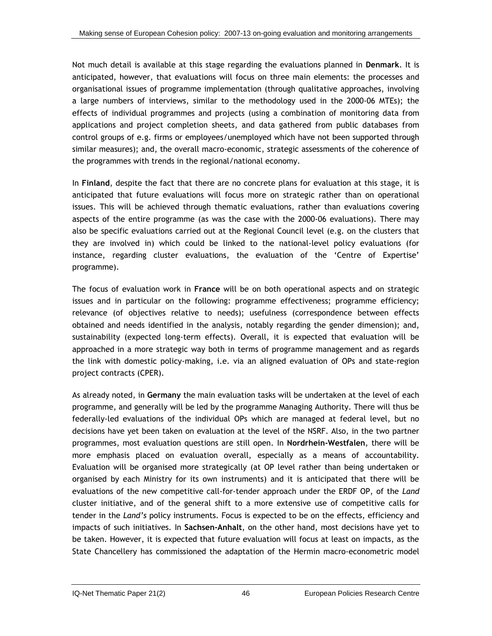Not much detail is available at this stage regarding the evaluations planned in **Denmark**. It is anticipated, however, that evaluations will focus on three main elements: the processes and organisational issues of programme implementation (through qualitative approaches, involving a large numbers of interviews, similar to the methodology used in the 2000-06 MTEs); the effects of individual programmes and projects (using a combination of monitoring data from applications and project completion sheets, and data gathered from public databases from control groups of e.g. firms or employees/unemployed which have not been supported through similar measures); and, the overall macro-economic, strategic assessments of the coherence of the programmes with trends in the regional/national economy.

In **Finland**, despite the fact that there are no concrete plans for evaluation at this stage, it is anticipated that future evaluations will focus more on strategic rather than on operational issues. This will be achieved through thematic evaluations, rather than evaluations covering aspects of the entire programme (as was the case with the 2000-06 evaluations). There may also be specific evaluations carried out at the Regional Council level (e.g. on the clusters that they are involved in) which could be linked to the national-level policy evaluations (for instance, regarding cluster evaluations, the evaluation of the 'Centre of Expertise' programme).

The focus of evaluation work in **France** will be on both operational aspects and on strategic issues and in particular on the following: programme effectiveness; programme efficiency; relevance (of objectives relative to needs); usefulness (correspondence between effects obtained and needs identified in the analysis, notably regarding the gender dimension); and, sustainability (expected long-term effects). Overall, it is expected that evaluation will be approached in a more strategic way both in terms of programme management and as regards the link with domestic policy-making, i.e. via an aligned evaluation of OPs and state-region project contracts (CPER).

As already noted, in **Germany** the main evaluation tasks will be undertaken at the level of each programme, and generally will be led by the programme Managing Authority. There will thus be federally-led evaluations of the individual OPs which are managed at federal level, but no decisions have yet been taken on evaluation at the level of the NSRF. Also, in the two partner programmes, most evaluation questions are still open. In **Nordrhein-Westfalen**, there will be more emphasis placed on evaluation overall, especially as a means of accountability. Evaluation will be organised more strategically (at OP level rather than being undertaken or organised by each Ministry for its own instruments) and it is anticipated that there will be evaluations of the new competitive call-for-tender approach under the ERDF OP, of the *Land* cluster initiative, and of the general shift to a more extensive use of competitive calls for tender in the *Land's* policy instruments. Focus is expected to be on the effects, efficiency and impacts of such initiatives. In **Sachsen-Anhalt**, on the other hand, most decisions have yet to be taken. However, it is expected that future evaluation will focus at least on impacts, as the State Chancellery has commissioned the adaptation of the Hermin macro-econometric model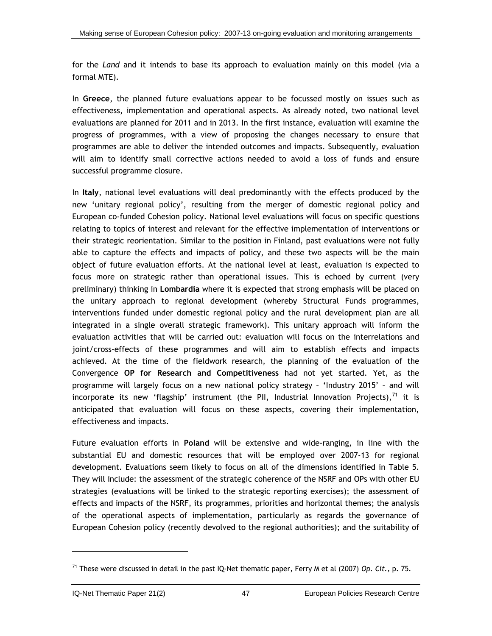<span id="page-73-0"></span>for the *Land* and it intends to base its approach to evaluation mainly on this model (via a formal MTE).

In **Greece**, the planned future evaluations appear to be focussed mostly on issues such as effectiveness, implementation and operational aspects. As already noted, two national level evaluations are planned for 2011 and in 2013. In the first instance, evaluation will examine the progress of programmes, with a view of proposing the changes necessary to ensure that programmes are able to deliver the intended outcomes and impacts. Subsequently, evaluation will aim to identify small corrective actions needed to avoid a loss of funds and ensure successful programme closure.

In **Italy**, national level evaluations will deal predominantly with the effects produced by the new 'unitary regional policy', resulting from the merger of domestic regional policy and European co-funded Cohesion policy. National level evaluations will focus on specific questions relating to topics of interest and relevant for the effective implementation of interventions or their strategic reorientation. Similar to the position in Finland, past evaluations were not fully able to capture the effects and impacts of policy, and these two aspects will be the main object of future evaluation efforts. At the national level at least, evaluation is expected to focus more on strategic rather than operational issues. This is echoed by current (very preliminary) thinking in **Lombardia** where it is expected that strong emphasis will be placed on the unitary approach to regional development (whereby Structural Funds programmes, interventions funded under domestic regional policy and the rural development plan are all integrated in a single overall strategic framework). This unitary approach will inform the evaluation activities that will be carried out: evaluation will focus on the interrelations and joint/cross-effects of these programmes and will aim to establish effects and impacts achieved. At the time of the fieldwork research, the planning of the evaluation of the Convergence **OP for Research and Competitiveness** had not yet started. Yet, as the programme will largely focus on a new national policy strategy – 'Industry 2015' – and will incorporate its new 'flagship' instrument (the PII, Industrial Innovation Projects), $^{71}$  $^{71}$  $^{71}$  it is anticipated that evaluation will focus on these aspects, covering their implementation, effectiveness and impacts.

Future evaluation efforts in **Poland** will be extensive and wide-ranging, in line with the substantial EU and domestic resources that will be employed over 2007-13 for regional development. Evaluations seem likely to focus on all of the dimensions identified in [Table 5](#page-71-0). They will include: the assessment of the strategic coherence of the NSRF and OPs with other EU strategies (evaluations will be linked to the strategic reporting exercises); the assessment of effects and impacts of the NSRF, its programmes, priorities and horizontal themes; the analysis of the operational aspects of implementation, particularly as regards the governance of European Cohesion policy (recently devolved to the regional authorities); and the suitability of

<sup>71</sup> These were discussed in detail in the past IQ-Net thematic paper, Ferry M et al (2007) *Op. Cit.,* p. 75.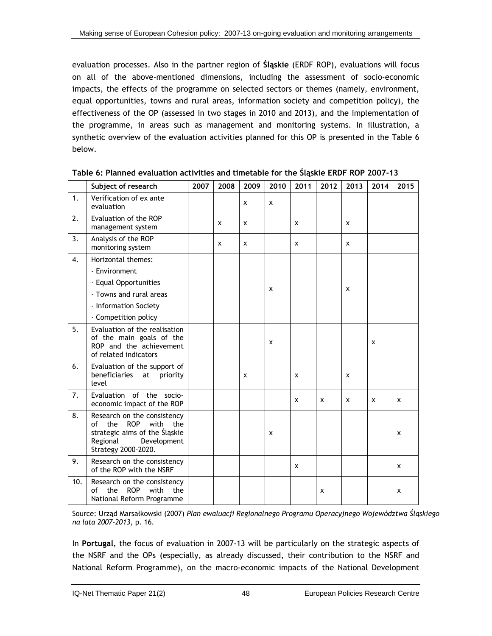<span id="page-74-0"></span>evaluation processes. Also in the partner region of **Śląskie** (ERDF ROP), evaluations will focus on all of the above-mentioned dimensions, including the assessment of socio-economic impacts, the effects of the programme on selected sectors or themes (namely, environment, equal opportunities, towns and rural areas, information society and competition policy), the effectiveness of the OP (assessed in two stages in 2010 and 2013), and the implementation of the programme, in areas such as management and monitoring systems. In illustration, a synthetic overview of the evaluation activities planned for this OP is presented in the Table 6 below.

|                  | Subject of research                                                                                                                                              | 2007 | 2008 | 2009 | 2010 | 2011 | 2012 | 2013 | 2014 | 2015 |
|------------------|------------------------------------------------------------------------------------------------------------------------------------------------------------------|------|------|------|------|------|------|------|------|------|
| $\mathbf{1}$ .   | Verification of ex ante<br>evaluation                                                                                                                            |      |      | x    | x    |      |      |      |      |      |
| 2.               | Evaluation of the ROP<br>management system                                                                                                                       |      | x    | x    |      | x    |      | x    |      |      |
| 3.               | Analysis of the ROP<br>monitoring system                                                                                                                         |      | x    | x    |      | x    |      | x    |      |      |
| $\overline{4}$ . | Horizontal themes:                                                                                                                                               |      |      |      |      |      |      |      |      |      |
|                  | - Environment                                                                                                                                                    |      |      |      |      |      |      |      |      |      |
|                  | - Equal Opportunities                                                                                                                                            |      |      |      |      |      |      |      |      |      |
|                  | - Towns and rural areas                                                                                                                                          |      |      |      | x    |      |      | X    |      |      |
|                  | - Information Society                                                                                                                                            |      |      |      |      |      |      |      |      |      |
|                  | - Competition policy                                                                                                                                             |      |      |      |      |      |      |      |      |      |
| 5.               | Evaluation of the realisation<br>of the main goals of the<br>ROP and the achievement<br>of related indicators                                                    |      |      |      | x    |      |      |      | x    |      |
| 6.               | Evaluation of the support of<br>beneficiaries at<br>priority<br>level                                                                                            |      |      | x    |      | x    |      | x    |      |      |
| 7.               | Evaluation of the socio-<br>economic impact of the ROP                                                                                                           |      |      |      |      | x    | X    | x    | x    | X    |
| 8.               | Research on the consistency<br>$\alpha$ f<br>the<br><b>ROP</b><br>with<br>the<br>strategic aims of the Śląskie<br>Regional<br>Development<br>Strategy 2000-2020. |      |      |      | x    |      |      |      |      | X    |
| 9.               | Research on the consistency<br>of the ROP with the NSRF                                                                                                          |      |      |      |      | x    |      |      |      | x    |
| 10.              | Research on the consistency<br>with<br>of<br>the<br><b>ROP</b><br>the<br>National Reform Programme                                                               |      |      |      |      |      | x    |      |      | x    |

### **Table 6: Planned evaluation activities and timetable for the Śląskie ERDF ROP 2007-13**

Source: Urząd Marsałkowski (2007) *Plan ewaluacji Regionalnego Programu Operacyjnego Województwa Śląskiego na lata 2007-2013*, p. 16.

In **Portugal**, the focus of evaluation in 2007-13 will be particularly on the strategic aspects of the NSRF and the OPs (especially, as already discussed, their contribution to the NSRF and National Reform Programme), on the macro-economic impacts of the National Development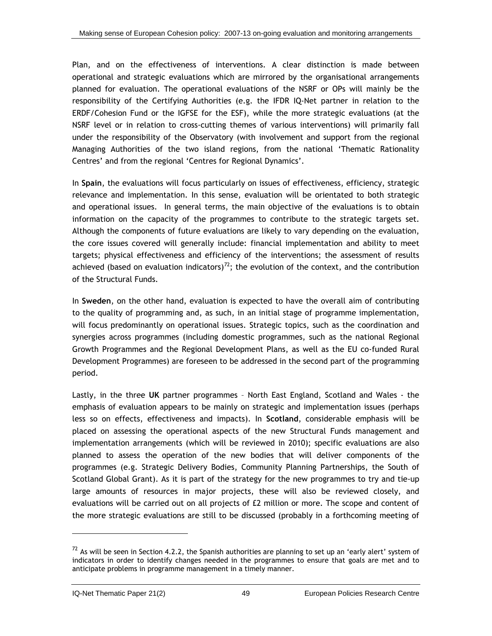<span id="page-75-0"></span>Plan, and on the effectiveness of interventions. A clear distinction is made between operational and strategic evaluations which are mirrored by the organisational arrangements planned for evaluation. The operational evaluations of the NSRF or OPs will mainly be the responsibility of the Certifying Authorities (e.g. the IFDR IQ-Net partner in relation to the ERDF/Cohesion Fund or the IGFSE for the ESF), while the more strategic evaluations (at the NSRF level or in relation to cross-cutting themes of various interventions) will primarily fall under the responsibility of the Observatory (with involvement and support from the regional Managing Authorities of the two island regions, from the national 'Thematic Rationality Centres' and from the regional 'Centres for Regional Dynamics'.

In **Spain**, the evaluations will focus particularly on issues of effectiveness, efficiency, strategic relevance and implementation. In this sense, evaluation will be orientated to both strategic and operational issues. In general terms, the main objective of the evaluations is to obtain information on the capacity of the programmes to contribute to the strategic targets set. Although the components of future evaluations are likely to vary depending on the evaluation, the core issues covered will generally include: financial implementation and ability to meet targets; physical effectiveness and efficiency of the interventions; the assessment of results achieved (based on evaluation indicators)<sup>[72](#page-75-0)</sup>; the evolution of the context, and the contribution of the Structural Funds.

In **Sweden**, on the other hand, evaluation is expected to have the overall aim of contributing to the quality of programming and, as such, in an initial stage of programme implementation, will focus predominantly on operational issues. Strategic topics, such as the coordination and synergies across programmes (including domestic programmes, such as the national Regional Growth Programmes and the Regional Development Plans, as well as the EU co-funded Rural Development Programmes) are foreseen to be addressed in the second part of the programming period.

Lastly, in the three **UK** partner programmes – North East England, Scotland and Wales - the emphasis of evaluation appears to be mainly on strategic and implementation issues (perhaps less so on effects, effectiveness and impacts). In **Scotland**, considerable emphasis will be placed on assessing the operational aspects of the new Structural Funds management and implementation arrangements (which will be reviewed in 2010); specific evaluations are also planned to assess the operation of the new bodies that will deliver components of the programmes (e.g. Strategic Delivery Bodies, Community Planning Partnerships, the South of Scotland Global Grant). As it is part of the strategy for the new programmes to try and tie-up large amounts of resources in major projects, these will also be reviewed closely, and evaluations will be carried out on all projects of £2 million or more. The scope and content of the more strategic evaluations are still to be discussed (probably in a forthcoming meeting of

 $72$  As will be seen in Section 4.2.2, the Spanish authorities are planning to set up an 'early alert' system of indicators in order to identify changes needed in the programmes to ensure that goals are met and to anticipate problems in programme management in a timely manner.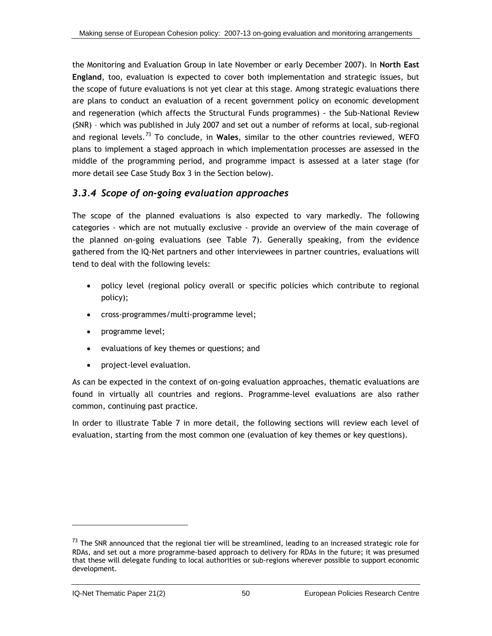<span id="page-76-0"></span>the Monitoring and Evaluation Group in late November or early December 2007). In **North East England**, too, evaluation is expected to cover both implementation and strategic issues, but the scope of future evaluations is not yet clear at this stage. Among strategic evaluations there are plans to conduct an evaluation of a recent government policy on economic development and regeneration (which affects the Structural Funds programmes) - the Sub-National Review (SNR) – which was published in July 2007 and set out a number of reforms at local, sub-regional and regional levels.[73](#page-76-0) To conclude, in **Wales**, similar to the other countries reviewed, WEFO plans to implement a staged approach in which implementation processes are assessed in the middle of the programming period, and programme impact is assessed at a later stage (for more detail see Case Study Box 3 in the Section below).

### *3.3.4 Scope of on-going evaluation approaches*

The scope of the planned evaluations is also expected to vary markedly. The following categories - which are not mutually exclusive - provide an overview of the main coverage of the planned on-going evaluations (see [Table 7](#page-77-0)). Generally speaking, from the evidence gathered from the IQ-Net partners and other interviewees in partner countries, evaluations will tend to deal with the following levels:

- policy level (regional policy overall or specific policies which contribute to regional policy);
- cross-programmes/multi-programme level;
- programme level;
- evaluations of key themes or questions; and
- project-level evaluation.

As can be expected in the context of on-going evaluation approaches, thematic evaluations are found in virtually all countries and regions. Programme-level evaluations are also rather common, continuing past practice.

In order to illustrate [Table 7](#page-77-0) in more detail, the following sections will review each level of evaluation, starting from the most common one (evaluation of key themes or key questions).

-

 $73$  The SNR announced that the regional tier will be streamlined, leading to an increased strategic role for RDAs, and set out a more programme-based approach to delivery for RDAs in the future; it was presumed that these will delegate funding to local authorities or sub-regions wherever possible to support economic development.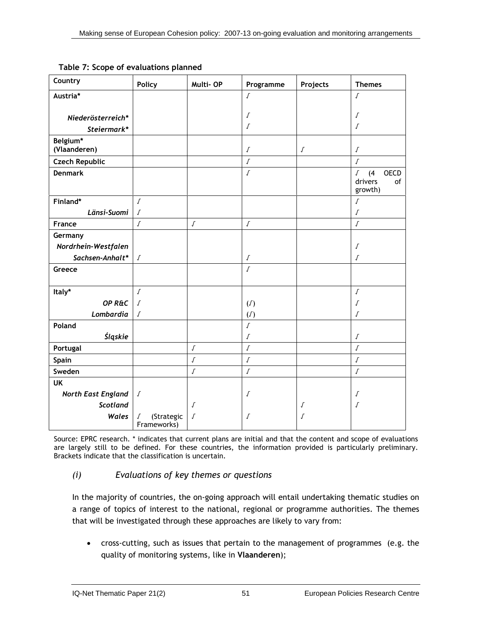| Country                   | <b>Policy</b>                  | Multi-OP         | Programme        | Projects         | <b>Themes</b>                    |
|---------------------------|--------------------------------|------------------|------------------|------------------|----------------------------------|
| Austria*                  |                                |                  | $\sqrt{ }$       |                  | $\sqrt{ }$                       |
|                           |                                |                  |                  |                  |                                  |
| Niederösterreich*         |                                |                  | Г                |                  | Г                                |
| Steiermark*               |                                |                  | $\int$           |                  | $\int$                           |
| Belgium*                  |                                |                  |                  |                  |                                  |
| (Vlaanderen)              |                                |                  | $\boldsymbol{J}$ | $\boldsymbol{J}$ | $\sqrt{\ }$                      |
| <b>Czech Republic</b>     |                                |                  | $\sqrt{ }$       |                  | $\boldsymbol{J}$                 |
| <b>Denmark</b>            |                                |                  | $\sqrt{ }$       |                  | <b>OECD</b><br>(4)<br>$\sqrt{ }$ |
|                           |                                |                  |                  |                  | drivers<br>of<br>growth)         |
| Finland*                  | $\sqrt{ }$                     |                  |                  |                  | $\boldsymbol{J}$                 |
| Länsi-Suomi               | $\sqrt{ }$                     |                  |                  |                  | $\sqrt{ }$                       |
| France                    | $\sqrt{ }$                     | $\boldsymbol{J}$ | $\boldsymbol{J}$ |                  | $\boldsymbol{J}$                 |
| Germany                   |                                |                  |                  |                  |                                  |
| Nordrhein-Westfalen       |                                |                  |                  |                  | Г                                |
| Sachsen-Anhalt*           | $\boldsymbol{J}$               |                  | $\boldsymbol{J}$ |                  | $\cal J$                         |
| Greece                    |                                |                  | $\sqrt{ }$       |                  |                                  |
|                           |                                |                  |                  |                  |                                  |
| Italy*                    | $\sqrt{ }$                     |                  |                  |                  | $\boldsymbol{J}$                 |
| OP R&C                    | $\sqrt{ }$                     |                  | (J)              |                  | Г                                |
| Lombardia                 | $\sqrt{ }$                     |                  | (J)              |                  | $\cal J$                         |
| Poland                    |                                |                  | $\int$           |                  |                                  |
| Śląskie                   |                                |                  | $\sqrt{ }$       |                  | $\sqrt{ }$                       |
| Portugal                  |                                | $\boldsymbol{J}$ | $\boldsymbol{J}$ |                  | $\boldsymbol{J}$                 |
| Spain                     |                                | $\sqrt{ }$       | $\boldsymbol{J}$ |                  | $\sqrt{ }$                       |
| Sweden                    |                                | $\sqrt{ }$       | $\boldsymbol{J}$ |                  | $\sqrt{ }$                       |
| <b>UK</b>                 |                                |                  |                  |                  |                                  |
| <b>North East England</b> | $\sqrt{ }$                     |                  | $\sqrt{ }$       |                  | Г                                |
| Scotland                  |                                | Г                |                  | $\sqrt{ }$       | $\cal J$                         |
| Wales                     | (Strategic<br>Г<br>Frameworks) | $\cal J$         | Г                | Г                |                                  |

<span id="page-77-0"></span>**Table 7: Scope of evaluations planned** 

Source: EPRC research. \* indicates that current plans are initial and that the content and scope of evaluations are largely still to be defined. For these countries, the information provided is particularly preliminary. Brackets indicate that the classification is uncertain.

### *(i) Evaluations of key themes or questions*

In the majority of countries, the on-going approach will entail undertaking thematic studies on a range of topics of interest to the national, regional or programme authorities. The themes that will be investigated through these approaches are likely to vary from:

• cross-cutting, such as issues that pertain to the management of programmes (e.g. the quality of monitoring systems, like in **Vlaanderen**);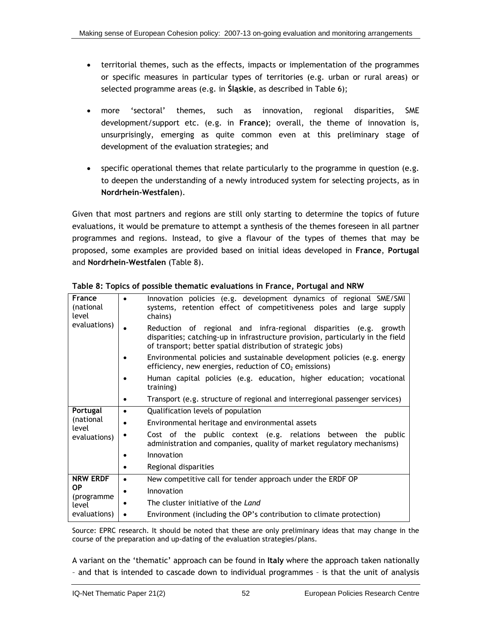- <span id="page-78-0"></span>• territorial themes, such as the effects, impacts or implementation of the programmes or specific measures in particular types of territories (e.g. urban or rural areas) or selected programme areas (e.g. in **Śląskie**, as described in [Table 6\)](#page-74-0);
- more 'sectoral' themes, such as innovation, regional disparities, SME development/support etc. (e.g. in **France)**; overall, the theme of innovation is, unsurprisingly, emerging as quite common even at this preliminary stage of development of the evaluation strategies; and
- specific operational themes that relate particularly to the programme in question (e.g. to deepen the understanding of a newly introduced system for selecting projects, as in **Nordrhein-Westfalen**).

Given that most partners and regions are still only starting to determine the topics of future evaluations, it would be premature to attempt a synthesis of the themes foreseen in all partner programmes and regions. Instead, to give a flavour of the types of themes that may be proposed, some examples are provided based on initial ideas developed in **France**, **Portugal** and **Nordrhein-Westfalen** [\(Table 8\)](#page-78-0).

| France<br>(national<br>level | Innovation policies (e.g. development dynamics of regional SME/SMI<br>$\bullet$<br>systems, retention effect of competitiveness poles and large supply<br>chains)                                                    |  |  |  |  |
|------------------------------|----------------------------------------------------------------------------------------------------------------------------------------------------------------------------------------------------------------------|--|--|--|--|
| evaluations)                 | Reduction of regional and infra-regional disparities (e.g. growth<br>disparities; catching-up in infrastructure provision, particularly in the field<br>of transport; better spatial distribution of strategic jobs) |  |  |  |  |
|                              | Environmental policies and sustainable development policies (e.g. energy<br>efficiency, new energies, reduction of $CO2$ emissions)                                                                                  |  |  |  |  |
|                              | Human capital policies (e.g. education, higher education; vocational<br>training)                                                                                                                                    |  |  |  |  |
|                              | Transport (e.g. structure of regional and interregional passenger services)                                                                                                                                          |  |  |  |  |
| Portugal                     | Qualification levels of population<br>$\bullet$                                                                                                                                                                      |  |  |  |  |
| (national<br>level           | Environmental heritage and environmental assets                                                                                                                                                                      |  |  |  |  |
| evaluations)                 | Cost of the public context (e.g. relations between the public<br>administration and companies, quality of market regulatory mechanisms)                                                                              |  |  |  |  |
|                              | Innovation                                                                                                                                                                                                           |  |  |  |  |
|                              | Regional disparities                                                                                                                                                                                                 |  |  |  |  |
| <b>NRW ERDF</b>              | New competitive call for tender approach under the ERDF OP<br>$\bullet$                                                                                                                                              |  |  |  |  |
| ОP                           | Innovation<br>$\bullet$                                                                                                                                                                                              |  |  |  |  |
| (programme)<br>level         | The cluster initiative of the Land                                                                                                                                                                                   |  |  |  |  |
| evaluations)                 | Environment (including the OP's contribution to climate protection)<br>٠                                                                                                                                             |  |  |  |  |

**Table 8: Topics of possible thematic evaluations in France, Portugal and NRW** 

Source: EPRC research. It should be noted that these are only preliminary ideas that may change in the course of the preparation and up-dating of the evaluation strategies/plans.

A variant on the 'thematic' approach can be found in **Italy** where the approach taken nationally – and that is intended to cascade down to individual programmes – is that the unit of analysis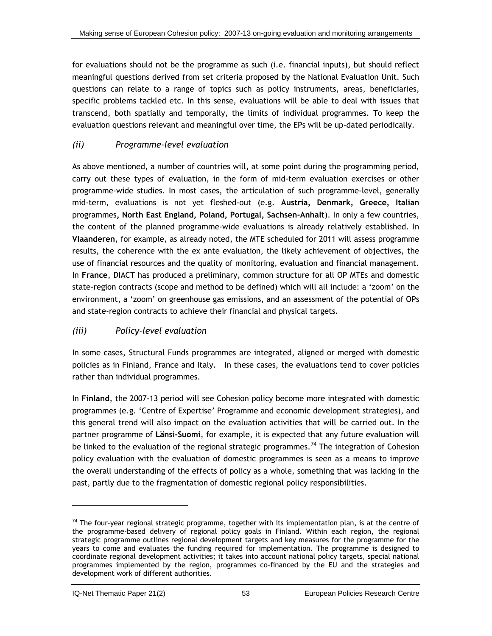<span id="page-79-0"></span>for evaluations should not be the programme as such (i.e. financial inputs), but should reflect meaningful questions derived from set criteria proposed by the National Evaluation Unit. Such questions can relate to a range of topics such as policy instruments, areas, beneficiaries, specific problems tackled etc. In this sense, evaluations will be able to deal with issues that transcend, both spatially and temporally, the limits of individual programmes. To keep the evaluation questions relevant and meaningful over time, the EPs will be up-dated periodically.

## *(ii) Programme-level evaluation*

As above mentioned, a number of countries will, at some point during the programming period, carry out these types of evaluation, in the form of mid-term evaluation exercises or other programme-wide studies. In most cases, the articulation of such programme-level, generally mid-term, evaluations is not yet fleshed-out (e.g. **Austria, Denmark, Greece, Italian**  programmes**, North East England, Poland, Portugal, Sachsen-Anhalt**). In only a few countries, the content of the planned programme-wide evaluations is already relatively established. In **Vlaanderen**, for example, as already noted, the MTE scheduled for 2011 will assess programme results, the coherence with the ex ante evaluation, the likely achievement of objectives, the use of financial resources and the quality of monitoring, evaluation and financial management. In **France**, DIACT has produced a preliminary, common structure for all OP MTEs and domestic state-region contracts (scope and method to be defined) which will all include: a 'zoom' on the environment, a 'zoom' on greenhouse gas emissions, and an assessment of the potential of OPs and state-region contracts to achieve their financial and physical targets.

# *(iii) Policy-level evaluation*

In some cases, Structural Funds programmes are integrated, aligned or merged with domestic policies as in Finland, France and Italy. In these cases, the evaluations tend to cover policies rather than individual programmes.

In **Finland**, the 2007-13 period will see Cohesion policy become more integrated with domestic programmes (e.g. 'Centre of Expertise' Programme and economic development strategies), and this general trend will also impact on the evaluation activities that will be carried out. In the partner programme of **Länsi-Suomi**, for example, it is expected that any future evaluation will be linked to the evaluation of the regional strategic programmes.<sup>[74](#page-79-0)</sup> The integration of Cohesion policy evaluation with the evaluation of domestic programmes is seen as a means to improve the overall understanding of the effects of policy as a whole, something that was lacking in the past, partly due to the fragmentation of domestic regional policy responsibilities.

 $74$  The four-year regional strategic programme, together with its implementation plan, is at the centre of the programme-based delivery of regional policy goals in Finland. Within each region, the regional strategic programme outlines regional development targets and key measures for the programme for the years to come and evaluates the funding required for implementation. The programme is designed to coordinate regional development activities; it takes into account national policy targets, special national programmes implemented by the region, programmes co-financed by the EU and the strategies and development work of different authorities.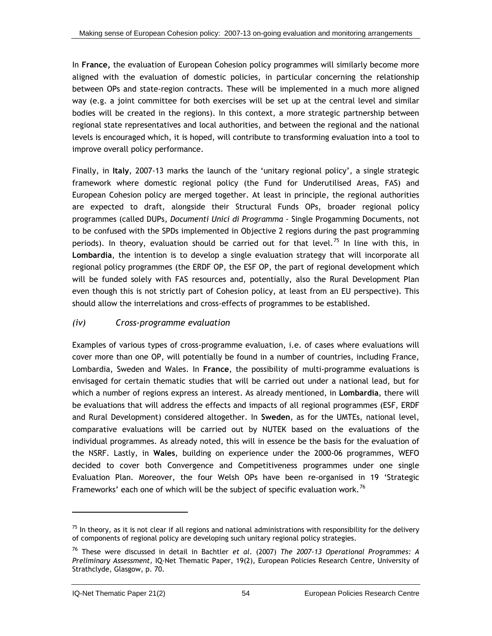<span id="page-80-0"></span>In **France,** the evaluation of European Cohesion policy programmes will similarly become more aligned with the evaluation of domestic policies, in particular concerning the relationship between OPs and state-region contracts. These will be implemented in a much more aligned way (e.g. a joint committee for both exercises will be set up at the central level and similar bodies will be created in the regions). In this context, a more strategic partnership between regional state representatives and local authorities, and between the regional and the national levels is encouraged which, it is hoped, will contribute to transforming evaluation into a tool to improve overall policy performance.

Finally, in **Italy**, 2007-13 marks the launch of the 'unitary regional policy', a single strategic framework where domestic regional policy (the Fund for Underutilised Areas, FAS) and European Cohesion policy are merged together. At least in principle, the regional authorities are expected to draft, alongside their Structural Funds OPs, broader regional policy programmes (called DUPs, *Documenti Unici di Programma* - Single Progamming Documents, not to be confused with the SPDs implemented in Objective 2 regions during the past programming periods). In theory, evaluation should be carried out for that level.<sup>[75](#page-80-0)</sup> In line with this, in **Lombardia**, the intention is to develop a single evaluation strategy that will incorporate all regional policy programmes (the ERDF OP, the ESF OP, the part of regional development which will be funded solely with FAS resources and, potentially, also the Rural Development Plan even though this is not strictly part of Cohesion policy, at least from an EU perspective). This should allow the interrelations and cross-effects of programmes to be established.

### *(iv) Cross-programme evaluation*

Examples of various types of cross-programme evaluation, i.e. of cases where evaluations will cover more than one OP, will potentially be found in a number of countries, including France, Lombardia, Sweden and Wales. In **France**, the possibility of multi-programme evaluations is envisaged for certain thematic studies that will be carried out under a national lead, but for which a number of regions express an interest. As already mentioned, in **Lombardia**, there will be evaluations that will address the effects and impacts of all regional programmes (ESF, ERDF and Rural Development) considered altogether. In **Sweden**, as for the UMTEs, national level, comparative evaluations will be carried out by NUTEK based on the evaluations of the individual programmes. As already noted, this will in essence be the basis for the evaluation of the NSRF. Lastly, in **Wales**, building on experience under the 2000-06 programmes, WEFO decided to cover both Convergence and Competitiveness programmes under one single Evaluation Plan. Moreover, the four Welsh OPs have been re-organised in 19 'Strategic Frameworks' each one of which will be the subject of specific evaluation work.<sup>[7](#page-80-0)6</sup>

 $75$  In theory, as it is not clear if all regions and national administrations with responsibility for the delivery of components of regional policy are developing such unitary regional policy strategies.

<sup>76</sup> These were discussed in detail in Bachtler *et al*. (2007) *The 2007-13 Operational Programmes: A Preliminary Assessment,* IQ-Net Thematic Paper, 19(2), European Policies Research Centre, University of Strathclyde, Glasgow, p. 70.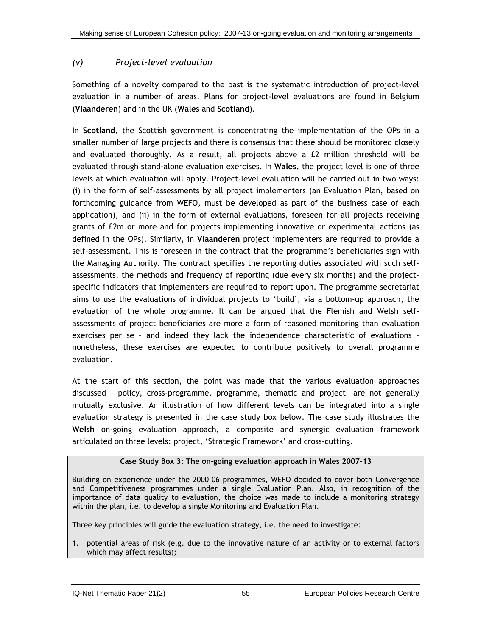### *(v) Project-level evaluation*

Something of a novelty compared to the past is the systematic introduction of project-level evaluation in a number of areas. Plans for project-level evaluations are found in Belgium (**Vlaanderen**) and in the UK (**Wales** and **Scotland**).

In **Scotland**, the Scottish government is concentrating the implementation of the OPs in a smaller number of large projects and there is consensus that these should be monitored closely and evaluated thoroughly. As a result, all projects above a £2 million threshold will be evaluated through stand-alone evaluation exercises. In **Wales**, the project level is one of three levels at which evaluation will apply. Project-level evaluation will be carried out in two ways: (i) in the form of self-assessments by all project implementers (an Evaluation Plan, based on forthcoming guidance from WEFO, must be developed as part of the business case of each application), and (ii) in the form of external evaluations, foreseen for all projects receiving grants of £2m or more and for projects implementing innovative or experimental actions (as defined in the OPs). Similarly, in **Vlaanderen** project implementers are required to provide a self-assessment. This is foreseen in the contract that the programme's beneficiaries sign with the Managing Authority. The contract specifies the reporting duties associated with such selfassessments, the methods and frequency of reporting (due every six months) and the projectspecific indicators that implementers are required to report upon. The programme secretariat aims to use the evaluations of individual projects to 'build', via a bottom-up approach, the evaluation of the whole programme. It can be argued that the Flemish and Welsh selfassessments of project beneficiaries are more a form of reasoned monitoring than evaluation exercises per se – and indeed they lack the independence characteristic of evaluations – nonetheless, these exercises are expected to contribute positively to overall programme evaluation.

At the start of this section, the point was made that the various evaluation approaches discussed – policy, cross-programme, programme, thematic and project– are not generally mutually exclusive. An illustration of how different levels can be integrated into a single evaluation strategy is presented in the case study box below. The case study illustrates the **Welsh** on-going evaluation approach, a composite and synergic evaluation framework articulated on three levels: project, 'Strategic Framework' and cross-cutting.

### **Case Study Box 3: The on-going evaluation approach in Wales 2007-13**

Building on experience under the 2000-06 programmes, WEFO decided to cover both Convergence and Competitiveness programmes under a single Evaluation Plan. Also, in recognition of the importance of data quality to evaluation, the choice was made to include a monitoring strategy within the plan, i.e. to develop a single Monitoring and Evaluation Plan.

Three key principles will guide the evaluation strategy, i.e. the need to investigate:

1. potential areas of risk (e.g. due to the innovative nature of an activity or to external factors which may affect results);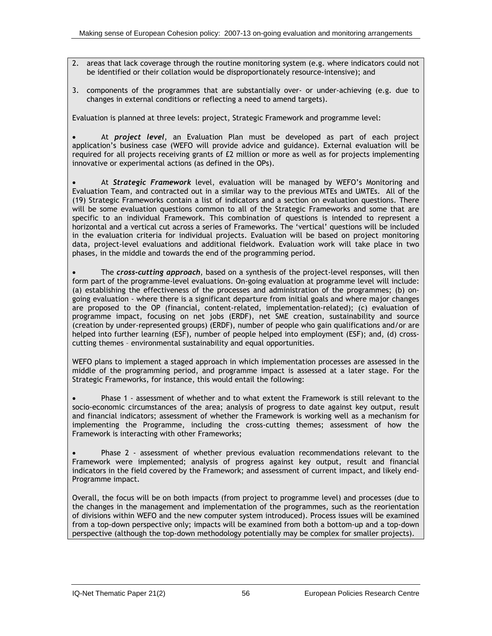- 2. areas that lack coverage through the routine monitoring system (e.g. where indicators could not be identified or their collation would be disproportionately resource-intensive); and
- 3. components of the programmes that are substantially over- or under-achieving (e.g. due to changes in external conditions or reflecting a need to amend targets).

Evaluation is planned at three levels: project, Strategic Framework and programme level:

• At *project level*, an Evaluation Plan must be developed as part of each project application's business case (WEFO will provide advice and guidance). External evaluation will be required for all projects receiving grants of £2 million or more as well as for projects implementing innovative or experimental actions (as defined in the OPs).

• At *Strategic Framework* level, evaluation will be managed by WEFO's Monitoring and Evaluation Team, and contracted out in a similar way to the previous MTEs and UMTEs. All of the (19) Strategic Frameworks contain a list of indicators and a section on evaluation questions. There will be some evaluation questions common to all of the Strategic Frameworks and some that are specific to an individual Framework. This combination of questions is intended to represent a horizontal and a vertical cut across a series of Frameworks. The 'vertical' questions will be included in the evaluation criteria for individual projects. Evaluation will be based on project monitoring data, project-level evaluations and additional fieldwork. Evaluation work will take place in two phases, in the middle and towards the end of the programming period.

• The *cross-cutting approach*, based on a synthesis of the project-level responses, will then form part of the programme-level evaluations. On-going evaluation at programme level will include: (a) establishing the effectiveness of the processes and administration of the programmes; (b) ongoing evaluation - where there is a significant departure from initial goals and where major changes are proposed to the OP (financial, content-related, implementation-related); (c) evaluation of programme impact, focusing on net jobs (ERDF), net SME creation, sustainability and source (creation by under-represented groups) (ERDF), number of people who gain qualifications and/or are helped into further learning (ESF), number of people helped into employment (ESF); and, (d) crosscutting themes – environmental sustainability and equal opportunities.

WEFO plans to implement a staged approach in which implementation processes are assessed in the middle of the programming period, and programme impact is assessed at a later stage. For the Strategic Frameworks, for instance, this would entail the following:

• Phase 1 - assessment of whether and to what extent the Framework is still relevant to the socio-economic circumstances of the area; analysis of progress to date against key output, result and financial indicators; assessment of whether the Framework is working well as a mechanism for implementing the Programme, including the cross-cutting themes; assessment of how the Framework is interacting with other Frameworks;

• Phase 2 - assessment of whether previous evaluation recommendations relevant to the Framework were implemented; analysis of progress against key output, result and financial indicators in the field covered by the Framework; and assessment of current impact, and likely end-Programme impact.

Overall, the focus will be on both impacts (from project to programme level) and processes (due to the changes in the management and implementation of the programmes, such as the reorientation of divisions within WEFO and the new computer system introduced). Process issues will be examined from a top-down perspective only; impacts will be examined from both a bottom-up and a top-down perspective (although the top-down methodology potentially may be complex for smaller projects).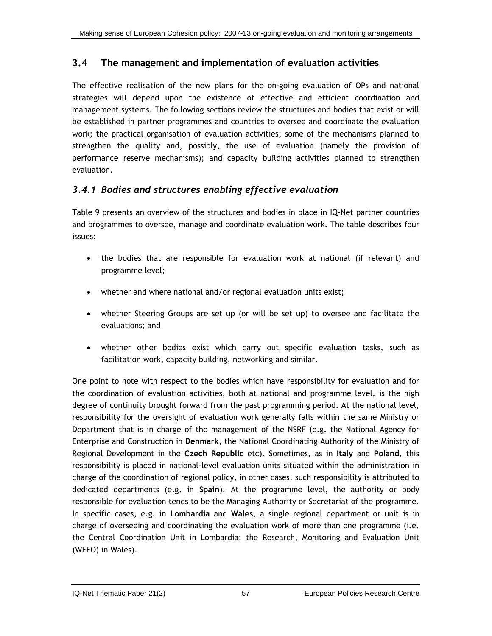# **3.4 The management and implementation of evaluation activities**

The effective realisation of the new plans for the on-going evaluation of OPs and national strategies will depend upon the existence of effective and efficient coordination and management systems. The following sections review the structures and bodies that exist or will be established in partner programmes and countries to oversee and coordinate the evaluation work; the practical organisation of evaluation activities; some of the mechanisms planned to strengthen the quality and, possibly, the use of evaluation (namely the provision of performance reserve mechanisms); and capacity building activities planned to strengthen evaluation.

# *3.4.1 Bodies and structures enabling effective evaluation*

[Table 9](#page-85-0) presents an overview of the structures and bodies in place in IQ-Net partner countries and programmes to oversee, manage and coordinate evaluation work. The table describes four issues:

- the bodies that are responsible for evaluation work at national (if relevant) and programme level;
- whether and where national and/or regional evaluation units exist;
- whether Steering Groups are set up (or will be set up) to oversee and facilitate the evaluations; and
- whether other bodies exist which carry out specific evaluation tasks, such as facilitation work, capacity building, networking and similar.

One point to note with respect to the bodies which have responsibility for evaluation and for the coordination of evaluation activities, both at national and programme level, is the high degree of continuity brought forward from the past programming period. At the national level, responsibility for the oversight of evaluation work generally falls within the same Ministry or Department that is in charge of the management of the NSRF (e.g. the National Agency for Enterprise and Construction in **Denmark**, the National Coordinating Authority of the Ministry of Regional Development in the **Czech Republic** etc). Sometimes, as in **Italy** and **Poland**, this responsibility is placed in national-level evaluation units situated within the administration in charge of the coordination of regional policy, in other cases, such responsibility is attributed to dedicated departments (e.g. in **Spain**). At the programme level, the authority or body responsible for evaluation tends to be the Managing Authority or Secretariat of the programme. In specific cases, e.g. in **Lombardia** and **Wales**, a single regional department or unit is in charge of overseeing and coordinating the evaluation work of more than one programme (i.e. the Central Coordination Unit in Lombardia; the Research, Monitoring and Evaluation Unit (WEFO) in Wales).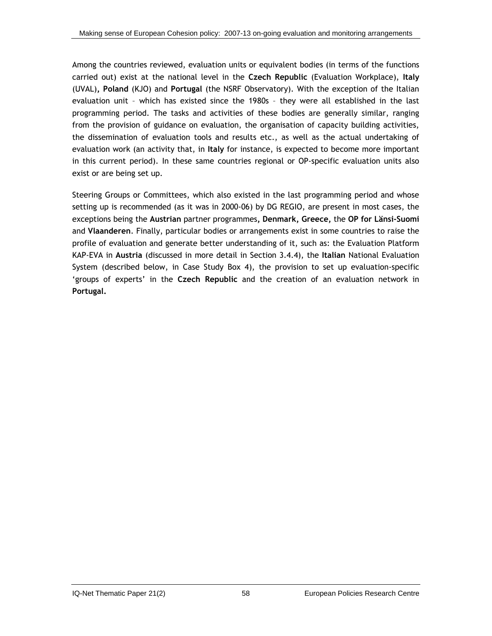Among the countries reviewed, evaluation units or equivalent bodies (in terms of the functions carried out) exist at the national level in the **Czech Republic** (Evaluation Workplace), **Italy**  (UVAL)**, Poland** (KJO) and **Portugal** (the NSRF Observatory). With the exception of the Italian evaluation unit – which has existed since the 1980s – they were all established in the last programming period. The tasks and activities of these bodies are generally similar, ranging from the provision of guidance on evaluation, the organisation of capacity building activities, the dissemination of evaluation tools and results etc., as well as the actual undertaking of evaluation work (an activity that, in **Italy** for instance, is expected to become more important in this current period). In these same countries regional or OP-specific evaluation units also exist or are being set up.

Steering Groups or Committees, which also existed in the last programming period and whose setting up is recommended (as it was in 2000-06) by DG REGIO, are present in most cases, the exceptions being the **Austrian** partner programmes**, Denmark, Greece,** the **OP for Länsi-Suomi**  and **Vlaanderen**. Finally, particular bodies or arrangements exist in some countries to raise the profile of evaluation and generate better understanding of it, such as: the Evaluation Platform KAP-EVA in **Austria** (discussed in more detail in Section [3.4.4](#page-90-0)), the **Italian** National Evaluation System (described below, in Case Study Box 4), the provision to set up evaluation-specific 'groups of experts' in the **Czech Republic** and the creation of an evaluation network in **Portugal.**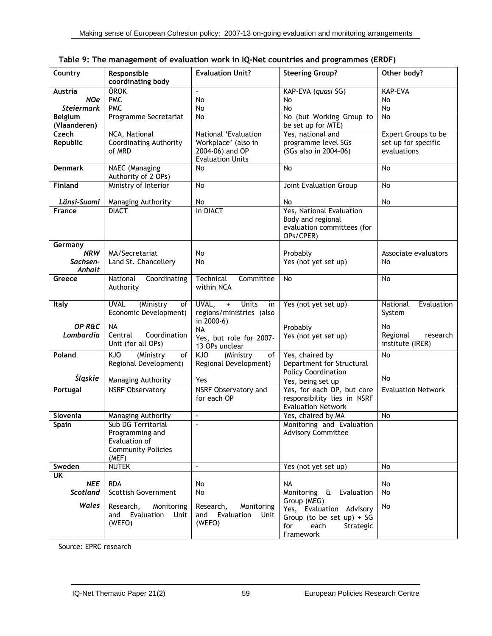| Country                        | Responsible<br>coordinating body | <b>Evaluation Unit?</b>     | <b>Steering Group?</b>                         | Other body?               |  |
|--------------------------------|----------------------------------|-----------------------------|------------------------------------------------|---------------------------|--|
| <b>Austria</b>                 | ÖROK                             | $\mathbf{r}$                | KAP-EVA (quasi SG)                             | <b>KAP-EVA</b>            |  |
| <b>NOe</b>                     | <b>PMC</b>                       | No                          | No                                             | No                        |  |
| <b>Steiermark</b>              | <b>PMC</b>                       | No                          | No                                             | No                        |  |
|                                |                                  |                             |                                                |                           |  |
| <b>Belgium</b><br>(Vlaanderen) | Programme Secretariat            | No                          | No (but Working Group to<br>be set up for MTE) | No                        |  |
| Czech                          | NCA, National                    | National 'Evaluation        | Yes, national and                              | Expert Groups to be       |  |
| Republic                       | <b>Coordinating Authority</b>    | Workplace' (also in         | programme level SGs                            | set up for specific       |  |
|                                | of MRD                           | 2004-06) and OP             | (SGs also in 2004-06)                          | evaluations               |  |
|                                |                                  | <b>Evaluation Units</b>     |                                                |                           |  |
| <b>Denmark</b>                 | <b>NAEC</b> (Managing            | No                          | No                                             | <b>No</b>                 |  |
|                                |                                  |                             |                                                |                           |  |
|                                | Authority of 2 OPs)              |                             |                                                |                           |  |
| <b>Finland</b>                 | Ministry of Interior             | No                          | Joint Evaluation Group                         | <b>No</b>                 |  |
|                                |                                  |                             |                                                |                           |  |
| Länsi-Suomi                    | Managing Authority               | No                          | No                                             | No                        |  |
| <b>France</b>                  | <b>DIACT</b>                     | In DIACT                    | Yes, National Evaluation                       |                           |  |
|                                |                                  |                             | Body and regional                              |                           |  |
|                                |                                  |                             | evaluation committees (for                     |                           |  |
|                                |                                  |                             | OPs/CPER)                                      |                           |  |
| Germany                        |                                  |                             |                                                |                           |  |
| <b>NRW</b>                     | MA/Secretariat                   | No                          | Probably                                       |                           |  |
|                                |                                  |                             |                                                | Associate evaluators      |  |
| Sachsen-                       | Land St. Chancellery             | No                          | Yes (not yet set up)                           | No                        |  |
| Anhalt                         |                                  |                             |                                                |                           |  |
| Greece                         | National<br>Coordinating         | Technical<br>Committee      | <b>No</b>                                      | <b>No</b>                 |  |
|                                | Authority                        | within NCA                  |                                                |                           |  |
|                                |                                  |                             |                                                |                           |  |
| <b>Italy</b>                   | <b>UVAL</b><br>(Ministry<br>of   | UVAL, + Units<br>in         | Yes (not yet set up)                           | National<br>Evaluation    |  |
|                                | Economic Development)            | regions/ministries (also    |                                                | System                    |  |
|                                |                                  | in 2000-6)                  |                                                |                           |  |
| OP R&C                         | <b>NA</b>                        | <b>NA</b>                   | Probably                                       | No                        |  |
| Lombardia                      | Central<br>Coordination          | Yes, but role for 2007-     | Yes (not yet set up)                           | Regional<br>research      |  |
|                                | Unit (for all OPs)               |                             |                                                | institute (IRER)          |  |
|                                |                                  | 13 OPs unclear              |                                                |                           |  |
| Poland                         | KJO<br>(Ministry<br>of           | KJO<br>(Ministry<br>of      | Yes, chaired by                                | No                        |  |
|                                | Regional Development)            | Regional Development)       | Department for Structural                      |                           |  |
|                                |                                  |                             | <b>Policy Coordination</b>                     |                           |  |
| Śląskie                        | Managing Authority               | Yes                         | Yes, being set up                              | No                        |  |
| Portugal                       | <b>NSRF Observatory</b>          | NSRF Observatory and        | Yes, for each OP, but core                     | <b>Evaluation Network</b> |  |
|                                |                                  | for each OP                 | responsibility lies in NSRF                    |                           |  |
|                                |                                  |                             | <b>Evaluation Network</b>                      |                           |  |
| Slovenia                       | Managing Authority               | $\overline{\phantom{a}}$    | Yes, chaired by MA                             | No                        |  |
|                                |                                  |                             |                                                |                           |  |
| <b>Spain</b>                   | Sub DG Territorial               |                             | Monitoring and Evaluation                      |                           |  |
|                                | Programming and                  |                             | <b>Advisory Committee</b>                      |                           |  |
|                                | Evaluation of                    |                             |                                                |                           |  |
|                                | <b>Community Policies</b>        |                             |                                                |                           |  |
|                                | (MEF)                            |                             |                                                |                           |  |
| Sweden                         | <b>NUTEK</b>                     | $\mathcal{L}^{\mathcal{L}}$ | Yes (not yet set up)                           | No                        |  |
| UK                             |                                  |                             |                                                |                           |  |
| <b>NEE</b>                     | <b>RDA</b>                       | No                          | <b>NA</b>                                      | No                        |  |
| Scotland                       | <b>Scottish Government</b>       | No                          | Monitoring & Evaluation                        | No                        |  |
|                                |                                  |                             | Group (MEG)                                    |                           |  |
| Wales                          | Research,<br>Monitoring          | Research.<br>Monitoring     |                                                | No                        |  |
|                                | Evaluation<br>and<br>Unit        | Evaluation<br>and<br>Unit   | Yes, Evaluation Advisory                       |                           |  |
|                                | (WEFO)                           | (WEFO)                      | Group (to be set up) + SG                      |                           |  |
|                                |                                  |                             | for<br>each<br>Strategic                       |                           |  |
|                                |                                  |                             | Framework                                      |                           |  |

<span id="page-85-0"></span>**Table 9: The management of evaluation work in IQ-Net countries and programmes (ERDF)** 

Source: EPRC research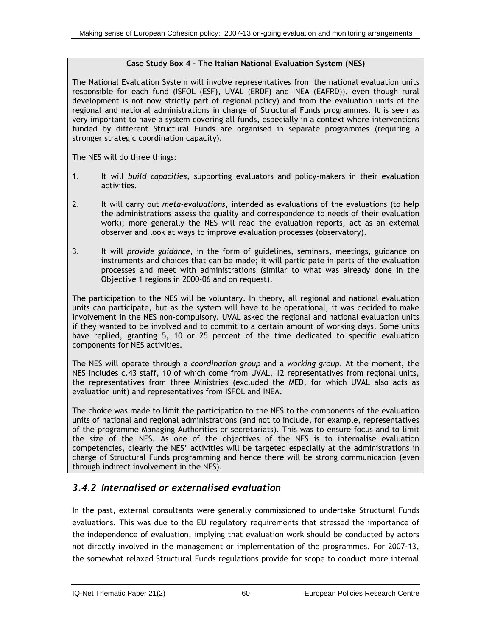### **Case Study Box 4 – The Italian National Evaluation System (NES)**

The National Evaluation System will involve representatives from the national evaluation units responsible for each fund (ISFOL (ESF), UVAL (ERDF) and INEA (EAFRD)), even though rural development is not now strictly part of regional policy) and from the evaluation units of the regional and national administrations in charge of Structural Funds programmes. It is seen as very important to have a system covering all funds, especially in a context where interventions funded by different Structural Funds are organised in separate programmes (requiring a stronger strategic coordination capacity).

The NES will do three things:

- 1. It will *build capacities*, supporting evaluators and policy-makers in their evaluation activities.
- 2. It will carry out *meta-evaluations*, intended as evaluations of the evaluations (to help the administrations assess the quality and correspondence to needs of their evaluation work); more generally the NES will read the evaluation reports, act as an external observer and look at ways to improve evaluation processes (observatory).
- 3. It will *provide guidance*, in the form of guidelines, seminars, meetings, guidance on instruments and choices that can be made; it will participate in parts of the evaluation processes and meet with administrations (similar to what was already done in the Objective 1 regions in 2000-06 and on request).

The participation to the NES will be voluntary. In theory, all regional and national evaluation units can participate, but as the system will have to be operational, it was decided to make involvement in the NES non-compulsory. UVAL asked the regional and national evaluation units if they wanted to be involved and to commit to a certain amount of working days. Some units have replied, granting 5, 10 or 25 percent of the time dedicated to specific evaluation components for NES activities.

The NES will operate through a *coordination group* and a *working group*. At the moment, the NES includes c.43 staff, 10 of which come from UVAL, 12 representatives from regional units, the representatives from three Ministries (excluded the MED, for which UVAL also acts as evaluation unit) and representatives from ISFOL and INEA.

The choice was made to limit the participation to the NES to the components of the evaluation units of national and regional administrations (and not to include, for example, representatives of the programme Managing Authorities or secretariats). This was to ensure focus and to limit the size of the NES. As one of the objectives of the NES is to internalise evaluation competencies, clearly the NES' activities will be targeted especially at the administrations in charge of Structural Funds programming and hence there will be strong communication (even through indirect involvement in the NES).

# *3.4.2 Internalised or externalised evaluation*

In the past, external consultants were generally commissioned to undertake Structural Funds evaluations. This was due to the EU regulatory requirements that stressed the importance of the independence of evaluation, implying that evaluation work should be conducted by actors not directly involved in the management or implementation of the programmes. For 2007-13, the somewhat relaxed Structural Funds regulations provide for scope to conduct more internal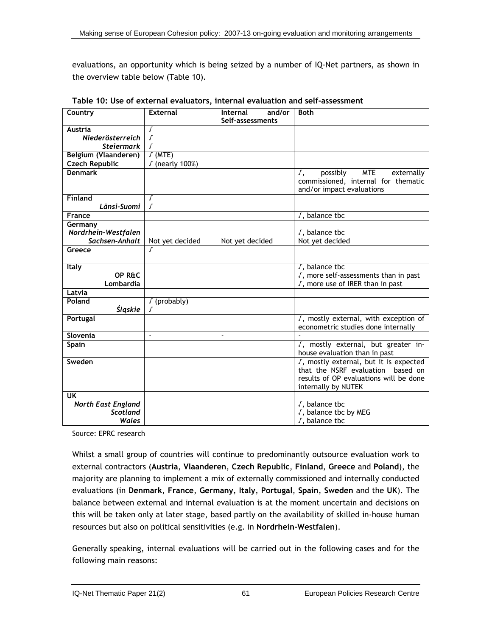<span id="page-87-0"></span>evaluations, an opportunity which is being seized by a number of IQ-Net partners, as shown in the overview table below ([Table 10](#page-87-0)).

| Country                   | <b>External</b>          | and/or<br>Internal | <b>Both</b>                                                                                                              |
|---------------------------|--------------------------|--------------------|--------------------------------------------------------------------------------------------------------------------------|
|                           |                          | Self-assessments   |                                                                                                                          |
| Austria                   | $\int$                   |                    |                                                                                                                          |
| Niederösterreich          | $\sqrt{ }$               |                    |                                                                                                                          |
| <b>Steiermark</b>         | Г                        |                    |                                                                                                                          |
| Belgium (Vlaanderen)      | $J$ (MTE)                |                    |                                                                                                                          |
| <b>Czech Republic</b>     | √ (nearly 100%)          |                    |                                                                                                                          |
| <b>Denmark</b>            |                          |                    | possibly<br><b>MTE</b><br>$\sqrt{ }$ ,<br>externally<br>commissioned, internal for thematic<br>and/or impact evaluations |
| <b>Finland</b>            | $\int$                   |                    |                                                                                                                          |
| Länsi-Suomi               | Г                        |                    |                                                                                                                          |
| France                    |                          |                    | $\sqrt{ }$ , balance tbc                                                                                                 |
| Germany                   |                          |                    |                                                                                                                          |
| Nordrhein-Westfalen       |                          |                    | $\sqrt{ }$ , balance tbc                                                                                                 |
| Sachsen-Anhalt            | Not yet decided          | Not yet decided    | Not yet decided                                                                                                          |
| Greece                    | Г                        |                    |                                                                                                                          |
|                           |                          |                    |                                                                                                                          |
| Italy                     |                          |                    | $\sqrt{ }$ , balance tbc                                                                                                 |
| OP R&C                    |                          |                    | $\sqrt{ }$ , more self-assessments than in past                                                                          |
| Lombardia                 |                          |                    | J, more use of IRER than in past                                                                                         |
| Latvia                    |                          |                    |                                                                                                                          |
| Poland                    | $\sqrt{(probability)}$   |                    |                                                                                                                          |
| Śląskie                   | Г                        |                    |                                                                                                                          |
| Portugal                  |                          |                    | J, mostly external, with exception of                                                                                    |
|                           |                          |                    | econometric studies done internally                                                                                      |
| Slovenia                  | $\overline{\phantom{a}}$ | $\blacksquare$     |                                                                                                                          |
| Spain                     |                          |                    | J, mostly external, but greater in-                                                                                      |
|                           |                          |                    | house evaluation than in past                                                                                            |
| Sweden                    |                          |                    | J, mostly external, but it is expected                                                                                   |
|                           |                          |                    | that the NSRF evaluation<br>based on                                                                                     |
|                           |                          |                    | results of OP evaluations will be done                                                                                   |
|                           |                          |                    | internally by NUTEK                                                                                                      |
| <b>UK</b>                 |                          |                    |                                                                                                                          |
| <b>North East England</b> |                          |                    | $\sqrt{ }$ , balance tbc                                                                                                 |
| <b>Scotland</b>           |                          |                    | J, balance tbc by MEG                                                                                                    |
| Wales                     |                          |                    | $\sqrt{ }$ , balance tbc                                                                                                 |

**Table 10: Use of external evaluators, internal evaluation and self-assessment** 

Source: EPRC research

Whilst a small group of countries will continue to predominantly outsource evaluation work to external contractors (**Austria**, **Vlaanderen**, **Czech Republic**, **Finland**, **Greece** and **Poland**), the majority are planning to implement a mix of externally commissioned and internally conducted evaluations (in **Denmark**, **France**, **Germany**, **Italy**, **Portugal**, **Spain**, **Sweden** and the **UK**). The balance between external and internal evaluation is at the moment uncertain and decisions on this will be taken only at later stage, based partly on the availability of skilled in-house human resources but also on political sensitivities (e.g. in **Nordrhein-Westfalen**).

Generally speaking, internal evaluations will be carried out in the following cases and for the following main reasons: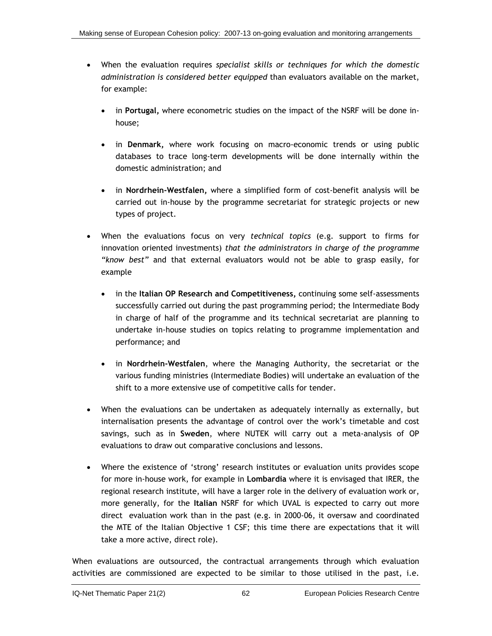- When the evaluation requires *specialist skills or techniques for which the domestic administration is considered better equipped* than evaluators available on the market, for example:
	- in **Portugal,** where econometric studies on the impact of the NSRF will be done inhouse;
	- in **Denmark,** where work focusing on macro-economic trends or using public databases to trace long-term developments will be done internally within the domestic administration; and
	- in **Nordrhein-Westfalen,** where a simplified form of cost-benefit analysis will be carried out in-house by the programme secretariat for strategic projects or new types of project.
- When the evaluations focus on very *technical topics* (e.g. support to firms for innovation oriented investments) *that the administrators in charge of the programme "know best"* and that external evaluators would not be able to grasp easily, for example
	- in the **Italian OP Research and Competitiveness,** continuing some self-assessments successfully carried out during the past programming period; the Intermediate Body in charge of half of the programme and its technical secretariat are planning to undertake in-house studies on topics relating to programme implementation and performance; and
	- in **Nordrhein-Westfalen**, where the Managing Authority, the secretariat or the various funding ministries (Intermediate Bodies) will undertake an evaluation of the shift to a more extensive use of competitive calls for tender.
- When the evaluations can be undertaken as adequately internally as externally, but internalisation presents the advantage of control over the work's timetable and cost savings, such as in **Sweden**, where NUTEK will carry out a meta-analysis of OP evaluations to draw out comparative conclusions and lessons.
- Where the existence of 'strong' research institutes or evaluation units provides scope for more in-house work, for example in **Lombardia** where it is envisaged that IRER, the regional research institute, will have a larger role in the delivery of evaluation work or, more generally, for the **Italian** NSRF for which UVAL is expected to carry out more direct evaluation work than in the past (e.g. in 2000-06, it oversaw and coordinated the MTE of the Italian Objective 1 CSF; this time there are expectations that it will take a more active, direct role).

When evaluations are outsourced, the contractual arrangements through which evaluation activities are commissioned are expected to be similar to those utilised in the past, i.e.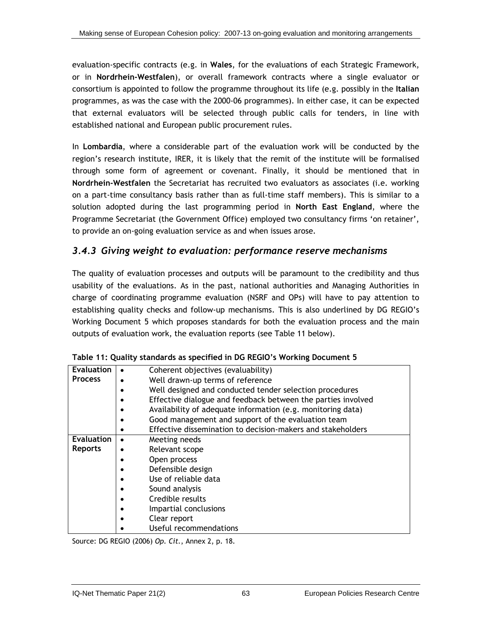<span id="page-89-0"></span>evaluation-specific contracts (e.g. in **Wales**, for the evaluations of each Strategic Framework, or in **Nordrhein-Westfalen**), or overall framework contracts where a single evaluator or consortium is appointed to follow the programme throughout its life (e.g. possibly in the **Italian**  programmes, as was the case with the 2000-06 programmes). In either case, it can be expected that external evaluators will be selected through public calls for tenders, in line with established national and European public procurement rules.

In **Lombardia**, where a considerable part of the evaluation work will be conducted by the region's research institute, IRER, it is likely that the remit of the institute will be formalised through some form of agreement or covenant. Finally, it should be mentioned that in **Nordrhein-Westfalen** the Secretariat has recruited two evaluators as associates (i.e. working on a part-time consultancy basis rather than as full-time staff members). This is similar to a solution adopted during the last programming period in **North East England**, where the Programme Secretariat (the Government Office) employed two consultancy firms 'on retainer', to provide an on-going evaluation service as and when issues arose.

### *3.4.3 Giving weight to evaluation: performance reserve mechanisms*

The quality of evaluation processes and outputs will be paramount to the credibility and thus usability of the evaluations. As in the past, national authorities and Managing Authorities in charge of coordinating programme evaluation (NSRF and OPs) will have to pay attention to establishing quality checks and follow-up mechanisms. This is also underlined by DG REGIO's Working Document 5 which proposes standards for both the evaluation process and the main outputs of evaluation work, the evaluation reports (see [Table 11](#page-89-0) below).

| <b>Evaluation</b> | Coherent objectives (evaluability)                           |
|-------------------|--------------------------------------------------------------|
| <b>Process</b>    | Well drawn-up terms of reference                             |
|                   | Well designed and conducted tender selection procedures      |
|                   | Effective dialogue and feedback between the parties involved |
|                   | Availability of adequate information (e.g. monitoring data)  |
|                   | Good management and support of the evaluation team           |
|                   | Effective dissemination to decision-makers and stakeholders  |
| <b>Evaluation</b> | Meeting needs                                                |
| <b>Reports</b>    | Relevant scope                                               |
|                   | Open process                                                 |
|                   | Defensible design                                            |
|                   | Use of reliable data                                         |
|                   | Sound analysis                                               |
|                   | Credible results                                             |
|                   | Impartial conclusions                                        |
|                   | Clear report                                                 |
|                   | Useful recommendations                                       |

|  | Table 11: Quality standards as specified in DG REGIO's Working Document 5 |  |  |
|--|---------------------------------------------------------------------------|--|--|
|  |                                                                           |  |  |

Source: DG REGIO (2006) *Op. Cit.*, Annex 2, p. 18.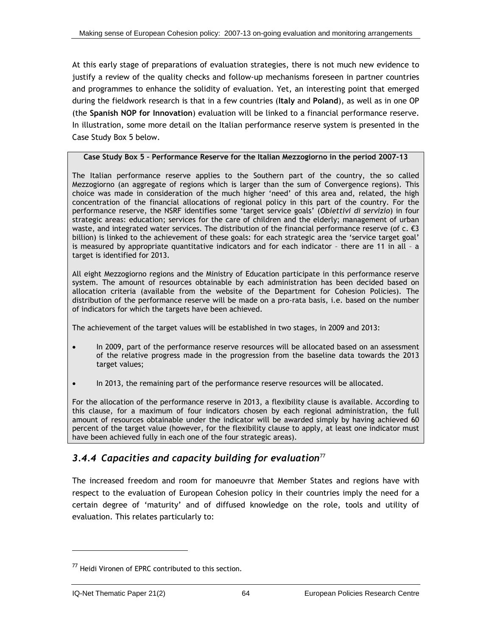<span id="page-90-0"></span>At this early stage of preparations of evaluation strategies, there is not much new evidence to justify a review of the quality checks and follow-up mechanisms foreseen in partner countries and programmes to enhance the solidity of evaluation. Yet, an interesting point that emerged during the fieldwork research is that in a few countries (**Italy** and **Poland**), as well as in one OP (the **Spanish NOP for Innovation**) evaluation will be linked to a financial performance reserve. In illustration, some more detail on the Italian performance reserve system is presented in the Case Study Box 5 below.

#### **Case Study Box 5 – Performance Reserve for the Italian Mezzogiorno in the period 2007-13**

The Italian performance reserve applies to the Southern part of the country, the so called Mezzogiorno (an aggregate of regions which is larger than the sum of Convergence regions). This choice was made in consideration of the much higher 'need' of this area and, related, the high concentration of the financial allocations of regional policy in this part of the country. For the performance reserve, the NSRF identifies some 'target service goals' (*Obiettivi di servizio*) in four strategic areas: education; services for the care of children and the elderly; management of urban waste, and integrated water services. The distribution of the financial performance reserve (of c.  $\epsilon$ 3 billion) is linked to the achievement of these goals: for each strategic area the 'service target goal' is measured by appropriate quantitative indicators and for each indicator – there are 11 in all – a target is identified for 2013.

All eight Mezzogiorno regions and the Ministry of Education participate in this performance reserve system. The amount of resources obtainable by each administration has been decided based on allocation criteria (available from the website of the Department for Cohesion Policies). The distribution of the performance reserve will be made on a pro-rata basis, i.e. based on the number of indicators for which the targets have been achieved.

The achievement of the target values will be established in two stages, in 2009 and 2013:

- In 2009, part of the performance reserve resources will be allocated based on an assessment of the relative progress made in the progression from the baseline data towards the 2013 target values;
- In 2013, the remaining part of the performance reserve resources will be allocated.

For the allocation of the performance reserve in 2013, a flexibility clause is available. According to this clause, for a maximum of four indicators chosen by each regional administration, the full amount of resources obtainable under the indicator will be awarded simply by having achieved 60 percent of the target value (however, for the flexibility clause to apply, at least one indicator must have been achieved fully in each one of the four strategic areas).

# *3.4.4 Capacities and capacity building for evaluation*[77](#page-90-0)

The increased freedom and room for manoeuvre that Member States and regions have with respect to the evaluation of European Cohesion policy in their countries imply the need for a certain degree of 'maturity' and of diffused knowledge on the role, tools and utility of evaluation. This relates particularly to:

<sup>&</sup>lt;sup>77</sup> Heidi Vironen of EPRC contributed to this section.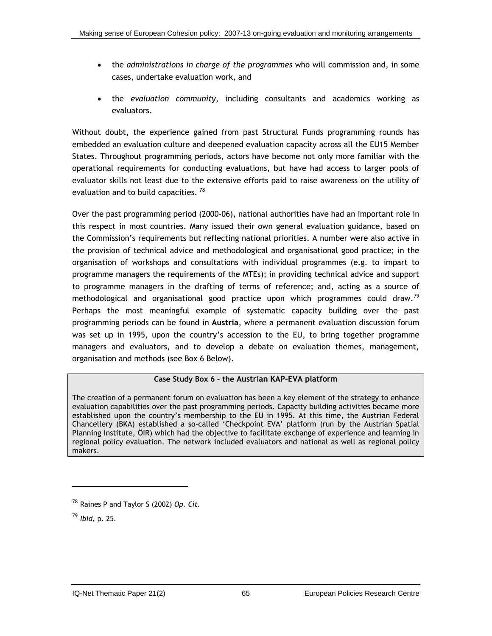- <span id="page-91-0"></span>• the *administrations in charge of the programmes* who will commission and, in some cases, undertake evaluation work, and
- the *evaluation community*, including consultants and academics working as evaluators.

Without doubt, the experience gained from past Structural Funds programming rounds has embedded an evaluation culture and deepened evaluation capacity across all the EU15 Member States. Throughout programming periods, actors have become not only more familiar with the operational requirements for conducting evaluations, but have had access to larger pools of evaluator skills not least due to the extensive efforts paid to raise awareness on the utility of evaluation and to build capacities.<sup>[78](#page-91-0)</sup>

Over the past programming period (2000-06), national authorities have had an important role in this respect in most countries. Many issued their own general evaluation guidance, based on the Commission's requirements but reflecting national priorities. A number were also active in the provision of technical advice and methodological and organisational good practice; in the organisation of workshops and consultations with individual programmes (e.g. to impart to programme managers the requirements of the MTEs); in providing technical advice and support to programme managers in the drafting of terms of reference; and, acting as a source of methodological and organisational good practice upon which programmes could draw.<sup>[79](#page-91-0)</sup> Perhaps the most meaningful example of systematic capacity building over the past programming periods can be found in **Austria**, where a permanent evaluation discussion forum was set up in 1995, upon the country's accession to the EU, to bring together programme managers and evaluators, and to develop a debate on evaluation themes, management, organisation and methods (see Box 6 Below).

### **Case Study Box 6 – the Austrian KAP-EVA platform**

The creation of a permanent forum on evaluation has been a key element of the strategy to enhance evaluation capabilities over the past programming periods. Capacity building activities became more established upon the country's membership to the EU in 1995. At this time, the Austrian Federal Chancellery (BKA) established a so-called 'Checkpoint EVA' platform (run by the Austrian Spatial Planning Institute, ÖIR) which had the objective to facilitate exchange of experience and learning in regional policy evaluation. The network included evaluators and national as well as regional policy makers.

<sup>78</sup> Raines P and Taylor S (2002) *Op. Cit.*

<sup>79</sup> *Ibid,* p. 25.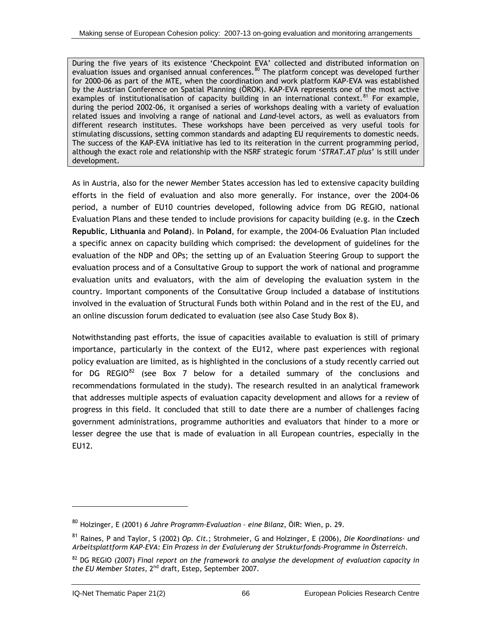<span id="page-92-0"></span>During the five years of its existence 'Checkpoint EVA' collected and distributed information on evaluation issues and organised annual conferences.<sup>[8](#page-92-0)0</sup> The platform concept was developed further for 2000-06 as part of the MTE, when the coordination and work platform KAP-EVA was established by the Austrian Conference on Spatial Planning (ÖROK). KAP-EVA represents one of the most active examples of institutionalisation of capacity building in an international context.<sup>[8](#page-92-0)1</sup> For example, during the period 2002-06, it organised a series of workshops dealing with a variety of evaluation related issues and involving a range of national and *Land*-level actors, as well as evaluators from different research institutes. These workshops have been perceived as very useful tools for stimulating discussions, setting common standards and adapting EU requirements to domestic needs. The success of the KAP-EVA initiative has led to its reiteration in the current programming period, although the exact role and relationship with the NSRF strategic forum '*STRAT.AT plus*' is still under development.

As in Austria, also for the newer Member States accession has led to extensive capacity building efforts in the field of evaluation and also more generally. For instance, over the 2004-06 period, a number of EU10 countries developed, following advice from DG REGIO, national Evaluation Plans and these tended to include provisions for capacity building (e.g. in the **Czech Republic**, **Lithuania** and **Poland**). In **Poland**, for example, the 2004-06 Evaluation Plan included a specific annex on capacity building which comprised: the development of guidelines for the evaluation of the NDP and OPs; the setting up of an Evaluation Steering Group to support the evaluation process and of a Consultative Group to support the work of national and programme evaluation units and evaluators, with the aim of developing the evaluation system in the country. Important components of the Consultative Group included a database of institutions involved in the evaluation of Structural Funds both within Poland and in the rest of the EU, and an online discussion forum dedicated to evaluation (see also Case Study Box 8).

Notwithstanding past efforts, the issue of capacities available to evaluation is still of primary importance, particularly in the context of the EU12, where past experiences with regional policy evaluation are limited, as is highlighted in the conclusions of a study recently carried out for DG REGIO $^{82}$  $^{82}$  $^{82}$  (see Box 7 below for a detailed summary of the conclusions and recommendations formulated in the study). The research resulted in an analytical framework that addresses multiple aspects of evaluation capacity development and allows for a review of progress in this field. It concluded that still to date there are a number of challenges facing government administrations, programme authorities and evaluators that hinder to a more or lesser degree the use that is made of evaluation in all European countries, especially in the EU12.

-

<sup>80</sup> Holzinger, E (2001) *6 Jahre Programm-Evaluation – eine Bilanz*, ÖIR: Wien, p. 29.

<sup>81</sup> Raines, P and Taylor, S (2002) *Op. Cit.*; Strohmeier, G and Holzinger, E (2006), *Die Koordinations- und Arbeitsplattform KAP-EVA: Ein Prozess in der Evaluierung der Strukturfonds-Programme in Österreich*.

<sup>82</sup> DG REGIO (2007) *Final report on the framework to analyse the development of evaluation capacity in the EU Member States*, 2nd draft, Estep, September 2007.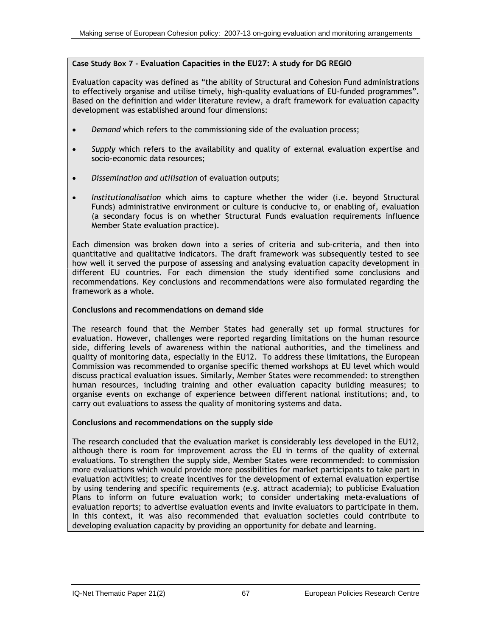#### **Case Study Box 7 - Evaluation Capacities in the EU27: A study for DG REGIO**

Evaluation capacity was defined as "the ability of Structural and Cohesion Fund administrations to effectively organise and utilise timely, high-quality evaluations of EU-funded programmes". Based on the definition and wider literature review, a draft framework for evaluation capacity development was established around four dimensions:

- *Demand* which refers to the commissioning side of the evaluation process;
- *Supply* which refers to the availability and quality of external evaluation expertise and socio-economic data resources;
- *Dissemination and utilisation* of evaluation outputs;
- *Institutionalisation* which aims to capture whether the wider (i.e. beyond Structural Funds) administrative environment or culture is conducive to, or enabling of, evaluation (a secondary focus is on whether Structural Funds evaluation requirements influence Member State evaluation practice).

Each dimension was broken down into a series of criteria and sub-criteria, and then into quantitative and qualitative indicators. The draft framework was subsequently tested to see how well it served the purpose of assessing and analysing evaluation capacity development in different EU countries. For each dimension the study identified some conclusions and recommendations. Key conclusions and recommendations were also formulated regarding the framework as a whole.

#### **Conclusions and recommendations on demand side**

The research found that the Member States had generally set up formal structures for evaluation. However, challenges were reported regarding limitations on the human resource side, differing levels of awareness within the national authorities, and the timeliness and quality of monitoring data, especially in the EU12. To address these limitations, the European Commission was recommended to organise specific themed workshops at EU level which would discuss practical evaluation issues. Similarly, Member States were recommended: to strengthen human resources, including training and other evaluation capacity building measures; to organise events on exchange of experience between different national institutions; and, to carry out evaluations to assess the quality of monitoring systems and data.

#### **Conclusions and recommendations on the supply side**

The research concluded that the evaluation market is considerably less developed in the EU12, although there is room for improvement across the EU in terms of the quality of external evaluations. To strengthen the supply side, Member States were recommended: to commission more evaluations which would provide more possibilities for market participants to take part in evaluation activities; to create incentives for the development of external evaluation expertise by using tendering and specific requirements (e.g. attract academia); to publicise Evaluation Plans to inform on future evaluation work; to consider undertaking meta-evaluations of evaluation reports; to advertise evaluation events and invite evaluators to participate in them. In this context, it was also recommended that evaluation societies could contribute to developing evaluation capacity by providing an opportunity for debate and learning.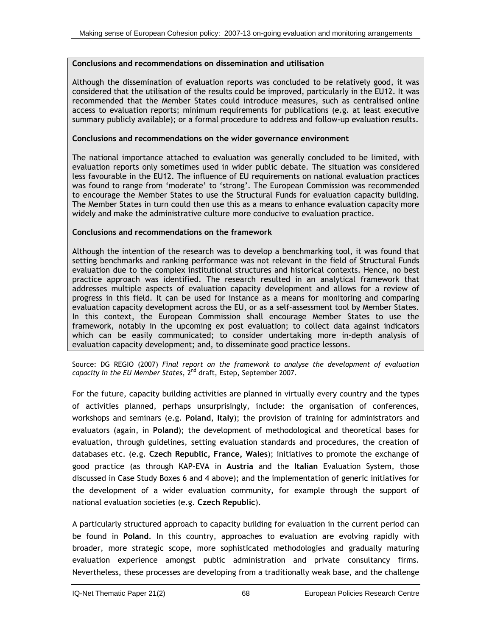#### **Conclusions and recommendations on dissemination and utilisation**

Although the dissemination of evaluation reports was concluded to be relatively good, it was considered that the utilisation of the results could be improved, particularly in the EU12. It was recommended that the Member States could introduce measures, such as centralised online access to evaluation reports; minimum requirements for publications (e.g. at least executive summary publicly available); or a formal procedure to address and follow-up evaluation results.

#### **Conclusions and recommendations on the wider governance environment**

The national importance attached to evaluation was generally concluded to be limited, with evaluation reports only sometimes used in wider public debate. The situation was considered less favourable in the EU12. The influence of EU requirements on national evaluation practices was found to range from 'moderate' to 'strong'. The European Commission was recommended to encourage the Member States to use the Structural Funds for evaluation capacity building. The Member States in turn could then use this as a means to enhance evaluation capacity more widely and make the administrative culture more conducive to evaluation practice.

#### **Conclusions and recommendations on the framework**

Although the intention of the research was to develop a benchmarking tool, it was found that setting benchmarks and ranking performance was not relevant in the field of Structural Funds evaluation due to the complex institutional structures and historical contexts. Hence, no best practice approach was identified. The research resulted in an analytical framework that addresses multiple aspects of evaluation capacity development and allows for a review of progress in this field. It can be used for instance as a means for monitoring and comparing evaluation capacity development across the EU, or as a self-assessment tool by Member States. In this context, the European Commission shall encourage Member States to use the framework, notably in the upcoming ex post evaluation; to collect data against indicators which can be easily communicated; to consider undertaking more in-depth analysis of evaluation capacity development; and, to disseminate good practice lessons.

Source: DG REGIO (2007) *Final report on the framework to analyse the development of evaluation capacity in the EU Member States*, 2nd draft, Estep, September 2007.

For the future, capacity building activities are planned in virtually every country and the types of activities planned, perhaps unsurprisingly, include: the organisation of conferences, workshops and seminars (e.g. **Poland**, **Italy**); the provision of training for administrators and evaluators (again, in **Poland**); the development of methodological and theoretical bases for evaluation, through guidelines, setting evaluation standards and procedures, the creation of databases etc. (e.g. **Czech Republic, France, Wales**); initiatives to promote the exchange of good practice (as through KAP-EVA in **Austria** and the **Italian** Evaluation System, those discussed in Case Study Boxes 6 and 4 above); and the implementation of generic initiatives for the development of a wider evaluation community, for example through the support of national evaluation societies (e.g. **Czech Republic**).

A particularly structured approach to capacity building for evaluation in the current period can be found in **Poland**. In this country, approaches to evaluation are evolving rapidly with broader, more strategic scope, more sophisticated methodologies and gradually maturing evaluation experience amongst public administration and private consultancy firms. Nevertheless, these processes are developing from a traditionally weak base, and the challenge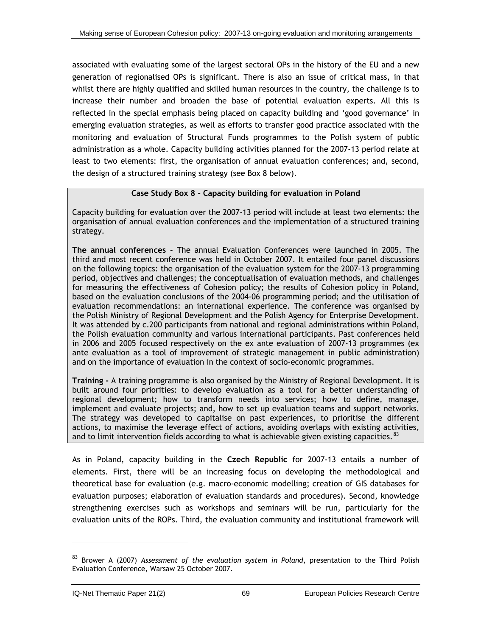<span id="page-95-0"></span>associated with evaluating some of the largest sectoral OPs in the history of the EU and a new generation of regionalised OPs is significant. There is also an issue of critical mass, in that whilst there are highly qualified and skilled human resources in the country, the challenge is to increase their number and broaden the base of potential evaluation experts. All this is reflected in the special emphasis being placed on capacity building and 'good governance' in emerging evaluation strategies, as well as efforts to transfer good practice associated with the monitoring and evaluation of Structural Funds programmes to the Polish system of public administration as a whole. Capacity building activities planned for the 2007-13 period relate at least to two elements: first, the organisation of annual evaluation conferences; and, second, the design of a structured training strategy (see Box 8 below).

#### **Case Study Box 8 - Capacity building for evaluation in Poland**

Capacity building for evaluation over the 2007-13 period will include at least two elements: the organisation of annual evaluation conferences and the implementation of a structured training strategy.

**The annual conferences -** The annual Evaluation Conferences were launched in 2005. The third and most recent conference was held in October 2007. It entailed four panel discussions on the following topics: the organisation of the evaluation system for the 2007-13 programming period, objectives and challenges; the conceptualisation of evaluation methods, and challenges for measuring the effectiveness of Cohesion policy; the results of Cohesion policy in Poland, based on the evaluation conclusions of the 2004-06 programming period; and the utilisation of evaluation recommendations: an international experience. The conference was organised by the Polish Ministry of Regional Development and the Polish Agency for Enterprise Development. It was attended by c.200 participants from national and regional administrations within Poland, the Polish evaluation community and various international participants. Past conferences held in 2006 and 2005 focused respectively on the ex ante evaluation of 2007-13 programmes (ex ante evaluation as a tool of improvement of strategic management in public administration) and on the importance of evaluation in the context of socio-economic programmes.

**Training -** A training programme is also organised by the Ministry of Regional Development. It is built around four priorities: to develop evaluation as a tool for a better understanding of regional development; how to transform needs into services; how to define, manage, implement and evaluate projects; and, how to set up evaluation teams and support networks. The strategy was developed to capitalise on past experiences, to prioritise the different actions, to maximise the leverage effect of actions, avoiding overlaps with existing activities, and to limit intervention fields according to what is achievable given existing capacities.<sup>[8](#page-95-0)3</sup>

As in Poland, capacity building in the **Czech Republic** for 2007-13 entails a number of elements. First, there will be an increasing focus on developing the methodological and theoretical base for evaluation (e.g. macro-economic modelling; creation of GIS databases for evaluation purposes; elaboration of evaluation standards and procedures). Second, knowledge strengthening exercises such as workshops and seminars will be run, particularly for the evaluation units of the ROPs. Third, the evaluation community and institutional framework will

-

<sup>83</sup> Brower A (2007) *Assessment of the evaluation system in Poland*, presentation to the Third Polish Evaluation Conference, Warsaw 25 October 2007.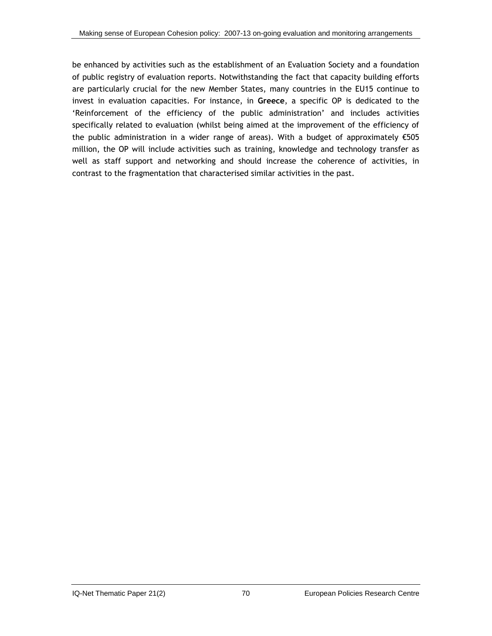be enhanced by activities such as the establishment of an Evaluation Society and a foundation of public registry of evaluation reports. Notwithstanding the fact that capacity building efforts are particularly crucial for the new Member States, many countries in the EU15 continue to invest in evaluation capacities. For instance, in **Greece**, a specific OP is dedicated to the 'Reinforcement of the efficiency of the public administration' and includes activities specifically related to evaluation (whilst being aimed at the improvement of the efficiency of the public administration in a wider range of areas). With a budget of approximately €505 million, the OP will include activities such as training, knowledge and technology transfer as well as staff support and networking and should increase the coherence of activities, in contrast to the fragmentation that characterised similar activities in the past.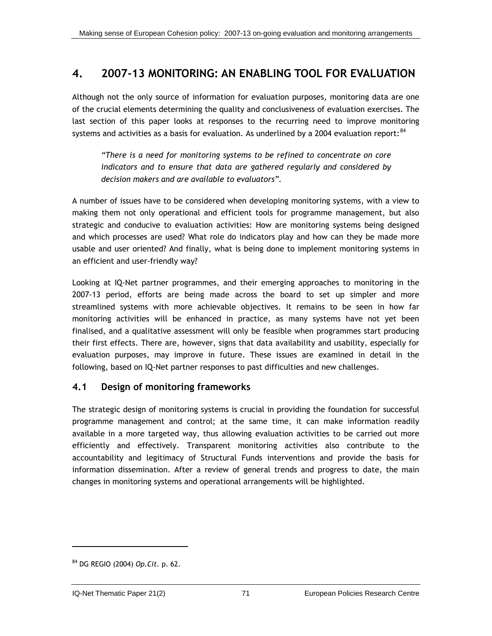# <span id="page-97-0"></span>**4. 2007-13 MONITORING: AN ENABLING TOOL FOR EVALUATION**

Although not the only source of information for evaluation purposes, monitoring data are one of the crucial elements determining the quality and conclusiveness of evaluation exercises. The last section of this paper looks at responses to the recurring need to improve monitoring systems and activities as a basis for evaluation. As underlined by a 2004 evaluation report:  $84$ 

*"There is a need for monitoring systems to be refined to concentrate on core indicators and to ensure that data are gathered regularly and considered by decision makers and are available to evaluators".* 

A number of issues have to be considered when developing monitoring systems, with a view to making them not only operational and efficient tools for programme management, but also strategic and conducive to evaluation activities: How are monitoring systems being designed and which processes are used? What role do indicators play and how can they be made more usable and user oriented? And finally, what is being done to implement monitoring systems in an efficient and user-friendly way?

Looking at IQ-Net partner programmes, and their emerging approaches to monitoring in the 2007-13 period, efforts are being made across the board to set up simpler and more streamlined systems with more achievable objectives. It remains to be seen in how far monitoring activities will be enhanced in practice, as many systems have not yet been finalised, and a qualitative assessment will only be feasible when programmes start producing their first effects. There are, however, signs that data availability and usability, especially for evaluation purposes, may improve in future. These issues are examined in detail in the following, based on IQ-Net partner responses to past difficulties and new challenges.

# **4.1 Design of monitoring frameworks**

The strategic design of monitoring systems is crucial in providing the foundation for successful programme management and control; at the same time, it can make information readily available in a more targeted way, thus allowing evaluation activities to be carried out more efficiently and effectively. Transparent monitoring activities also contribute to the accountability and legitimacy of Structural Funds interventions and provide the basis for information dissemination. After a review of general trends and progress to date, the main changes in monitoring systems and operational arrangements will be highlighted.

-

<sup>84</sup> DG REGIO (2004) *Op.Cit.* p. 62.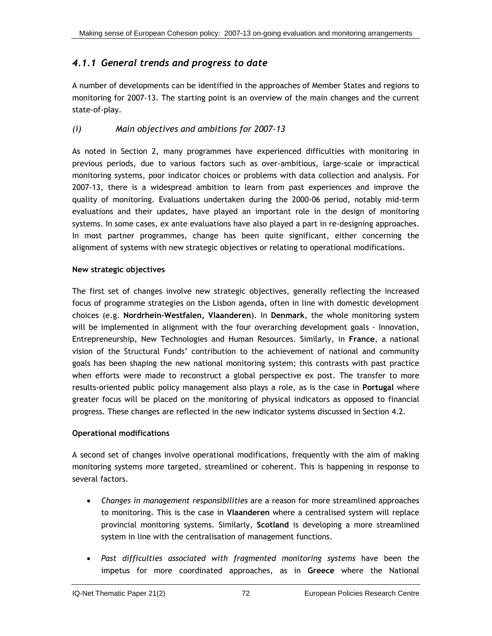# *4.1.1 General trends and progress to date*

A number of developments can be identified in the approaches of Member States and regions to monitoring for 2007-13. The starting point is an overview of the main changes and the current state-of-play.

### *(i) Main objectives and ambitions for 2007-13*

As noted in Section 2, many programmes have experienced difficulties with monitoring in previous periods, due to various factors such as over-ambitious, large-scale or impractical monitoring systems, poor indicator choices or problems with data collection and analysis. For 2007-13, there is a widespread ambition to learn from past experiences and improve the quality of monitoring. Evaluations undertaken during the 2000-06 period, notably mid-term evaluations and their updates, have played an important role in the design of monitoring systems. In some cases, ex ante evaluations have also played a part in re-designing approaches. In most partner programmes, change has been quite significant, either concerning the alignment of systems with new strategic objectives or relating to operational modifications.

### **New strategic objectives**

The first set of changes involve new strategic objectives, generally reflecting the increased focus of programme strategies on the Lisbon agenda, often in line with domestic development choices (e.g. **Nordrhein-Westfalen, Vlaanderen**). In **Denmark**, the whole monitoring system will be implemented in alignment with the four overarching development goals - Innovation, Entrepreneurship, New Technologies and Human Resources. Similarly, in **France**, a national vision of the Structural Funds' contribution to the achievement of national and community goals has been shaping the new national monitoring system; this contrasts with past practice when efforts were made to reconstruct a global perspective ex post. The transfer to more results-oriented public policy management also plays a role, as is the case in **Portugal** where greater focus will be placed on the monitoring of physical indicators as opposed to financial progress. These changes are reflected in the new indicator systems discussed in Section [4.2.](#page-105-0)

### **Operational modifications**

A second set of changes involve operational modifications, frequently with the aim of making monitoring systems more targeted, streamlined or coherent. This is happening in response to several factors.

- *Changes in management responsibilities* are a reason for more streamlined approaches to monitoring. This is the case in **Vlaanderen** where a centralised system will replace provincial monitoring systems. Similarly, **Scotland** is developing a more streamlined system in line with the centralisation of management functions.
- *Past difficulties associated with fragmented monitoring systems* have been the impetus for more coordinated approaches, as in **Greece** where the National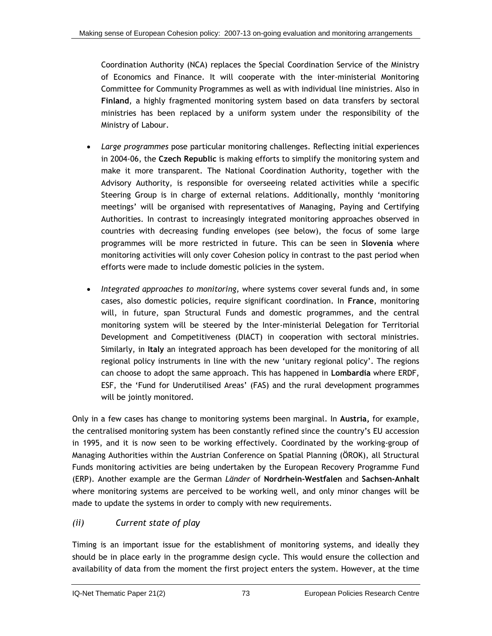Coordination Authority (NCA) replaces the Special Coordination Service of the Ministry of Economics and Finance. It will cooperate with the inter-ministerial Monitoring Committee for Community Programmes as well as with individual line ministries. Also in **Finland**, a highly fragmented monitoring system based on data transfers by sectoral ministries has been replaced by a uniform system under the responsibility of the Ministry of Labour.

- *Large programmes* pose particular monitoring challenges. Reflecting initial experiences in 2004-06, the **Czech Republic** is making efforts to simplify the monitoring system and make it more transparent. The National Coordination Authority, together with the Advisory Authority, is responsible for overseeing related activities while a specific Steering Group is in charge of external relations. Additionally, monthly 'monitoring meetings' will be organised with representatives of Managing, Paying and Certifying Authorities. In contrast to increasingly integrated monitoring approaches observed in countries with decreasing funding envelopes (see below), the focus of some large programmes will be more restricted in future. This can be seen in **Slovenia** where monitoring activities will only cover Cohesion policy in contrast to the past period when efforts were made to include domestic policies in the system.
- *Integrated approaches to monitoring,* where systems cover several funds and, in some cases, also domestic policies, require significant coordination. In **France**, monitoring will, in future, span Structural Funds and domestic programmes, and the central monitoring system will be steered by the Inter-ministerial Delegation for Territorial Development and Competitiveness (DIACT) in cooperation with sectoral ministries. Similarly, in **Italy** an integrated approach has been developed for the monitoring of all regional policy instruments in line with the new 'unitary regional policy'. The regions can choose to adopt the same approach. This has happened in **Lombardia** where ERDF, ESF, the 'Fund for Underutilised Areas' (FAS) and the rural development programmes will be jointly monitored.

Only in a few cases has change to monitoring systems been marginal. In **Austria,** for example, the centralised monitoring system has been constantly refined since the country's EU accession in 1995, and it is now seen to be working effectively. Coordinated by the working-group of Managing Authorities within the Austrian Conference on Spatial Planning (ÖROK), all Structural Funds monitoring activities are being undertaken by the European Recovery Programme Fund (ERP). Another example are the German *Länder* of **Nordrhein-Westfalen** and **Sachsen-Anhalt** where monitoring systems are perceived to be working well, and only minor changes will be made to update the systems in order to comply with new requirements.

# *(ii) Current state of play*

Timing is an important issue for the establishment of monitoring systems, and ideally they should be in place early in the programme design cycle. This would ensure the collection and availability of data from the moment the first project enters the system. However, at the time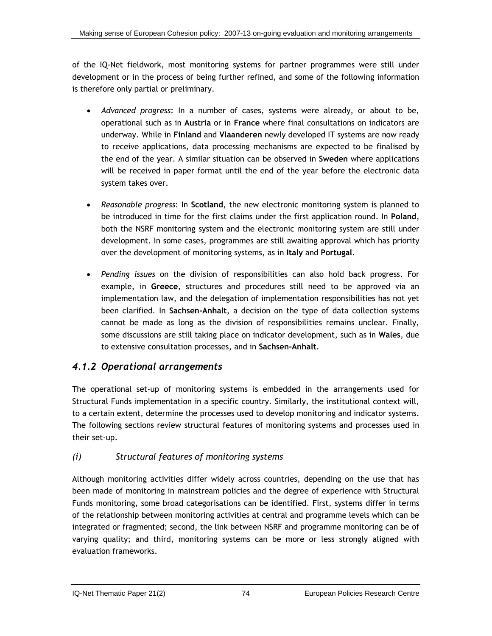of the IQ-Net fieldwork, most monitoring systems for partner programmes were still under development or in the process of being further refined, and some of the following information is therefore only partial or preliminary.

- *Advanced progress*: In a number of cases, systems were already, or about to be, operational such as in **Austria** or in **France** where final consultations on indicators are underway. While in **Finland** and **Vlaanderen** newly developed IT systems are now ready to receive applications, data processing mechanisms are expected to be finalised by the end of the year. A similar situation can be observed in **Sweden** where applications will be received in paper format until the end of the year before the electronic data system takes over.
- *Reasonable progress*: In **Scotland**, the new electronic monitoring system is planned to be introduced in time for the first claims under the first application round. In **Poland**, both the NSRF monitoring system and the electronic monitoring system are still under development. In some cases, programmes are still awaiting approval which has priority over the development of monitoring systems, as in **Italy** and **Portugal**.
- *Pending issues* on the division of responsibilities can also hold back progress. For example, in **Greece**, structures and procedures still need to be approved via an implementation law, and the delegation of implementation responsibilities has not yet been clarified. In **Sachsen-Anhalt**, a decision on the type of data collection systems cannot be made as long as the division of responsibilities remains unclear. Finally, some discussions are still taking place on indicator development, such as in **Wales**, due to extensive consultation processes, and in **Sachsen-Anhalt**.

# *4.1.2 Operational arrangements*

The operational set-up of monitoring systems is embedded in the arrangements used for Structural Funds implementation in a specific country. Similarly, the institutional context will, to a certain extent, determine the processes used to develop monitoring and indicator systems. The following sections review structural features of monitoring systems and processes used in their set-up.

# *(i) Structural features of monitoring systems*

Although monitoring activities differ widely across countries, depending on the use that has been made of monitoring in mainstream policies and the degree of experience with Structural Funds monitoring, some broad categorisations can be identified. First, systems differ in terms of the relationship between monitoring activities at central and programme levels which can be integrated or fragmented; second, the link between NSRF and programme monitoring can be of varying quality; and third, monitoring systems can be more or less strongly aligned with evaluation frameworks.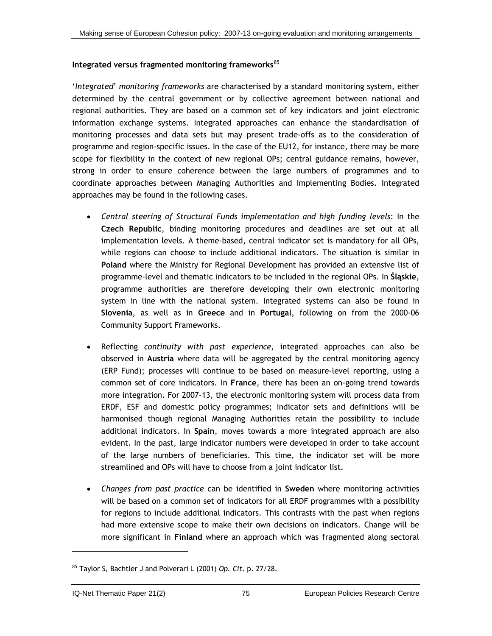### <span id="page-101-0"></span>**Integrated versus fragmented monitoring frameworks**[8](#page-101-0)5

'*Integrated*' *monitoring frameworks* are characterised by a standard monitoring system, either determined by the central government or by collective agreement between national and regional authorities. They are based on a common set of key indicators and joint electronic information exchange systems. Integrated approaches can enhance the standardisation of monitoring processes and data sets but may present trade-offs as to the consideration of programme and region-specific issues. In the case of the EU12, for instance, there may be more scope for flexibility in the context of new regional OPs; central guidance remains, however, strong in order to ensure coherence between the large numbers of programmes and to coordinate approaches between Managing Authorities and Implementing Bodies. Integrated approaches may be found in the following cases.

- *Central steering of Structural Funds implementation and high funding levels*: In the **Czech Republic**, binding monitoring procedures and deadlines are set out at all implementation levels. A theme-based, central indicator set is mandatory for all OPs, while regions can choose to include additional indicators. The situation is similar in **Poland** where the Ministry for Regional Development has provided an extensive list of programme-level and thematic indicators to be included in the regional OPs. In **Śląskie**, programme authorities are therefore developing their own electronic monitoring system in line with the national system. Integrated systems can also be found in **Slovenia**, as well as in **Greece** and in **Portugal**, following on from the 2000-06 Community Support Frameworks.
- Reflecting *continuity with past experience*, integrated approaches can also be observed in **Austria** where data will be aggregated by the central monitoring agency (ERP Fund); processes will continue to be based on measure-level reporting, using a common set of core indicators. In **France**, there has been an on-going trend towards more integration. For 2007-13, the electronic monitoring system will process data from ERDF, ESF and domestic policy programmes; indicator sets and definitions will be harmonised though regional Managing Authorities retain the possibility to include additional indicators. In **Spain**, moves towards a more integrated approach are also evident. In the past, large indicator numbers were developed in order to take account of the large numbers of beneficiaries. This time, the indicator set will be more streamlined and OPs will have to choose from a joint indicator list.
- *Changes from past practice* can be identified in **Sweden** where monitoring activities will be based on a common set of indicators for all ERDF programmes with a possibility for regions to include additional indicators. This contrasts with the past when regions had more extensive scope to make their own decisions on indicators. Change will be more significant in **Finland** where an approach which was fragmented along sectoral

<sup>85</sup> Taylor S, Bachtler J and Polverari L (2001) *Op. Cit.* p. 27/28.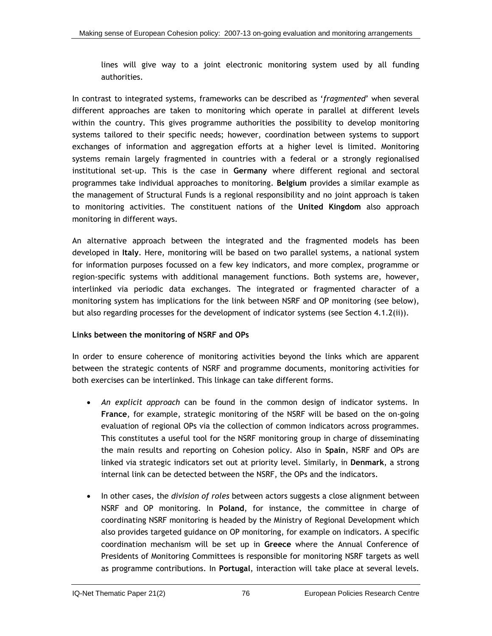lines will give way to a joint electronic monitoring system used by all funding authorities.

In contrast to integrated systems, frameworks can be described as '*fragmented*' when several different approaches are taken to monitoring which operate in parallel at different levels within the country. This gives programme authorities the possibility to develop monitoring systems tailored to their specific needs; however, coordination between systems to support exchanges of information and aggregation efforts at a higher level is limited. Monitoring systems remain largely fragmented in countries with a federal or a strongly regionalised institutional set-up. This is the case in **Germany** where different regional and sectoral programmes take individual approaches to monitoring. **Belgium** provides a similar example as the management of Structural Funds is a regional responsibility and no joint approach is taken to monitoring activities. The constituent nations of the **United Kingdom** also approach monitoring in different ways.

An alternative approach between the integrated and the fragmented models has been developed in **Italy**. Here, monitoring will be based on two parallel systems, a national system for information purposes focussed on a few key indicators, and more complex, programme or region-specific systems with additional management functions. Both systems are, however, interlinked via periodic data exchanges. The integrated or fragmented character of a monitoring system has implications for the link between NSRF and OP monitoring (see below), but also regarding processes for the development of indicator systems (see Section 4.1.2[\(ii\)\)](#page-103-0).

### **Links between the monitoring of NSRF and OPs**

In order to ensure coherence of monitoring activities beyond the links which are apparent between the strategic contents of NSRF and programme documents, monitoring activities for both exercises can be interlinked. This linkage can take different forms.

- *An explicit approach* can be found in the common design of indicator systems. In **France**, for example, strategic monitoring of the NSRF will be based on the on-going evaluation of regional OPs via the collection of common indicators across programmes. This constitutes a useful tool for the NSRF monitoring group in charge of disseminating the main results and reporting on Cohesion policy. Also in **Spain**, NSRF and OPs are linked via strategic indicators set out at priority level. Similarly, in **Denmark**, a strong internal link can be detected between the NSRF, the OPs and the indicators.
- In other cases, the *division of roles* between actors suggests a close alignment between NSRF and OP monitoring. In **Poland**, for instance, the committee in charge of coordinating NSRF monitoring is headed by the Ministry of Regional Development which also provides targeted guidance on OP monitoring, for example on indicators. A specific coordination mechanism will be set up in **Greece** where the Annual Conference of Presidents of Monitoring Committees is responsible for monitoring NSRF targets as well as programme contributions. In **Portugal**, interaction will take place at several levels.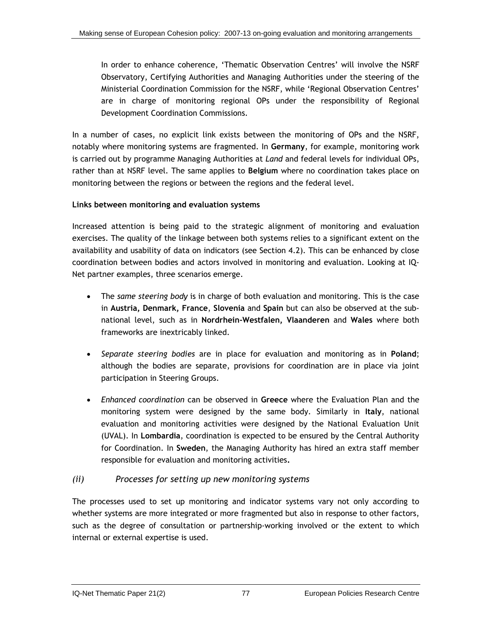<span id="page-103-0"></span>In order to enhance coherence, 'Thematic Observation Centres' will involve the NSRF Observatory, Certifying Authorities and Managing Authorities under the steering of the Ministerial Coordination Commission for the NSRF, while 'Regional Observation Centres' are in charge of monitoring regional OPs under the responsibility of Regional Development Coordination Commissions.

In a number of cases, no explicit link exists between the monitoring of OPs and the NSRF, notably where monitoring systems are fragmented. In **Germany**, for example, monitoring work is carried out by programme Managing Authorities at *Land* and federal levels for individual OPs, rather than at NSRF level. The same applies to **Belgium** where no coordination takes place on monitoring between the regions or between the regions and the federal level.

### **Links between monitoring and evaluation systems**

Increased attention is being paid to the strategic alignment of monitoring and evaluation exercises. The quality of the linkage between both systems relies to a significant extent on the availability and usability of data on indicators (see Section [4.2](#page-105-0)). This can be enhanced by close coordination between bodies and actors involved in monitoring and evaluation. Looking at IQ-Net partner examples, three scenarios emerge.

- The *same steering body* is in charge of both evaluation and monitoring. This is the case in **Austria, Denmark, France**, **Slovenia** and **Spain** but can also be observed at the subnational level, such as in **Nordrhein-Westfalen, Vlaanderen** and **Wales** where both frameworks are inextricably linked.
- *Separate steering bodies* are in place for evaluation and monitoring as in **Poland**; although the bodies are separate, provisions for coordination are in place via joint participation in Steering Groups.
- *Enhanced coordination* can be observed in **Greece** where the Evaluation Plan and the monitoring system were designed by the same body. Similarly in **Italy**, national evaluation and monitoring activities were designed by the National Evaluation Unit (UVAL). In **Lombardia**, coordination is expected to be ensured by the Central Authority for Coordination. In **Sweden**, the Managing Authority has hired an extra staff member responsible for evaluation and monitoring activities**.**

# *(ii) Processes for setting up new monitoring systems*

The processes used to set up monitoring and indicator systems vary not only according to whether systems are more integrated or more fragmented but also in response to other factors, such as the degree of consultation or partnership-working involved or the extent to which internal or external expertise is used.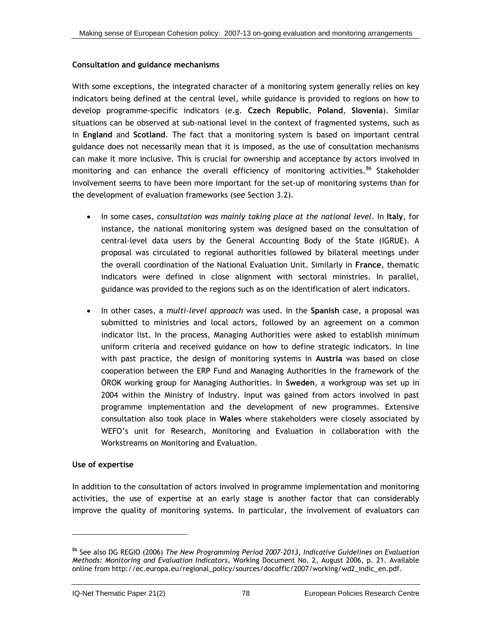### <span id="page-104-0"></span>**Consultation and guidance mechanisms**

With some exceptions, the integrated character of a monitoring system generally relies on key indicators being defined at the central level, while guidance is provided to regions on how to develop programme-specific indicators (e.g. **Czech Republic**, **Poland**, **Slovenia**). Similar situations can be observed at sub-national level in the context of fragmented systems, such as in **England** and **Scotland**. The fact that a monitoring system is based on important central guidance does not necessarily mean that it is imposed, as the use of consultation mechanisms can make it more inclusive. This is crucial for ownership and acceptance by actors involved in monitoring and can enhance the overall efficiency of monitoring activities.<sup>[8](#page-104-0)6</sup> Stakeholder involvement seems to have been more important for the set-up of monitoring systems than for the development of evaluation frameworks (see Section [3.2](#page-54-0)).

- In some cases, *consultation was mainly taking place at the national level*. In **Italy**, for instance, the national monitoring system was designed based on the consultation of central-level data users by the General Accounting Body of the State (IGRUE). A proposal was circulated to regional authorities followed by bilateral meetings under the overall coordination of the National Evaluation Unit. Similarly in **France**, thematic indicators were defined in close alignment with sectoral ministries. In parallel, guidance was provided to the regions such as on the identification of alert indicators.
- In other cases, a *multi-level approach* was used. In the **Spanish** case, a proposal was submitted to ministries and local actors, followed by an agreement on a common indicator list. In the process, Managing Authorities were asked to establish minimum uniform criteria and received guidance on how to define strategic indicators. In line with past practice, the design of monitoring systems in **Austria** was based on close cooperation between the ERP Fund and Managing Authorities in the framework of the ÖROK working group for Managing Authorities. In **Sweden**, a workgroup was set up in 2004 within the Ministry of Industry. Input was gained from actors involved in past programme implementation and the development of new programmes. Extensive consultation also took place in **Wales** where stakeholders were closely associated by WEFO's unit for Research, Monitoring and Evaluation in collaboration with the Workstreams on Monitoring and Evaluation.

### **Use of expertise**

l

In addition to the consultation of actors involved in programme implementation and monitoring activities, the use of expertise at an early stage is another factor that can considerably improve the quality of monitoring systems. In particular, the involvement of evaluators can

<sup>86</sup> See also DG REGIO (2006) *The New Programming Period 2007-2013, Indicative Guidelines on Evaluation Methods: Monitoring and Evaluation Indicators*, Working Document No. 2, August 2006, p. 21. Available online from http://ec.europa.eu/regional\_policy/sources/docoffic/2007/working/wd2\_indic\_en.pdf.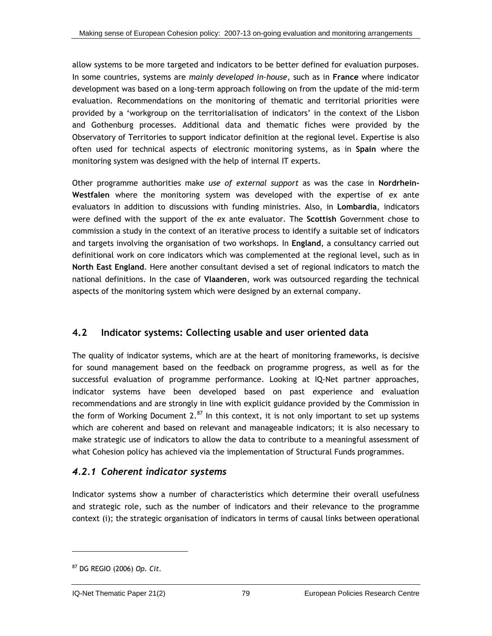<span id="page-105-0"></span>allow systems to be more targeted and indicators to be better defined for evaluation purposes. In some countries, systems are *mainly developed in-house*, such as in **France** where indicator development was based on a long-term approach following on from the update of the mid-term evaluation. Recommendations on the monitoring of thematic and territorial priorities were provided by a 'workgroup on the territorialisation of indicators' in the context of the Lisbon and Gothenburg processes. Additional data and thematic fiches were provided by the Observatory of Territories to support indicator definition at the regional level. Expertise is also often used for technical aspects of electronic monitoring systems, as in **Spain** where the monitoring system was designed with the help of internal IT experts.

Other programme authorities make *use of external support* as was the case in **Nordrhein-Westfalen** where the monitoring system was developed with the expertise of ex ante evaluators in addition to discussions with funding ministries. Also, in **Lombardia**, indicators were defined with the support of the ex ante evaluator. The **Scottish** Government chose to commission a study in the context of an iterative process to identify a suitable set of indicators and targets involving the organisation of two workshops. In **England**, a consultancy carried out definitional work on core indicators which was complemented at the regional level, such as in **North East England**. Here another consultant devised a set of regional indicators to match the national definitions. In the case of **Vlaanderen**, work was outsourced regarding the technical aspects of the monitoring system which were designed by an external company.

### **4.2 Indicator systems: Collecting usable and user oriented data**

The quality of indicator systems, which are at the heart of monitoring frameworks, is decisive for sound management based on the feedback on programme progress, as well as for the successful evaluation of programme performance. Looking at IQ-Net partner approaches, indicator systems have been developed based on past experience and evaluation recommendations and are strongly in line with explicit guidance provided by the Commission in the form of Working Document  $2.^{87}$  $2.^{87}$  $2.^{87}$  In this context, it is not only important to set up systems which are coherent and based on relevant and manageable indicators; it is also necessary to make strategic use of indicators to allow the data to contribute to a meaningful assessment of what Cohesion policy has achieved via the implementation of Structural Funds programmes.

### *4.2.1 Coherent indicator systems*

Indicator systems show a number of characteristics which determine their overall usefulness and strategic role, such as the number of indicators and their relevance to the programme context (i); the strategic organisation of indicators in terms of causal links between operational

<sup>87</sup> DG REGIO (2006) *Op. Cit.*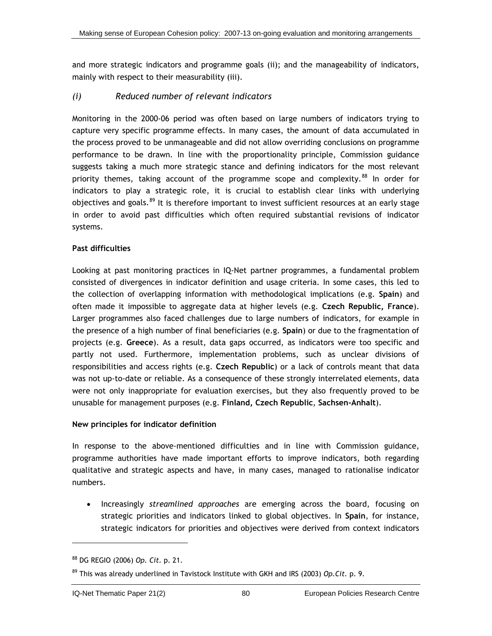<span id="page-106-0"></span>and more strategic indicators and programme goals (ii); and the manageability of indicators, mainly with respect to their measurability (iii).

### *(i) Reduced number of relevant indicators*

Monitoring in the 2000-06 period was often based on large numbers of indicators trying to capture very specific programme effects. In many cases, the amount of data accumulated in the process proved to be unmanageable and did not allow overriding conclusions on programme performance to be drawn. In line with the proportionality principle, Commission guidance suggests taking a much more strategic stance and defining indicators for the most relevant priority themes, taking account of the programme scope and complexity.<sup>[8](#page-106-0)8</sup> In order for indicators to play a strategic role, it is crucial to establish clear links with underlying objectives and goals.<sup>[89](#page-106-0)</sup> It is therefore important to invest sufficient resources at an early stage in order to avoid past difficulties which often required substantial revisions of indicator systems.

### **Past difficulties**

Looking at past monitoring practices in IQ-Net partner programmes, a fundamental problem consisted of divergences in indicator definition and usage criteria. In some cases, this led to the collection of overlapping information with methodological implications (e.g. **Spain**) and often made it impossible to aggregate data at higher levels (e.g. **Czech Republic, France**). Larger programmes also faced challenges due to large numbers of indicators, for example in the presence of a high number of final beneficiaries (e.g. **Spain**) or due to the fragmentation of projects (e.g. **Greece**). As a result, data gaps occurred, as indicators were too specific and partly not used. Furthermore, implementation problems, such as unclear divisions of responsibilities and access rights (e.g. **Czech Republic**) or a lack of controls meant that data was not up-to-date or reliable. As a consequence of these strongly interrelated elements, data were not only inappropriate for evaluation exercises, but they also frequently proved to be unusable for management purposes (e.g. **Finland, Czech Republic**, **Sachsen-Anhalt**).

### **New principles for indicator definition**

In response to the above-mentioned difficulties and in line with Commission guidance, programme authorities have made important efforts to improve indicators, both regarding qualitative and strategic aspects and have, in many cases, managed to rationalise indicator numbers.

• Increasingly *streamlined approaches* are emerging across the board, focusing on strategic priorities and indicators linked to global objectives. In **Spain**, for instance, strategic indicators for priorities and objectives were derived from context indicators

1

<sup>88</sup> DG REGIO (2006) *Op. Cit.* p. 21.

<sup>89</sup> This was already underlined in Tavistock Institute with GKH and IRS (2003) *Op.Cit.* p. 9.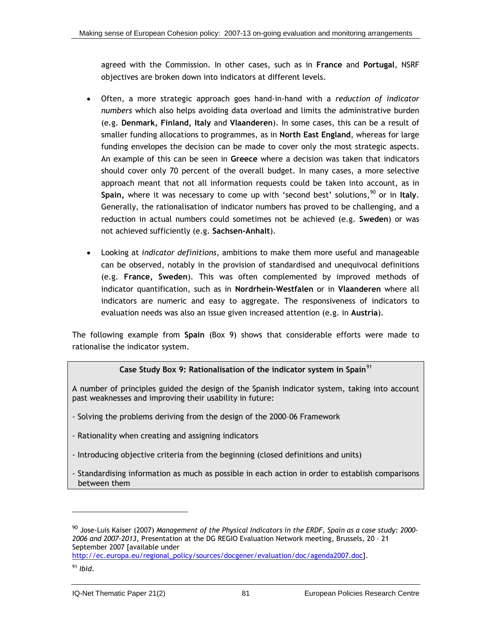<span id="page-107-0"></span>agreed with the Commission. In other cases, such as in **France** and **Portugal**, NSRF objectives are broken down into indicators at different levels.

- Often, a more strategic approach goes hand-in-hand with a *reduction of indicator numbers* which also helps avoiding data overload and limits the administrative burden (e.g. **Denmark, Finland, Italy** and **Vlaanderen**). In some cases, this can be a result of smaller funding allocations to programmes, as in **North East England**, whereas for large funding envelopes the decision can be made to cover only the most strategic aspects. An example of this can be seen in **Greece** where a decision was taken that indicators should cover only 70 percent of the overall budget. In many cases, a more selective approach meant that not all information requests could be taken into account, as in **Spain,** where it was necessary to come up with 'second best' solutions,<sup>[9](#page-107-0)0</sup> or in Italy. Generally, the rationalisation of indicator numbers has proved to be challenging, and a reduction in actual numbers could sometimes not be achieved (e.g. **Sweden**) or was not achieved sufficiently (e.g. **Sachsen-Anhalt**).
- Looking at *indicator definitions*, ambitions to make them more useful and manageable can be observed, notably in the provision of standardised and unequivocal definitions (e.g. **France, Sweden**). This was often complemented by improved methods of indicator quantification, such as in **Nordrhein-Westfalen** or in **Vlaanderen** where all indicators are numeric and easy to aggregate. The responsiveness of indicators to evaluation needs was also an issue given increased attention (e.g. in **Austria**).

The following example from **Spain** (Box 9) shows that considerable efforts were made to rationalise the indicator system.

### **Case Study Box 9: Rationalisation of the indicator system in Spain**[91](#page-107-0)

A number of principles guided the design of the Spanish indicator system, taking into account past weaknesses and improving their usability in future:

- Solving the problems deriving from the design of the 2000–06 Framework
- Rationality when creating and assigning indicators
- Introducing objective criteria from the beginning (closed definitions and units)
- Standardising information as much as possible in each action in order to establish comparisons between them

<sup>90</sup> Jose-Luis Kaiser (2007) *Management of the Physical Indicators in the ERDF, Spain as a case study: 2000- 2006 and 2007-2013*, Presentation at the DG REGIO Evaluation Network meeting, Brussels, 20 – 21 September 2007 [available under

http://ec.europa.eu/regional\_policy/sources/docgener/evaluation/doc/agenda2007.doc].

<sup>91</sup> *Ibid*.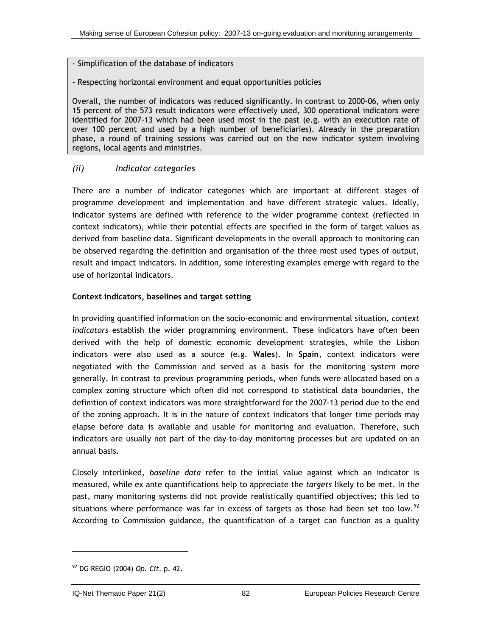- <span id="page-108-0"></span>- Simplification of the database of indicators
- Respecting horizontal environment and equal opportunities policies

Overall, the number of indicators was reduced significantly. In contrast to 2000-06, when only 15 percent of the 573 result indicators were effectively used, 300 operational indicators were identified for 2007-13 which had been used most in the past (e.g. with an execution rate of over 100 percent and used by a high number of beneficiaries). Already in the preparation phase, a round of training sessions was carried out on the new indicator system involving regions, local agents and ministries.

### *(ii) Indicator categories*

There are a number of indicator categories which are important at different stages of programme development and implementation and have different strategic values. Ideally, indicator systems are defined with reference to the wider programme context (reflected in context indicators), while their potential effects are specified in the form of target values as derived from baseline data. Significant developments in the overall approach to monitoring can be observed regarding the definition and organisation of the three most used types of output, result and impact indicators. In addition, some interesting examples emerge with regard to the use of horizontal indicators.

### **Context indicators, baselines and target setting**

In providing quantified information on the socio-economic and environmental situation, *context indicators* establish the wider programming environment. These indicators have often been derived with the help of domestic economic development strategies, while the Lisbon indicators were also used as a source (e.g. **Wales**). In **Spain**, context indicators were negotiated with the Commission and served as a basis for the monitoring system more generally. In contrast to previous programming periods, when funds were allocated based on a complex zoning structure which often did not correspond to statistical data boundaries, the definition of context indicators was more straightforward for the 2007-13 period due to the end of the zoning approach. It is in the nature of context indicators that longer time periods may elapse before data is available and usable for monitoring and evaluation. Therefore, such indicators are usually not part of the day-to-day monitoring processes but are updated on an annual basis.

Closely interlinked, *baseline data* refer to the initial value against which an indicator is measured, while ex ante quantifications help to appreciate the *targets* likely to be met. In the past, many monitoring systems did not provide realistically quantified objectives; this led to situations where performance was far in excess of targets as those had been set too low.<sup>[92](#page-108-0)</sup> According to Commission guidance, the quantification of a target can function as a quality

-

<sup>92</sup> DG REGIO (2004) *Op. Cit.* p. 42.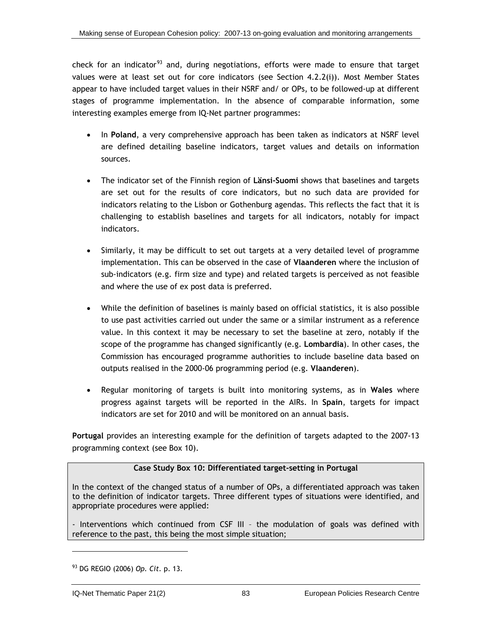<span id="page-109-0"></span>check for an indicator<sup>[93](#page-109-0)</sup> and, during negotiations, efforts were made to ensure that target values were at least set out for core indicators (see Section [4.2.2\(i\)\)](#page-117-0). Most Member States appear to have included target values in their NSRF and/ or OPs, to be followed-up at different stages of programme implementation. In the absence of comparable information, some interesting examples emerge from IQ-Net partner programmes:

- In **Poland**, a very comprehensive approach has been taken as indicators at NSRF level are defined detailing baseline indicators, target values and details on information sources.
- The indicator set of the Finnish region of **Länsi-Suomi** shows that baselines and targets are set out for the results of core indicators, but no such data are provided for indicators relating to the Lisbon or Gothenburg agendas. This reflects the fact that it is challenging to establish baselines and targets for all indicators, notably for impact indicators.
- Similarly, it may be difficult to set out targets at a very detailed level of programme implementation. This can be observed in the case of **Vlaanderen** where the inclusion of sub-indicators (e.g. firm size and type) and related targets is perceived as not feasible and where the use of ex post data is preferred.
- While the definition of baselines is mainly based on official statistics, it is also possible to use past activities carried out under the same or a similar instrument as a reference value. In this context it may be necessary to set the baseline at zero, notably if the scope of the programme has changed significantly (e.g. **Lombardia**). In other cases, the Commission has encouraged programme authorities to include baseline data based on outputs realised in the 2000-06 programming period (e.g. **Vlaanderen**).
- Regular monitoring of targets is built into monitoring systems, as in **Wales** where progress against targets will be reported in the AIRs. In **Spain**, targets for impact indicators are set for 2010 and will be monitored on an annual basis.

**Portugal** provides an interesting example for the definition of targets adapted to the 2007-13 programming context (see Box 10).

## **Case Study Box 10: Differentiated target-setting in Portugal**

In the context of the changed status of a number of OPs, a differentiated approach was taken to the definition of indicator targets. Three different types of situations were identified, and appropriate procedures were applied:

- Interventions which continued from CSF III – the modulation of goals was defined with reference to the past, this being the most simple situation;

l

<sup>93</sup> DG REGIO (2006) *Op. Cit.* p. 13.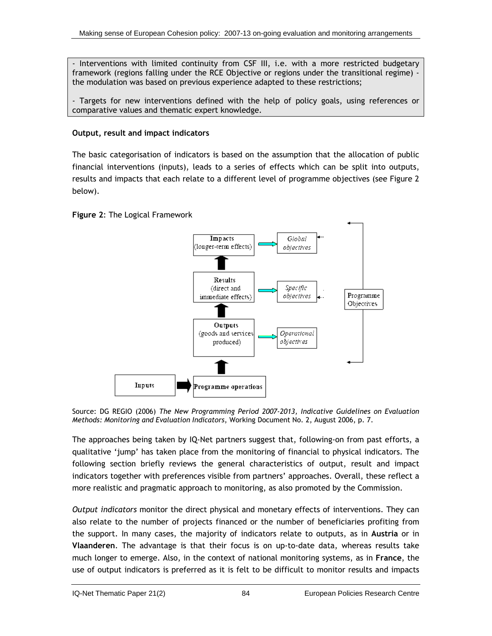<span id="page-110-0"></span>- Interventions with limited continuity from CSF III, i.e. with a more restricted budgetary framework (regions falling under the RCE Objective or regions under the transitional regime) the modulation was based on previous experience adapted to these restrictions;

- Targets for new interventions defined with the help of policy goals, using references or comparative values and thematic expert knowledge.

## **Output, result and impact indicators**

The basic categorisation of indicators is based on the assumption that the allocation of public financial interventions (inputs), leads to a series of effects which can be split into outputs, results and impacts that each relate to a different level of programme objectives (see Figure 2 below).

**Figure 2**: The Logical Framework



Source: DG REGIO (2006) *The New Programming Period 2007-2013, Indicative Guidelines on Evaluation Methods: Monitoring and Evaluation Indicators*, Working Document No. 2, August 2006, p. 7.

The approaches being taken by IQ-Net partners suggest that, following-on from past efforts, a qualitative 'jump' has taken place from the monitoring of financial to physical indicators. The following section briefly reviews the general characteristics of output, result and impact indicators together with preferences visible from partners' approaches. Overall, these reflect a more realistic and pragmatic approach to monitoring, as also promoted by the Commission.

*Output indicators* monitor the direct physical and monetary effects of interventions. They can also relate to the number of projects financed or the number of beneficiaries profiting from the support. In many cases, the majority of indicators relate to outputs, as in **Austria** or in **Vlaanderen**. The advantage is that their focus is on up-to-date data, whereas results take much longer to emerge. Also, in the context of national monitoring systems, as in **France**, the use of output indicators is preferred as it is felt to be difficult to monitor results and impacts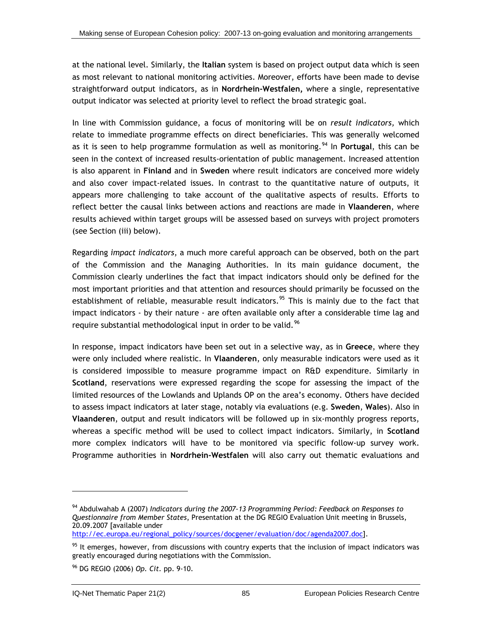<span id="page-111-0"></span>at the national level. Similarly, the **Italian** system is based on project output data which is seen as most relevant to national monitoring activities. Moreover, efforts have been made to devise straightforward output indicators, as in **Nordrhein-Westfalen,** where a single, representative output indicator was selected at priority level to reflect the broad strategic goal.

In line with Commission guidance, a focus of monitoring will be on *result indicators,* which relate to immediate programme effects on direct beneficiaries. This was generally welcomed as it is seen to help programme formulation as well as monitoring.<sup>[9](#page-111-0)4</sup> In **Portugal**, this can be seen in the context of increased results-orientation of public management. Increased attention is also apparent in **Finland** and in **Sweden** where result indicators are conceived more widely and also cover impact-related issues. In contrast to the quantitative nature of outputs, it appears more challenging to take account of the qualitative aspects of results. Efforts to reflect better the causal links between actions and reactions are made in **Vlaanderen**, where results achieved within target groups will be assessed based on surveys with project promoters (see Section [\(iii\)](#page-114-0) below).

Regarding *impact indicators*, a much more careful approach can be observed, both on the part of the Commission and the Managing Authorities. In its main guidance document, the Commission clearly underlines the fact that impact indicators should only be defined for the most important priorities and that attention and resources should primarily be focussed on the establishment of reliable, measurable result indicators.<sup>[9](#page-111-0)5</sup> This is mainly due to the fact that impact indicators - by their nature - are often available only after a considerable time lag and require substantial methodological input in order to be valid.<sup>[96](#page-111-0)</sup>

In response, impact indicators have been set out in a selective way, as in **Greece**, where they were only included where realistic. In **Vlaanderen**, only measurable indicators were used as it is considered impossible to measure programme impact on R&D expenditure. Similarly in **Scotland**, reservations were expressed regarding the scope for assessing the impact of the limited resources of the Lowlands and Uplands OP on the area's economy. Others have decided to assess impact indicators at later stage, notably via evaluations (e.g. **Sweden**, **Wales**). Also in **Vlaanderen**, output and result indicators will be followed up in six-monthly progress reports, whereas a specific method will be used to collect impact indicators. Similarly, in **Scotland** more complex indicators will have to be monitored via specific follow-up survey work. Programme authorities in **Nordrhein-Westfalen** will also carry out thematic evaluations and

http://ec.europa.eu/regional\_policy/sources/docgener/evaluation/doc/agenda2007.doc].

 $\overline{a}$ 

<sup>94</sup> Abdulwahab A (2007) *Indicators during the 2007-13 Programming Period: Feedback on Responses to Questionnaire from Member States*, Presentation at the DG REGIO Evaluation Unit meeting in Brussels, 20.09.2007 [available under

 $95$  It emerges, however, from discussions with country experts that the inclusion of impact indicators was greatly encouraged during negotiations with the Commission.

<sup>96</sup> DG REGIO (2006) *Op. Cit.* pp. 9-10.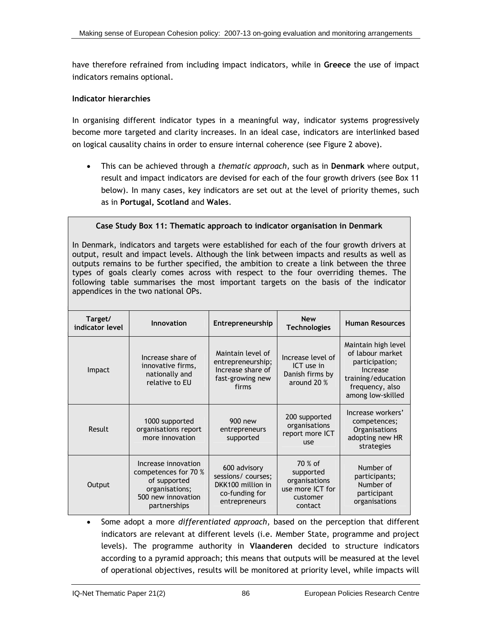have therefore refrained from including impact indicators, while in **Greece** the use of impact indicators remains optional.

#### **Indicator hierarchies**

In organising different indicator types in a meaningful way, indicator systems progressively become more targeted and clarity increases. In an ideal case, indicators are interlinked based on logical causality chains in order to ensure internal coherence (see [Figure 2](#page-110-0) above).

• This can be achieved through a *thematic approach,* such as in **Denmark** where output, result and impact indicators are devised for each of the four growth drivers (see Box 11 below). In many cases, key indicators are set out at the level of priority themes, such as in **Portugal, Scotland** and **Wales**.

#### **Case Study Box 11: Thematic approach to indicator organisation in Denmark**

In Denmark, indicators and targets were established for each of the four growth drivers at output, result and impact levels. Although the link between impacts and results as well as outputs remains to be further specified, the ambition to create a link between the three types of goals clearly comes across with respect to the four overriding themes. The following table summarises the most important targets on the basis of the indicator appendices in the two national OPs.

| Target/<br>indicator level | Innovation                                                                                                          | Entrepreneurship                                                                           | <b>New</b><br><b>Technologies</b>                                                | <b>Human Resources</b>                                                                                                              |
|----------------------------|---------------------------------------------------------------------------------------------------------------------|--------------------------------------------------------------------------------------------|----------------------------------------------------------------------------------|-------------------------------------------------------------------------------------------------------------------------------------|
| Impact                     | Increase share of<br>innovative firms,<br>nationally and<br>relative to EU                                          | Maintain level of<br>entrepreneurship;<br>Increase share of<br>fast-growing new<br>firms   | Increase level of<br>ICT use in<br>Danish firms by<br>around 20 %                | Maintain high level<br>of labour market<br>participation;<br>Increase<br>training/education<br>frequency, also<br>among low-skilled |
| <b>Result</b>              | 1000 supported<br>organisations report<br>more innovation                                                           | 900 new<br>entrepreneurs<br>supported                                                      | 200 supported<br>organisations<br>report more ICT<br>use                         | Increase workers'<br>competences;<br>Organisations<br>adopting new HR<br>strategies                                                 |
| Output                     | Increase innovation<br>competences for 70 %<br>of supported<br>organisations;<br>500 new innovation<br>partnerships | 600 advisory<br>sessions/ courses;<br>DKK100 million in<br>co-funding for<br>entrepreneurs | 70 % of<br>supported<br>organisations<br>use more ICT for<br>customer<br>contact | Number of<br>participants;<br>Number of<br>participant<br>organisations                                                             |

• Some adopt a more *differentiated approach*, based on the perception that different indicators are relevant at different levels (i.e. Member State, programme and project levels). The programme authority in **Vlaanderen** decided to structure indicators according to a pyramid approach; this means that outputs will be measured at the level of operational objectives, results will be monitored at priority level, while impacts will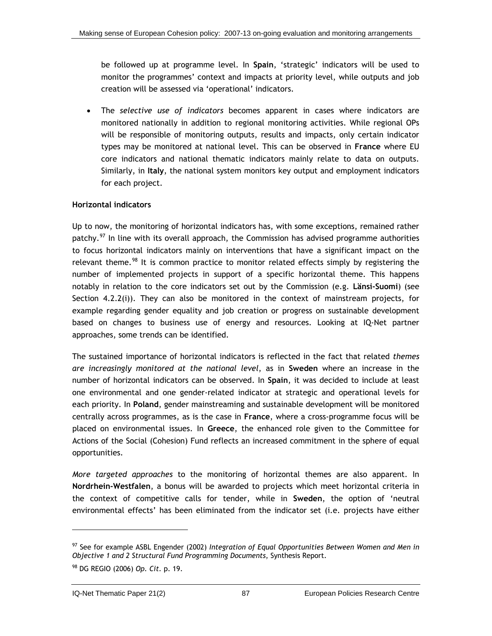<span id="page-113-0"></span>be followed up at programme level. In **Spain**, 'strategic' indicators will be used to monitor the programmes' context and impacts at priority level, while outputs and job creation will be assessed via 'operational' indicators.

• The *selective use of indicators* becomes apparent in cases where indicators are monitored nationally in addition to regional monitoring activities. While regional OPs will be responsible of monitoring outputs, results and impacts, only certain indicator types may be monitored at national level. This can be observed in **France** where EU core indicators and national thematic indicators mainly relate to data on outputs. Similarly, in **Italy**, the national system monitors key output and employment indicators for each project.

### **Horizontal indicators**

Up to now, the monitoring of horizontal indicators has, with some exceptions, remained rather patchy.<sup>[97](#page-113-0)</sup> In line with its overall approach, the Commission has advised programme authorities to focus horizontal indicators mainly on interventions that have a significant impact on the relevant theme.<sup>[98](#page-113-0)</sup> It is common practice to monitor related effects simply by registering the number of implemented projects in support of a specific horizontal theme. This happens notably in relation to the core indicators set out by the Commission (e.g. **Länsi-Suomi**) (see Section [4.2.2\(i\)\)](#page-117-0). They can also be monitored in the context of mainstream projects, for example regarding gender equality and job creation or progress on sustainable development based on changes to business use of energy and resources. Looking at IQ-Net partner approaches, some trends can be identified.

The sustained importance of horizontal indicators is reflected in the fact that related *themes are increasingly monitored at the national level*, as in **Sweden** where an increase in the number of horizontal indicators can be observed. In **Spain**, it was decided to include at least one environmental and one gender-related indicator at strategic and operational levels for each priority. In **Poland**, gender mainstreaming and sustainable development will be monitored centrally across programmes, as is the case in **France**, where a cross-programme focus will be placed on environmental issues. In **Greece**, the enhanced role given to the Committee for Actions of the Social (Cohesion) Fund reflects an increased commitment in the sphere of equal opportunities.

*More targeted approaches* to the monitoring of horizontal themes are also apparent. In **Nordrhein-Westfalen**, a bonus will be awarded to projects which meet horizontal criteria in the context of competitive calls for tender, while in **Sweden**, the option of 'neutral environmental effects' has been eliminated from the indicator set (i.e. projects have either

l

<sup>97</sup> See for example ASBL Engender (2002) *Integration of Equal Opportunities Between Women and Men in Objective 1 and 2 Structural Fund Programming Documents*, Synthesis Report.

<sup>98</sup> DG REGIO (2006) *Op. Cit.* p. 19.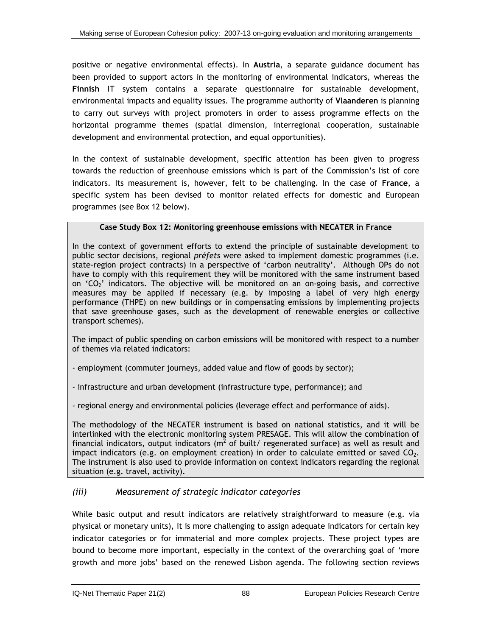<span id="page-114-0"></span>positive or negative environmental effects). In **Austria**, a separate guidance document has been provided to support actors in the monitoring of environmental indicators, whereas the **Finnish** IT system contains a separate questionnaire for sustainable development, environmental impacts and equality issues. The programme authority of **Vlaanderen** is planning to carry out surveys with project promoters in order to assess programme effects on the horizontal programme themes (spatial dimension, interregional cooperation, sustainable development and environmental protection, and equal opportunities).

In the context of sustainable development, specific attention has been given to progress towards the reduction of greenhouse emissions which is part of the Commission's list of core indicators. Its measurement is, however, felt to be challenging. In the case of **France**, a specific system has been devised to monitor related effects for domestic and European programmes (see Box 12 below).

## **Case Study Box 12: Monitoring greenhouse emissions with NECATER in France**

In the context of government efforts to extend the principle of sustainable development to public sector decisions, regional *préfets* were asked to implement domestic programmes (i.e. state-region project contracts) in a perspective of 'carbon neutrality'. Although OPs do not have to comply with this requirement they will be monitored with the same instrument based on  $°CO<sub>2</sub>$  indicators. The objective will be monitored on an on-going basis, and corrective measures may be applied if necessary (e.g. by imposing a label of very high energy performance (THPE) on new buildings or in compensating emissions by implementing projects that save greenhouse gases, such as the development of renewable energies or collective transport schemes).

The impact of public spending on carbon emissions will be monitored with respect to a number of themes via related indicators:

- employment (commuter journeys, added value and flow of goods by sector);

- infrastructure and urban development (infrastructure type, performance); and

- regional energy and environmental policies (leverage effect and performance of aids).

The methodology of the NECATER instrument is based on national statistics, and it will be interlinked with the electronic monitoring system PRESAGE. This will allow the combination of financial indicators, output indicators (m<sup>2</sup> of built/ regenerated surface) as well as result and impact indicators (e.g. on employment creation) in order to calculate emitted or saved  $CO<sub>2</sub>$ . The instrument is also used to provide information on context indicators regarding the regional situation (e.g. travel, activity).

## *(iii) Measurement of strategic indicator categories*

While basic output and result indicators are relatively straightforward to measure (e.g. via physical or monetary units), it is more challenging to assign adequate indicators for certain key indicator categories or for immaterial and more complex projects. These project types are bound to become more important, especially in the context of the overarching goal of 'more growth and more jobs' based on the renewed Lisbon agenda. The following section reviews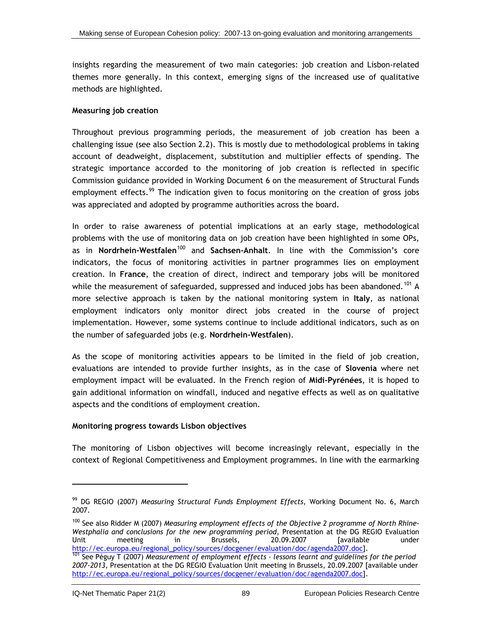<span id="page-115-0"></span>insights regarding the measurement of two main categories: job creation and Lisbon-related themes more generally. In this context, emerging signs of the increased use of qualitative methods are highlighted.

### **Measuring job creation**

Throughout previous programming periods, the measurement of job creation has been a challenging issue (see also Section [2.2](#page-32-0)). This is mostly due to methodological problems in taking account of deadweight, displacement, substitution and multiplier effects of spending. The strategic importance accorded to the monitoring of job creation is reflected in specific Commission guidance provided in Working Document 6 on the measurement of Structural Funds employment effects.<sup>[99](#page-115-0)</sup> The indication given to focus monitoring on the creation of gross jobs was appreciated and adopted by programme authorities across the board.

In order to raise awareness of potential implications at an early stage, methodological problems with the use of monitoring data on job creation have been highlighted in some OPs, as in **Nordrhein-Westfalen**[10](#page-115-0)0 and **Sachsen-Anhalt**. In line with the Commission's core indicators, the focus of monitoring activities in partner programmes lies on employment creation. In **France**, the creation of direct, indirect and temporary jobs will be monitored while the measurement of safeguarded, suppressed and induced jobs has been abandoned.<sup>[1](#page-115-0)01</sup> A more selective approach is taken by the national monitoring system in **Italy**, as national employment indicators only monitor direct jobs created in the course of project implementation. However, some systems continue to include additional indicators, such as on the number of safeguarded jobs (e.g. **Nordrhein-Westfalen**).

As the scope of monitoring activities appears to be limited in the field of job creation, evaluations are intended to provide further insights, as in the case of **Slovenia** where net employment impact will be evaluated. In the French region of **Midi-Pyrénées**, it is hoped to gain additional information on windfall, induced and negative effects as well as on qualitative aspects and the conditions of employment creation.

### **Monitoring progress towards Lisbon objectives**

The monitoring of Lisbon objectives will become increasingly relevant, especially in the context of Regional Competitiveness and Employment programmes. In line with the earmarking

l

<sup>99</sup> DG REGIO (2007) *Measuring Structural Funds Employment Effects*, Working Document No. 6, March 2007.

<sup>100</sup> See also Ridder M (2007) *Measuring employment effects of the Objective 2 programme of North Rhine-Westphalia and conclusions for the new programming period*, Presentation at the DG REGIO Evaluation Unit meeting in Brussels, 20.09.2007 [available under

http://ec.europa.eu/regional\_policy/sources/docgener/evaluation/doc/agenda2007.doc].<br><sup>101</sup> See Péguy T (2007) *Measurement of employment effects - lessons learnt and guidelines for the period 2007-2013*, Presentation at the DG REGIO Evaluation Unit meeting in Brussels, 20.09.2007 [available under http://ec.europa.eu/regional\_policy/sources/docgener/evaluation/doc/agenda2007.doc].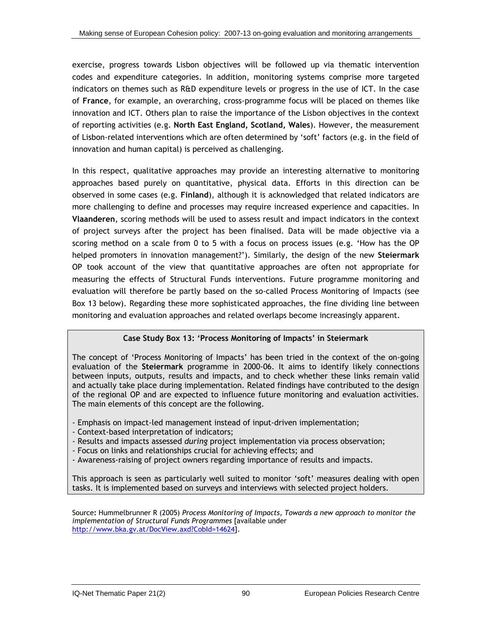exercise, progress towards Lisbon objectives will be followed up via thematic intervention codes and expenditure categories. In addition, monitoring systems comprise more targeted indicators on themes such as R&D expenditure levels or progress in the use of ICT. In the case of **France**, for example, an overarching, cross-programme focus will be placed on themes like innovation and ICT. Others plan to raise the importance of the Lisbon objectives in the context of reporting activities (e.g. **North East England, Scotland, Wales**). However, the measurement of Lisbon-related interventions which are often determined by 'soft' factors (e.g. in the field of innovation and human capital) is perceived as challenging.

In this respect, qualitative approaches may provide an interesting alternative to monitoring approaches based purely on quantitative, physical data. Efforts in this direction can be observed in some cases (e.g. **Finland**), although it is acknowledged that related indicators are more challenging to define and processes may require increased experience and capacities. In **Vlaanderen**, scoring methods will be used to assess result and impact indicators in the context of project surveys after the project has been finalised. Data will be made objective via a scoring method on a scale from 0 to 5 with a focus on process issues (e.g. 'How has the OP helped promoters in innovation management?'). Similarly, the design of the new **Steiermark** OP took account of the view that quantitative approaches are often not appropriate for measuring the effects of Structural Funds interventions. Future programme monitoring and evaluation will therefore be partly based on the so-called Process Monitoring of Impacts (see Box 13 below). Regarding these more sophisticated approaches, the fine dividing line between monitoring and evaluation approaches and related overlaps become increasingly apparent.

### **Case Study Box 13: 'Process Monitoring of Impacts' in Steiermark**

The concept of 'Process Monitoring of Impacts' has been tried in the context of the on-going evaluation of the **Steiermark** programme in 2000-06. It aims to identify likely connections between inputs, outputs, results and impacts, and to check whether these links remain valid and actually take place during implementation. Related findings have contributed to the design of the regional OP and are expected to influence future monitoring and evaluation activities. The main elements of this concept are the following.

- Emphasis on impact-led management instead of input-driven implementation;
- Context-based interpretation of indicators;
- Results and impacts assessed *during* project implementation via process observation;
- Focus on links and relationships crucial for achieving effects; and
- Awareness-raising of project owners regarding importance of results and impacts.

This approach is seen as particularly well suited to monitor 'soft' measures dealing with open tasks. It is implemented based on surveys and interviews with selected project holders.

Source**:** Hummelbrunner R (2005) *Process Monitoring of Impacts, Towards a new approach to monitor the implementation of Structural Funds Programmes* [available under <http://www.bka.gv.at/DocView.axd?CobId=14624>].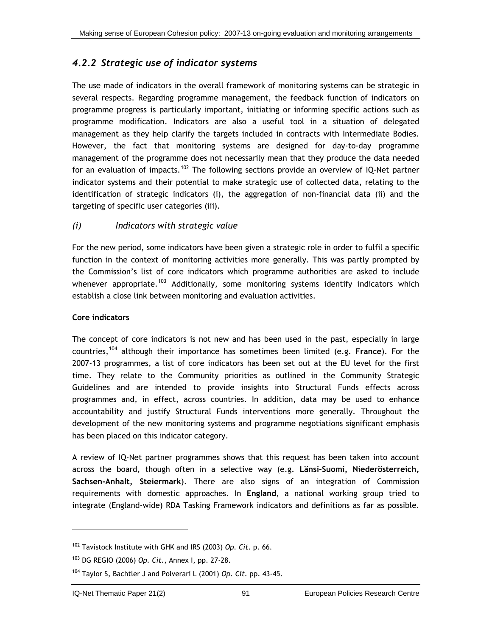## <span id="page-117-0"></span>*4.2.2 Strategic use of indicator systems*

The use made of indicators in the overall framework of monitoring systems can be strategic in several respects. Regarding programme management, the feedback function of indicators on programme progress is particularly important, initiating or informing specific actions such as programme modification. Indicators are also a useful tool in a situation of delegated management as they help clarify the targets included in contracts with Intermediate Bodies. However, the fact that monitoring systems are designed for day-to-day programme management of the programme does not necessarily mean that they produce the data needed for an evaluation of impacts.<sup>[1](#page-117-0)02</sup> The following sections provide an overview of IQ-Net partner indicator systems and their potential to make strategic use of collected data, relating to the identification of strategic indicators (i), the aggregation of non-financial data (ii) and the targeting of specific user categories (iii).

## *(i) Indicators with strategic value*

For the new period, some indicators have been given a strategic role in order to fulfil a specific function in the context of monitoring activities more generally. This was partly prompted by the Commission's list of core indicators which programme authorities are asked to include whenever appropriate.<sup>[1](#page-117-0)03</sup> Additionally, some monitoring systems identify indicators which establish a close link between monitoring and evaluation activities.

## **Core indicators**

The concept of core indicators is not new and has been used in the past, especially in large countries,[1](#page-117-0)04 although their importance has sometimes been limited (e.g. **France**). For the 2007-13 programmes, a list of core indicators has been set out at the EU level for the first time. They relate to the Community priorities as outlined in the Community Strategic Guidelines and are intended to provide insights into Structural Funds effects across programmes and, in effect, across countries. In addition, data may be used to enhance accountability and justify Structural Funds interventions more generally. Throughout the development of the new monitoring systems and programme negotiations significant emphasis has been placed on this indicator category.

A review of IQ-Net partner programmes shows that this request has been taken into account across the board, though often in a selective way (e.g. **Länsi-Suomi, Niederösterreich, Sachsen-Anhalt, Steiermark**). There are also signs of an integration of Commission requirements with domestic approaches. In **England**, a national working group tried to integrate (England-wide) RDA Tasking Framework indicators and definitions as far as possible.

l

<sup>102</sup> Tavistock Institute with GHK and IRS (2003) *Op. Cit.* p. 66.

<sup>103</sup> DG REGIO (2006) *Op. Cit.*, Annex I, pp. 27-28.

<sup>104</sup> Taylor S, Bachtler J and Polverari L (2001) *Op. Cit.* pp. 43-45.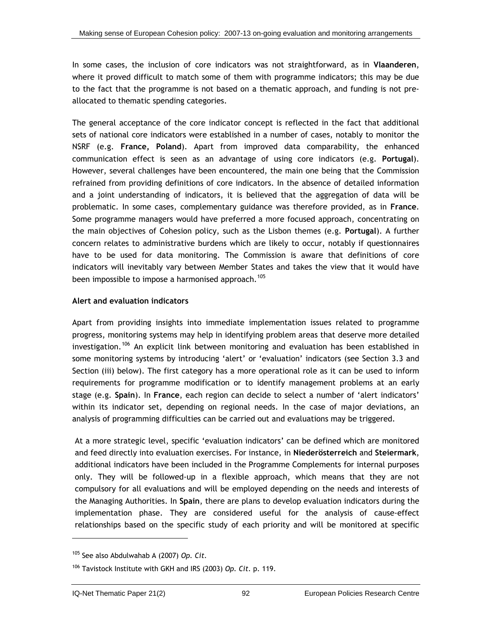<span id="page-118-0"></span>In some cases, the inclusion of core indicators was not straightforward, as in **Vlaanderen**, where it proved difficult to match some of them with programme indicators; this may be due to the fact that the programme is not based on a thematic approach, and funding is not preallocated to thematic spending categories.

The general acceptance of the core indicator concept is reflected in the fact that additional sets of national core indicators were established in a number of cases, notably to monitor the NSRF (e.g. **France, Poland**). Apart from improved data comparability, the enhanced communication effect is seen as an advantage of using core indicators (e.g. **Portugal**). However, several challenges have been encountered, the main one being that the Commission refrained from providing definitions of core indicators. In the absence of detailed information and a joint understanding of indicators, it is believed that the aggregation of data will be problematic. In some cases, complementary guidance was therefore provided, as in **France**. Some programme managers would have preferred a more focused approach, concentrating on the main objectives of Cohesion policy, such as the Lisbon themes (e.g. **Portugal**). A further concern relates to administrative burdens which are likely to occur, notably if questionnaires have to be used for data monitoring. The Commission is aware that definitions of core indicators will inevitably vary between Member States and takes the view that it would have been impossible to impose a harmonised approach.<sup>[10](#page-118-0)5</sup>

### **Alert and evaluation indicators**

Apart from providing insights into immediate implementation issues related to programme progress, monitoring systems may help in identifying problem areas that deserve more detailed investigation.[1](#page-118-0)06 An explicit link between monitoring and evaluation has been established in some monitoring systems by introducing 'alert' or 'evaluation' indicators (see Section [3.3](#page-59-0) and Section [\(iii\)](#page-121-0) below). The first category has a more operational role as it can be used to inform requirements for programme modification or to identify management problems at an early stage (e.g. **Spain**). In **France**, each region can decide to select a number of 'alert indicators' within its indicator set, depending on regional needs. In the case of major deviations, an analysis of programming difficulties can be carried out and evaluations may be triggered.

At a more strategic level, specific 'evaluation indicators' can be defined which are monitored and feed directly into evaluation exercises. For instance, in **Niederösterreich** and **Steiermark**, additional indicators have been included in the Programme Complements for internal purposes only. They will be followed-up in a flexible approach, which means that they are not compulsory for all evaluations and will be employed depending on the needs and interests of the Managing Authorities. In **Spain**, there are plans to develop evaluation indicators during the implementation phase. They are considered useful for the analysis of cause-effect relationships based on the specific study of each priority and will be monitored at specific

-

<sup>105</sup> See also Abdulwahab A (2007) *Op. Cit.* 

<sup>106</sup> Tavistock Institute with GKH and IRS (2003) *Op. Cit.* p. 119.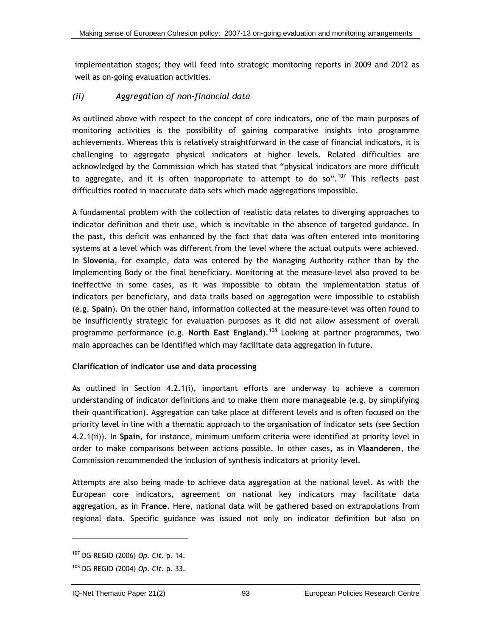<span id="page-119-0"></span>implementation stages; they will feed into strategic monitoring reports in 2009 and 2012 as well as on-going evaluation activities.

### *(ii) Aggregation of non-financial data*

As outlined above with respect to the concept of core indicators, one of the main purposes of monitoring activities is the possibility of gaining comparative insights into programme achievements. Whereas this is relatively straightforward in the case of financial indicators, it is challenging to aggregate physical indicators at higher levels. Related difficulties are acknowledged by the Commission which has stated that "physical indicators are more difficult to aggregate, and it is often inappropriate to attempt to do so".<sup>[10](#page-119-0)7</sup> This reflects past difficulties rooted in inaccurate data sets which made aggregations impossible.

A fundamental problem with the collection of realistic data relates to diverging approaches to indicator definition and their use, which is inevitable in the absence of targeted guidance. In the past, this deficit was enhanced by the fact that data was often entered into monitoring systems at a level which was different from the level where the actual outputs were achieved. In **Slovenia**, for example, data was entered by the Managing Authority rather than by the Implementing Body or the final beneficiary. Monitoring at the measure-level also proved to be ineffective in some cases, as it was impossible to obtain the implementation status of indicators per beneficiary, and data trails based on aggregation were impossible to establish (e.g. **Spain**). On the other hand, information collected at the measure-level was often found to be insufficiently strategic for evaluation purposes as it did not allow assessment of overall programme performance (e.g. **North East England**).[1](#page-119-0)08 Looking at partner programmes, two main approaches can be identified which may facilitate data aggregation in future.

### **Clarification of indicator use and data processing**

As outlined in Section [4.2.1\(i\),](#page-106-0) important efforts are underway to achieve a common understanding of indicator definitions and to make them more manageable (e.g. by simplifying their quantification). Aggregation can take place at different levels and is often focused on the priority level in line with a thematic approach to the organisation of indicator sets (see Section [4.2.1\(ii\)](#page-108-0)). In **Spain**, for instance, minimum uniform criteria were identified at priority level in order to make comparisons between actions possible. In other cases, as in **Vlaanderen**, the Commission recommended the inclusion of synthesis indicators at priority level.

Attempts are also being made to achieve data aggregation at the national level. As with the European core indicators, agreement on national key indicators may facilitate data aggregation, as in **France**. Here, national data will be gathered based on extrapolations from regional data. Specific guidance was issued not only on indicator definition but also on

l

<sup>107</sup> DG REGIO (2006) *Op. Cit.* p. 14.

<sup>108</sup> DG REGIO (2004) *Op. Cit.* p. 33.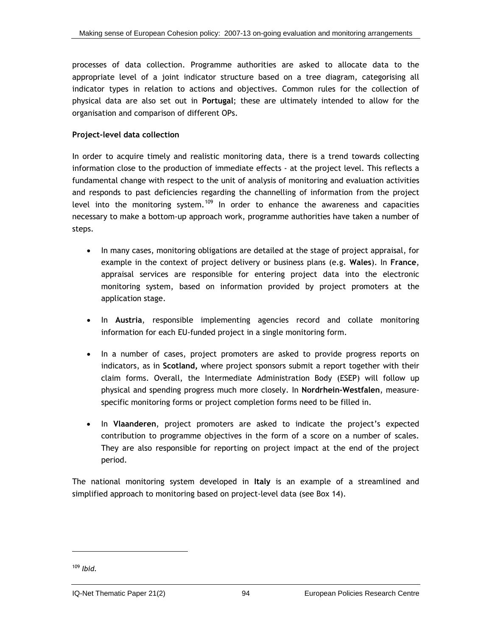<span id="page-120-0"></span>processes of data collection. Programme authorities are asked to allocate data to the appropriate level of a joint indicator structure based on a tree diagram, categorising all indicator types in relation to actions and objectives. Common rules for the collection of physical data are also set out in **Portugal**; these are ultimately intended to allow for the organisation and comparison of different OPs.

### **Project-level data collection**

In order to acquire timely and realistic monitoring data, there is a trend towards collecting information close to the production of immediate effects - at the project level. This reflects a fundamental change with respect to the unit of analysis of monitoring and evaluation activities and responds to past deficiencies regarding the channelling of information from the project level into the monitoring system.<sup>[1](#page-120-0)09</sup> In order to enhance the awareness and capacities necessary to make a bottom-up approach work, programme authorities have taken a number of steps.

- In many cases, monitoring obligations are detailed at the stage of project appraisal, for example in the context of project delivery or business plans (e.g. **Wales**). In **France**, appraisal services are responsible for entering project data into the electronic monitoring system, based on information provided by project promoters at the application stage.
- In **Austria**, responsible implementing agencies record and collate monitoring information for each EU-funded project in a single monitoring form.
- In a number of cases, project promoters are asked to provide progress reports on indicators, as in **Scotland,** where project sponsors submit a report together with their claim forms. Overall, the Intermediate Administration Body (ESEP) will follow up physical and spending progress much more closely. In **Nordrhein-Westfalen**, measurespecific monitoring forms or project completion forms need to be filled in.
- In **Vlaanderen**, project promoters are asked to indicate the project's expected contribution to programme objectives in the form of a score on a number of scales. They are also responsible for reporting on project impact at the end of the project period.

The national monitoring system developed in **Italy** is an example of a streamlined and simplified approach to monitoring based on project-level data (see Box 14).

<sup>109</sup> *Ibid.*

1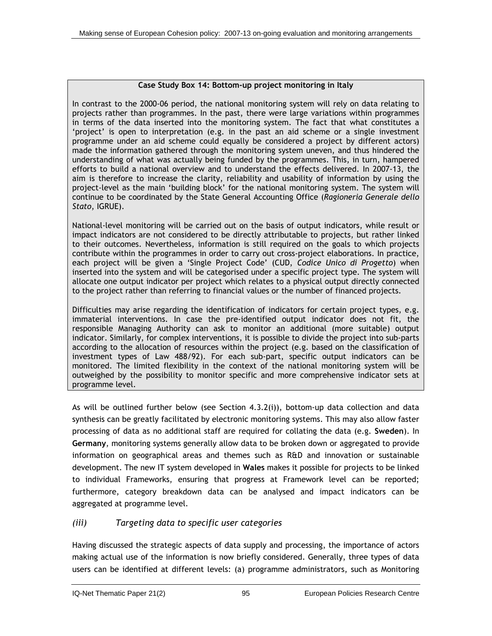### **Case Study Box 14: Bottom-up project monitoring in Italy**

<span id="page-121-0"></span>In contrast to the 2000-06 period, the national monitoring system will rely on data relating to projects rather than programmes. In the past, there were large variations within programmes in terms of the data inserted into the monitoring system. The fact that what constitutes a 'project' is open to interpretation (e.g. in the past an aid scheme or a single investment programme under an aid scheme could equally be considered a project by different actors) made the information gathered through the monitoring system uneven, and thus hindered the understanding of what was actually being funded by the programmes. This, in turn, hampered efforts to build a national overview and to understand the effects delivered. In 2007-13, the aim is therefore to increase the clarity, reliability and usability of information by using the project-level as the main 'building block' for the national monitoring system. The system will continue to be coordinated by the State General Accounting Office (*Ragioneria Generale dello Stato*, IGRUE).

National-level monitoring will be carried out on the basis of output indicators, while result or impact indicators are not considered to be directly attributable to projects, but rather linked to their outcomes. Nevertheless, information is still required on the goals to which projects contribute within the programmes in order to carry out cross-project elaborations. In practice, each project will be given a 'Single Project Code' (CUD, *Codice Unico di Progetto*) when inserted into the system and will be categorised under a specific project type. The system will allocate one output indicator per project which relates to a physical output directly connected to the project rather than referring to financial values or the number of financed projects.

Difficulties may arise regarding the identification of indicators for certain project types, e.g. immaterial interventions. In case the pre-identified output indicator does not fit, the responsible Managing Authority can ask to monitor an additional (more suitable) output indicator. Similarly, for complex interventions, it is possible to divide the project into sub-parts according to the allocation of resources within the project (e.g. based on the classification of investment types of Law 488/92). For each sub-part, specific output indicators can be monitored. The limited flexibility in the context of the national monitoring system will be outweighed by the possibility to monitor specific and more comprehensive indicator sets at programme level.

As will be outlined further below (see Section [4.3.2\(i\)\)](#page-124-0), bottom-up data collection and data synthesis can be greatly facilitated by electronic monitoring systems. This may also allow faster processing of data as no additional staff are required for collating the data (e.g. **Sweden**). In **Germany**, monitoring systems generally allow data to be broken down or aggregated to provide information on geographical areas and themes such as R&D and innovation or sustainable development. The new IT system developed in **Wales** makes it possible for projects to be linked to individual Frameworks, ensuring that progress at Framework level can be reported; furthermore, category breakdown data can be analysed and impact indicators can be aggregated at programme level.

## *(iii) Targeting data to specific user categories*

Having discussed the strategic aspects of data supply and processing, the importance of actors making actual use of the information is now briefly considered. Generally, three types of data users can be identified at different levels: (a) programme administrators, such as Monitoring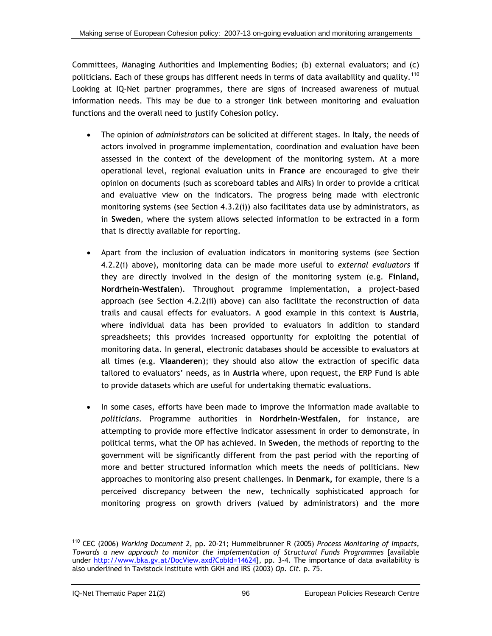<span id="page-122-0"></span>Committees, Managing Authorities and Implementing Bodies; (b) external evaluators; and (c) politicians. Each of these groups has different needs in terms of data availability and quality.<sup>[1](#page-122-0)10</sup> Looking at IQ-Net partner programmes, there are signs of increased awareness of mutual information needs. This may be due to a stronger link between monitoring and evaluation functions and the overall need to justify Cohesion policy.

- The opinion of *administrators* can be solicited at different stages. In **Italy**, the needs of actors involved in programme implementation, coordination and evaluation have been assessed in the context of the development of the monitoring system. At a more operational level, regional evaluation units in **France** are encouraged to give their opinion on documents (such as scoreboard tables and AIRs) in order to provide a critical and evaluative view on the indicators. The progress being made with electronic monitoring systems (see Section [4.3.2\(i\)\)](#page-124-0) also facilitates data use by administrators, as in **Sweden**, where the system allows selected information to be extracted in a form that is directly available for reporting.
- Apart from the inclusion of evaluation indicators in monitoring systems (see Section 4.2.[2\(i\)](#page-117-0) above), monitoring data can be made more useful to *external evaluators* if they are directly involved in the design of the monitoring system (e.g. **Finland, Nordrhein-Westfalen**). Throughout programme implementation, a project-based approach (see Section 4.2.[2\(ii\)](#page-119-0) above) can also facilitate the reconstruction of data trails and causal effects for evaluators. A good example in this context is **Austria**, where individual data has been provided to evaluators in addition to standard spreadsheets; this provides increased opportunity for exploiting the potential of monitoring data. In general, electronic databases should be accessible to evaluators at all times (e.g. **Vlaanderen**); they should also allow the extraction of specific data tailored to evaluators' needs, as in **Austria** where, upon request, the ERP Fund is able to provide datasets which are useful for undertaking thematic evaluations.
- In some cases, efforts have been made to improve the information made available to *politicians*. Programme authorities in **Nordrhein-Westfalen**, for instance, are attempting to provide more effective indicator assessment in order to demonstrate, in political terms, what the OP has achieved. In **Sweden**, the methods of reporting to the government will be significantly different from the past period with the reporting of more and better structured information which meets the needs of politicians. New approaches to monitoring also present challenges. In **Denmark,** for example, there is a perceived discrepancy between the new, technically sophisticated approach for monitoring progress on growth drivers (valued by administrators) and the more

-

<sup>110</sup> CEC (2006) *Working Document 2*, pp. 20-21; Hummelbrunner R (2005) *Process Monitoring of Impacts, Towards a new approach to monitor the implementation of Structural Funds Programmes* [available under http://www.bka.gv.at/DocView.axd?CobId=14624], pp. 3-4. The importance of data availability is also underlined in Tavistock Institute with GKH and IRS (2003) *Op. Cit.* p. 75.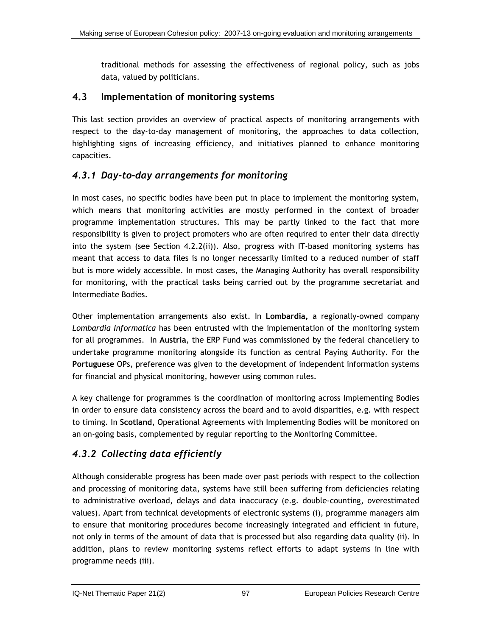traditional methods for assessing the effectiveness of regional policy, such as jobs data, valued by politicians.

## **4.3 Implementation of monitoring systems**

This last section provides an overview of practical aspects of monitoring arrangements with respect to the day-to-day management of monitoring, the approaches to data collection, highlighting signs of increasing efficiency, and initiatives planned to enhance monitoring capacities.

## *4.3.1 Day-to-day arrangements for monitoring*

In most cases, no specific bodies have been put in place to implement the monitoring system, which means that monitoring activities are mostly performed in the context of broader programme implementation structures. This may be partly linked to the fact that more responsibility is given to project promoters who are often required to enter their data directly into the system (see Section [4.2.2\(ii\)](#page-119-0)). Also, progress with IT-based monitoring systems has meant that access to data files is no longer necessarily limited to a reduced number of staff but is more widely accessible. In most cases, the Managing Authority has overall responsibility for monitoring, with the practical tasks being carried out by the programme secretariat and Intermediate Bodies.

Other implementation arrangements also exist. In **Lombardia,** a regionally-owned company *Lombardia Informatica* has been entrusted with the implementation of the monitoring system for all programmes. In **Austria**, the ERP Fund was commissioned by the federal chancellery to undertake programme monitoring alongside its function as central Paying Authority. For the **Portuguese** OPs, preference was given to the development of independent information systems for financial and physical monitoring, however using common rules.

A key challenge for programmes is the coordination of monitoring across Implementing Bodies in order to ensure data consistency across the board and to avoid disparities, e.g. with respect to timing. In **Scotland**, Operational Agreements with Implementing Bodies will be monitored on an on-going basis, complemented by regular reporting to the Monitoring Committee.

# *4.3.2 Collecting data efficiently*

Although considerable progress has been made over past periods with respect to the collection and processing of monitoring data, systems have still been suffering from deficiencies relating to administrative overload, delays and data inaccuracy (e.g. double-counting, overestimated values). Apart from technical developments of electronic systems (i), programme managers aim to ensure that monitoring procedures become increasingly integrated and efficient in future, not only in terms of the amount of data that is processed but also regarding data quality (ii). In addition, plans to review monitoring systems reflect efforts to adapt systems in line with programme needs (iii).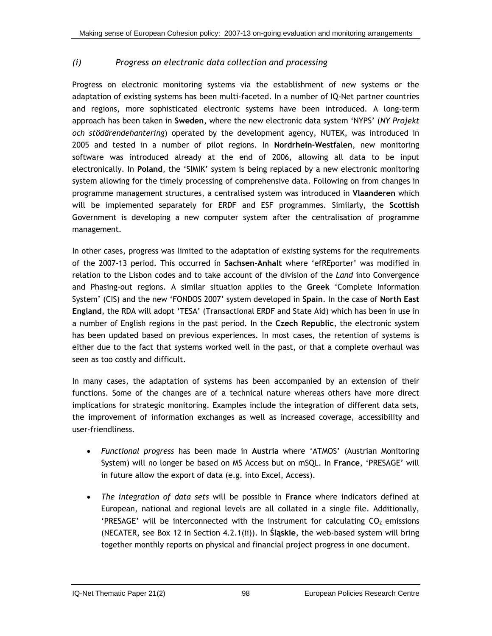## <span id="page-124-0"></span>*(i) Progress on electronic data collection and processing*

Progress on electronic monitoring systems via the establishment of new systems or the adaptation of existing systems has been multi-faceted. In a number of IQ-Net partner countries and regions, more sophisticated electronic systems have been introduced. A long-term approach has been taken in **Sweden**, where the new electronic data system 'NYPS' (*NY Projekt och stödärendehantering*) operated by the development agency, NUTEK, was introduced in 2005 and tested in a number of pilot regions. In **Nordrhein-Westfalen**, new monitoring software was introduced already at the end of 2006, allowing all data to be input electronically. In **Poland**, the 'SIMIK' system is being replaced by a new electronic monitoring system allowing for the timely processing of comprehensive data. Following on from changes in programme management structures, a centralised system was introduced in **Vlaanderen** which will be implemented separately for ERDF and ESF programmes. Similarly, the **Scottish** Government is developing a new computer system after the centralisation of programme management.

In other cases, progress was limited to the adaptation of existing systems for the requirements of the 2007-13 period. This occurred in **Sachsen-Anhalt** where 'efREporter' was modified in relation to the Lisbon codes and to take account of the division of the *Land* into Convergence and Phasing-out regions. A similar situation applies to the **Greek** 'Complete Information System' (CIS) and the new 'FONDOS 2007' system developed in **Spain**. In the case of **North East England**, the RDA will adopt 'TESA' (Transactional ERDF and State Aid) which has been in use in a number of English regions in the past period. In the **Czech Republic**, the electronic system has been updated based on previous experiences. In most cases, the retention of systems is either due to the fact that systems worked well in the past, or that a complete overhaul was seen as too costly and difficult.

In many cases, the adaptation of systems has been accompanied by an extension of their functions. Some of the changes are of a technical nature whereas others have more direct implications for strategic monitoring. Examples include the integration of different data sets, the improvement of information exchanges as well as increased coverage, accessibility and user-friendliness.

- *Functional progress* has been made in **Austria** where 'ATMOS' (Austrian Monitoring System) will no longer be based on MS Access but on mSQL. In **France**, 'PRESAGE' will in future allow the export of data (e.g. into Excel, Access).
- *The integration of data sets* will be possible in **France** where indicators defined at European, national and regional levels are all collated in a single file. Additionally, 'PRESAGE' will be interconnected with the instrument for calculating  $CO<sub>2</sub>$  emissions (NECATER, see Box 12 in Section [4.2.1\(ii\)\)](#page-108-0). In **Śląskie**, the web-based system will bring together monthly reports on physical and financial project progress in one document.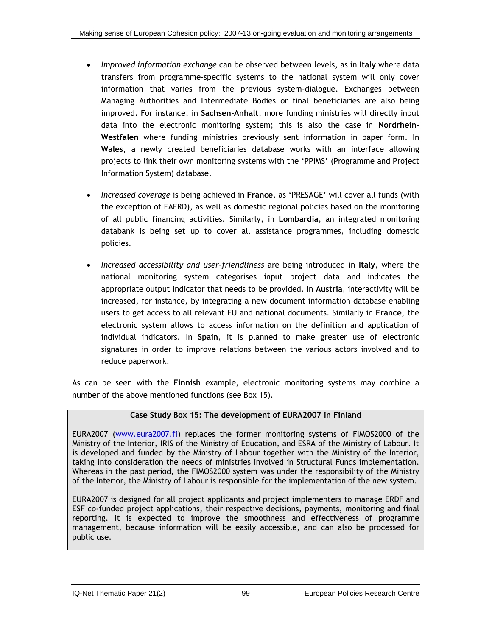- *Improved information exchange* can be observed between levels, as in **Italy** where data transfers from programme-specific systems to the national system will only cover information that varies from the previous system-dialogue. Exchanges between Managing Authorities and Intermediate Bodies or final beneficiaries are also being improved. For instance, in **Sachsen-Anhalt**, more funding ministries will directly input data into the electronic monitoring system; this is also the case in **Nordrhein-Westfalen** where funding ministries previously sent information in paper form. In **Wales**, a newly created beneficiaries database works with an interface allowing projects to link their own monitoring systems with the 'PPIMS' (Programme and Project Information System) database.
- *Increased coverage* is being achieved in **France**, as 'PRESAGE' will cover all funds (with the exception of EAFRD), as well as domestic regional policies based on the monitoring of all public financing activities. Similarly, in **Lombardia**, an integrated monitoring databank is being set up to cover all assistance programmes, including domestic policies.
- *Increased accessibility and user-friendliness* are being introduced in **Italy**, where the national monitoring system categorises input project data and indicates the appropriate output indicator that needs to be provided. In **Austria**, interactivity will be increased, for instance, by integrating a new document information database enabling users to get access to all relevant EU and national documents. Similarly in **France**, the electronic system allows to access information on the definition and application of individual indicators. In **Spain**, it is planned to make greater use of electronic signatures in order to improve relations between the various actors involved and to reduce paperwork.

As can be seen with the **Finnish** example, electronic monitoring systems may combine a number of the above mentioned functions (see Box 15).

## **Case Study Box 15: The development of EURA2007 in Finland**

EURA2007 ([www.eura2007.fi](http://www.eura2007.fi/)) replaces the former monitoring systems of FIMOS2000 of the Ministry of the Interior, IRIS of the Ministry of Education, and ESRA of the Ministry of Labour. It is developed and funded by the Ministry of Labour together with the Ministry of the Interior, taking into consideration the needs of ministries involved in Structural Funds implementation. Whereas in the past period, the FIMOS2000 system was under the responsibility of the Ministry of the Interior, the Ministry of Labour is responsible for the implementation of the new system.

EURA2007 is designed for all project applicants and project implementers to manage ERDF and ESF co-funded project applications, their respective decisions, payments, monitoring and final reporting. It is expected to improve the smoothness and effectiveness of programme management, because information will be easily accessible, and can also be processed for public use.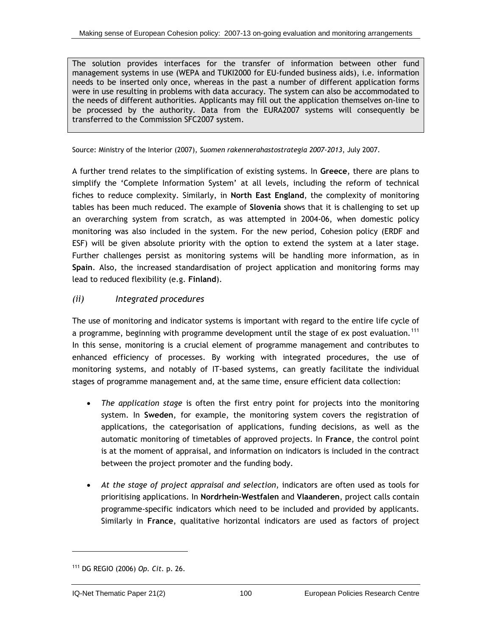<span id="page-126-0"></span>The solution provides interfaces for the transfer of information between other fund management systems in use (WEPA and TUKI2000 for EU-funded business aids), i.e. information needs to be inserted only once, whereas in the past a number of different application forms were in use resulting in problems with data accuracy. The system can also be accommodated to the needs of different authorities. Applicants may fill out the application themselves on-line to be processed by the authority. Data from the EURA2007 systems will consequently be transferred to the Commission SFC2007 system.

Source: Ministry of the Interior (2007), *Suomen rakennerahastostrategia 2007-2013*, July 2007.

A further trend relates to the simplification of existing systems. In **Greece**, there are plans to simplify the 'Complete Information System' at all levels, including the reform of technical fiches to reduce complexity. Similarly, in **North East England**, the complexity of monitoring tables has been much reduced. The example of **Slovenia** shows that it is challenging to set up an overarching system from scratch, as was attempted in 2004-06, when domestic policy monitoring was also included in the system. For the new period, Cohesion policy (ERDF and ESF) will be given absolute priority with the option to extend the system at a later stage. Further challenges persist as monitoring systems will be handling more information, as in **Spain**. Also, the increased standardisation of project application and monitoring forms may lead to reduced flexibility (e.g. **Finland**).

## *(ii) Integrated procedures*

The use of monitoring and indicator systems is important with regard to the entire life cycle of a programme, beginning with programme development until the stage of ex post evaluation.<sup>[1](#page-126-0)11</sup> In this sense, monitoring is a crucial element of programme management and contributes to enhanced efficiency of processes. By working with integrated procedures, the use of monitoring systems, and notably of IT-based systems, can greatly facilitate the individual stages of programme management and, at the same time, ensure efficient data collection:

- *The application stage* is often the first entry point for projects into the monitoring system. In **Sweden**, for example, the monitoring system covers the registration of applications, the categorisation of applications, funding decisions, as well as the automatic monitoring of timetables of approved projects. In **France**, the control point is at the moment of appraisal, and information on indicators is included in the contract between the project promoter and the funding body.
- *At the stage of project appraisal and selection*, indicators are often used as tools for prioritising applications. In **Nordrhein-Westfalen** and **Vlaanderen**, project calls contain programme-specific indicators which need to be included and provided by applicants. Similarly in **France**, qualitative horizontal indicators are used as factors of project

1

<sup>111</sup> DG REGIO (2006) *Op. Cit.* p. 26.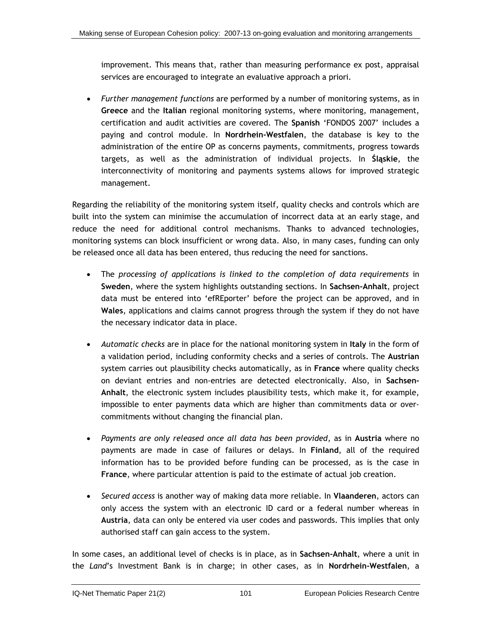improvement. This means that, rather than measuring performance ex post, appraisal services are encouraged to integrate an evaluative approach a priori.

• *Further management functions* are performed by a number of monitoring systems, as in **Greece** and the **Italian** regional monitoring systems, where monitoring, management, certification and audit activities are covered. The **Spanish** 'FONDOS 2007' includes a paying and control module. In **Nordrhein-Westfalen**, the database is key to the administration of the entire OP as concerns payments, commitments, progress towards targets, as well as the administration of individual projects. In **Śląskie**, the interconnectivity of monitoring and payments systems allows for improved strategic management.

Regarding the reliability of the monitoring system itself, quality checks and controls which are built into the system can minimise the accumulation of incorrect data at an early stage, and reduce the need for additional control mechanisms. Thanks to advanced technologies, monitoring systems can block insufficient or wrong data. Also, in many cases, funding can only be released once all data has been entered, thus reducing the need for sanctions.

- The *processing of applications is linked to the completion of data requirements* in **Sweden**, where the system highlights outstanding sections. In **Sachsen-Anhalt**, project data must be entered into 'efREporter' before the project can be approved, and in **Wales**, applications and claims cannot progress through the system if they do not have the necessary indicator data in place.
- *Automatic checks* are in place for the national monitoring system in **Italy** in the form of a validation period, including conformity checks and a series of controls. The **Austrian** system carries out plausibility checks automatically, as in **France** where quality checks on deviant entries and non-entries are detected electronically. Also, in **Sachsen-Anhalt**, the electronic system includes plausibility tests, which make it, for example, impossible to enter payments data which are higher than commitments data or overcommitments without changing the financial plan.
- *Payments are only released once all data has been provided*, as in **Austria** where no payments are made in case of failures or delays. In **Finland**, all of the required information has to be provided before funding can be processed, as is the case in **France**, where particular attention is paid to the estimate of actual job creation.
- *Secured access* is another way of making data more reliable. In **Vlaanderen**, actors can only access the system with an electronic ID card or a federal number whereas in **Austria**, data can only be entered via user codes and passwords. This implies that only authorised staff can gain access to the system.

In some cases, an additional level of checks is in place, as in **Sachsen-Anhalt**, where a unit in the *Land*'s Investment Bank is in charge; in other cases, as in **Nordrhein-Westfalen**, a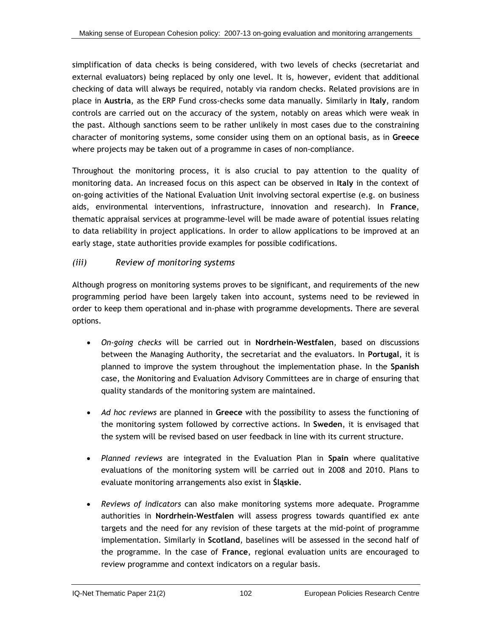simplification of data checks is being considered, with two levels of checks (secretariat and external evaluators) being replaced by only one level. It is, however, evident that additional checking of data will always be required, notably via random checks. Related provisions are in place in **Austria**, as the ERP Fund cross-checks some data manually. Similarly in **Italy**, random controls are carried out on the accuracy of the system, notably on areas which were weak in the past. Although sanctions seem to be rather unlikely in most cases due to the constraining character of monitoring systems, some consider using them on an optional basis, as in **Greece** where projects may be taken out of a programme in cases of non-compliance.

Throughout the monitoring process, it is also crucial to pay attention to the quality of monitoring data. An increased focus on this aspect can be observed in **Italy** in the context of on-going activities of the National Evaluation Unit involving sectoral expertise (e.g. on business aids, environmental interventions, infrastructure, innovation and research). In **France**, thematic appraisal services at programme-level will be made aware of potential issues relating to data reliability in project applications. In order to allow applications to be improved at an early stage, state authorities provide examples for possible codifications.

## *(iii) Review of monitoring systems*

Although progress on monitoring systems proves to be significant, and requirements of the new programming period have been largely taken into account, systems need to be reviewed in order to keep them operational and in-phase with programme developments. There are several options.

- *On-going checks* will be carried out in **Nordrhein-Westfalen**, based on discussions between the Managing Authority, the secretariat and the evaluators. In **Portugal**, it is planned to improve the system throughout the implementation phase. In the **Spanish** case, the Monitoring and Evaluation Advisory Committees are in charge of ensuring that quality standards of the monitoring system are maintained.
- *Ad hoc reviews* are planned in **Greece** with the possibility to assess the functioning of the monitoring system followed by corrective actions. In **Sweden**, it is envisaged that the system will be revised based on user feedback in line with its current structure.
- *Planned reviews* are integrated in the Evaluation Plan in **Spain** where qualitative evaluations of the monitoring system will be carried out in 2008 and 2010. Plans to evaluate monitoring arrangements also exist in **Śląskie**.
- *Reviews of indicators* can also make monitoring systems more adequate. Programme authorities in **Nordrhein-Westfalen** will assess progress towards quantified ex ante targets and the need for any revision of these targets at the mid-point of programme implementation. Similarly in **Scotland**, baselines will be assessed in the second half of the programme. In the case of **France**, regional evaluation units are encouraged to review programme and context indicators on a regular basis.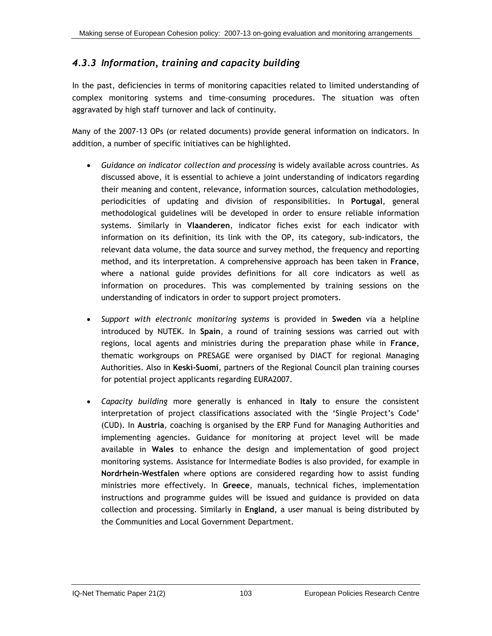## *4.3.3 Information, training and capacity building*

In the past, deficiencies in terms of monitoring capacities related to limited understanding of complex monitoring systems and time-consuming procedures. The situation was often aggravated by high staff turnover and lack of continuity.

Many of the 2007-13 OPs (or related documents) provide general information on indicators. In addition, a number of specific initiatives can be highlighted.

- *Guidance on indicator collection and processing* is widely available across countries. As discussed above, it is essential to achieve a joint understanding of indicators regarding their meaning and content, relevance, information sources, calculation methodologies, periodicities of updating and division of responsibilities. In **Portugal**, general methodological guidelines will be developed in order to ensure reliable information systems. Similarly in **Vlaanderen**, indicator fiches exist for each indicator with information on its definition, its link with the OP, its category, sub-indicators, the relevant data volume, the data source and survey method, the frequency and reporting method, and its interpretation. A comprehensive approach has been taken in **France**, where a national guide provides definitions for all core indicators as well as information on procedures. This was complemented by training sessions on the understanding of indicators in order to support project promoters.
- *Support with electronic monitoring systems* is provided in **Sweden** via a helpline introduced by NUTEK. In **Spain**, a round of training sessions was carried out with regions, local agents and ministries during the preparation phase while in **France**, thematic workgroups on PRESAGE were organised by DIACT for regional Managing Authorities. Also in **Keski-Suomi**, partners of the Regional Council plan training courses for potential project applicants regarding EURA2007.
- *Capacity building* more generally is enhanced in **Italy** to ensure the consistent interpretation of project classifications associated with the 'Single Project's Code' (CUD). In **Austria**, coaching is organised by the ERP Fund for Managing Authorities and implementing agencies. Guidance for monitoring at project level will be made available in **Wales** to enhance the design and implementation of good project monitoring systems. Assistance for Intermediate Bodies is also provided, for example in **Nordrhein-Westfalen** where options are considered regarding how to assist funding ministries more effectively. In **Greece**, manuals, technical fiches, implementation instructions and programme guides will be issued and guidance is provided on data collection and processing. Similarly in **England**, a user manual is being distributed by the Communities and Local Government Department.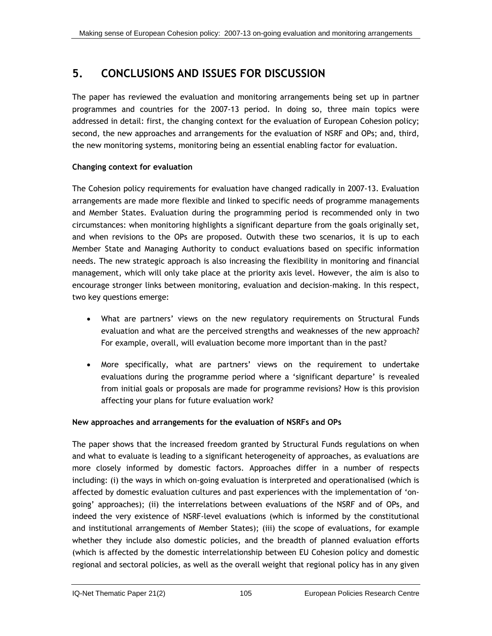# **5. CONCLUSIONS AND ISSUES FOR DISCUSSION**

The paper has reviewed the evaluation and monitoring arrangements being set up in partner programmes and countries for the 2007-13 period. In doing so, three main topics were addressed in detail: first, the changing context for the evaluation of European Cohesion policy; second, the new approaches and arrangements for the evaluation of NSRF and OPs; and, third, the new monitoring systems, monitoring being an essential enabling factor for evaluation.

## **Changing context for evaluation**

The Cohesion policy requirements for evaluation have changed radically in 2007-13. Evaluation arrangements are made more flexible and linked to specific needs of programme managements and Member States. Evaluation during the programming period is recommended only in two circumstances: when monitoring highlights a significant departure from the goals originally set, and when revisions to the OPs are proposed. Outwith these two scenarios, it is up to each Member State and Managing Authority to conduct evaluations based on specific information needs. The new strategic approach is also increasing the flexibility in monitoring and financial management, which will only take place at the priority axis level. However, the aim is also to encourage stronger links between monitoring, evaluation and decision-making. In this respect, two key questions emerge:

- What are partners' views on the new regulatory requirements on Structural Funds evaluation and what are the perceived strengths and weaknesses of the new approach? For example, overall, will evaluation become more important than in the past?
- More specifically, what are partners' views on the requirement to undertake evaluations during the programme period where a 'significant departure' is revealed from initial goals or proposals are made for programme revisions? How is this provision affecting your plans for future evaluation work?

## **New approaches and arrangements for the evaluation of NSRFs and OPs**

The paper shows that the increased freedom granted by Structural Funds regulations on when and what to evaluate is leading to a significant heterogeneity of approaches, as evaluations are more closely informed by domestic factors. Approaches differ in a number of respects including: (i) the ways in which on-going evaluation is interpreted and operationalised (which is affected by domestic evaluation cultures and past experiences with the implementation of 'ongoing' approaches); (ii) the interrelations between evaluations of the NSRF and of OPs, and indeed the very existence of NSRF-level evaluations (which is informed by the constitutional and institutional arrangements of Member States); (iii) the scope of evaluations, for example whether they include also domestic policies, and the breadth of planned evaluation efforts (which is affected by the domestic interrelationship between EU Cohesion policy and domestic regional and sectoral policies, as well as the overall weight that regional policy has in any given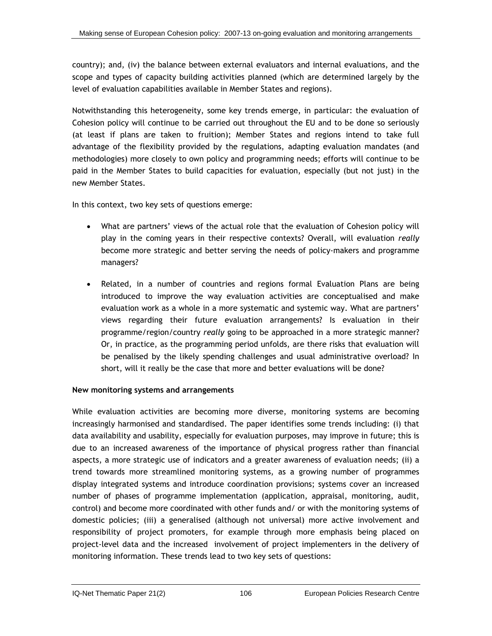country); and, (iv) the balance between external evaluators and internal evaluations, and the scope and types of capacity building activities planned (which are determined largely by the level of evaluation capabilities available in Member States and regions).

Notwithstanding this heterogeneity, some key trends emerge, in particular: the evaluation of Cohesion policy will continue to be carried out throughout the EU and to be done so seriously (at least if plans are taken to fruition); Member States and regions intend to take full advantage of the flexibility provided by the regulations, adapting evaluation mandates (and methodologies) more closely to own policy and programming needs; efforts will continue to be paid in the Member States to build capacities for evaluation, especially (but not just) in the new Member States.

In this context, two key sets of questions emerge:

- What are partners' views of the actual role that the evaluation of Cohesion policy will play in the coming years in their respective contexts? Overall, will evaluation *really*  become more strategic and better serving the needs of policy-makers and programme managers?
- Related, in a number of countries and regions formal Evaluation Plans are being introduced to improve the way evaluation activities are conceptualised and make evaluation work as a whole in a more systematic and systemic way. What are partners' views regarding their future evaluation arrangements? Is evaluation in their programme/region/country *really* going to be approached in a more strategic manner? Or, in practice, as the programming period unfolds, are there risks that evaluation will be penalised by the likely spending challenges and usual administrative overload? In short, will it really be the case that more and better evaluations will be done?

#### **New monitoring systems and arrangements**

While evaluation activities are becoming more diverse, monitoring systems are becoming increasingly harmonised and standardised. The paper identifies some trends including: (i) that data availability and usability, especially for evaluation purposes, may improve in future; this is due to an increased awareness of the importance of physical progress rather than financial aspects, a more strategic use of indicators and a greater awareness of evaluation needs; (ii) a trend towards more streamlined monitoring systems, as a growing number of programmes display integrated systems and introduce coordination provisions; systems cover an increased number of phases of programme implementation (application, appraisal, monitoring, audit, control) and become more coordinated with other funds and/ or with the monitoring systems of domestic policies; (iii) a generalised (although not universal) more active involvement and responsibility of project promoters, for example through more emphasis being placed on project-level data and the increased involvement of project implementers in the delivery of monitoring information. These trends lead to two key sets of questions: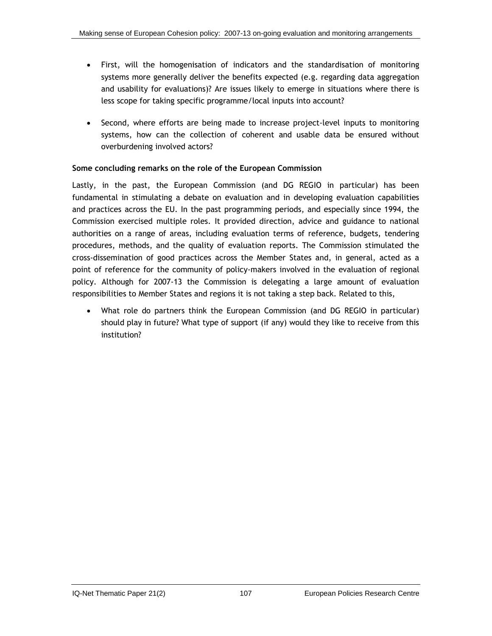- First, will the homogenisation of indicators and the standardisation of monitoring systems more generally deliver the benefits expected (e.g. regarding data aggregation and usability for evaluations)? Are issues likely to emerge in situations where there is less scope for taking specific programme/local inputs into account?
- Second, where efforts are being made to increase project-level inputs to monitoring systems, how can the collection of coherent and usable data be ensured without overburdening involved actors?

## **Some concluding remarks on the role of the European Commission**

Lastly, in the past, the European Commission (and DG REGIO in particular) has been fundamental in stimulating a debate on evaluation and in developing evaluation capabilities and practices across the EU. In the past programming periods, and especially since 1994, the Commission exercised multiple roles. It provided direction, advice and guidance to national authorities on a range of areas, including evaluation terms of reference, budgets, tendering procedures, methods, and the quality of evaluation reports. The Commission stimulated the cross-dissemination of good practices across the Member States and, in general, acted as a point of reference for the community of policy-makers involved in the evaluation of regional policy. Although for 2007-13 the Commission is delegating a large amount of evaluation responsibilities to Member States and regions it is not taking a step back. Related to this,

• What role do partners think the European Commission (and DG REGIO in particular) should play in future? What type of support (if any) would they like to receive from this institution?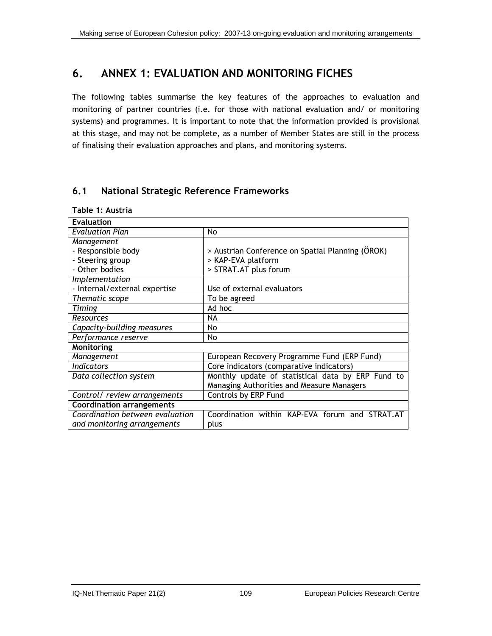# **6. ANNEX 1: EVALUATION AND MONITORING FICHES**

The following tables summarise the key features of the approaches to evaluation and monitoring of partner countries (i.e. for those with national evaluation and/ or monitoring systems) and programmes. It is important to note that the information provided is provisional at this stage, and may not be complete, as a number of Member States are still in the process of finalising their evaluation approaches and plans, and monitoring systems.

## **6.1 National Strategic Reference Frameworks**

|  | Table 1: Austria |
|--|------------------|
|  |                  |

| <b>Evaluation</b>                |                                                   |  |
|----------------------------------|---------------------------------------------------|--|
| <b>Evaluation Plan</b>           | No                                                |  |
| Management                       |                                                   |  |
| - Responsible body               | > Austrian Conference on Spatial Planning (ÖROK)  |  |
| - Steering group                 | > KAP-EVA platform                                |  |
| - Other bodies                   | > STRAT.AT plus forum                             |  |
| Implementation                   |                                                   |  |
| - Internal/external expertise    | Use of external evaluators                        |  |
| Thematic scope                   | To be agreed                                      |  |
| Timing                           | Ad hoc                                            |  |
| Resources                        | NA                                                |  |
| Capacity-building measures       | No                                                |  |
| Performance reserve              | No                                                |  |
| Monitoring                       |                                                   |  |
| Management                       | European Recovery Programme Fund (ERP Fund)       |  |
| <b>Indicators</b>                | Core indicators (comparative indicators)          |  |
| Data collection system           | Monthly update of statistical data by ERP Fund to |  |
|                                  | Managing Authorities and Measure Managers         |  |
| Control/ review arrangements     | Controls by ERP Fund                              |  |
| <b>Coordination arrangements</b> |                                                   |  |
| Coordination between evaluation  | Coordination within KAP-EVA forum and STRAT.AT    |  |
| and monitoring arrangements      | plus                                              |  |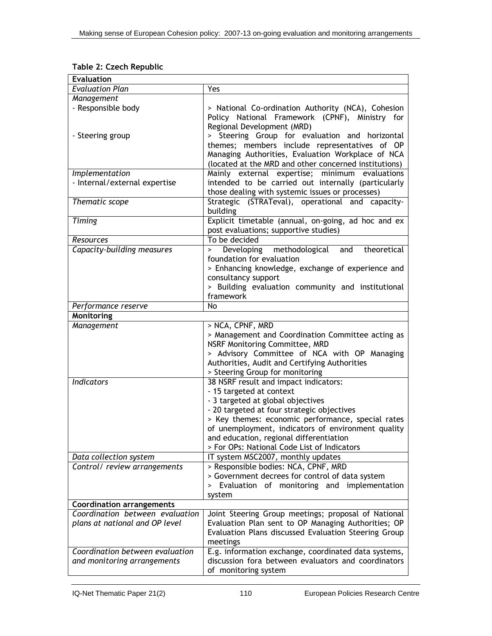| Table 2: Czech Republic |  |  |  |
|-------------------------|--|--|--|
|-------------------------|--|--|--|

| <b>Evaluation</b>                                                 |                                                                                                                                                                                                                                                                                                                                                           |  |
|-------------------------------------------------------------------|-----------------------------------------------------------------------------------------------------------------------------------------------------------------------------------------------------------------------------------------------------------------------------------------------------------------------------------------------------------|--|
| <b>Evaluation Plan</b>                                            | Yes                                                                                                                                                                                                                                                                                                                                                       |  |
| Management                                                        |                                                                                                                                                                                                                                                                                                                                                           |  |
| - Responsible body                                                | > National Co-ordination Authority (NCA), Cohesion<br>Policy National Framework (CPNF), Ministry for<br>Regional Development (MRD)                                                                                                                                                                                                                        |  |
| - Steering group                                                  | > Steering Group for evaluation and horizontal<br>themes; members include representatives of OP<br>Managing Authorities, Evaluation Workplace of NCA<br>(located at the MRD and other concerned institutions)                                                                                                                                             |  |
|                                                                   |                                                                                                                                                                                                                                                                                                                                                           |  |
| Implementation<br>- Internal/external expertise                   | Mainly external expertise; minimum evaluations<br>intended to be carried out internally (particularly<br>those dealing with systemic issues or processes)                                                                                                                                                                                                 |  |
| Thematic scope                                                    | Strategic (STRATeval), operational and capacity-<br>building                                                                                                                                                                                                                                                                                              |  |
| <b>Timing</b>                                                     | Explicit timetable (annual, on-going, ad hoc and ex<br>post evaluations; supportive studies)                                                                                                                                                                                                                                                              |  |
| Resources                                                         | To be decided                                                                                                                                                                                                                                                                                                                                             |  |
| Capacity-building measures                                        | Developing methodological<br>theoretical<br>and<br>$\geq$<br>foundation for evaluation<br>> Enhancing knowledge, exchange of experience and<br>consultancy support<br>> Building evaluation community and institutional<br>framework                                                                                                                      |  |
| Performance reserve                                               | No                                                                                                                                                                                                                                                                                                                                                        |  |
| Monitoring                                                        |                                                                                                                                                                                                                                                                                                                                                           |  |
| Management                                                        | > NCA, CPNF, MRD<br>> Management and Coordination Committee acting as<br>NSRF Monitoring Committee, MRD<br>> Advisory Committee of NCA with OP Managing<br>Authorities, Audit and Certifying Authorities<br>> Steering Group for monitoring                                                                                                               |  |
| <b>Indicators</b>                                                 | 38 NSRF result and impact indicators:<br>- 15 targeted at context<br>- 3 targeted at global objectives<br>- 20 targeted at four strategic objectives<br>> Key themes: economic performance, special rates<br>of unemployment, indicators of environment quality<br>and education, regional differentiation<br>> For OPs: National Code List of Indicators |  |
| Data collection system                                            | IT system MSC2007, monthly updates                                                                                                                                                                                                                                                                                                                        |  |
| Control/ review arrangements                                      | > Responsible bodies: NCA, CPNF, MRD<br>> Government decrees for control of data system<br>> Evaluation of monitoring and implementation<br>system                                                                                                                                                                                                        |  |
| Coordination arrangements                                         |                                                                                                                                                                                                                                                                                                                                                           |  |
| Coordination between evaluation<br>plans at national and OP level | Joint Steering Group meetings; proposal of National<br>Evaluation Plan sent to OP Managing Authorities; OP<br>Evaluation Plans discussed Evaluation Steering Group<br>meetings                                                                                                                                                                            |  |
| Coordination between evaluation<br>and monitoring arrangements    | E.g. information exchange, coordinated data systems,<br>discussion fora between evaluators and coordinators<br>of monitoring system                                                                                                                                                                                                                       |  |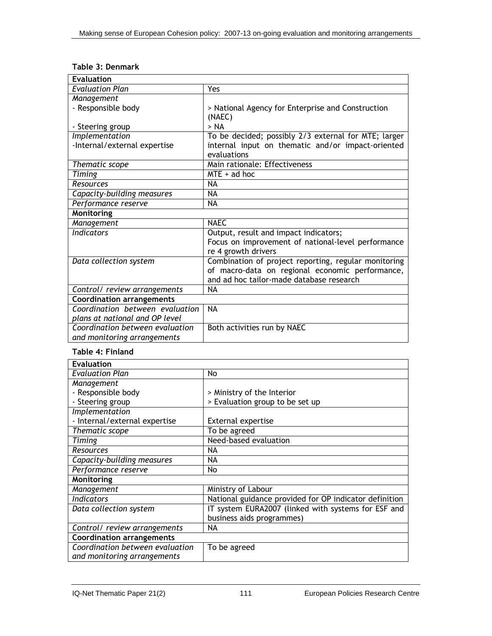| Table 3: Denmark |  |
|------------------|--|
|------------------|--|

| <b>Evaluation</b>                |                                                      |  |
|----------------------------------|------------------------------------------------------|--|
| <b>Evaluation Plan</b>           | Yes                                                  |  |
| Management                       |                                                      |  |
| - Responsible body               | > National Agency for Enterprise and Construction    |  |
|                                  | (NAEC)                                               |  |
| - Steering group                 | > NA                                                 |  |
| Implementation                   | To be decided; possibly 2/3 external for MTE; larger |  |
| -Internal/external expertise     | internal input on thematic and/or impact-oriented    |  |
|                                  | evaluations                                          |  |
| Thematic scope                   | Main rationale: Effectiveness                        |  |
| Timing                           | $MTE + ad hoc$                                       |  |
| Resources                        | <b>NA</b>                                            |  |
| Capacity-building measures       | <b>NA</b>                                            |  |
| Performance reserve              | <b>NA</b>                                            |  |
| <b>Monitoring</b>                |                                                      |  |
| Management                       | <b>NAEC</b>                                          |  |
| <b>Indicators</b>                | Output, result and impact indicators;                |  |
|                                  | Focus on improvement of national-level performance   |  |
|                                  | re 4 growth drivers                                  |  |
| Data collection system           | Combination of project reporting, regular monitoring |  |
|                                  | of macro-data on regional economic performance,      |  |
|                                  | and ad hoc tailor-made database research             |  |
| Control/ review arrangements     | <b>NA</b>                                            |  |
| <b>Coordination arrangements</b> |                                                      |  |
| Coordination between evaluation  | <b>NA</b>                                            |  |
| plans at national and OP level   |                                                      |  |
| Coordination between evaluation  | Both activities run by NAEC                          |  |
| and monitoring arrangements      |                                                      |  |

#### **Table 4: Finland**

| <b>Evaluation</b>                |                                                        |
|----------------------------------|--------------------------------------------------------|
| <b>Evaluation Plan</b>           | No                                                     |
| Management                       |                                                        |
| - Responsible body               | > Ministry of the Interior                             |
| - Steering group                 | > Evaluation group to be set up                        |
| Implementation                   |                                                        |
| - Internal/external expertise    | <b>External expertise</b>                              |
| Thematic scope                   | To be agreed                                           |
| Timing                           | Need-based evaluation                                  |
| <b>Resources</b>                 | NA                                                     |
| Capacity-building measures       | ΝA                                                     |
| Performance reserve              | No                                                     |
| Monitoring                       |                                                        |
| Management                       | Ministry of Labour                                     |
| <b>Indicators</b>                | National guidance provided for OP indicator definition |
| Data collection system           | IT system EURA2007 (linked with systems for ESF and    |
|                                  | business aids programmes)                              |
| Control/ review arrangements     | NА                                                     |
| <b>Coordination arrangements</b> |                                                        |
| Coordination between evaluation  | To be agreed                                           |
| and monitoring arrangements      |                                                        |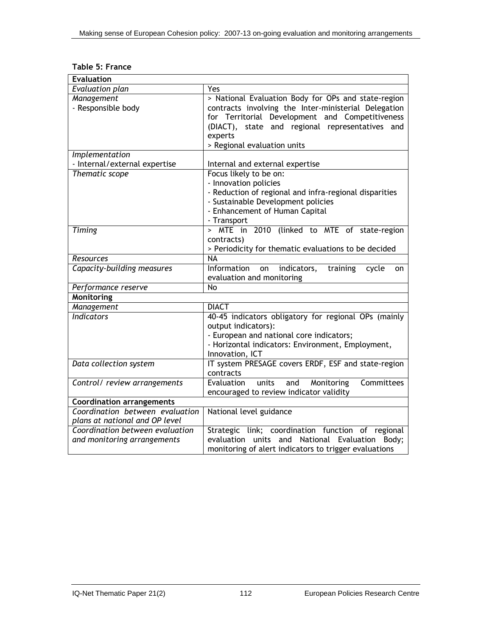## **Table 5: France**

| <b>Evaluation</b>                |                                                             |  |
|----------------------------------|-------------------------------------------------------------|--|
| <b>Evaluation plan</b>           | Yes                                                         |  |
| Management                       | > National Evaluation Body for OPs and state-region         |  |
| - Responsible body               | contracts involving the Inter-ministerial Delegation        |  |
|                                  | for Territorial Development and Competitiveness             |  |
|                                  | (DIACT), state and regional representatives and             |  |
|                                  | experts                                                     |  |
|                                  | > Regional evaluation units                                 |  |
| Implementation                   |                                                             |  |
| - Internal/external expertise    | Internal and external expertise                             |  |
| Thematic scope                   | Focus likely to be on:                                      |  |
|                                  | - Innovation policies                                       |  |
|                                  | - Reduction of regional and infra-regional disparities      |  |
|                                  | - Sustainable Development policies                          |  |
|                                  | - Enhancement of Human Capital                              |  |
|                                  | - Transport                                                 |  |
| Timing                           | > MTE in 2010 (linked to MTE of state-region                |  |
|                                  | contracts)                                                  |  |
|                                  | > Periodicity for thematic evaluations to be decided        |  |
| <b>Resources</b>                 | <b>NA</b>                                                   |  |
| Capacity-building measures       | Information<br>indicators,<br>on<br>training<br>cycle<br>on |  |
|                                  | evaluation and monitoring                                   |  |
| Performance reserve              | $\overline{N}$                                              |  |
| <b>Monitoring</b>                |                                                             |  |
| Management                       | <b>DIACT</b>                                                |  |
| <b>Indicators</b>                | 40-45 indicators obligatory for regional OPs (mainly        |  |
|                                  | output indicators):                                         |  |
|                                  | - European and national core indicators;                    |  |
|                                  | - Horizontal indicators: Environment, Employment,           |  |
|                                  | Innovation, ICT                                             |  |
| Data collection system           | IT system PRESAGE covers ERDF, ESF and state-region         |  |
|                                  | contracts                                                   |  |
| Control/ review arrangements     | Evaluation<br>units<br>Monitoring<br>Committees<br>and      |  |
|                                  | encouraged to review indicator validity                     |  |
| <b>Coordination arrangements</b> |                                                             |  |
| Coordination between evaluation  | National level guidance                                     |  |
| plans at national and OP level   |                                                             |  |
| Coordination between evaluation  | Strategic link; coordination function of regional           |  |
| and monitoring arrangements      | evaluation units and National Evaluation<br>Body;           |  |
|                                  | monitoring of alert indicators to trigger evaluations       |  |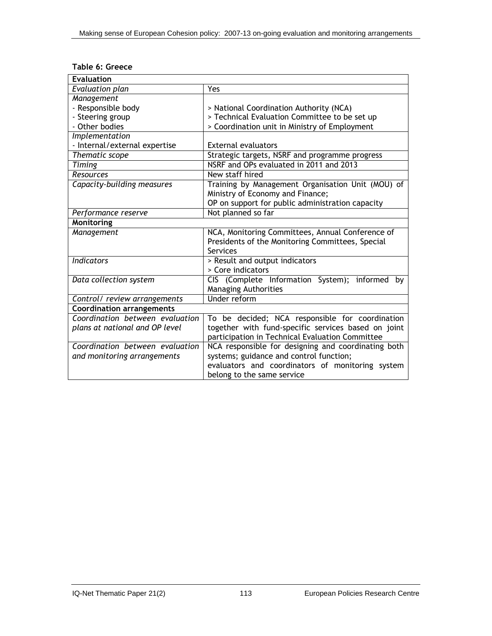## **Table 6: Greece**

| <b>Evaluation</b>                                                                      |                                                     |  |
|----------------------------------------------------------------------------------------|-----------------------------------------------------|--|
| Evaluation plan                                                                        | Yes                                                 |  |
| Management                                                                             |                                                     |  |
| - Responsible body                                                                     | > National Coordination Authority (NCA)             |  |
| - Steering group                                                                       | > Technical Evaluation Committee to be set up       |  |
| - Other bodies                                                                         | > Coordination unit in Ministry of Employment       |  |
| <i>Implementation</i>                                                                  |                                                     |  |
| - Internal/external expertise                                                          | <b>External evaluators</b>                          |  |
| Thematic scope                                                                         | Strategic targets, NSRF and programme progress      |  |
| <b>Timing</b>                                                                          | NSRF and OPs evaluated in 2011 and 2013             |  |
| <b>Resources</b>                                                                       | New staff hired                                     |  |
| Capacity-building measures                                                             | Training by Management Organisation Unit (MOU) of   |  |
|                                                                                        | Ministry of Economy and Finance;                    |  |
|                                                                                        | OP on support for public administration capacity    |  |
| Performance reserve                                                                    | Not planned so far                                  |  |
| Monitoring                                                                             |                                                     |  |
| Management                                                                             | NCA, Monitoring Committees, Annual Conference of    |  |
|                                                                                        | Presidents of the Monitoring Committees, Special    |  |
|                                                                                        | Services                                            |  |
| <b>Indicators</b><br>> Result and output indicators                                    |                                                     |  |
|                                                                                        | > Core indicators                                   |  |
| Data collection system                                                                 | CIS (Complete Information System); informed<br>bv   |  |
|                                                                                        | <b>Managing Authorities</b>                         |  |
| Control/ review arrangements                                                           | <b>Under reform</b>                                 |  |
| <b>Coordination arrangements</b>                                                       |                                                     |  |
| Coordination between evaluation                                                        | To be decided; NCA responsible for coordination     |  |
| plans at national and OP level                                                         | together with fund-specific services based on joint |  |
| participation in Technical Evaluation Committee                                        |                                                     |  |
| NCA responsible for designing and coordinating both<br>Coordination between evaluation |                                                     |  |
| systems; guidance and control function;<br>and monitoring arrangements                 |                                                     |  |
|                                                                                        | evaluators and coordinators of monitoring system    |  |
|                                                                                        | belong to the same service                          |  |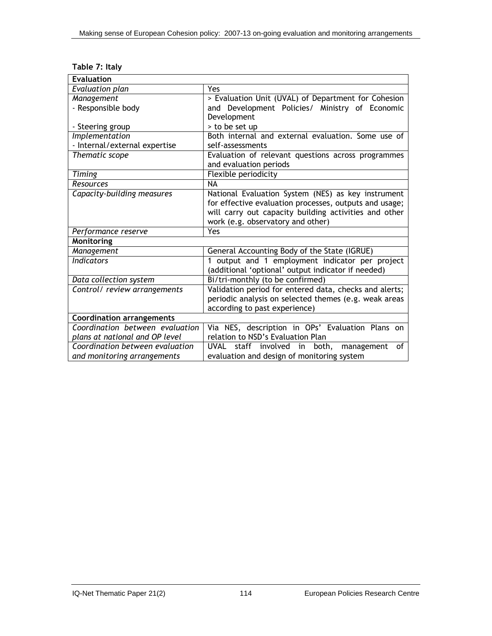| Table 7: Italy |  |  |
|----------------|--|--|
|----------------|--|--|

| <b>Evaluation</b>                |                                                               |  |
|----------------------------------|---------------------------------------------------------------|--|
| Evaluation plan                  | <b>Yes</b>                                                    |  |
| Management                       | > Evaluation Unit (UVAL) of Department for Cohesion           |  |
| - Responsible body               | and Development Policies/ Ministry of Economic                |  |
|                                  | Development                                                   |  |
| - Steering group                 | > to be set up                                                |  |
| Implementation                   | Both internal and external evaluation. Some use of            |  |
| - Internal/external expertise    | self-assessments                                              |  |
| Thematic scope                   | Evaluation of relevant questions across programmes            |  |
|                                  | and evaluation periods                                        |  |
| <b>Timing</b>                    | <b>Flexible periodicity</b>                                   |  |
| <b>Resources</b>                 | NА                                                            |  |
| Capacity-building measures       | National Evaluation System (NES) as key instrument            |  |
|                                  | for effective evaluation processes, outputs and usage;        |  |
|                                  | will carry out capacity building activities and other         |  |
|                                  | work (e.g. observatory and other)                             |  |
| Performance reserve              | <b>Yes</b>                                                    |  |
| Monitoring                       |                                                               |  |
| Management                       | General Accounting Body of the State (IGRUE)                  |  |
| <b>Indicators</b>                | output and 1 employment indicator per project<br>$\mathbf{1}$ |  |
|                                  | (additional 'optional' output indicator if needed)            |  |
| Data collection system           | Bi/tri-monthly (to be confirmed)                              |  |
| Control/ review arrangements     | Validation period for entered data, checks and alerts;        |  |
|                                  | periodic analysis on selected themes (e.g. weak areas         |  |
|                                  | according to past experience)                                 |  |
| <b>Coordination arrangements</b> |                                                               |  |
| Coordination between evaluation  | Via NES, description in OPs' Evaluation Plans on              |  |
| plans at national and OP level   | relation to NSD's Evaluation Plan                             |  |
| Coordination between evaluation  | UVAL<br>staff involved in both,<br>management<br>of           |  |
| and monitoring arrangements      | evaluation and design of monitoring system                    |  |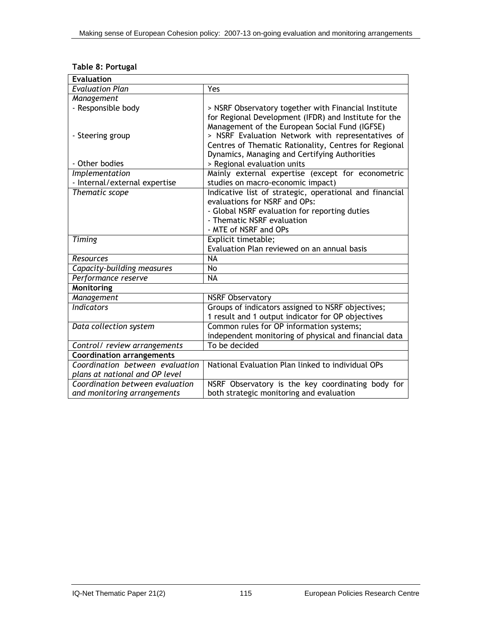## **Table 8: Portugal**

| <b>Evaluation</b>                |                                                                                                            |
|----------------------------------|------------------------------------------------------------------------------------------------------------|
| <b>Evaluation Plan</b>           | Yes                                                                                                        |
| Management                       |                                                                                                            |
| - Responsible body               | > NSRF Observatory together with Financial Institute                                                       |
|                                  | for Regional Development (IFDR) and Institute for the                                                      |
|                                  | Management of the European Social Fund (IGFSE)                                                             |
| - Steering group                 | > NSRF Evaluation Network with representatives of<br>Centres of Thematic Rationality, Centres for Regional |
|                                  | Dynamics, Managing and Certifying Authorities                                                              |
| - Other bodies                   | > Regional evaluation units                                                                                |
| Implementation                   | Mainly external expertise (except for econometric                                                          |
| - Internal/external expertise    | studies on macro-economic impact)                                                                          |
| Thematic scope                   | Indicative list of strategic, operational and financial                                                    |
|                                  | evaluations for NSRF and OPs:                                                                              |
|                                  | - Global NSRF evaluation for reporting duties                                                              |
|                                  | - Thematic NSRF evaluation                                                                                 |
|                                  | - MTE of NSRF and OPs                                                                                      |
| Timing                           | Explicit timetable;                                                                                        |
|                                  | Evaluation Plan reviewed on an annual basis                                                                |
| <b>Resources</b>                 | <b>NA</b>                                                                                                  |
| Capacity-building measures       | No                                                                                                         |
| Performance reserve              | <b>NA</b>                                                                                                  |
| Monitoring                       |                                                                                                            |
| <b>Management</b>                | <b>NSRF Observatory</b>                                                                                    |
| <b>Indicators</b>                | Groups of indicators assigned to NSRF objectives;                                                          |
|                                  | 1 result and 1 output indicator for OP objectives                                                          |
| Data collection system           | Common rules for OP information systems;                                                                   |
|                                  | independent monitoring of physical and financial data                                                      |
| Control/ review arrangements     | To be decided                                                                                              |
| <b>Coordination arrangements</b> |                                                                                                            |
| Coordination between evaluation  | National Evaluation Plan linked to individual OPs                                                          |
| plans at national and OP level   |                                                                                                            |
| Coordination between evaluation  | NSRF Observatory is the key coordinating body for                                                          |
| and monitoring arrangements      | both strategic monitoring and evaluation                                                                   |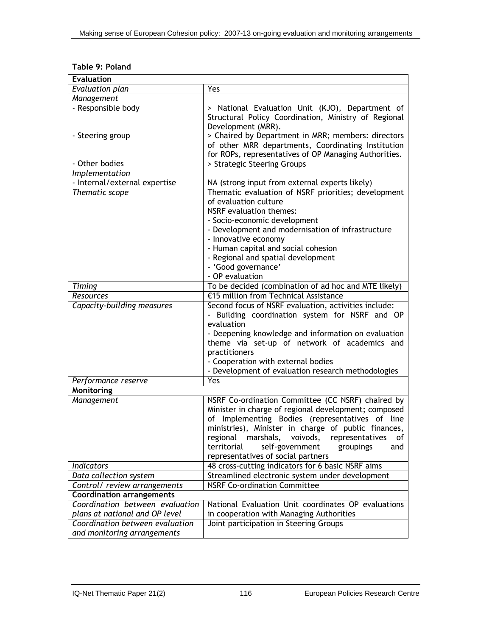## **Table 9: Poland**

| <b>Evaluation</b>                |                                                            |  |  |
|----------------------------------|------------------------------------------------------------|--|--|
| Evaluation plan                  | Yes                                                        |  |  |
| Management                       |                                                            |  |  |
| - Responsible body               | > National Evaluation Unit (KJO), Department of            |  |  |
|                                  | Structural Policy Coordination, Ministry of Regional       |  |  |
|                                  | Development (MRR).                                         |  |  |
| - Steering group                 | > Chaired by Department in MRR; members: directors         |  |  |
|                                  | of other MRR departments, Coordinating Institution         |  |  |
|                                  | for ROPs, representatives of OP Managing Authorities.      |  |  |
| - Other bodies                   | > Strategic Steering Groups                                |  |  |
| <i>Implementation</i>            |                                                            |  |  |
| - Internal/external expertise    | NA (strong input from external experts likely)             |  |  |
| Thematic scope                   | Thematic evaluation of NSRF priorities; development        |  |  |
|                                  | of evaluation culture                                      |  |  |
|                                  | NSRF evaluation themes:                                    |  |  |
|                                  | - Socio-economic development                               |  |  |
|                                  | - Development and modernisation of infrastructure          |  |  |
|                                  | - Innovative economy                                       |  |  |
|                                  | - Human capital and social cohesion                        |  |  |
|                                  | - Regional and spatial development                         |  |  |
|                                  | - 'Good governance'                                        |  |  |
|                                  | - OP evaluation                                            |  |  |
| <b>Timing</b>                    | To be decided (combination of ad hoc and MTE likely)       |  |  |
| Resources                        | €15 million from Technical Assistance                      |  |  |
| Capacity-building measures       | Second focus of NSRF evaluation, activities include:       |  |  |
|                                  | - Building coordination system for NSRF and OP             |  |  |
|                                  | evaluation                                                 |  |  |
|                                  | - Deepening knowledge and information on evaluation        |  |  |
|                                  | theme via set-up of network of academics and               |  |  |
|                                  | practitioners<br>- Cooperation with external bodies        |  |  |
|                                  | - Development of evaluation research methodologies         |  |  |
| Performance reserve              | Yes                                                        |  |  |
| Monitoring                       |                                                            |  |  |
| Management                       | NSRF Co-ordination Committee (CC NSRF) chaired by          |  |  |
|                                  | Minister in charge of regional development; composed       |  |  |
|                                  | of Implementing Bodies (representatives of line            |  |  |
|                                  | ministries), Minister in charge of public finances,        |  |  |
|                                  | regional<br>marshals,<br>voivods,<br>representatives<br>ot |  |  |
|                                  | territorial<br>self-government<br>groupings<br>and         |  |  |
|                                  | representatives of social partners                         |  |  |
| Indicators                       | 48 cross-cutting indicators for 6 basic NSRF aims          |  |  |
| Data collection system           | Streamlined electronic system under development            |  |  |
| Control/ review arrangements     | <b>NSRF Co-ordination Committee</b>                        |  |  |
| <b>Coordination arrangements</b> |                                                            |  |  |
| Coordination between evaluation  | National Evaluation Unit coordinates OP evaluations        |  |  |
| plans at national and OP level   | in cooperation with Managing Authorities                   |  |  |
| Coordination between evaluation  | Joint participation in Steering Groups                     |  |  |
| and monitoring arrangements      |                                                            |  |  |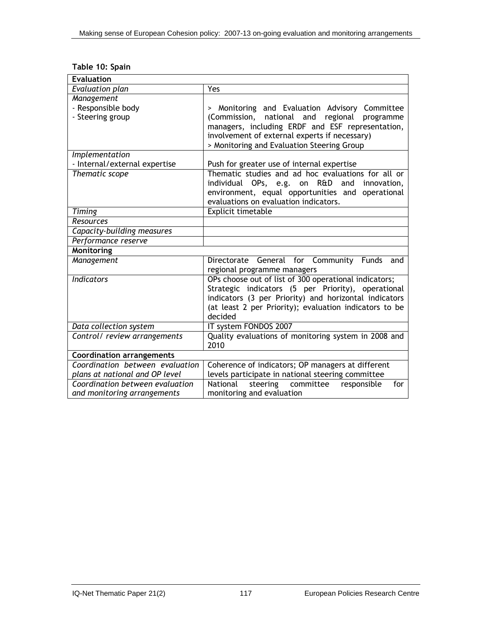| Table 10: Spain |  |  |  |
|-----------------|--|--|--|
|                 |  |  |  |

| <b>Evaluation</b>                                                   |                                                        |  |  |  |
|---------------------------------------------------------------------|--------------------------------------------------------|--|--|--|
| <b>Evaluation plan</b>                                              | <b>Yes</b>                                             |  |  |  |
| Management                                                          |                                                        |  |  |  |
| - Responsible body                                                  | > Monitoring and Evaluation Advisory Committee         |  |  |  |
| - Steering group                                                    | national and regional programme<br>(Commission,        |  |  |  |
|                                                                     | managers, including ERDF and ESF representation,       |  |  |  |
|                                                                     | involvement of external experts if necessary)          |  |  |  |
|                                                                     | > Monitoring and Evaluation Steering Group             |  |  |  |
| Implementation                                                      |                                                        |  |  |  |
| - Internal/external expertise                                       | Push for greater use of internal expertise             |  |  |  |
| Thematic scope                                                      | Thematic studies and ad hoc evaluations for all or     |  |  |  |
|                                                                     | individual OPs, e.g. on R&D<br>and<br>innovation.      |  |  |  |
|                                                                     | environment, equal opportunities and operational       |  |  |  |
|                                                                     | evaluations on evaluation indicators.                  |  |  |  |
| Timing                                                              | Explicit timetable                                     |  |  |  |
| Resources                                                           |                                                        |  |  |  |
| Capacity-building measures                                          |                                                        |  |  |  |
| Performance reserve                                                 |                                                        |  |  |  |
| Monitoring                                                          |                                                        |  |  |  |
| Management                                                          | Directorate General for Community Funds<br>and         |  |  |  |
|                                                                     | regional programme managers                            |  |  |  |
| <b>Indicators</b>                                                   | OPs choose out of list of 300 operational indicators;  |  |  |  |
|                                                                     | Strategic indicators (5 per Priority), operational     |  |  |  |
|                                                                     | indicators (3 per Priority) and horizontal indicators  |  |  |  |
|                                                                     | (at least 2 per Priority); evaluation indicators to be |  |  |  |
|                                                                     | decided                                                |  |  |  |
| Data collection system                                              | IT system FONDOS 2007                                  |  |  |  |
| Control/ review arrangements                                        | Quality evaluations of monitoring system in 2008 and   |  |  |  |
|                                                                     | 2010                                                   |  |  |  |
| <b>Coordination arrangements</b><br>Coordination between evaluation |                                                        |  |  |  |
|                                                                     | Coherence of indicators; OP managers at different      |  |  |  |
| plans at national and OP level<br>Coordination between evaluation   | levels participate in national steering committee      |  |  |  |
|                                                                     | steering committee<br>National<br>responsible<br>for   |  |  |  |
| and monitoring arrangements                                         | monitoring and evaluation                              |  |  |  |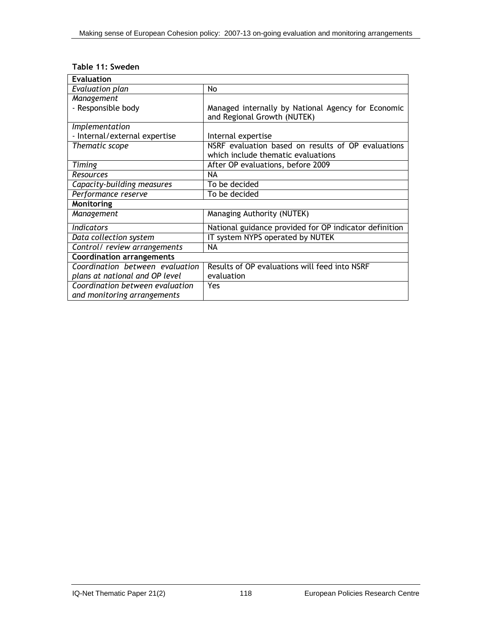|  |  | Table 11: Sweden |
|--|--|------------------|
|--|--|------------------|

| <b>Evaluation</b>                |                                                                                   |  |
|----------------------------------|-----------------------------------------------------------------------------------|--|
| <b>Evaluation plan</b>           | No                                                                                |  |
| Management                       |                                                                                   |  |
| - Responsible body               | Managed internally by National Agency for Economic<br>and Regional Growth (NUTEK) |  |
| Implementation                   |                                                                                   |  |
| - Internal/external expertise    | Internal expertise                                                                |  |
| Thematic scope                   | NSRF evaluation based on results of OP evaluations                                |  |
|                                  | which include thematic evaluations                                                |  |
| Timing                           | After OP evaluations, before 2009                                                 |  |
| Resources                        | <b>NA</b>                                                                         |  |
| Capacity-building measures       | To be decided                                                                     |  |
| Performance reserve              | To be decided                                                                     |  |
| Monitoring                       |                                                                                   |  |
| Management                       | Managing Authority (NUTEK)                                                        |  |
| <b>Indicators</b>                | National guidance provided for OP indicator definition                            |  |
| Data collection system           | IT system NYPS operated by NUTEK                                                  |  |
| Control/ review arrangements     | NA                                                                                |  |
| <b>Coordination arrangements</b> |                                                                                   |  |
| Coordination between evaluation  | Results of OP evaluations will feed into NSRF                                     |  |
| plans at national and OP level   | evaluation                                                                        |  |
| Coordination between evaluation  | Yes                                                                               |  |
| and monitoring arrangements      |                                                                                   |  |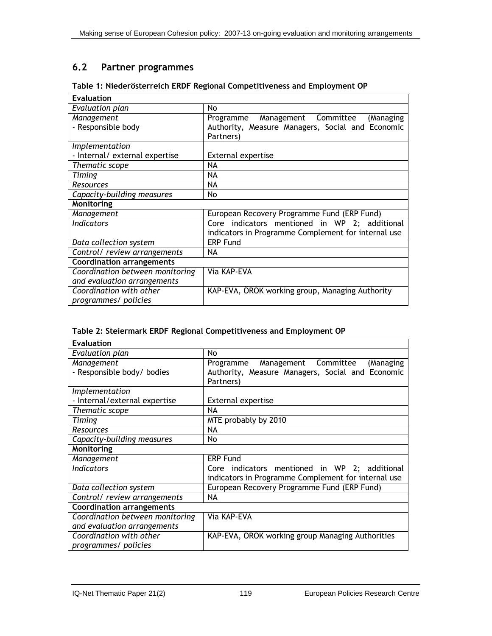# **6.2 Partner programmes**

| <b>Evaluation</b>                |                                                     |
|----------------------------------|-----------------------------------------------------|
| Evaluation plan                  | No.                                                 |
| Management                       | Management Committee<br>Programme<br>(Managing      |
| - Responsible body               | Authority, Measure Managers, Social and Economic    |
|                                  | Partners)                                           |
| Implementation                   |                                                     |
| - Internal/ external expertise   | <b>External expertise</b>                           |
| Thematic scope                   | <b>NA</b>                                           |
| Timing                           | NА                                                  |
| <b>Resources</b>                 | NA                                                  |
| Capacity-building measures       | No.                                                 |
| Monitoring                       |                                                     |
| Management                       | European Recovery Programme Fund (ERP Fund)         |
| <b>Indicators</b>                | Core indicators mentioned in WP 2; additional       |
|                                  | indicators in Programme Complement for internal use |
| Data collection system           | <b>ERP Fund</b>                                     |
| Control/ review arrangements     | NA                                                  |
| <b>Coordination arrangements</b> |                                                     |
| Coordination between monitoring  | Via KAP-EVA                                         |
| and evaluation arrangements      |                                                     |
| Coordination with other          | KAP-EVA, ÖROK working group, Managing Authority     |
| programmes/ policies             |                                                     |

## **Table 1: Niederösterreich ERDF Regional Competitiveness and Employment OP**

|  | Table 2: Steiermark ERDF Regional Competitiveness and Employment OP |  |
|--|---------------------------------------------------------------------|--|
|--|---------------------------------------------------------------------|--|

| <b>Evaluation</b>                |                                                     |
|----------------------------------|-----------------------------------------------------|
| Evaluation plan                  | No.                                                 |
| Management                       | Management Committee<br>Programme<br>(Managing      |
| - Responsible body/ bodies       | Authority, Measure Managers, Social and Economic    |
|                                  | Partners)                                           |
| Implementation                   |                                                     |
| - Internal/external expertise    | <b>External expertise</b>                           |
| Thematic scope                   | <b>NA</b>                                           |
| Timing                           | MTE probably by 2010                                |
| <b>Resources</b>                 | NA                                                  |
| Capacity-building measures       | No.                                                 |
| Monitoring                       |                                                     |
| Management                       | <b>ERP Fund</b>                                     |
| <b>Indicators</b>                | Core indicators mentioned in WP 2; additional       |
|                                  | indicators in Programme Complement for internal use |
| Data collection system           | European Recovery Programme Fund (ERP Fund)         |
| Control/ review arrangements     | NA                                                  |
| <b>Coordination arrangements</b> |                                                     |
| Coordination between monitoring  | Via KAP-EVA                                         |
| and evaluation arrangements      |                                                     |
| Coordination with other          | KAP-EVA, ÖROK working group Managing Authorities    |
| programmes/ policies             |                                                     |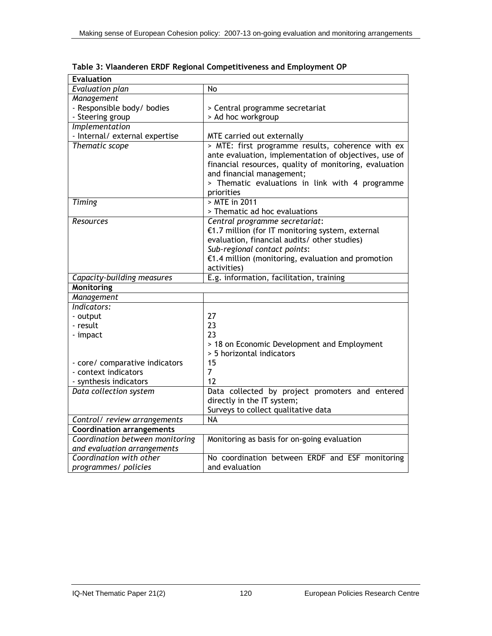| <b>Evaluation</b>                                      |                                                        |
|--------------------------------------------------------|--------------------------------------------------------|
| Evaluation plan                                        | No                                                     |
| Management                                             |                                                        |
| - Responsible body/ bodies                             | > Central programme secretariat                        |
| - Steering group                                       | > Ad hoc workgroup                                     |
| Implementation                                         |                                                        |
| - Internal/ external expertise                         | MTE carried out externally                             |
| Thematic scope                                         | > MTE: first programme results, coherence with ex      |
|                                                        | ante evaluation, implementation of objectives, use of  |
|                                                        | financial resources, quality of monitoring, evaluation |
|                                                        | and financial management;                              |
|                                                        | > Thematic evaluations in link with 4 programme        |
|                                                        | priorities                                             |
| Timing                                                 | > MTE in 2011                                          |
|                                                        | > Thematic ad hoc evaluations                          |
| Resources                                              | Central programme secretariat:                         |
|                                                        | €1.7 million (for IT monitoring system, external       |
|                                                        | evaluation, financial audits/ other studies)           |
|                                                        | Sub-regional contact points:                           |
|                                                        | $£1.4$ million (monitoring, evaluation and promotion   |
|                                                        | activities)                                            |
| Capacity-building measures                             | E.g. information, facilitation, training               |
| <b>Monitoring</b>                                      |                                                        |
| Management                                             |                                                        |
| Indicators:                                            |                                                        |
| - output                                               | 27                                                     |
| - result                                               | 23                                                     |
| - impact                                               | 23                                                     |
|                                                        | > 18 on Economic Development and Employment            |
|                                                        | > 5 horizontal indicators<br>15                        |
| - core/ comparative indicators<br>- context indicators | $\overline{7}$                                         |
|                                                        | 12                                                     |
| - synthesis indicators<br>Data collection system       | Data collected by project promoters and entered        |
|                                                        | directly in the IT system;                             |
|                                                        |                                                        |
|                                                        | Surveys to collect qualitative data<br><b>NA</b>       |
| Control/ review arrangements                           |                                                        |
| <b>Coordination arrangements</b>                       |                                                        |
| Coordination between monitoring                        | Monitoring as basis for on-going evaluation            |
| and evaluation arrangements<br>Coordination with other | No coordination between ERDF and ESF monitoring        |
|                                                        |                                                        |
| programmes/ policies                                   | and evaluation                                         |

**Table 3: Vlaanderen ERDF Regional Competitiveness and Employment OP**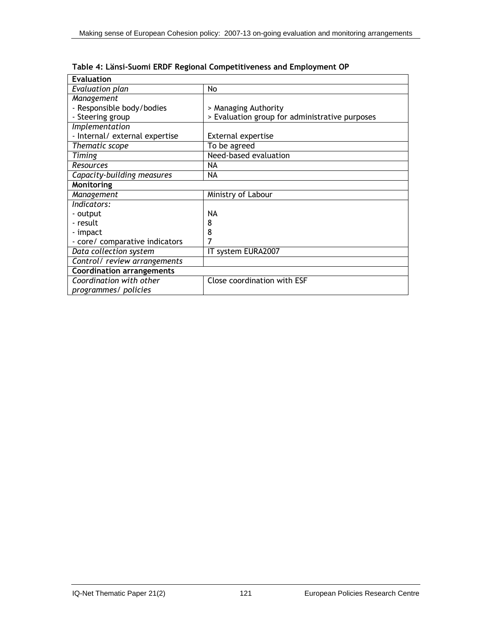| <b>Evaluation</b>                |                                                |
|----------------------------------|------------------------------------------------|
| Evaluation plan                  | No                                             |
| Management                       |                                                |
| - Responsible body/bodies        | > Managing Authority                           |
| - Steering group                 | > Evaluation group for administrative purposes |
| Implementation                   |                                                |
| - Internal/ external expertise   | <b>External expertise</b>                      |
| Thematic scope                   | To be agreed                                   |
| Timing                           | Need-based evaluation                          |
| <b>Resources</b>                 | NA                                             |
| Capacity-building measures       | ΝA                                             |
| Monitoring                       |                                                |
| Management                       | Ministry of Labour                             |
| Indicators:                      |                                                |
| - output                         | <b>NA</b>                                      |
| - result                         | 8                                              |
| - impact                         | 8                                              |
| - core/ comparative indicators   |                                                |
| Data collection system           | IT system EURA2007                             |
| Control/ review arrangements     |                                                |
| <b>Coordination arrangements</b> |                                                |
| Coordination with other          | Close coordination with ESF                    |
| programmes/ policies             |                                                |

|  |  |  | Table 4: Länsi-Suomi ERDF Regional Competitiveness and Employment OP |
|--|--|--|----------------------------------------------------------------------|
|  |  |  |                                                                      |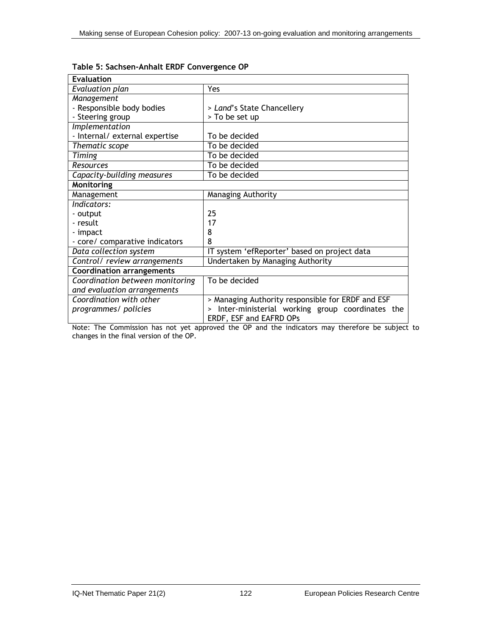| <b>Evaluation</b>                |                                                           |  |
|----------------------------------|-----------------------------------------------------------|--|
| Evaluation plan                  | Yes                                                       |  |
| Management                       |                                                           |  |
| - Responsible body bodies        | > Land's State Chancellery                                |  |
| - Steering group                 | > To be set up                                            |  |
| Implementation                   |                                                           |  |
| - Internal/ external expertise   | To be decided                                             |  |
| Thematic scope                   | To be decided                                             |  |
| Timing                           | To be decided                                             |  |
| Resources                        | To be decided                                             |  |
| Capacity-building measures       | To be decided                                             |  |
| Monitoring                       |                                                           |  |
| Management                       | Managing Authority                                        |  |
| Indicators:                      |                                                           |  |
| - output                         | 25                                                        |  |
| - result                         | 17                                                        |  |
| - impact                         | 8                                                         |  |
| - core/ comparative indicators   | 8                                                         |  |
| Data collection system           | IT system 'efReporter' based on project data              |  |
| Control/ review arrangements     | Undertaken by Managing Authority                          |  |
| <b>Coordination arrangements</b> |                                                           |  |
| Coordination between monitoring  | To be decided                                             |  |
| and evaluation arrangements      |                                                           |  |
| Coordination with other          | > Managing Authority responsible for ERDF and ESF         |  |
| programmes/ policies             | Inter-ministerial working group coordinates the<br>$\geq$ |  |
|                                  | ERDF, ESF and EAFRD OPs                                   |  |

Note: The Commission has not yet approved the OP and the indicators may therefore be subject to changes in the final version of the OP.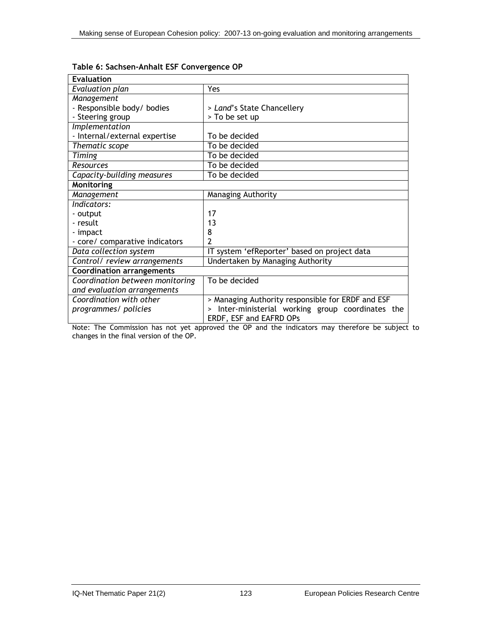| <b>Evaluation</b>                |                                                           |
|----------------------------------|-----------------------------------------------------------|
| Evaluation plan                  | Yes                                                       |
| Management                       |                                                           |
| - Responsible body/ bodies       | > Land's State Chancellery                                |
| - Steering group                 | > To be set up                                            |
| Implementation                   |                                                           |
| - Internal/external expertise    | To be decided                                             |
| Thematic scope                   | To be decided                                             |
| Timing                           | To be decided                                             |
| Resources                        | To be decided                                             |
| Capacity-building measures       | To be decided                                             |
| Monitoring                       |                                                           |
| Management                       | Managing Authority                                        |
| Indicators:                      |                                                           |
| - output                         | 17                                                        |
| - result                         | 13                                                        |
| - impact                         | 8                                                         |
| - core/ comparative indicators   | 2                                                         |
| Data collection system           | IT system 'efReporter' based on project data              |
| Control/ review arrangements     | Undertaken by Managing Authority                          |
| <b>Coordination arrangements</b> |                                                           |
| Coordination between monitoring  | To be decided                                             |
| and evaluation arrangements      |                                                           |
| Coordination with other          | > Managing Authority responsible for ERDF and ESF         |
| programmes/ policies             | Inter-ministerial working group coordinates the<br>$\geq$ |
|                                  | ERDF, ESF and EAFRD OPs                                   |

## **Table 6: Sachsen-Anhalt ESF Convergence OP**

Note: The Commission has not yet approved the OP and the indicators may therefore be subject to changes in the final version of the OP.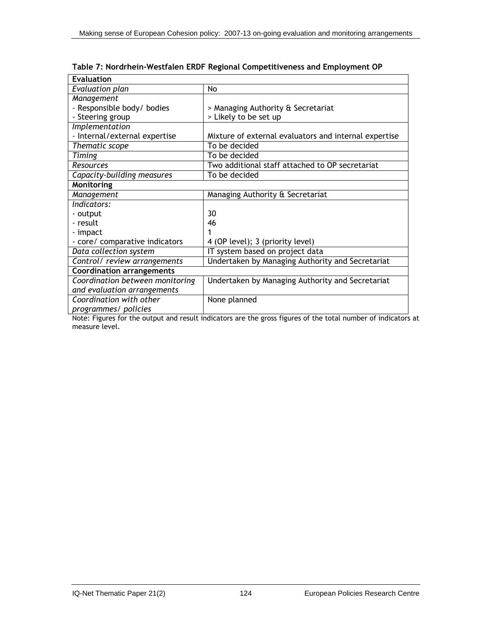| <b>Evaluation</b>                |                                                       |  |
|----------------------------------|-------------------------------------------------------|--|
| Evaluation plan                  | No                                                    |  |
| Management                       |                                                       |  |
| - Responsible body/ bodies       | > Managing Authority & Secretariat                    |  |
| - Steering group                 | > Likely to be set up                                 |  |
| Implementation                   |                                                       |  |
| - Internal/external expertise    | Mixture of external evaluators and internal expertise |  |
| Thematic scope                   | To be decided                                         |  |
| Timing                           | To be decided                                         |  |
| Resources                        | Two additional staff attached to OP secretariat       |  |
| Capacity-building measures       | To be decided                                         |  |
| Monitoring                       |                                                       |  |
| Management                       | Managing Authority & Secretariat                      |  |
| Indicators:                      |                                                       |  |
| - output                         | 30                                                    |  |
| - result                         | 46                                                    |  |
| - impact                         |                                                       |  |
| - core/ comparative indicators   | 4 (OP level); 3 (priority level)                      |  |
| Data collection system           | IT system based on project data                       |  |
| Control/ review arrangements     | Undertaken by Managing Authority and Secretariat      |  |
| <b>Coordination arrangements</b> |                                                       |  |
| Coordination between monitoring  | Undertaken by Managing Authority and Secretariat      |  |
| and evaluation arrangements      |                                                       |  |
| Coordination with other          | None planned                                          |  |
| programmes/ policies             |                                                       |  |

**Table 7: Nordrhein-Westfalen ERDF Regional Competitiveness and Employment OP** 

Note: Figures for the output and result indicators are the gross figures of the total number of indicators at measure level.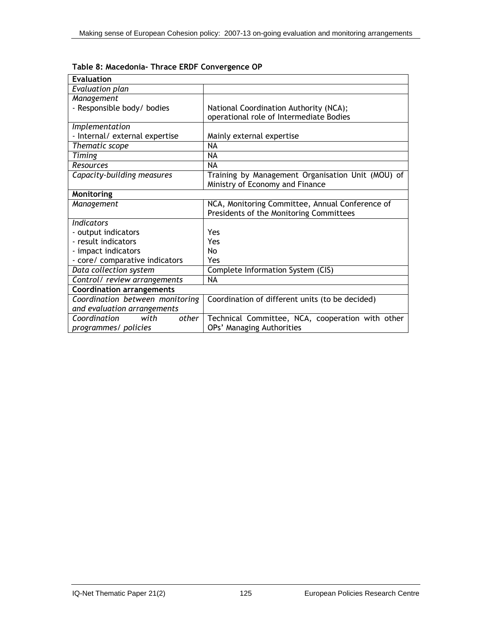| <b>Evaluation</b>                |                                                   |
|----------------------------------|---------------------------------------------------|
| Evaluation plan                  |                                                   |
| Management                       |                                                   |
| - Responsible body/ bodies       | National Coordination Authority (NCA);            |
|                                  | operational role of Intermediate Bodies           |
| Implementation                   |                                                   |
| - Internal/ external expertise   | Mainly external expertise                         |
| Thematic scope                   | <b>NA</b>                                         |
| <b>Timing</b>                    | <b>NA</b>                                         |
| Resources                        | <b>NA</b>                                         |
| Capacity-building measures       | Training by Management Organisation Unit (MOU) of |
|                                  | Ministry of Economy and Finance                   |
| <b>Monitoring</b>                |                                                   |
| Management                       | NCA, Monitoring Committee, Annual Conference of   |
|                                  | Presidents of the Monitoring Committees           |
| <b>Indicators</b>                |                                                   |
| - output indicators              | Yes                                               |
| - result indicators              | Yes                                               |
| - impact indicators              | No                                                |
| - core/ comparative indicators   | Yes                                               |
| Data collection system           | Complete Information System (CIS)                 |
| Control/ review arrangements     | NA                                                |
| <b>Coordination arrangements</b> |                                                   |
| Coordination between monitoring  | Coordination of different units (to be decided)   |
| and evaluation arrangements      |                                                   |
| Coordination<br>with<br>other    | Technical Committee, NCA, cooperation with other  |
| programmes/ policies             | OPs' Managing Authorities                         |

**Table 8: Macedonia- Thrace ERDF Convergence OP**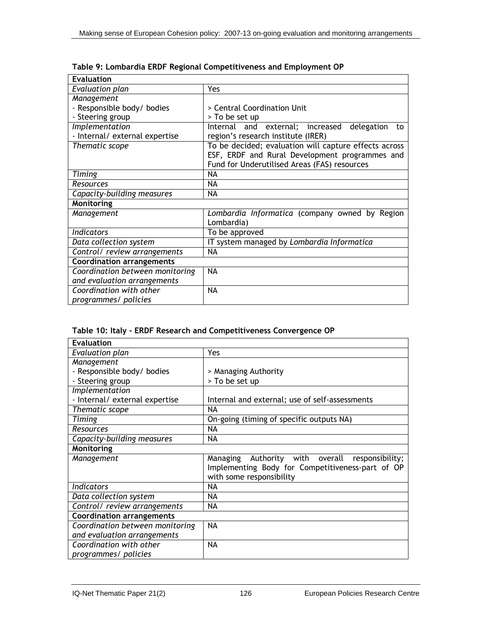| <b>Evaluation</b>                |                                                              |
|----------------------------------|--------------------------------------------------------------|
| Evaluation plan                  | Yes                                                          |
| Management                       |                                                              |
| - Responsible body/ bodies       | > Central Coordination Unit                                  |
| - Steering group                 | > To be set up                                               |
| Implementation                   | Internal and external; increased<br>delegation<br>to         |
| - Internal/ external expertise   | region's research institute (IRER)                           |
| Thematic scope                   | To be decided; evaluation will capture effects across        |
|                                  | ESF, ERDF and Rural Development programmes and               |
|                                  | Fund for Underutilised Areas (FAS) resources                 |
| Timing                           | NA                                                           |
| Resources                        | NA.                                                          |
| Capacity-building measures       | NA                                                           |
| Monitoring                       |                                                              |
| Management                       | Lombardia Informatica (company owned by Region<br>Lombardia) |
| <b>Indicators</b>                | To be approved                                               |
| Data collection system           | IT system managed by Lombardia Informatica                   |
| Control/ review arrangements     | NA                                                           |
| <b>Coordination arrangements</b> |                                                              |
| Coordination between monitoring  | <b>NA</b>                                                    |
| and evaluation arrangements      |                                                              |
| Coordination with other          | NA                                                           |
| programmes/ policies             |                                                              |

**Table 9: Lombardia ERDF Regional Competitiveness and Employment OP** 

## **Table 10: Italy - ERDF Research and Competitiveness Convergence OP**

| <b>Evaluation</b>                |                                                                                                                                       |
|----------------------------------|---------------------------------------------------------------------------------------------------------------------------------------|
| Evaluation plan                  | Yes.                                                                                                                                  |
| Management                       |                                                                                                                                       |
| - Responsible body/ bodies       | > Managing Authority                                                                                                                  |
| - Steering group                 | > To be set up                                                                                                                        |
| Implementation                   |                                                                                                                                       |
| - Internal/ external expertise   | Internal and external; use of self-assessments                                                                                        |
| Thematic scope                   | NA                                                                                                                                    |
| Timing                           | On-going (timing of specific outputs NA)                                                                                              |
| Resources                        | NA                                                                                                                                    |
| Capacity-building measures       | NA                                                                                                                                    |
| Monitoring                       |                                                                                                                                       |
| Management                       | Authority with overall<br>Managing<br>responsibility;<br>Implementing Body for Competitiveness-part of OP<br>with some responsibility |
| <b>Indicators</b>                | NA                                                                                                                                    |
| Data collection system           | ΝA                                                                                                                                    |
| Control/ review arrangements     | NA                                                                                                                                    |
| <b>Coordination arrangements</b> |                                                                                                                                       |
| Coordination between monitoring  | NA                                                                                                                                    |
| and evaluation arrangements      |                                                                                                                                       |
| Coordination with other          | NA                                                                                                                                    |
| programmes/ policies             |                                                                                                                                       |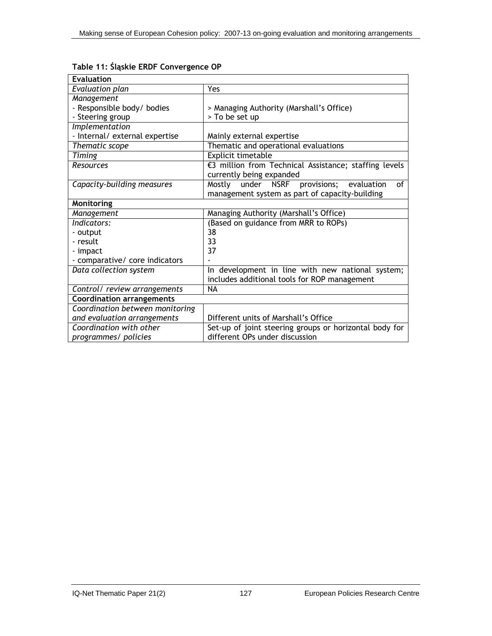| <b>Evaluation</b>                |                                                        |
|----------------------------------|--------------------------------------------------------|
| Evaluation plan                  | Yes                                                    |
| Management                       |                                                        |
| - Responsible body/ bodies       | > Managing Authority (Marshall's Office)               |
| - Steering group                 | > To be set up                                         |
| Implementation                   |                                                        |
| - Internal/ external expertise   | Mainly external expertise                              |
| Thematic scope                   | Thematic and operational evaluations                   |
| Timing                           | Explicit timetable                                     |
| Resources                        | €3 million from Technical Assistance; staffing levels  |
|                                  | currently being expanded                               |
| Capacity-building measures       | under NSRF provisions;<br>of<br>Mostly<br>evaluation   |
|                                  | management system as part of capacity-building         |
| Monitoring                       |                                                        |
| Management                       | Managing Authority (Marshall's Office)                 |
| Indicators:                      | (Based on guidance from MRR to ROPs)                   |
| - output                         | 38                                                     |
| - result                         | 33                                                     |
| - impact                         | 37                                                     |
| - comparative/ core indicators   |                                                        |
| Data collection system           | In development in line with new national system;       |
|                                  | includes additional tools for ROP management           |
| Control/ review arrangements     | <b>NA</b>                                              |
| <b>Coordination arrangements</b> |                                                        |
| Coordination between monitoring  |                                                        |
| and evaluation arrangements      | Different units of Marshall's Office                   |
| Coordination with other          | Set-up of joint steering groups or horizontal body for |
| programmes/ policies             | different OPs under discussion                         |

**Table 11: Śląskie ERDF Convergence OP**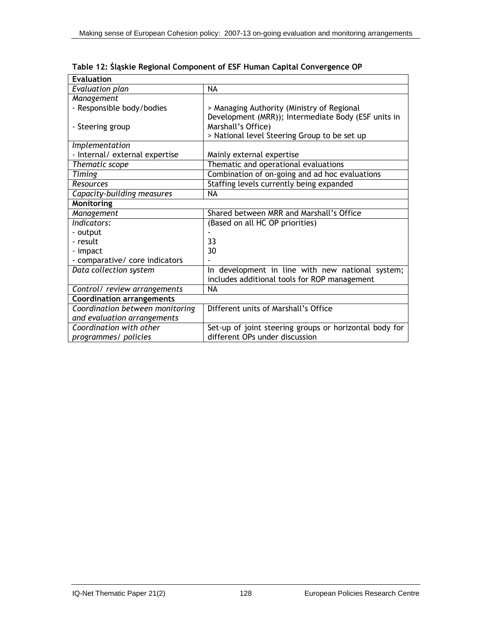| <b>Evaluation</b>                |                                                                                                   |  |
|----------------------------------|---------------------------------------------------------------------------------------------------|--|
| Evaluation plan                  | <b>NA</b>                                                                                         |  |
| Management                       |                                                                                                   |  |
| - Responsible body/bodies        | > Managing Authority (Ministry of Regional<br>Development (MRR)); Intermediate Body (ESF units in |  |
| - Steering group                 | Marshall's Office)                                                                                |  |
|                                  | > National level Steering Group to be set up                                                      |  |
| Implementation                   |                                                                                                   |  |
| - Internal/ external expertise   | Mainly external expertise                                                                         |  |
| Thematic scope                   | Thematic and operational evaluations                                                              |  |
| Timing                           | Combination of on-going and ad hoc evaluations                                                    |  |
| Resources                        | Staffing levels currently being expanded                                                          |  |
| Capacity-building measures       | NA                                                                                                |  |
| Monitoring                       |                                                                                                   |  |
| Management                       | Shared between MRR and Marshall's Office                                                          |  |
| Indicators:                      | (Based on all HC OP priorities)                                                                   |  |
| - output                         |                                                                                                   |  |
| - result                         | 33                                                                                                |  |
| - impact                         | 30                                                                                                |  |
| - comparative/ core indicators   |                                                                                                   |  |
| Data collection system           | In development in line with new national system;<br>includes additional tools for ROP management  |  |
| Control/ review arrangements     | <b>NA</b>                                                                                         |  |
| <b>Coordination arrangements</b> |                                                                                                   |  |
| Coordination between monitoring  | Different units of Marshall's Office                                                              |  |
| and evaluation arrangements      |                                                                                                   |  |
| Coordination with other          | Set-up of joint steering groups or horizontal body for                                            |  |
| programmes/ policies             | different OPs under discussion                                                                    |  |

**Table 12: Śląskie Regional Component of ESF Human Capital Convergence OP**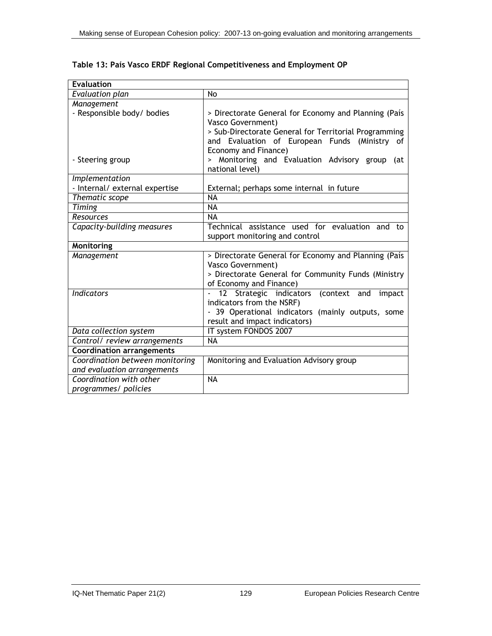| <b>Evaluation</b>                |                                                       |
|----------------------------------|-------------------------------------------------------|
| Evaluation plan                  | No                                                    |
| Management                       |                                                       |
| - Responsible body/ bodies       | > Directorate General for Economy and Planning (País  |
|                                  | <b>Vasco Government)</b>                              |
|                                  | > Sub-Directorate General for Territorial Programming |
|                                  | and Evaluation of European Funds (Ministry of         |
|                                  | Economy and Finance)                                  |
| - Steering group                 | > Monitoring and Evaluation Advisory group (at        |
|                                  | national level)                                       |
| Implementation                   |                                                       |
| - Internal/ external expertise   | External; perhaps some internal in future             |
| Thematic scope                   | <b>NA</b>                                             |
| Timing                           | <b>NA</b>                                             |
| Resources                        | <b>NA</b>                                             |
| Capacity-building measures       | Technical assistance used for evaluation and to       |
|                                  | support monitoring and control                        |
| <b>Monitoring</b>                |                                                       |
| Management                       | > Directorate General for Economy and Planning (País  |
|                                  | Vasco Government)                                     |
|                                  | > Directorate General for Community Funds (Ministry   |
|                                  | of Economy and Finance)                               |
| <b>Indicators</b>                | 12 Strategic indicators<br>(context and<br>impact     |
|                                  | indicators from the NSRF)                             |
|                                  | - 39 Operational indicators (mainly outputs, some     |
|                                  | result and impact indicators)                         |
| Data collection system           | IT system FONDOS 2007                                 |
| Control/ review arrangements     | <b>NA</b>                                             |
| <b>Coordination arrangements</b> |                                                       |
| Coordination between monitoring  | Monitoring and Evaluation Advisory group              |
| and evaluation arrangements      |                                                       |
| Coordination with other          | <b>NA</b>                                             |
| programmes/ policies             |                                                       |

**Table 13: País Vasco ERDF Regional Competitiveness and Employment OP**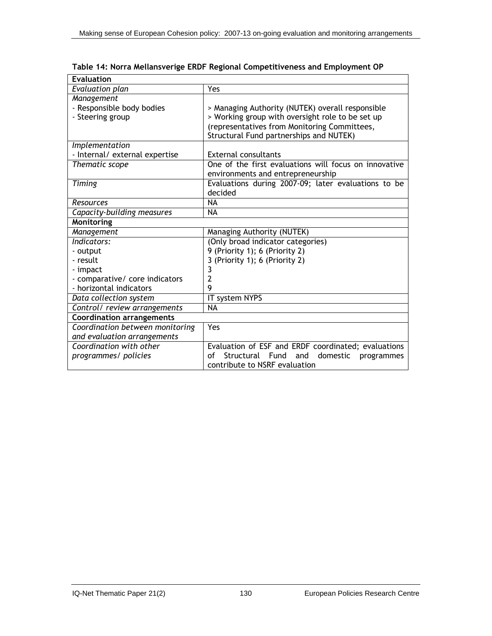| <b>Evaluation</b>                |                                                       |
|----------------------------------|-------------------------------------------------------|
| <b>Evaluation plan</b>           | Yes                                                   |
| Management                       |                                                       |
| - Responsible body bodies        | > Managing Authority (NUTEK) overall responsible      |
| - Steering group                 | > Working group with oversight role to be set up      |
|                                  | (representatives from Monitoring Committees,          |
|                                  | Structural Fund partnerships and NUTEK)               |
| Implementation                   |                                                       |
| - Internal/ external expertise   | <b>External consultants</b>                           |
| Thematic scope                   | One of the first evaluations will focus on innovative |
|                                  | environments and entrepreneurship                     |
| Timing                           | Evaluations during 2007-09; later evaluations to be   |
|                                  | decided                                               |
| Resources                        | <b>NA</b>                                             |
| Capacity-building measures       | <b>NA</b>                                             |
| <b>Monitoring</b>                |                                                       |
| Management                       | Managing Authority (NUTEK)                            |
| Indicators:                      | (Only broad indicator categories)                     |
| - output                         | 9 (Priority 1); 6 (Priority 2)                        |
| - result                         | 3 (Priority 1); 6 (Priority 2)                        |
| - impact                         | 3                                                     |
| - comparative/ core indicators   | 2                                                     |
| - horizontal indicators          | 9                                                     |
| Data collection system           | IT system NYPS                                        |
| Control/ review arrangements     | <b>NA</b>                                             |
| <b>Coordination arrangements</b> |                                                       |
| Coordination between monitoring  | Yes                                                   |
| and evaluation arrangements      |                                                       |
| Coordination with other          | Evaluation of ESF and ERDF coordinated; evaluations   |
| programmes/ policies             | Structural Fund and domestic<br>Ωf<br>programmes      |
|                                  | contribute to NSRF evaluation                         |

**Table 14: Norra Mellansverige ERDF Regional Competitiveness and Employment OP**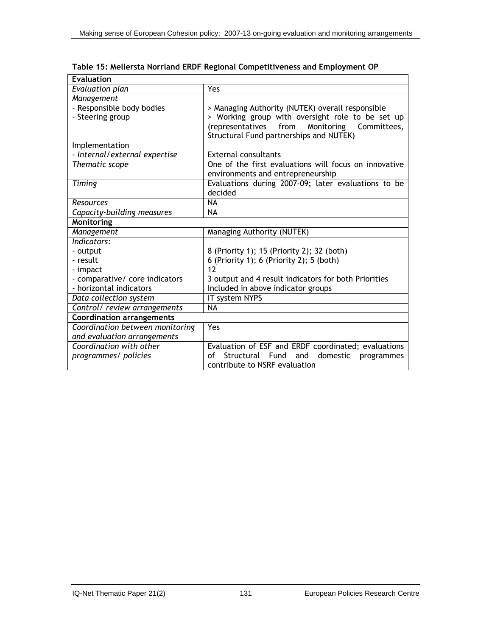| <b>Evaluation</b>                |                                                       |  |
|----------------------------------|-------------------------------------------------------|--|
| Evaluation plan                  | <b>Yes</b>                                            |  |
| Management                       |                                                       |  |
| - Responsible body bodies        | > Managing Authority (NUTEK) overall responsible      |  |
| - Steering group                 | > Working group with oversight role to be set up      |  |
|                                  | from<br>Monitoring<br>Committees,<br>(representatives |  |
|                                  | Structural Fund partnerships and NUTEK)               |  |
| Implementation                   |                                                       |  |
| - Internal/external expertise    | <b>External consultants</b>                           |  |
| Thematic scope                   | One of the first evaluations will focus on innovative |  |
|                                  | environments and entrepreneurship                     |  |
| Timing                           | Evaluations during 2007-09; later evaluations to be   |  |
|                                  | decided                                               |  |
| Resources                        | <b>NA</b>                                             |  |
| Capacity-building measures       | <b>NA</b>                                             |  |
| Monitoring                       |                                                       |  |
| Management                       | Managing Authority (NUTEK)                            |  |
| Indicators:                      |                                                       |  |
| - output                         | 8 (Priority 1); 15 (Priority 2); 32 (both)            |  |
| - result                         | 6 (Priority 1); 6 (Priority 2); 5 (both)              |  |
| - impact                         | 12                                                    |  |
| - comparative/ core indicators   | 3 output and 4 result indicators for both Priorities  |  |
| - horizontal indicators          | Included in above indicator groups                    |  |
| Data collection system           | IT system NYPS                                        |  |
| Control/ review arrangements     | <b>NA</b>                                             |  |
| <b>Coordination arrangements</b> |                                                       |  |
| Coordination between monitoring  | Yes                                                   |  |
| and evaluation arrangements      |                                                       |  |
| Coordination with other          | Evaluation of ESF and ERDF coordinated; evaluations   |  |
| programmes/ policies             | Structural Fund and<br>domestic programmes<br>οf      |  |
|                                  | contribute to NSRF evaluation                         |  |

**Table 15: Mellersta Norrland ERDF Regional Competitiveness and Employment OP**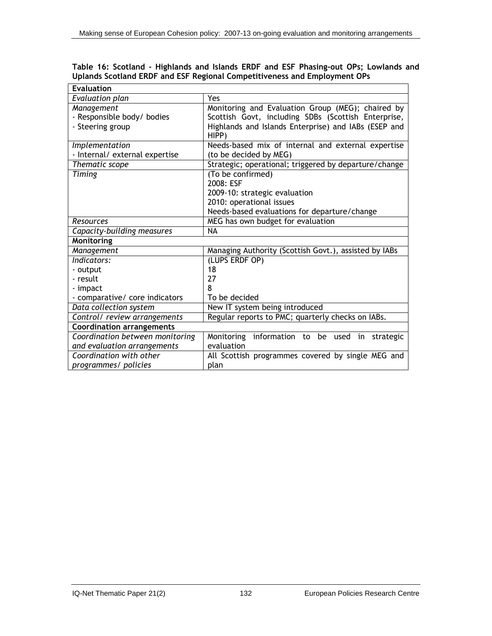| Table 16: Scotland - Highlands and Islands ERDF and ESF Phasing-out OPs; Lowlands and |  |  |  |
|---------------------------------------------------------------------------------------|--|--|--|
| Uplands Scotland ERDF and ESF Regional Competitiveness and Employment OPs             |  |  |  |

| <b>Evaluation</b>                |                                                       |  |
|----------------------------------|-------------------------------------------------------|--|
| Evaluation plan                  | <b>Yes</b>                                            |  |
| Management                       | Monitoring and Evaluation Group (MEG); chaired by     |  |
| - Responsible body/ bodies       | Scottish Govt, including SDBs (Scottish Enterprise,   |  |
| - Steering group                 | Highlands and Islands Enterprise) and IABs (ESEP and  |  |
|                                  | HIPP)                                                 |  |
| Implementation                   | Needs-based mix of internal and external expertise    |  |
| - Internal/ external expertise   | (to be decided by MEG)                                |  |
| Thematic scope                   | Strategic; operational; triggered by departure/change |  |
| Timing                           | (To be confirmed)                                     |  |
|                                  | 2008: ESF                                             |  |
|                                  | 2009-10: strategic evaluation                         |  |
|                                  | 2010: operational issues                              |  |
|                                  | Needs-based evaluations for departure/change          |  |
| Resources                        | MEG has own budget for evaluation                     |  |
| Capacity-building measures       | <b>NA</b>                                             |  |
| <b>Monitoring</b>                |                                                       |  |
| Management                       | Managing Authority (Scottish Govt.), assisted by IABs |  |
| Indicators:                      | (LUPS ERDF OP)                                        |  |
| - output                         | 18                                                    |  |
| - result                         | 27                                                    |  |
| - impact                         | 8                                                     |  |
| - comparative/ core indicators   | To be decided                                         |  |
| Data collection system           | New IT system being introduced                        |  |
| Control/ review arrangements     | Regular reports to PMC; quarterly checks on IABs.     |  |
| <b>Coordination arrangements</b> |                                                       |  |
| Coordination between monitoring  | information to be used in<br>Monitoring<br>strategic  |  |
| and evaluation arrangements      | evaluation                                            |  |
| Coordination with other          | All Scottish programmes covered by single MEG and     |  |
| programmes/ policies             | plan                                                  |  |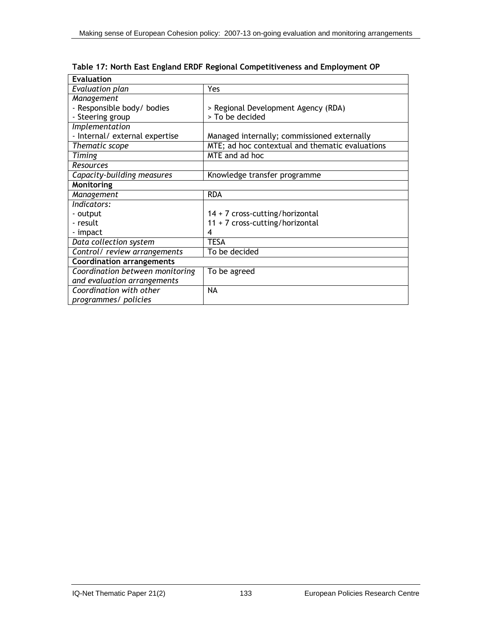| <b>Evaluation</b>                |                                                 |
|----------------------------------|-------------------------------------------------|
| Evaluation plan                  | Yes                                             |
| Management                       |                                                 |
| - Responsible body/ bodies       | > Regional Development Agency (RDA)             |
| - Steering group                 | > To be decided                                 |
| Implementation                   |                                                 |
| - Internal/ external expertise   | Managed internally; commissioned externally     |
| Thematic scope                   | MTE; ad hoc contextual and thematic evaluations |
| Timing                           | MTE and ad hoc                                  |
| Resources                        |                                                 |
| Capacity-building measures       | Knowledge transfer programme                    |
| Monitoring                       |                                                 |
| Management                       | <b>RDA</b>                                      |
| Indicators:                      |                                                 |
| - output                         | 14 + 7 cross-cutting/horizontal                 |
| - result                         | $11 + 7$ cross-cutting/horizontal               |
| - impact                         | 4                                               |
| Data collection system           | <b>TESA</b>                                     |
| Control/ review arrangements     | To be decided                                   |
| <b>Coordination arrangements</b> |                                                 |
| Coordination between monitoring  | To be agreed                                    |
| and evaluation arrangements      |                                                 |
| Coordination with other          | <b>NA</b>                                       |
| programmes/ policies             |                                                 |

**Table 17: North East England ERDF Regional Competitiveness and Employment OP**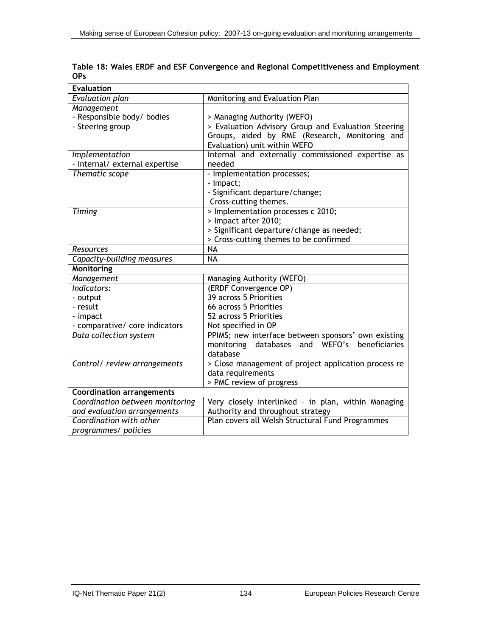| <b>Evaluation</b>                |                                                      |
|----------------------------------|------------------------------------------------------|
| <b>Evaluation plan</b>           | Monitoring and Evaluation Plan                       |
| Management                       |                                                      |
| - Responsible body/ bodies       | > Managing Authority (WEFO)                          |
| - Steering group                 | > Evaluation Advisory Group and Evaluation Steering  |
|                                  | Groups, aided by RME (Research, Monitoring and       |
|                                  | Evaluation) unit within WEFO                         |
| Implementation                   | Internal and externally commissioned expertise as    |
| - Internal/ external expertise   | needed                                               |
| Thematic scope                   | - Implementation processes;                          |
|                                  | - Impact;                                            |
|                                  | - Significant departure/change;                      |
|                                  | Cross-cutting themes.                                |
| Timing                           | > Implementation processes c 2010;                   |
|                                  | > Impact after 2010;                                 |
|                                  | > Significant departure/change as needed;            |
|                                  | > Cross-cutting themes to be confirmed               |
| Resources                        | <b>NA</b>                                            |
| Capacity-building measures       | <b>NA</b>                                            |
| <b>Monitoring</b>                |                                                      |
| Management                       | Managing Authority (WEFO)                            |
| Indicators:                      | (ERDF Convergence OP)                                |
| - output                         | 39 across 5 Priorities                               |
| - result                         | 66 across 5 Priorities                               |
| - impact                         | 52 across 5 Priorities                               |
| - comparative/ core indicators   | Not specified in OP                                  |
| Data collection system           | PPIMS; new interface between sponsors' own existing  |
|                                  | monitoring databases and WEFO's<br>beneficiaries     |
|                                  | database                                             |
| Control/ review arrangements     | > Close management of project application process re |
|                                  | data requirements                                    |
|                                  | > PMC review of progress                             |
| <b>Coordination arrangements</b> |                                                      |
| Coordination between monitoring  | Very closely interlinked - in plan, within Managing  |
| and evaluation arrangements      | Authority and throughout strategy                    |
| Coordination with other          | Plan covers all Welsh Structural Fund Programmes     |
| programmes/ policies             |                                                      |

**Table 18: Wales ERDF and ESF Convergence and Regional Competitiveness and Employment OPs**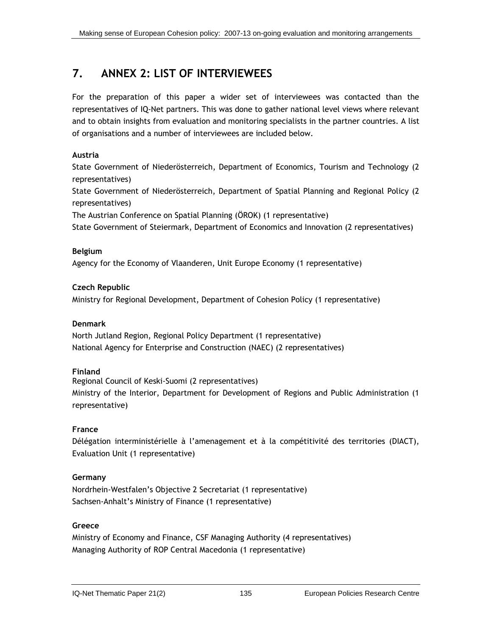# **7. ANNEX 2: LIST OF INTERVIEWEES**

For the preparation of this paper a wider set of interviewees was contacted than the representatives of IQ-Net partners. This was done to gather national level views where relevant and to obtain insights from evaluation and monitoring specialists in the partner countries. A list of organisations and a number of interviewees are included below.

## **Austria**

State Government of Niederösterreich, Department of Economics, Tourism and Technology (2 representatives)

State Government of Niederösterreich, Department of Spatial Planning and Regional Policy (2 representatives)

The Austrian Conference on Spatial Planning (ÖROK) (1 representative)

State Government of Steiermark, Department of Economics and Innovation (2 representatives)

## **Belgium**

Agency for the Economy of Vlaanderen, Unit Europe Economy (1 representative)

## **Czech Republic**

Ministry for Regional Development, Department of Cohesion Policy (1 representative)

## **Denmark**

North Jutland Region, Regional Policy Department (1 representative) National Agency for Enterprise and Construction (NAEC) (2 representatives)

## **Finland**

Regional Council of Keski-Suomi (2 representatives) Ministry of the Interior, Department for Development of Regions and Public Administration (1 representative)

## **France**

Délégation interministérielle à l'amenagement et à la compétitivité des territories (DIACT), Evaluation Unit (1 representative)

## **Germany**

Nordrhein-Westfalen's Objective 2 Secretariat (1 representative) Sachsen-Anhalt's Ministry of Finance (1 representative)

## **Greece**

Ministry of Economy and Finance, CSF Managing Authority (4 representatives) Managing Authority of ROP Central Macedonia (1 representative)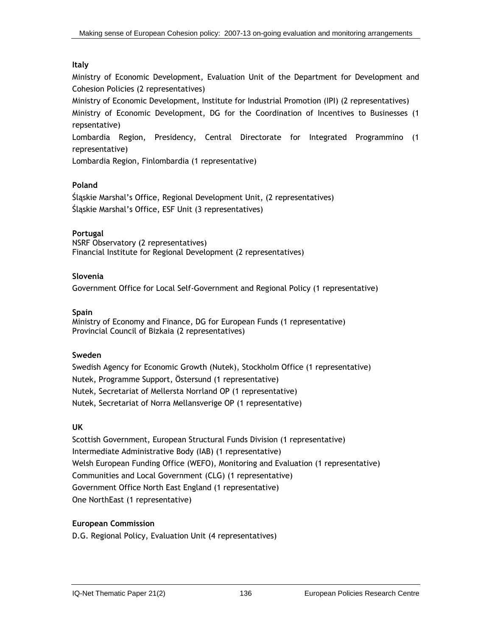## **Italy**

Ministry of Economic Development, Evaluation Unit of the Department for Development and Cohesion Policies (2 representatives)

Ministry of Economic Development, Institute for Industrial Promotion (IPI) (2 representatives) Ministry of Economic Development, DG for the Coordination of Incentives to Businesses (1 repsentative)

Lombardia Region, Presidency, Central Directorate for Integrated Programmino (1 representative)

Lombardia Region, Finlombardia (1 representative)

#### **Poland**

Śląskie Marshal's Office, Regional Development Unit, (2 representatives) Śląskie Marshal's Office, ESF Unit (3 representatives)

#### **Portugal**

NSRF Observatory (2 representatives) Financial Institute for Regional Development (2 representatives)

#### **Slovenia**

Government Office for Local Self-Government and Regional Policy (1 representative)

#### **Spain**

Ministry of Economy and Finance, DG for European Funds (1 representative) Provincial Council of Bizkaia (2 representatives)

#### **Sweden**

Swedish Agency for Economic Growth (Nutek), Stockholm Office (1 representative) Nutek, Programme Support, Östersund (1 representative) Nutek, Secretariat of Mellersta Norrland OP (1 representative) Nutek, Secretariat of Norra Mellansverige OP (1 representative)

#### **UK**

Scottish Government, European Structural Funds Division (1 representative) Intermediate Administrative Body (IAB) (1 representative) Welsh European Funding Office (WEFO), Monitoring and Evaluation (1 representative) Communities and Local Government (CLG) (1 representative) Government Office North East England (1 representative) One NorthEast (1 representative)

#### **European Commission**

D.G. Regional Policy, Evaluation Unit (4 representatives)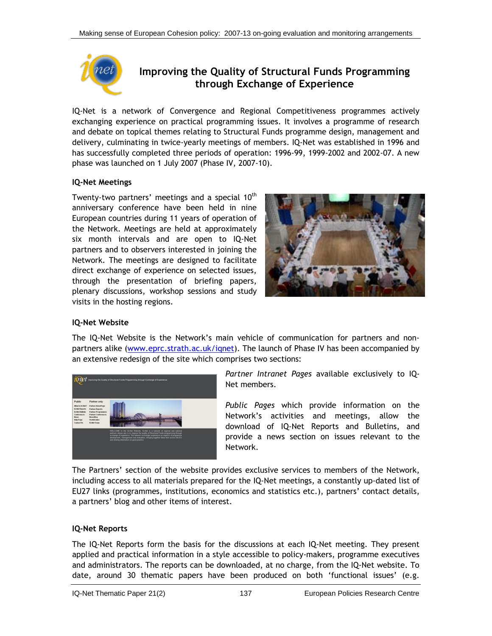

# **Improving the Quality of Structural Funds Programming through Exchange of Experience**

IQ-Net is a network of Convergence and Regional Competitiveness programmes actively exchanging experience on practical programming issues. It involves a programme of research and debate on topical themes relating to Structural Funds programme design, management and delivery, culminating in twice-yearly meetings of members. IQ-Net was established in 1996 and has successfully completed three periods of operation: 1996-99, 1999-2002 and 2002-07. A new phase was launched on 1 July 2007 (Phase IV, 2007-10).

#### **IQ-Net Meetings**

Twenty-two partners' meetings and a special  $10<sup>th</sup>$ anniversary conference have been held in nine European countries during 11 years of operation of the Network. Meetings are held at approximately six month intervals and are open to IQ-Net partners and to observers interested in joining the Network. The meetings are designed to facilitate direct exchange of experience on selected issues, through the presentation of briefing papers, plenary discussions, workshop sessions and study visits in the hosting regions.



#### **IQ-Net Website**

The IQ-Net Website is the Network's main vehicle of communication for partners and nonpartners alike ([www.eprc.strath.ac.uk/iqnet](http://www.eprc.strath.ac.uk/iqnet)). The launch of Phase IV has been accompanied by an extensive redesign of the site which comprises two sections:



*Partner Intranet Pages* available exclusively to IQ-Net members.

*Public Pages* which provide information on the Network's activities and meetings, allow the download of IQ-Net Reports and Bulletins, and provide a news section on issues relevant to the Network.

The Partners' section of the website provides exclusive services to members of the Network, including access to all materials prepared for the IQ-Net meetings, a constantly up-dated list of EU27 links (programmes, institutions, economics and statistics etc.), partners' contact details, a partners' blog and other items of interest.

#### **IQ-Net Reports**

The IQ-Net Reports form the basis for the discussions at each IQ-Net meeting. They present applied and practical information in a style accessible to policy-makers, programme executives and administrators. The reports can be downloaded, at no charge, from the IQ-Net website. To date, around 30 thematic papers have been produced on both 'functional issues' (e.g.